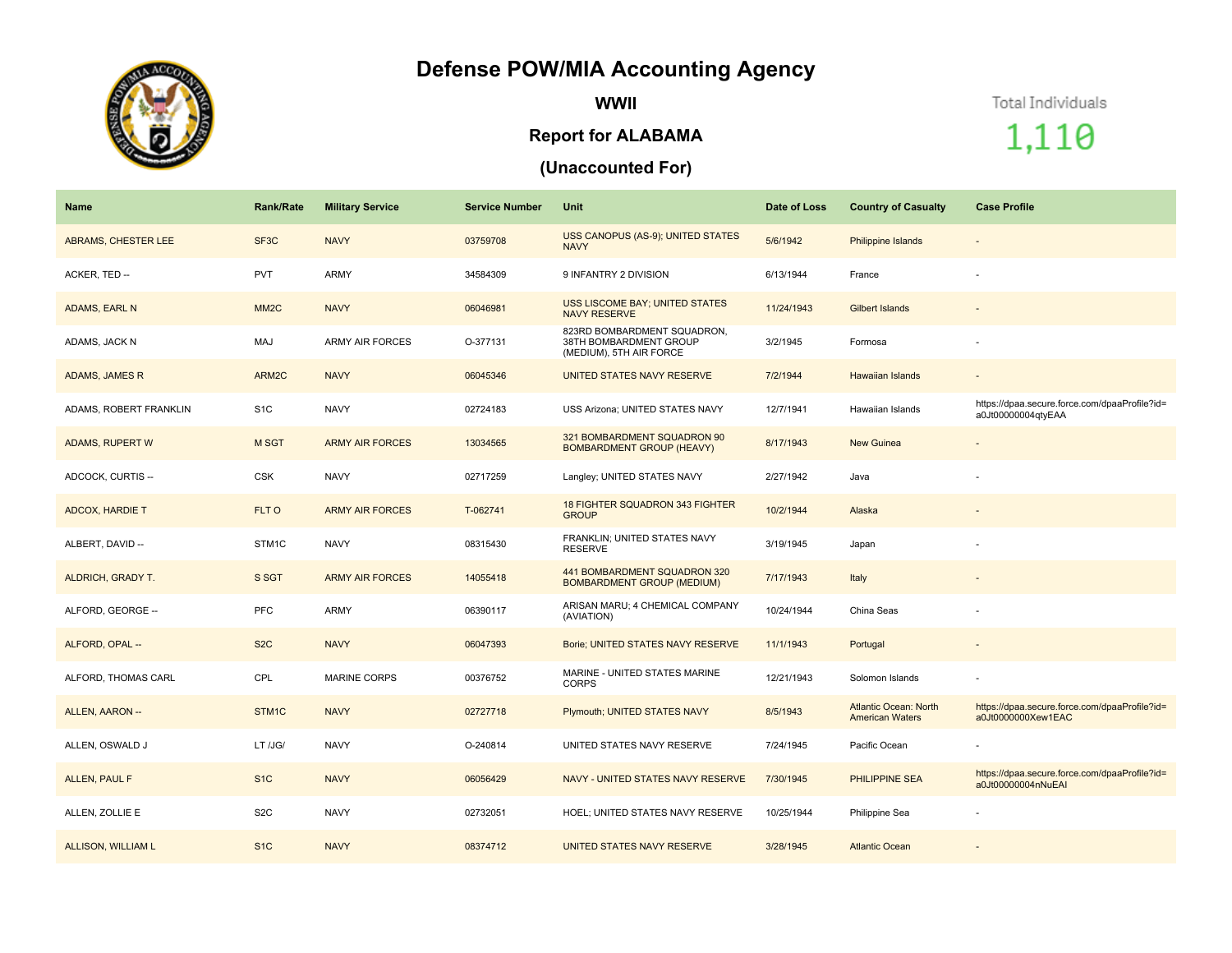## **Defense POW/MIA Accounting Agency**



**WWII**

## **Report for ALABAMA**

## **(Unaccounted For)**

Total Individuals

1,110

| <b>Name</b>            | <b>Rank/Rate</b>  | <b>Military Service</b> | <b>Service Number</b> | Unit                                                                             | Date of Loss | <b>Country of Casualty</b>                             | <b>Case Profile</b>                                                 |
|------------------------|-------------------|-------------------------|-----------------------|----------------------------------------------------------------------------------|--------------|--------------------------------------------------------|---------------------------------------------------------------------|
| ABRAMS, CHESTER LEE    | SF <sub>3</sub> C | <b>NAVY</b>             | 03759708              | USS CANOPUS (AS-9); UNITED STATES<br><b>NAVY</b>                                 | 5/6/1942     | <b>Philippine Islands</b>                              | $\overline{\phantom{a}}$                                            |
| ACKER, TED --          | <b>PVT</b>        | ARMY                    | 34584309              | 9 INFANTRY 2 DIVISION                                                            | 6/13/1944    | France                                                 |                                                                     |
| ADAMS, EARL N          | MM <sub>2</sub> C | <b>NAVY</b>             | 06046981              | <b>USS LISCOME BAY; UNITED STATES</b><br><b>NAVY RESERVE</b>                     | 11/24/1943   | <b>Gilbert Islands</b>                                 |                                                                     |
| ADAMS, JACK N          | MAJ               | <b>ARMY AIR FORCES</b>  | O-377131              | 823RD BOMBARDMENT SQUADRON,<br>38TH BOMBARDMENT GROUP<br>(MEDIUM), 5TH AIR FORCE | 3/2/1945     | Formosa                                                |                                                                     |
| ADAMS, JAMES R         | ARM2C             | <b>NAVY</b>             | 06045346              | UNITED STATES NAVY RESERVE                                                       | 7/2/1944     | <b>Hawaiian Islands</b>                                | $\sim$                                                              |
| ADAMS, ROBERT FRANKLIN | S <sub>1</sub> C  | <b>NAVY</b>             | 02724183              | USS Arizona; UNITED STATES NAVY                                                  | 12/7/1941    | Hawaiian Islands                                       | https://dpaa.secure.force.com/dpaaProfile?id=<br>a0Jt00000004qtyEAA |
| ADAMS, RUPERT W        | <b>M SGT</b>      | <b>ARMY AIR FORCES</b>  | 13034565              | 321 BOMBARDMENT SQUADRON 90<br><b>BOMBARDMENT GROUP (HEAVY)</b>                  | 8/17/1943    | <b>New Guinea</b>                                      |                                                                     |
| ADCOCK, CURTIS --      | <b>CSK</b>        | <b>NAVY</b>             | 02717259              | Langley; UNITED STATES NAVY                                                      | 2/27/1942    | Java                                                   |                                                                     |
| <b>ADCOX, HARDIE T</b> | FLT O             | <b>ARMY AIR FORCES</b>  | T-062741              | 18 FIGHTER SQUADRON 343 FIGHTER<br><b>GROUP</b>                                  | 10/2/1944    | Alaska                                                 |                                                                     |
| ALBERT, DAVID --       | STM <sub>1C</sub> | <b>NAVY</b>             | 08315430              | FRANKLIN; UNITED STATES NAVY<br>RESERVE                                          | 3/19/1945    | Japan                                                  |                                                                     |
| ALDRICH, GRADY T.      | S SGT             | <b>ARMY AIR FORCES</b>  | 14055418              | 441 BOMBARDMENT SQUADRON 320<br><b>BOMBARDMENT GROUP (MEDIUM)</b>                | 7/17/1943    | Italy                                                  |                                                                     |
| ALFORD, GEORGE --      | <b>PFC</b>        | ARMY                    | 06390117              | ARISAN MARU; 4 CHEMICAL COMPANY<br>(AVIATION)                                    | 10/24/1944   | China Seas                                             |                                                                     |
| ALFORD, OPAL --        | S <sub>2</sub> C  | <b>NAVY</b>             | 06047393              | Borie; UNITED STATES NAVY RESERVE                                                | 11/1/1943    | Portugal                                               |                                                                     |
| ALFORD, THOMAS CARL    | CPL               | <b>MARINE CORPS</b>     | 00376752              | MARINE - UNITED STATES MARINE<br><b>CORPS</b>                                    | 12/21/1943   | Solomon Islands                                        |                                                                     |
| ALLEN, AARON --        | STM1C             | <b>NAVY</b>             | 02727718              | Plymouth; UNITED STATES NAVY                                                     | 8/5/1943     | <b>Atlantic Ocean: North</b><br><b>American Waters</b> | https://dpaa.secure.force.com/dpaaProfile?id=<br>a0Jt0000000Xew1EAC |
| ALLEN, OSWALD J        | LT /JG/           | <b>NAVY</b>             | O-240814              | UNITED STATES NAVY RESERVE                                                       | 7/24/1945    | Pacific Ocean                                          |                                                                     |
| <b>ALLEN, PAUL F</b>   | S <sub>1</sub> C  | <b>NAVY</b>             | 06056429              | NAVY - UNITED STATES NAVY RESERVE                                                | 7/30/1945    | PHILIPPINE SEA                                         | https://dpaa.secure.force.com/dpaaProfile?id=<br>a0Jt00000004nNuEAI |
| ALLEN, ZOLLIE E        | S <sub>2</sub> C  | <b>NAVY</b>             | 02732051              | HOEL; UNITED STATES NAVY RESERVE                                                 | 10/25/1944   | Philippine Sea                                         |                                                                     |
| ALLISON, WILLIAM L     | S <sub>1</sub> C  | <b>NAVY</b>             | 08374712              | UNITED STATES NAVY RESERVE                                                       | 3/28/1945    | <b>Atlantic Ocean</b>                                  |                                                                     |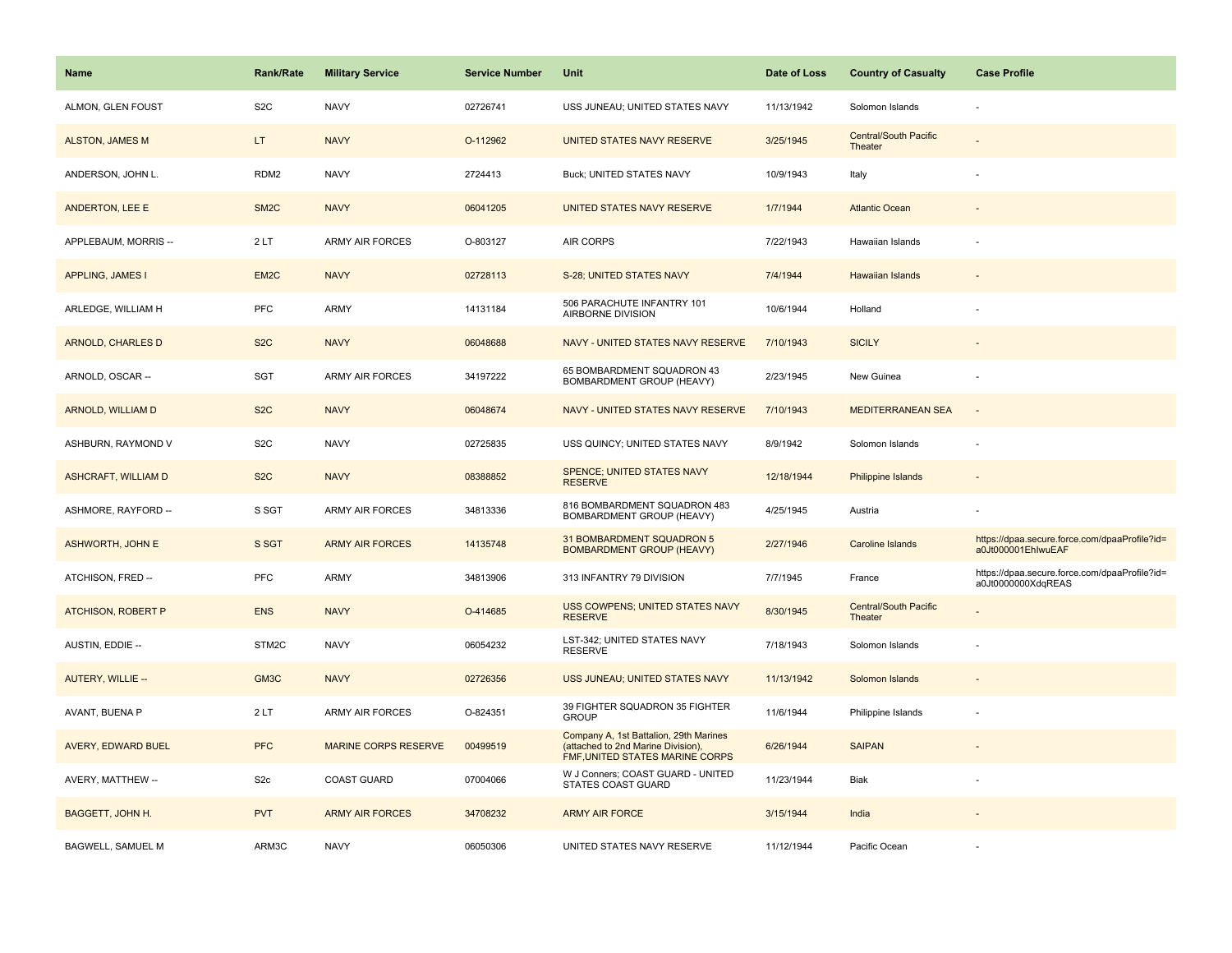| <b>Name</b>                | <b>Rank/Rate</b>  | <b>Military Service</b>     | <b>Service Number</b> | Unit                                                                                                            | Date of Loss | <b>Country of Casualty</b>              | <b>Case Profile</b>                                                 |
|----------------------------|-------------------|-----------------------------|-----------------------|-----------------------------------------------------------------------------------------------------------------|--------------|-----------------------------------------|---------------------------------------------------------------------|
| ALMON, GLEN FOUST          | S <sub>2</sub> C  | <b>NAVY</b>                 | 02726741              | USS JUNEAU; UNITED STATES NAVY                                                                                  | 11/13/1942   | Solomon Islands                         |                                                                     |
| <b>ALSTON, JAMES M</b>     | LT.               | <b>NAVY</b>                 | O-112962              | UNITED STATES NAVY RESERVE                                                                                      | 3/25/1945    | <b>Central/South Pacific</b><br>Theater |                                                                     |
| ANDERSON, JOHN L.          | RDM <sub>2</sub>  | <b>NAVY</b>                 | 2724413               | <b>Buck; UNITED STATES NAVY</b>                                                                                 | 10/9/1943    | Italy                                   |                                                                     |
| ANDERTON, LEE E            | SM <sub>2</sub> C | <b>NAVY</b>                 | 06041205              | UNITED STATES NAVY RESERVE                                                                                      | 1/7/1944     | <b>Atlantic Ocean</b>                   |                                                                     |
| APPLEBAUM, MORRIS --       | 2LT               | <b>ARMY AIR FORCES</b>      | O-803127              | <b>AIR CORPS</b>                                                                                                | 7/22/1943    | Hawaiian Islands                        |                                                                     |
| <b>APPLING, JAMES I</b>    | EM <sub>2</sub> C | <b>NAVY</b>                 | 02728113              | S-28; UNITED STATES NAVY                                                                                        | 7/4/1944     | Hawaiian Islands                        |                                                                     |
| ARLEDGE, WILLIAM H         | <b>PFC</b>        | ARMY                        | 14131184              | 506 PARACHUTE INFANTRY 101<br>AIRBORNE DIVISION                                                                 | 10/6/1944    | Holland                                 |                                                                     |
| <b>ARNOLD, CHARLES D</b>   | S <sub>2</sub> C  | <b>NAVY</b>                 | 06048688              | NAVY - UNITED STATES NAVY RESERVE                                                                               | 7/10/1943    | <b>SICILY</b>                           |                                                                     |
| ARNOLD, OSCAR --           | <b>SGT</b>        | <b>ARMY AIR FORCES</b>      | 34197222              | 65 BOMBARDMENT SQUADRON 43<br>BOMBARDMENT GROUP (HEAVY)                                                         | 2/23/1945    | New Guinea                              |                                                                     |
| <b>ARNOLD, WILLIAM D</b>   | S <sub>2</sub> C  | <b>NAVY</b>                 | 06048674              | NAVY - UNITED STATES NAVY RESERVE                                                                               | 7/10/1943    | <b>MEDITERRANEAN SEA</b>                |                                                                     |
| ASHBURN, RAYMOND V         | S <sub>2</sub> C  | <b>NAVY</b>                 | 02725835              | USS QUINCY; UNITED STATES NAVY                                                                                  | 8/9/1942     | Solomon Islands                         |                                                                     |
| <b>ASHCRAFT, WILLIAM D</b> | S <sub>2</sub> C  | <b>NAVY</b>                 | 08388852              | SPENCE; UNITED STATES NAVY<br><b>RESERVE</b>                                                                    | 12/18/1944   | Philippine Islands                      |                                                                     |
| ASHMORE, RAYFORD --        | S SGT             | <b>ARMY AIR FORCES</b>      | 34813336              | 816 BOMBARDMENT SQUADRON 483<br>BOMBARDMENT GROUP (HEAVY)                                                       | 4/25/1945    | Austria                                 |                                                                     |
| <b>ASHWORTH, JOHN E</b>    | S SGT             | <b>ARMY AIR FORCES</b>      | 14135748              | 31 BOMBARDMENT SQUADRON 5<br><b>BOMBARDMENT GROUP (HEAVY)</b>                                                   | 2/27/1946    | Caroline Islands                        | https://dpaa.secure.force.com/dpaaProfile?id=<br>a0Jt000001EhlwuEAF |
| ATCHISON, FRED --          | <b>PFC</b>        | ARMY                        | 34813906              | 313 INFANTRY 79 DIVISION                                                                                        | 7/7/1945     | France                                  | https://dpaa.secure.force.com/dpaaProfile?id=<br>a0Jt0000000XdqREAS |
| <b>ATCHISON, ROBERT P</b>  | <b>ENS</b>        | <b>NAVY</b>                 | O-414685              | USS COWPENS; UNITED STATES NAVY<br><b>RESERVE</b>                                                               | 8/30/1945    | <b>Central/South Pacific</b><br>Theater |                                                                     |
| AUSTIN, EDDIE --           | STM2C             | <b>NAVY</b>                 | 06054232              | LST-342; UNITED STATES NAVY<br><b>RESERVE</b>                                                                   | 7/18/1943    | Solomon Islands                         |                                                                     |
| AUTERY, WILLIE --          | GM3C              | <b>NAVY</b>                 | 02726356              | USS JUNEAU; UNITED STATES NAVY                                                                                  | 11/13/1942   | Solomon Islands                         |                                                                     |
| AVANT, BUENA P             | 2LT               | <b>ARMY AIR FORCES</b>      | O-824351              | 39 FIGHTER SQUADRON 35 FIGHTER<br><b>GROUP</b>                                                                  | 11/6/1944    | Philippine Islands                      |                                                                     |
| AVERY, EDWARD BUEL         | <b>PFC</b>        | <b>MARINE CORPS RESERVE</b> | 00499519              | Company A, 1st Battalion, 29th Marines<br>(attached to 2nd Marine Division),<br>FMF, UNITED STATES MARINE CORPS | 6/26/1944    | <b>SAIPAN</b>                           |                                                                     |
| AVERY, MATTHEW --          | S <sub>2c</sub>   | <b>COAST GUARD</b>          | 07004066              | W J Conners; COAST GUARD - UNITED<br>STATES COAST GUARD                                                         | 11/23/1944   | Biak                                    |                                                                     |
| <b>BAGGETT, JOHN H.</b>    | <b>PVT</b>        | <b>ARMY AIR FORCES</b>      | 34708232              | <b>ARMY AIR FORCE</b>                                                                                           | 3/15/1944    | India                                   |                                                                     |
| BAGWELL, SAMUEL M          | ARM3C             | <b>NAVY</b>                 | 06050306              | UNITED STATES NAVY RESERVE                                                                                      | 11/12/1944   | Pacific Ocean                           |                                                                     |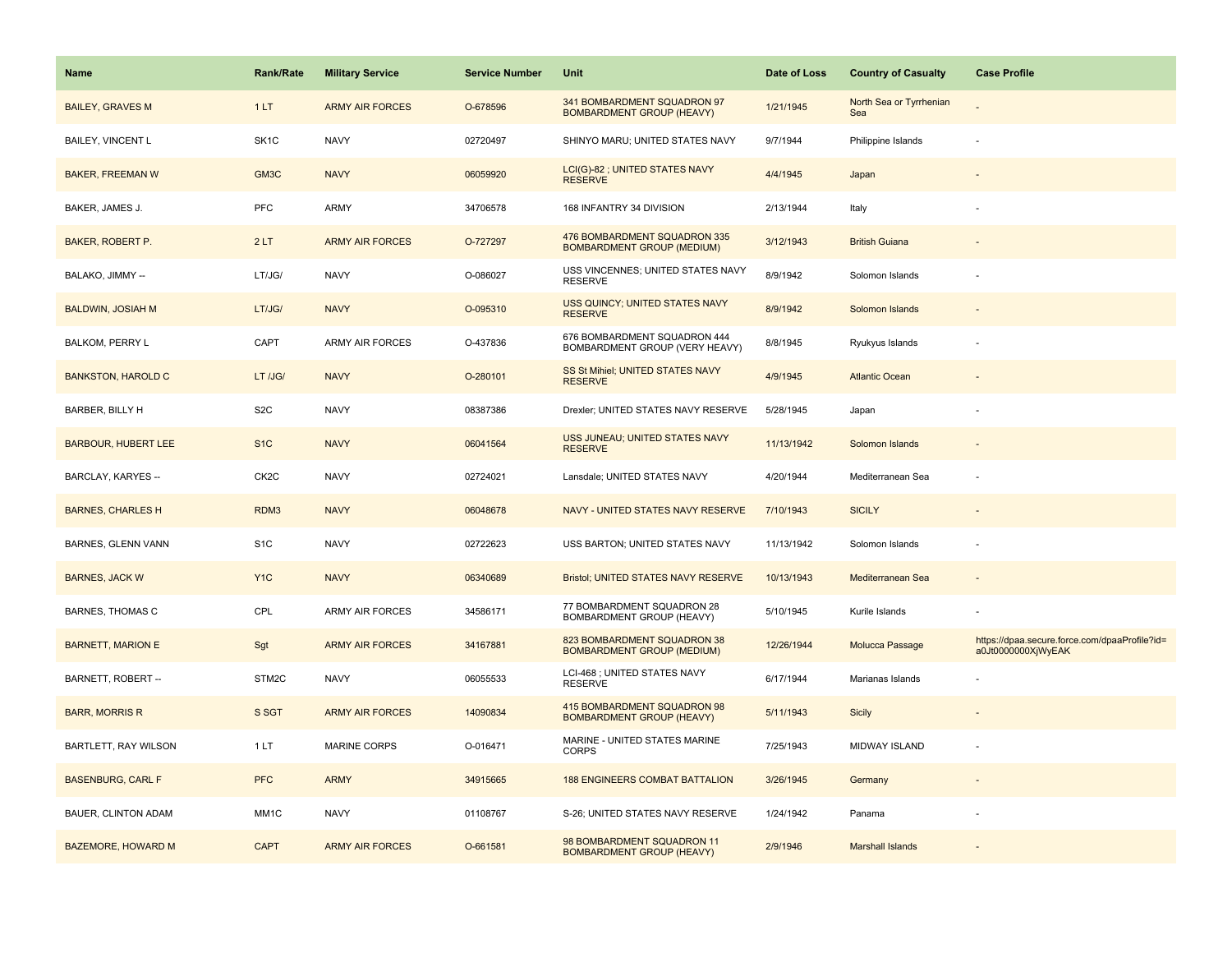| <b>Name</b>                | <b>Rank/Rate</b>  | <b>Military Service</b> | <b>Service Number</b> | Unit                                                              | Date of Loss | <b>Country of Casualty</b>     | <b>Case Profile</b>                                                 |
|----------------------------|-------------------|-------------------------|-----------------------|-------------------------------------------------------------------|--------------|--------------------------------|---------------------------------------------------------------------|
| <b>BAILEY, GRAVES M</b>    | 1LT               | <b>ARMY AIR FORCES</b>  | O-678596              | 341 BOMBARDMENT SQUADRON 97<br><b>BOMBARDMENT GROUP (HEAVY)</b>   | 1/21/1945    | North Sea or Tyrrhenian<br>Sea |                                                                     |
| BAILEY, VINCENT L          | SK <sub>1</sub> C | <b>NAVY</b>             | 02720497              | SHINYO MARU; UNITED STATES NAVY                                   | 9/7/1944     | Philippine Islands             |                                                                     |
| <b>BAKER, FREEMAN W</b>    | GM3C              | <b>NAVY</b>             | 06059920              | LCI(G)-82 ; UNITED STATES NAVY<br><b>RESERVE</b>                  | 4/4/1945     | Japan                          |                                                                     |
| BAKER, JAMES J.            | PFC               | ARMY                    | 34706578              | 168 INFANTRY 34 DIVISION                                          | 2/13/1944    | Italy                          |                                                                     |
| BAKER, ROBERT P.           | 2LT               | <b>ARMY AIR FORCES</b>  | O-727297              | 476 BOMBARDMENT SQUADRON 335<br><b>BOMBARDMENT GROUP (MEDIUM)</b> | 3/12/1943    | <b>British Guiana</b>          |                                                                     |
| BALAKO, JIMMY --           | LT/JG/            | <b>NAVY</b>             | O-086027              | USS VINCENNES; UNITED STATES NAVY<br><b>RESERVE</b>               | 8/9/1942     | Solomon Islands                |                                                                     |
| <b>BALDWIN, JOSIAH M</b>   | LT/JG/            | <b>NAVY</b>             | O-095310              | USS QUINCY; UNITED STATES NAVY<br><b>RESERVE</b>                  | 8/9/1942     | Solomon Islands                |                                                                     |
| BALKOM, PERRY L            | CAPT              | <b>ARMY AIR FORCES</b>  | O-437836              | 676 BOMBARDMENT SQUADRON 444<br>BOMBARDMENT GROUP (VERY HEAVY)    | 8/8/1945     | Ryukyus Islands                |                                                                     |
| <b>BANKSTON, HAROLD C</b>  | LT /JG/           | <b>NAVY</b>             | O-280101              | SS St Mihiel; UNITED STATES NAVY<br><b>RESERVE</b>                | 4/9/1945     | <b>Atlantic Ocean</b>          |                                                                     |
| BARBER, BILLY H            | S <sub>2</sub> C  | <b>NAVY</b>             | 08387386              | Drexler; UNITED STATES NAVY RESERVE                               | 5/28/1945    | Japan                          |                                                                     |
| <b>BARBOUR, HUBERT LEE</b> | S <sub>1</sub> C  | <b>NAVY</b>             | 06041564              | USS JUNEAU; UNITED STATES NAVY<br><b>RESERVE</b>                  | 11/13/1942   | Solomon Islands                |                                                                     |
| BARCLAY, KARYES --         | CK <sub>2</sub> C | <b>NAVY</b>             | 02724021              | Lansdale; UNITED STATES NAVY                                      | 4/20/1944    | Mediterranean Sea              |                                                                     |
| <b>BARNES, CHARLES H</b>   | RDM3              | <b>NAVY</b>             | 06048678              | NAVY - UNITED STATES NAVY RESERVE                                 | 7/10/1943    | <b>SICILY</b>                  |                                                                     |
| BARNES, GLENN VANN         | S <sub>1</sub> C  | <b>NAVY</b>             | 02722623              | USS BARTON; UNITED STATES NAVY                                    | 11/13/1942   | Solomon Islands                |                                                                     |
| <b>BARNES, JACK W</b>      | Y <sub>1C</sub>   | <b>NAVY</b>             | 06340689              | Bristol; UNITED STATES NAVY RESERVE                               | 10/13/1943   | Mediterranean Sea              |                                                                     |
| <b>BARNES, THOMAS C</b>    | CPL               | ARMY AIR FORCES         | 34586171              | 77 BOMBARDMENT SQUADRON 28<br>BOMBARDMENT GROUP (HEAVY)           | 5/10/1945    | Kurile Islands                 |                                                                     |
| <b>BARNETT, MARION E</b>   | Sgt               | <b>ARMY AIR FORCES</b>  | 34167881              | 823 BOMBARDMENT SQUADRON 38<br><b>BOMBARDMENT GROUP (MEDIUM)</b>  | 12/26/1944   | Molucca Passage                | https://dpaa.secure.force.com/dpaaProfile?id=<br>a0Jt0000000XjWyEAK |
| BARNETT, ROBERT --         | STM2C             | <b>NAVY</b>             | 06055533              | LCI-468 ; UNITED STATES NAVY<br><b>RESERVE</b>                    | 6/17/1944    | Marianas Islands               |                                                                     |
| <b>BARR, MORRIS R</b>      | S SGT             | <b>ARMY AIR FORCES</b>  | 14090834              | 415 BOMBARDMENT SQUADRON 98<br><b>BOMBARDMENT GROUP (HEAVY)</b>   | 5/11/1943    | <b>Sicily</b>                  |                                                                     |
| BARTLETT, RAY WILSON       | 1 LT              | <b>MARINE CORPS</b>     | O-016471              | MARINE - UNITED STATES MARINE<br><b>CORPS</b>                     | 7/25/1943    | MIDWAY ISLAND                  |                                                                     |
| <b>BASENBURG, CARL F</b>   | <b>PFC</b>        | <b>ARMY</b>             | 34915665              | <b>188 ENGINEERS COMBAT BATTALION</b>                             | 3/26/1945    | Germany                        |                                                                     |
| BAUER, CLINTON ADAM        | MM <sub>1</sub> C | <b>NAVY</b>             | 01108767              | S-26; UNITED STATES NAVY RESERVE                                  | 1/24/1942    | Panama                         |                                                                     |
| <b>BAZEMORE, HOWARD M</b>  | <b>CAPT</b>       | <b>ARMY AIR FORCES</b>  | O-661581              | 98 BOMBARDMENT SQUADRON 11<br><b>BOMBARDMENT GROUP (HEAVY)</b>    | 2/9/1946     | <b>Marshall Islands</b>        |                                                                     |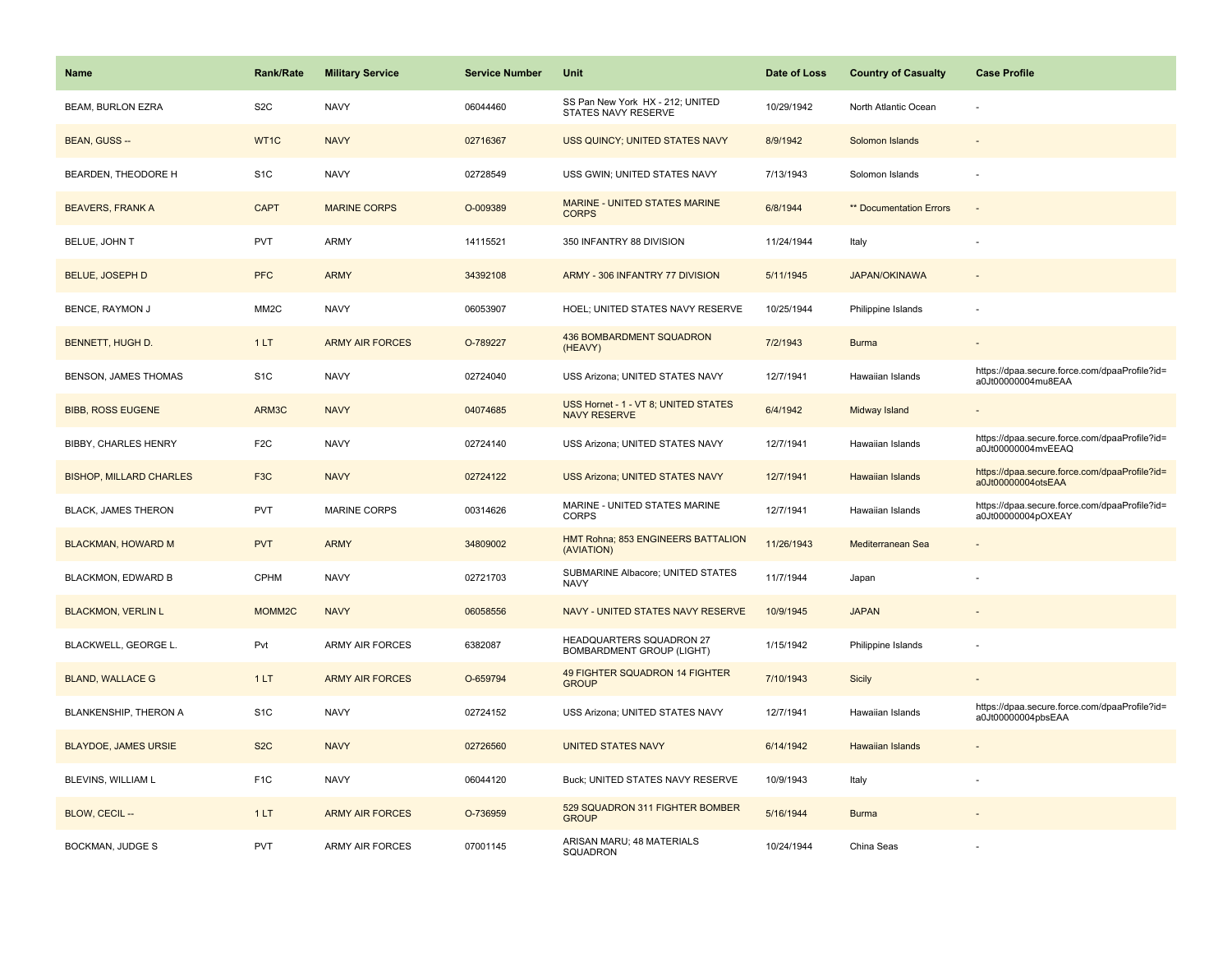| <b>Name</b>                    | <b>Rank/Rate</b>  | <b>Military Service</b> | <b>Service Number</b> | Unit                                                         | Date of Loss | <b>Country of Casualty</b> | <b>Case Profile</b>                                                 |
|--------------------------------|-------------------|-------------------------|-----------------------|--------------------------------------------------------------|--------------|----------------------------|---------------------------------------------------------------------|
| <b>BEAM, BURLON EZRA</b>       | S <sub>2</sub> C  | <b>NAVY</b>             | 06044460              | SS Pan New York HX - 212; UNITED<br>STATES NAVY RESERVE      | 10/29/1942   | North Atlantic Ocean       |                                                                     |
| <b>BEAN, GUSS --</b>           | WT1C              | <b>NAVY</b>             | 02716367              | USS QUINCY; UNITED STATES NAVY                               | 8/9/1942     | Solomon Islands            |                                                                     |
| BEARDEN, THEODORE H            | S <sub>1</sub> C  | <b>NAVY</b>             | 02728549              | USS GWIN; UNITED STATES NAVY                                 | 7/13/1943    | Solomon Islands            |                                                                     |
| <b>BEAVERS, FRANK A</b>        | <b>CAPT</b>       | <b>MARINE CORPS</b>     | O-009389              | MARINE - UNITED STATES MARINE<br><b>CORPS</b>                | 6/8/1944     | ** Documentation Errors    |                                                                     |
| BELUE, JOHN T                  | <b>PVT</b>        | <b>ARMY</b>             | 14115521              | 350 INFANTRY 88 DIVISION                                     | 11/24/1944   | Italy                      |                                                                     |
| <b>BELUE, JOSEPH D</b>         | <b>PFC</b>        | <b>ARMY</b>             | 34392108              | ARMY - 306 INFANTRY 77 DIVISION                              | 5/11/1945    | <b>JAPAN/OKINAWA</b>       |                                                                     |
| BENCE, RAYMON J                | MM <sub>2</sub> C | <b>NAVY</b>             | 06053907              | HOEL; UNITED STATES NAVY RESERVE                             | 10/25/1944   | Philippine Islands         |                                                                     |
| <b>BENNETT, HUGH D.</b>        | 1LT               | <b>ARMY AIR FORCES</b>  | O-789227              | <b>436 BOMBARDMENT SQUADRON</b><br>(HEAVY)                   | 7/2/1943     | <b>Burma</b>               |                                                                     |
| <b>BENSON, JAMES THOMAS</b>    | S <sub>1</sub> C  | <b>NAVY</b>             | 02724040              | USS Arizona; UNITED STATES NAVY                              | 12/7/1941    | Hawaiian Islands           | https://dpaa.secure.force.com/dpaaProfile?id=<br>a0Jt00000004mu8EAA |
| <b>BIBB, ROSS EUGENE</b>       | ARM3C             | <b>NAVY</b>             | 04074685              | USS Hornet - 1 - VT 8; UNITED STATES<br><b>NAVY RESERVE</b>  | 6/4/1942     | Midway Island              |                                                                     |
| <b>BIBBY, CHARLES HENRY</b>    | F <sub>2C</sub>   | <b>NAVY</b>             | 02724140              | USS Arizona; UNITED STATES NAVY                              | 12/7/1941    | Hawaiian Islands           | https://dpaa.secure.force.com/dpaaProfile?id=<br>a0Jt00000004mvEEAQ |
| <b>BISHOP, MILLARD CHARLES</b> | F <sub>3</sub> C  | <b>NAVY</b>             | 02724122              | <b>USS Arizona; UNITED STATES NAVY</b>                       | 12/7/1941    | Hawaiian Islands           | https://dpaa.secure.force.com/dpaaProfile?id=<br>a0Jt00000004otsEAA |
| <b>BLACK, JAMES THERON</b>     | <b>PVT</b>        | <b>MARINE CORPS</b>     | 00314626              | MARINE - UNITED STATES MARINE<br><b>CORPS</b>                | 12/7/1941    | Hawaiian Islands           | https://dpaa.secure.force.com/dpaaProfile?id=<br>a0Jt00000004pOXEAY |
| <b>BLACKMAN, HOWARD M</b>      | <b>PVT</b>        | <b>ARMY</b>             | 34809002              | HMT Rohna; 853 ENGINEERS BATTALION<br>(AVIATION)             | 11/26/1943   | Mediterranean Sea          |                                                                     |
| BLACKMON, EDWARD B             | <b>CPHM</b>       | <b>NAVY</b>             | 02721703              | SUBMARINE Albacore; UNITED STATES<br><b>NAVY</b>             | 11/7/1944    | Japan                      |                                                                     |
| <b>BLACKMON, VERLIN L</b>      | MOMM2C            | <b>NAVY</b>             | 06058556              | NAVY - UNITED STATES NAVY RESERVE                            | 10/9/1945    | <b>JAPAN</b>               |                                                                     |
| BLACKWELL, GEORGE L.           | Pvt               | <b>ARMY AIR FORCES</b>  | 6382087               | HEADQUARTERS SQUADRON 27<br><b>BOMBARDMENT GROUP (LIGHT)</b> | 1/15/1942    | Philippine Islands         |                                                                     |
| <b>BLAND, WALLACE G</b>        | 1LT               | <b>ARMY AIR FORCES</b>  | O-659794              | 49 FIGHTER SQUADRON 14 FIGHTER<br><b>GROUP</b>               | 7/10/1943    | Sicily                     |                                                                     |
| BLANKENSHIP, THERON A          | S <sub>1</sub> C  | <b>NAVY</b>             | 02724152              | USS Arizona; UNITED STATES NAVY                              | 12/7/1941    | Hawaiian Islands           | https://dpaa.secure.force.com/dpaaProfile?id=<br>a0Jt00000004pbsEAA |
| <b>BLAYDOE, JAMES URSIE</b>    | S <sub>2</sub> C  | <b>NAVY</b>             | 02726560              | <b>UNITED STATES NAVY</b>                                    | 6/14/1942    | Hawaiian Islands           |                                                                     |
| BLEVINS, WILLIAM L             | F <sub>1C</sub>   | <b>NAVY</b>             | 06044120              | Buck; UNITED STATES NAVY RESERVE                             | 10/9/1943    | Italy                      |                                                                     |
| BLOW, CECIL --                 | 1LT               | <b>ARMY AIR FORCES</b>  | O-736959              | 529 SQUADRON 311 FIGHTER BOMBER<br><b>GROUP</b>              | 5/16/1944    | <b>Burma</b>               |                                                                     |
| BOCKMAN, JUDGE S               | PVT               | <b>ARMY AIR FORCES</b>  | 07001145              | ARISAN MARU; 48 MATERIALS<br>SQUADRON                        | 10/24/1944   | China Seas                 |                                                                     |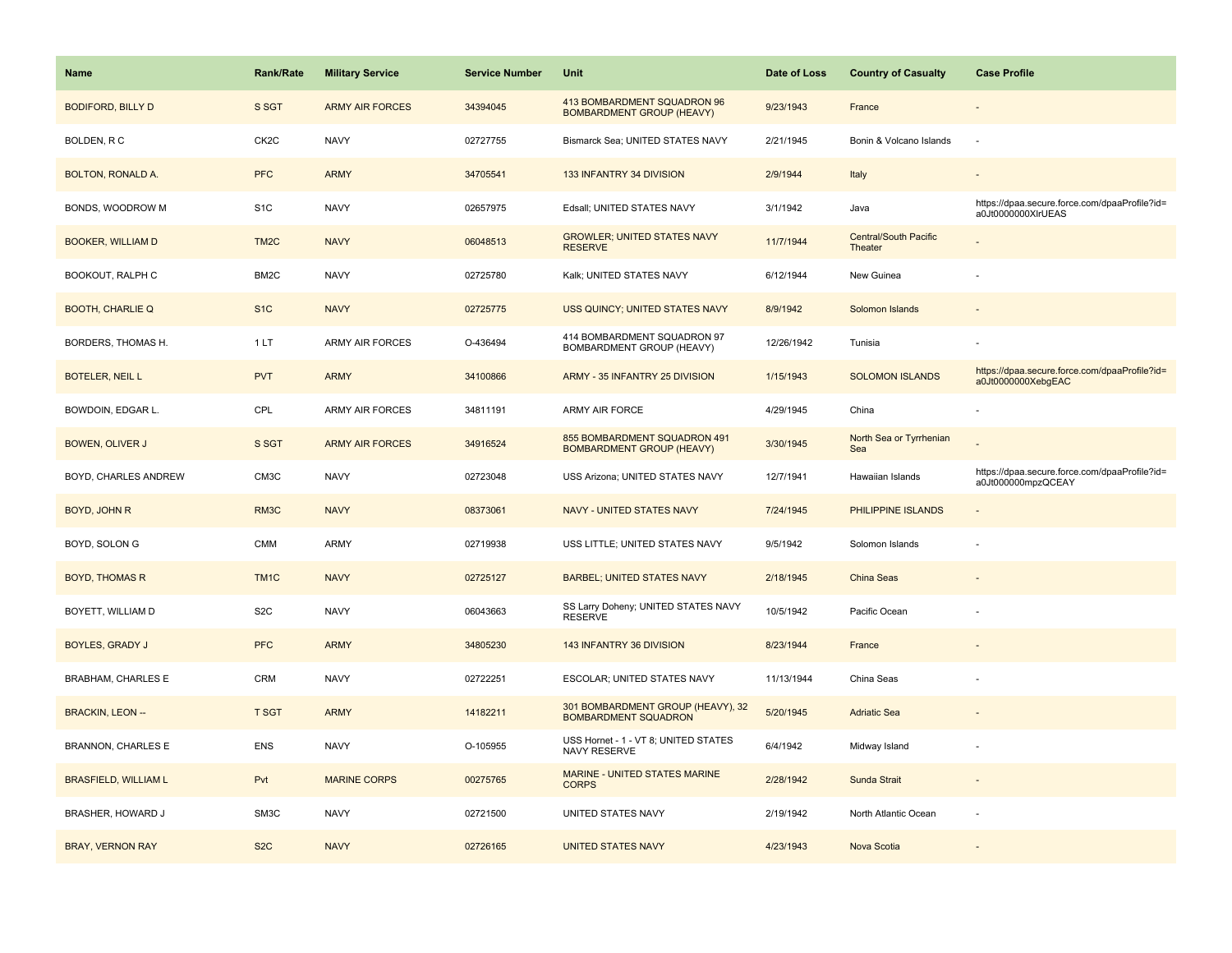| <b>Name</b>                 | Rank/Rate         | <b>Military Service</b> | <b>Service Number</b> | Unit                                                             | Date of Loss | <b>Country of Casualty</b>              | <b>Case Profile</b>                                                 |
|-----------------------------|-------------------|-------------------------|-----------------------|------------------------------------------------------------------|--------------|-----------------------------------------|---------------------------------------------------------------------|
| <b>BODIFORD, BILLY D</b>    | S SGT             | <b>ARMY AIR FORCES</b>  | 34394045              | 413 BOMBARDMENT SQUADRON 96<br><b>BOMBARDMENT GROUP (HEAVY)</b>  | 9/23/1943    | France                                  |                                                                     |
| BOLDEN, R C                 | CK <sub>2</sub> C | <b>NAVY</b>             | 02727755              | Bismarck Sea; UNITED STATES NAVY                                 | 2/21/1945    | Bonin & Volcano Islands                 | $\overline{\phantom{a}}$                                            |
| <b>BOLTON, RONALD A.</b>    | <b>PFC</b>        | <b>ARMY</b>             | 34705541              | 133 INFANTRY 34 DIVISION                                         | 2/9/1944     | Italy                                   |                                                                     |
| BONDS, WOODROW M            | S <sub>1</sub> C  | <b>NAVY</b>             | 02657975              | Edsall; UNITED STATES NAVY                                       | 3/1/1942     | Java                                    | https://dpaa.secure.force.com/dpaaProfile?id=<br>a0Jt0000000XlrUEAS |
| <b>BOOKER, WILLIAM D</b>    | TM <sub>2</sub> C | <b>NAVY</b>             | 06048513              | <b>GROWLER; UNITED STATES NAVY</b><br><b>RESERVE</b>             | 11/7/1944    | <b>Central/South Pacific</b><br>Theater |                                                                     |
| BOOKOUT, RALPH C            | BM2C              | <b>NAVY</b>             | 02725780              | Kalk; UNITED STATES NAVY                                         | 6/12/1944    | New Guinea                              |                                                                     |
| <b>BOOTH, CHARLIE Q</b>     | S <sub>1</sub> C  | <b>NAVY</b>             | 02725775              | USS QUINCY; UNITED STATES NAVY                                   | 8/9/1942     | Solomon Islands                         |                                                                     |
| BORDERS, THOMAS H.          | 1LT               | <b>ARMY AIR FORCES</b>  | O-436494              | 414 BOMBARDMENT SQUADRON 97<br>BOMBARDMENT GROUP (HEAVY)         | 12/26/1942   | Tunisia                                 |                                                                     |
| <b>BOTELER, NEIL L</b>      | <b>PVT</b>        | <b>ARMY</b>             | 34100866              | ARMY - 35 INFANTRY 25 DIVISION                                   | 1/15/1943    | <b>SOLOMON ISLANDS</b>                  | https://dpaa.secure.force.com/dpaaProfile?id=<br>a0Jt0000000XebgEAC |
| BOWDOIN, EDGAR L.           | CPL               | ARMY AIR FORCES         | 34811191              | ARMY AIR FORCE                                                   | 4/29/1945    | China                                   |                                                                     |
| BOWEN, OLIVER J             | S SGT             | <b>ARMY AIR FORCES</b>  | 34916524              | 855 BOMBARDMENT SQUADRON 491<br><b>BOMBARDMENT GROUP (HEAVY)</b> | 3/30/1945    | North Sea or Tyrrhenian<br>Sea          |                                                                     |
| BOYD, CHARLES ANDREW        | CM3C              | <b>NAVY</b>             | 02723048              | USS Arizona; UNITED STATES NAVY                                  | 12/7/1941    | Hawaiian Islands                        | https://dpaa.secure.force.com/dpaaProfile?id=<br>a0Jt000000mpzQCEAY |
| BOYD, JOHN R                | RM3C              | <b>NAVY</b>             | 08373061              | NAVY - UNITED STATES NAVY                                        | 7/24/1945    | PHILIPPINE ISLANDS                      | $\sim$                                                              |
| BOYD, SOLON G               | <b>CMM</b>        | ARMY                    | 02719938              | USS LITTLE; UNITED STATES NAVY                                   | 9/5/1942     | Solomon Islands                         | ÷,                                                                  |
| <b>BOYD, THOMAS R</b>       | TM <sub>1</sub> C | <b>NAVY</b>             | 02725127              | <b>BARBEL; UNITED STATES NAVY</b>                                | 2/18/1945    | China Seas                              |                                                                     |
| BOYETT, WILLIAM D           | S <sub>2</sub> C  | <b>NAVY</b>             | 06043663              | SS Larry Doheny; UNITED STATES NAVY<br><b>RESERVE</b>            | 10/5/1942    | Pacific Ocean                           |                                                                     |
| <b>BOYLES, GRADY J</b>      | <b>PFC</b>        | <b>ARMY</b>             | 34805230              | 143 INFANTRY 36 DIVISION                                         | 8/23/1944    | France                                  |                                                                     |
| <b>BRABHAM, CHARLES E</b>   | <b>CRM</b>        | <b>NAVY</b>             | 02722251              | ESCOLAR; UNITED STATES NAVY                                      | 11/13/1944   | China Seas                              |                                                                     |
| <b>BRACKIN, LEON --</b>     | T SGT             | <b>ARMY</b>             | 14182211              | 301 BOMBARDMENT GROUP (HEAVY), 32<br><b>BOMBARDMENT SQUADRON</b> | 5/20/1945    | <b>Adriatic Sea</b>                     |                                                                     |
| <b>BRANNON, CHARLES E</b>   | ENS               | <b>NAVY</b>             | O-105955              | USS Hornet - 1 - VT 8; UNITED STATES<br>NAVY RESERVE             | 6/4/1942     | Midway Island                           |                                                                     |
| <b>BRASFIELD, WILLIAM L</b> | Pvt               | <b>MARINE CORPS</b>     | 00275765              | <b>MARINE - UNITED STATES MARINE</b><br><b>CORPS</b>             | 2/28/1942    | Sunda Strait                            | $\overline{\phantom{a}}$                                            |
| BRASHER, HOWARD J           | SM3C              | <b>NAVY</b>             | 02721500              | UNITED STATES NAVY                                               | 2/19/1942    | North Atlantic Ocean                    | ÷                                                                   |
| <b>BRAY, VERNON RAY</b>     | S <sub>2</sub> C  | <b>NAVY</b>             | 02726165              | <b>UNITED STATES NAVY</b>                                        | 4/23/1943    | Nova Scotia                             |                                                                     |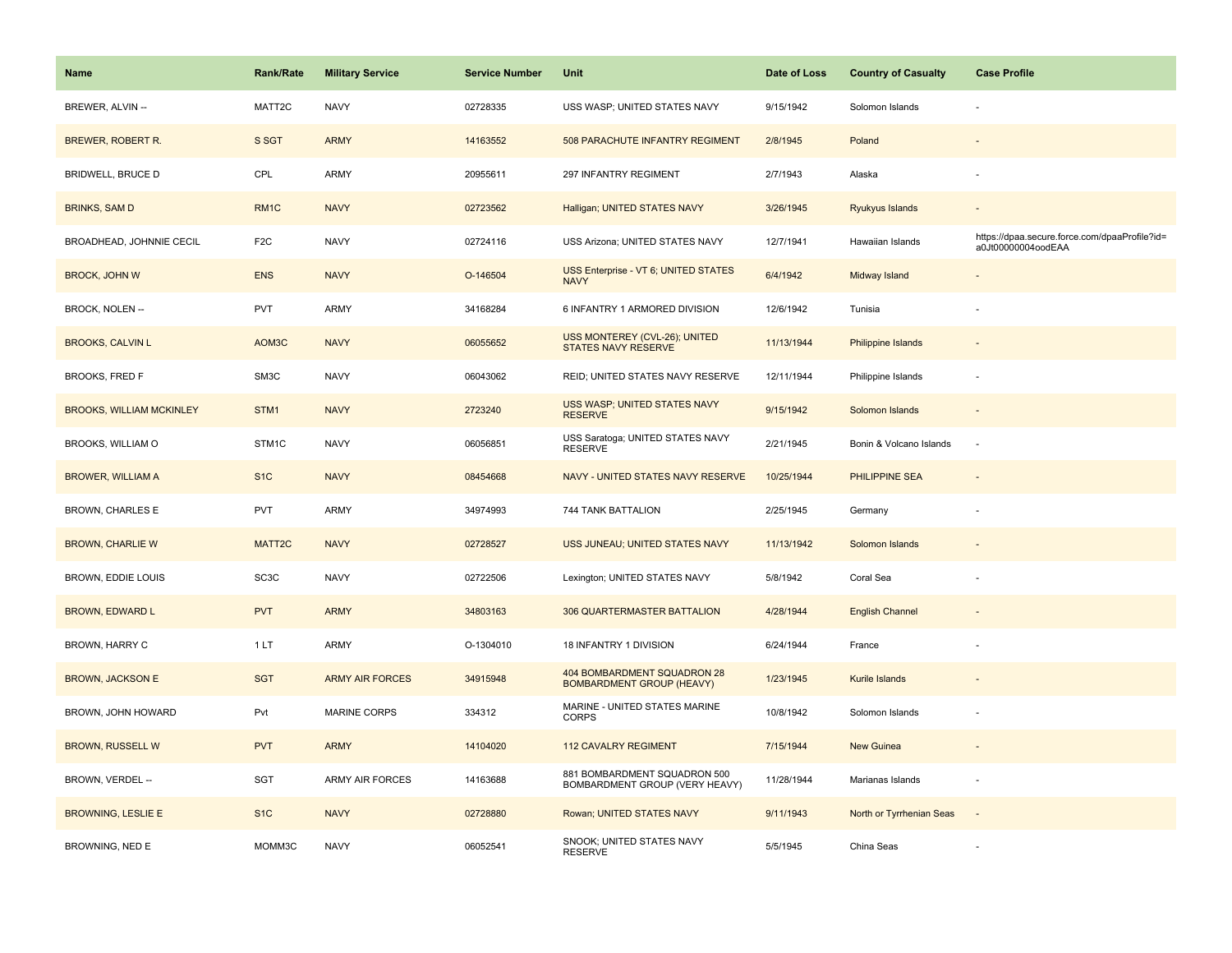| Name                            | <b>Rank/Rate</b>  | <b>Military Service</b> | <b>Service Number</b> | Unit                                                            | Date of Loss | <b>Country of Casualty</b> | <b>Case Profile</b>                                                 |
|---------------------------------|-------------------|-------------------------|-----------------------|-----------------------------------------------------------------|--------------|----------------------------|---------------------------------------------------------------------|
| BREWER, ALVIN --                | MATT2C            | <b>NAVY</b>             | 02728335              | USS WASP; UNITED STATES NAVY                                    | 9/15/1942    | Solomon Islands            |                                                                     |
| <b>BREWER, ROBERT R.</b>        | S SGT             | <b>ARMY</b>             | 14163552              | 508 PARACHUTE INFANTRY REGIMENT                                 | 2/8/1945     | Poland                     |                                                                     |
| <b>BRIDWELL, BRUCE D</b>        | CPL               | ARMY                    | 20955611              | 297 INFANTRY REGIMENT                                           | 2/7/1943     | Alaska                     |                                                                     |
| <b>BRINKS, SAM D</b>            | RM <sub>1C</sub>  | <b>NAVY</b>             | 02723562              | Halligan; UNITED STATES NAVY                                    | 3/26/1945    | Ryukyus Islands            |                                                                     |
| BROADHEAD, JOHNNIE CECIL        | F <sub>2C</sub>   | <b>NAVY</b>             | 02724116              | USS Arizona; UNITED STATES NAVY                                 | 12/7/1941    | Hawaiian Islands           | https://dpaa.secure.force.com/dpaaProfile?id=<br>a0Jt00000004oodEAA |
| <b>BROCK, JOHN W</b>            | <b>ENS</b>        | <b>NAVY</b>             | O-146504              | USS Enterprise - VT 6; UNITED STATES<br><b>NAVY</b>             | 6/4/1942     | Midway Island              |                                                                     |
| <b>BROCK, NOLEN-</b>            | PVT               | ARMY                    | 34168284              | 6 INFANTRY 1 ARMORED DIVISION                                   | 12/6/1942    | Tunisia                    |                                                                     |
| <b>BROOKS, CALVIN L</b>         | AOM3C             | <b>NAVY</b>             | 06055652              | USS MONTEREY (CVL-26); UNITED<br><b>STATES NAVY RESERVE</b>     | 11/13/1944   | Philippine Islands         |                                                                     |
| <b>BROOKS, FRED F</b>           | SM3C              | <b>NAVY</b>             | 06043062              | REID; UNITED STATES NAVY RESERVE                                | 12/11/1944   | Philippine Islands         | $\sim$                                                              |
| <b>BROOKS, WILLIAM MCKINLEY</b> | STM1              | <b>NAVY</b>             | 2723240               | USS WASP; UNITED STATES NAVY<br><b>RESERVE</b>                  | 9/15/1942    | Solomon Islands            |                                                                     |
| BROOKS, WILLIAM O               | STM1C             | <b>NAVY</b>             | 06056851              | USS Saratoga; UNITED STATES NAVY<br><b>RESERVE</b>              | 2/21/1945    | Bonin & Volcano Islands    | ł,                                                                  |
| <b>BROWER, WILLIAM A</b>        | S <sub>1C</sub>   | <b>NAVY</b>             | 08454668              | NAVY - UNITED STATES NAVY RESERVE                               | 10/25/1944   | PHILIPPINE SEA             | $\overline{\phantom{a}}$                                            |
| <b>BROWN, CHARLES E</b>         | <b>PVT</b>        | <b>ARMY</b>             | 34974993              | 744 TANK BATTALION                                              | 2/25/1945    | Germany                    |                                                                     |
| <b>BROWN, CHARLIE W</b>         | MATT2C            | <b>NAVY</b>             | 02728527              | USS JUNEAU; UNITED STATES NAVY                                  | 11/13/1942   | Solomon Islands            |                                                                     |
| BROWN, EDDIE LOUIS              | SC <sub>3</sub> C | <b>NAVY</b>             | 02722506              | Lexington; UNITED STATES NAVY                                   | 5/8/1942     | Coral Sea                  |                                                                     |
| <b>BROWN, EDWARD L</b>          | <b>PVT</b>        | <b>ARMY</b>             | 34803163              | 306 QUARTERMASTER BATTALION                                     | 4/28/1944    | <b>English Channel</b>     |                                                                     |
| BROWN, HARRY C                  | 1 LT              | ARMY                    | O-1304010             | 18 INFANTRY 1 DIVISION                                          | 6/24/1944    | France                     |                                                                     |
| <b>BROWN, JACKSON E</b>         | <b>SGT</b>        | <b>ARMY AIR FORCES</b>  | 34915948              | 404 BOMBARDMENT SQUADRON 28<br><b>BOMBARDMENT GROUP (HEAVY)</b> | 1/23/1945    | Kurile Islands             |                                                                     |
| BROWN, JOHN HOWARD              | Pvt               | MARINE CORPS            | 334312                | MARINE - UNITED STATES MARINE<br><b>CORPS</b>                   | 10/8/1942    | Solomon Islands            | ÷,                                                                  |
| <b>BROWN, RUSSELL W</b>         | <b>PVT</b>        | <b>ARMY</b>             | 14104020              | <b>112 CAVALRY REGIMENT</b>                                     | 7/15/1944    | New Guinea                 |                                                                     |
| BROWN, VERDEL --                | SGT               | <b>ARMY AIR FORCES</b>  | 14163688              | 881 BOMBARDMENT SQUADRON 500<br>BOMBARDMENT GROUP (VERY HEAVY)  | 11/28/1944   | Marianas Islands           | $\sim$                                                              |
| <b>BROWNING, LESLIE E</b>       | S <sub>1C</sub>   | <b>NAVY</b>             | 02728880              | Rowan; UNITED STATES NAVY                                       | 9/11/1943    | North or Tyrrhenian Seas   | $\overline{\phantom{a}}$                                            |
| BROWNING, NED E                 | MOMM3C            | <b>NAVY</b>             | 06052541              | SNOOK; UNITED STATES NAVY<br><b>RESERVE</b>                     | 5/5/1945     | China Seas                 |                                                                     |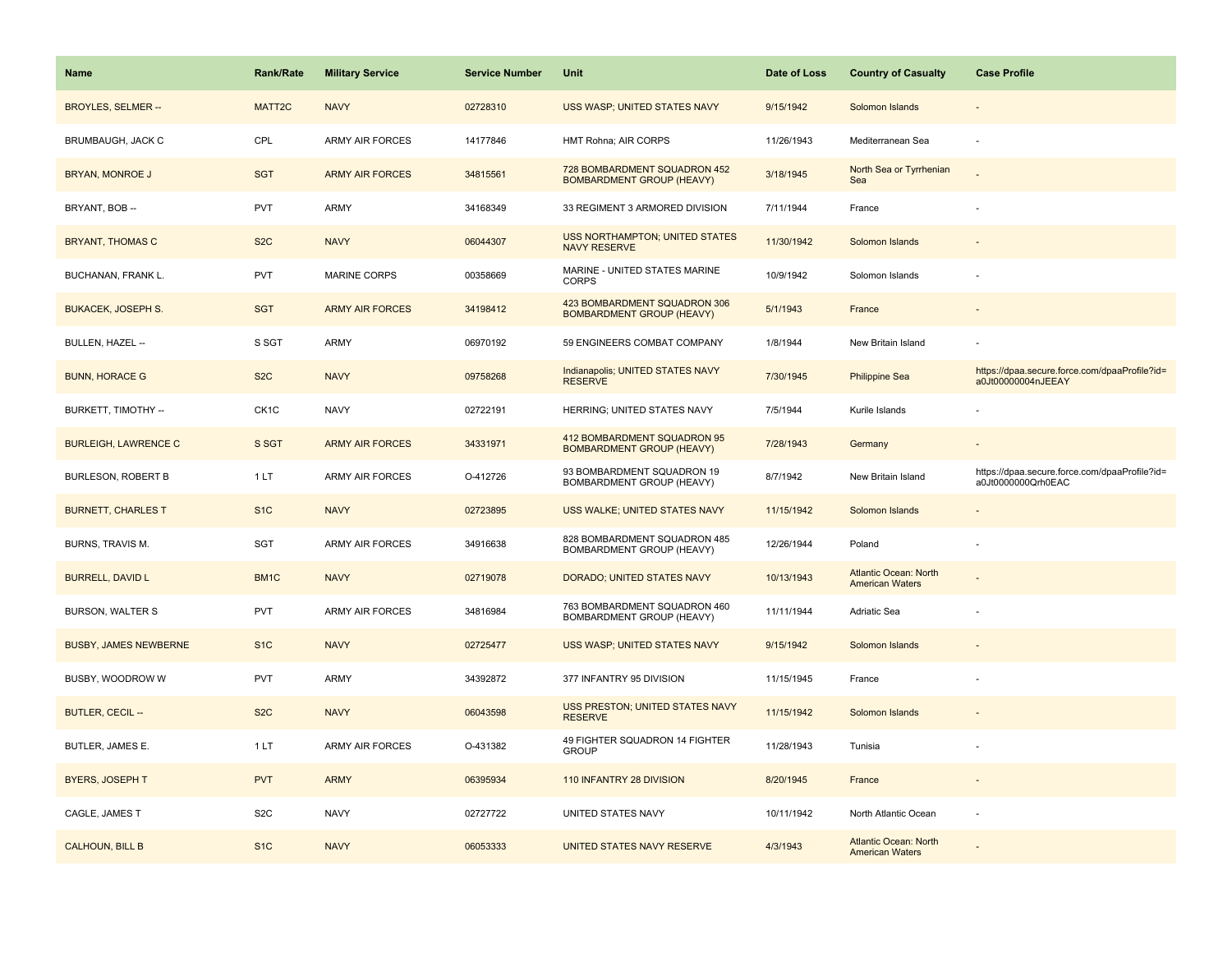| <b>Name</b>                  | Rank/Rate         | <b>Military Service</b> | <b>Service Number</b> | Unit                                                             | Date of Loss | <b>Country of Casualty</b>                             | <b>Case Profile</b>                                                 |
|------------------------------|-------------------|-------------------------|-----------------------|------------------------------------------------------------------|--------------|--------------------------------------------------------|---------------------------------------------------------------------|
| <b>BROYLES, SELMER --</b>    | MATT2C            | <b>NAVY</b>             | 02728310              | USS WASP; UNITED STATES NAVY                                     | 9/15/1942    | Solomon Islands                                        |                                                                     |
| BRUMBAUGH, JACK C            | CPL               | <b>ARMY AIR FORCES</b>  | 14177846              | HMT Rohna; AIR CORPS                                             | 11/26/1943   | Mediterranean Sea                                      | ÷,                                                                  |
| <b>BRYAN, MONROE J</b>       | <b>SGT</b>        | <b>ARMY AIR FORCES</b>  | 34815561              | 728 BOMBARDMENT SQUADRON 452<br><b>BOMBARDMENT GROUP (HEAVY)</b> | 3/18/1945    | North Sea or Tyrrhenian<br>Sea                         |                                                                     |
| BRYANT, BOB --               | <b>PVT</b>        | ARMY                    | 34168349              | 33 REGIMENT 3 ARMORED DIVISION                                   | 7/11/1944    | France                                                 |                                                                     |
| <b>BRYANT, THOMAS C</b>      | S <sub>2</sub> C  | <b>NAVY</b>             | 06044307              | <b>USS NORTHAMPTON; UNITED STATES</b><br><b>NAVY RESERVE</b>     | 11/30/1942   | Solomon Islands                                        |                                                                     |
| BUCHANAN, FRANK L.           | <b>PVT</b>        | MARINE CORPS            | 00358669              | MARINE - UNITED STATES MARINE<br><b>CORPS</b>                    | 10/9/1942    | Solomon Islands                                        |                                                                     |
| <b>BUKACEK, JOSEPH S.</b>    | <b>SGT</b>        | <b>ARMY AIR FORCES</b>  | 34198412              | 423 BOMBARDMENT SQUADRON 306<br><b>BOMBARDMENT GROUP (HEAVY)</b> | 5/1/1943     | France                                                 | $\overline{\phantom{a}}$                                            |
| BULLEN, HAZEL --             | S SGT             | <b>ARMY</b>             | 06970192              | 59 ENGINEERS COMBAT COMPANY                                      | 1/8/1944     | New Britain Island                                     |                                                                     |
| <b>BUNN, HORACE G</b>        | S <sub>2</sub> C  | <b>NAVY</b>             | 09758268              | Indianapolis; UNITED STATES NAVY<br><b>RESERVE</b>               | 7/30/1945    | <b>Philippine Sea</b>                                  | https://dpaa.secure.force.com/dpaaProfile?id=<br>a0Jt00000004nJEEAY |
| BURKETT, TIMOTHY --          | CK <sub>1</sub> C | <b>NAVY</b>             | 02722191              | HERRING; UNITED STATES NAVY                                      | 7/5/1944     | Kurile Islands                                         |                                                                     |
| <b>BURLEIGH, LAWRENCE C</b>  | S SGT             | <b>ARMY AIR FORCES</b>  | 34331971              | 412 BOMBARDMENT SQUADRON 95<br><b>BOMBARDMENT GROUP (HEAVY)</b>  | 7/28/1943    | Germany                                                |                                                                     |
| <b>BURLESON, ROBERT B</b>    | 1LT               | ARMY AIR FORCES         | O-412726              | 93 BOMBARDMENT SQUADRON 19<br>BOMBARDMENT GROUP (HEAVY)          | 8/7/1942     | New Britain Island                                     | https://dpaa.secure.force.com/dpaaProfile?id=<br>a0Jt0000000Qrh0EAC |
| <b>BURNETT, CHARLES T</b>    | S <sub>1</sub> C  | <b>NAVY</b>             | 02723895              | USS WALKE; UNITED STATES NAVY                                    | 11/15/1942   | Solomon Islands                                        |                                                                     |
| BURNS, TRAVIS M.             | SGT               | ARMY AIR FORCES         | 34916638              | 828 BOMBARDMENT SQUADRON 485<br>BOMBARDMENT GROUP (HEAVY)        | 12/26/1944   | Poland                                                 |                                                                     |
| <b>BURRELL, DAVID L</b>      | BM1C              | <b>NAVY</b>             | 02719078              | DORADO; UNITED STATES NAVY                                       | 10/13/1943   | <b>Atlantic Ocean: North</b><br><b>American Waters</b> |                                                                     |
| BURSON, WALTER S             | <b>PVT</b>        | ARMY AIR FORCES         | 34816984              | 763 BOMBARDMENT SQUADRON 460<br>BOMBARDMENT GROUP (HEAVY)        | 11/11/1944   | Adriatic Sea                                           |                                                                     |
| <b>BUSBY, JAMES NEWBERNE</b> | S <sub>1</sub> C  | <b>NAVY</b>             | 02725477              | USS WASP; UNITED STATES NAVY                                     | 9/15/1942    | Solomon Islands                                        |                                                                     |
| BUSBY, WOODROW W             | <b>PVT</b>        | <b>ARMY</b>             | 34392872              | 377 INFANTRY 95 DIVISION                                         | 11/15/1945   | France                                                 |                                                                     |
| BUTLER, CECIL --             | S <sub>2</sub> C  | <b>NAVY</b>             | 06043598              | USS PRESTON; UNITED STATES NAVY<br><b>RESERVE</b>                | 11/15/1942   | Solomon Islands                                        |                                                                     |
| BUTLER, JAMES E.             | 1LT               | ARMY AIR FORCES         | O-431382              | 49 FIGHTER SQUADRON 14 FIGHTER<br><b>GROUP</b>                   | 11/28/1943   | Tunisia                                                |                                                                     |
| <b>BYERS, JOSEPH T</b>       | <b>PVT</b>        | <b>ARMY</b>             | 06395934              | 110 INFANTRY 28 DIVISION                                         | 8/20/1945    | France                                                 | $\sim$                                                              |
| CAGLE, JAMES T               | S <sub>2</sub> C  | <b>NAVY</b>             | 02727722              | UNITED STATES NAVY                                               | 10/11/1942   | North Atlantic Ocean                                   | ÷.                                                                  |
| <b>CALHOUN, BILL B</b>       | S <sub>1C</sub>   | <b>NAVY</b>             | 06053333              | UNITED STATES NAVY RESERVE                                       | 4/3/1943     | <b>Atlantic Ocean: North</b><br><b>American Waters</b> |                                                                     |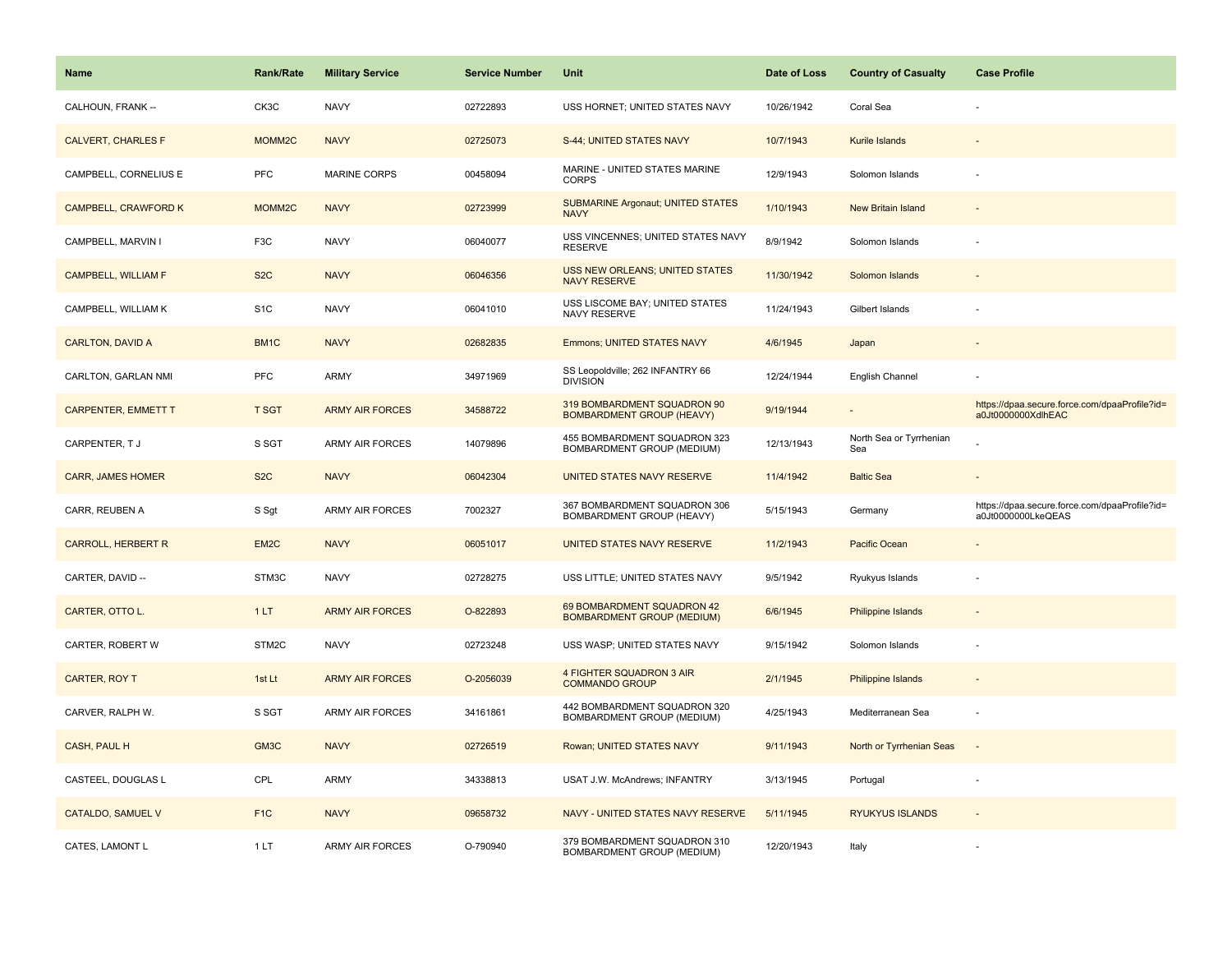| <b>Name</b>                | <b>Rank/Rate</b>   | <b>Military Service</b> | <b>Service Number</b> | Unit                                                            | Date of Loss | <b>Country of Casualty</b>     | <b>Case Profile</b>                                                 |
|----------------------------|--------------------|-------------------------|-----------------------|-----------------------------------------------------------------|--------------|--------------------------------|---------------------------------------------------------------------|
| CALHOUN, FRANK --          | CK3C               | <b>NAVY</b>             | 02722893              | USS HORNET; UNITED STATES NAVY                                  | 10/26/1942   | Coral Sea                      |                                                                     |
| <b>CALVERT, CHARLES F</b>  | MOMM <sub>2C</sub> | <b>NAVY</b>             | 02725073              | S-44; UNITED STATES NAVY                                        | 10/7/1943    | Kurile Islands                 |                                                                     |
| CAMPBELL, CORNELIUS E      | <b>PFC</b>         | <b>MARINE CORPS</b>     | 00458094              | MARINE - UNITED STATES MARINE<br><b>CORPS</b>                   | 12/9/1943    | Solomon Islands                |                                                                     |
| CAMPBELL, CRAWFORD K       | MOMM2C             | <b>NAVY</b>             | 02723999              | <b>SUBMARINE Argonaut; UNITED STATES</b><br><b>NAVY</b>         | 1/10/1943    | New Britain Island             |                                                                     |
| CAMPBELL, MARVIN I         | F <sub>3</sub> C   | <b>NAVY</b>             | 06040077              | USS VINCENNES; UNITED STATES NAVY<br><b>RESERVE</b>             | 8/9/1942     | Solomon Islands                |                                                                     |
| <b>CAMPBELL, WILLIAM F</b> | S <sub>2</sub> C   | <b>NAVY</b>             | 06046356              | <b>USS NEW ORLEANS; UNITED STATES</b><br><b>NAVY RESERVE</b>    | 11/30/1942   | Solomon Islands                |                                                                     |
| CAMPBELL, WILLIAM K        | S <sub>1</sub> C   | <b>NAVY</b>             | 06041010              | USS LISCOME BAY; UNITED STATES<br>NAVY RESERVE                  | 11/24/1943   | Gilbert Islands                |                                                                     |
| <b>CARLTON, DAVID A</b>    | BM1C               | <b>NAVY</b>             | 02682835              | <b>Emmons; UNITED STATES NAVY</b>                               | 4/6/1945     | Japan                          |                                                                     |
| CARLTON, GARLAN NMI        | PFC                | ARMY                    | 34971969              | SS Leopoldville; 262 INFANTRY 66<br><b>DIVISION</b>             | 12/24/1944   | English Channel                |                                                                     |
| <b>CARPENTER, EMMETT T</b> | <b>T SGT</b>       | <b>ARMY AIR FORCES</b>  | 34588722              | 319 BOMBARDMENT SQUADRON 90<br><b>BOMBARDMENT GROUP (HEAVY)</b> | 9/19/1944    |                                | https://dpaa.secure.force.com/dpaaProfile?id=<br>a0Jt0000000XdlhEAC |
| CARPENTER, TJ              | S SGT              | <b>ARMY AIR FORCES</b>  | 14079896              | 455 BOMBARDMENT SQUADRON 323<br>BOMBARDMENT GROUP (MEDIUM)      | 12/13/1943   | North Sea or Tyrrhenian<br>Sea |                                                                     |
| <b>CARR, JAMES HOMER</b>   | S <sub>2</sub> C   | <b>NAVY</b>             | 06042304              | UNITED STATES NAVY RESERVE                                      | 11/4/1942    | <b>Baltic Sea</b>              |                                                                     |
| CARR, REUBEN A             | S Sgt              | ARMY AIR FORCES         | 7002327               | 367 BOMBARDMENT SQUADRON 306<br>BOMBARDMENT GROUP (HEAVY)       | 5/15/1943    | Germany                        | https://dpaa.secure.force.com/dpaaProfile?id=<br>a0Jt0000000LkeQEAS |
| <b>CARROLL, HERBERT R</b>  | EM2C               | <b>NAVY</b>             | 06051017              | UNITED STATES NAVY RESERVE                                      | 11/2/1943    | Pacific Ocean                  |                                                                     |
| CARTER, DAVID --           | STM3C              | <b>NAVY</b>             | 02728275              | USS LITTLE; UNITED STATES NAVY                                  | 9/5/1942     | Ryukyus Islands                |                                                                     |
| CARTER, OTTO L.            | 1LT                | <b>ARMY AIR FORCES</b>  | O-822893              | 69 BOMBARDMENT SQUADRON 42<br><b>BOMBARDMENT GROUP (MEDIUM)</b> | 6/6/1945     | <b>Philippine Islands</b>      |                                                                     |
| CARTER, ROBERT W           | STM2C              | <b>NAVY</b>             | 02723248              | USS WASP; UNITED STATES NAVY                                    | 9/15/1942    | Solomon Islands                |                                                                     |
| CARTER, ROY T              | 1st Lt             | <b>ARMY AIR FORCES</b>  | O-2056039             | 4 FIGHTER SQUADRON 3 AIR<br><b>COMMANDO GROUP</b>               | 2/1/1945     | Philippine Islands             |                                                                     |
| CARVER, RALPH W.           | S SGT              | <b>ARMY AIR FORCES</b>  | 34161861              | 442 BOMBARDMENT SQUADRON 320<br>BOMBARDMENT GROUP (MEDIUM)      | 4/25/1943    | Mediterranean Sea              |                                                                     |
| CASH, PAUL H               | GM3C               | <b>NAVY</b>             | 02726519              | Rowan; UNITED STATES NAVY                                       | 9/11/1943    | North or Tyrrhenian Seas       | $\sim$                                                              |
| CASTEEL, DOUGLAS L         | CPL                | ARMY                    | 34338813              | USAT J.W. McAndrews; INFANTRY                                   | 3/13/1945    | Portugal                       |                                                                     |
| CATALDO, SAMUEL V          | F <sub>1C</sub>    | <b>NAVY</b>             | 09658732              | NAVY - UNITED STATES NAVY RESERVE                               | 5/11/1945    | <b>RYUKYUS ISLANDS</b>         |                                                                     |
| CATES, LAMONT L            | 1LT                | <b>ARMY AIR FORCES</b>  | O-790940              | 379 BOMBARDMENT SQUADRON 310<br>BOMBARDMENT GROUP (MEDIUM)      | 12/20/1943   | Italy                          |                                                                     |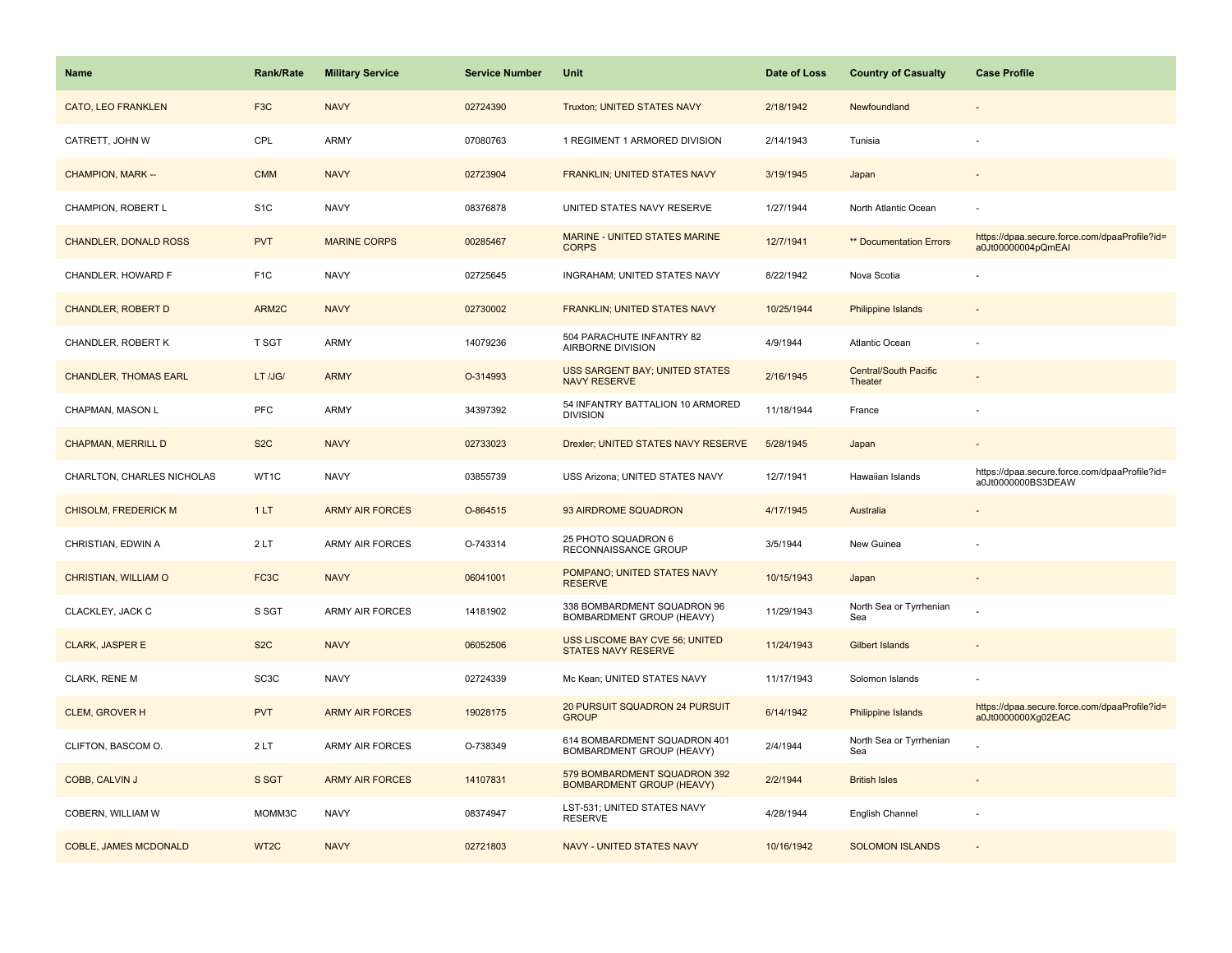| <b>Name</b>                  | <b>Rank/Rate</b>  | <b>Military Service</b> | <b>Service Number</b> | Unit                                                             | Date of Loss | <b>Country of Casualty</b>              | <b>Case Profile</b>                                                 |
|------------------------------|-------------------|-------------------------|-----------------------|------------------------------------------------------------------|--------------|-----------------------------------------|---------------------------------------------------------------------|
| <b>CATO, LEO FRANKLEN</b>    | F <sub>3</sub> C  | <b>NAVY</b>             | 02724390              | Truxton; UNITED STATES NAVY                                      | 2/18/1942    | Newfoundland                            |                                                                     |
| CATRETT, JOHN W              | CPL               | ARMY                    | 07080763              | 1 REGIMENT 1 ARMORED DIVISION                                    | 2/14/1943    | Tunisia                                 |                                                                     |
| CHAMPION, MARK --            | <b>CMM</b>        | <b>NAVY</b>             | 02723904              | FRANKLIN; UNITED STATES NAVY                                     | 3/19/1945    | Japan                                   |                                                                     |
| CHAMPION, ROBERT L           | S <sub>1</sub> C  | <b>NAVY</b>             | 08376878              | UNITED STATES NAVY RESERVE                                       | 1/27/1944    | North Atlantic Ocean                    |                                                                     |
| <b>CHANDLER, DONALD ROSS</b> | <b>PVT</b>        | <b>MARINE CORPS</b>     | 00285467              | MARINE - UNITED STATES MARINE<br><b>CORPS</b>                    | 12/7/1941    | <b>** Documentation Errors</b>          | https://dpaa.secure.force.com/dpaaProfile?id=<br>a0Jt00000004pQmEAI |
| CHANDLER, HOWARD F           | F <sub>1</sub> C  | <b>NAVY</b>             | 02725645              | INGRAHAM; UNITED STATES NAVY                                     | 8/22/1942    | Nova Scotia                             |                                                                     |
| <b>CHANDLER, ROBERT D</b>    | ARM2C             | <b>NAVY</b>             | 02730002              | FRANKLIN; UNITED STATES NAVY                                     | 10/25/1944   | <b>Philippine Islands</b>               |                                                                     |
| CHANDLER, ROBERT K           | T SGT             | <b>ARMY</b>             | 14079236              | 504 PARACHUTE INFANTRY 82<br>AIRBORNE DIVISION                   | 4/9/1944     | Atlantic Ocean                          |                                                                     |
| <b>CHANDLER, THOMAS EARL</b> | LT /JG/           | <b>ARMY</b>             | O-314993              | <b>USS SARGENT BAY; UNITED STATES</b><br><b>NAVY RESERVE</b>     | 2/16/1945    | <b>Central/South Pacific</b><br>Theater |                                                                     |
| CHAPMAN, MASON L             | PFC               | <b>ARMY</b>             | 34397392              | 54 INFANTRY BATTALION 10 ARMORED<br><b>DIVISION</b>              | 11/18/1944   | France                                  |                                                                     |
| <b>CHAPMAN, MERRILL D</b>    | S <sub>2</sub> C  | <b>NAVY</b>             | 02733023              | Drexler; UNITED STATES NAVY RESERVE                              | 5/28/1945    | Japan                                   |                                                                     |
| CHARLTON, CHARLES NICHOLAS   | WT1C              | <b>NAVY</b>             | 03855739              | USS Arizona; UNITED STATES NAVY                                  | 12/7/1941    | Hawaiian Islands                        | https://dpaa.secure.force.com/dpaaProfile?id=<br>a0Jt0000000BS3DEAW |
| <b>CHISOLM, FREDERICK M</b>  | 1LT               | <b>ARMY AIR FORCES</b>  | O-864515              | 93 AIRDROME SQUADRON                                             | 4/17/1945    | Australia                               |                                                                     |
| CHRISTIAN, EDWIN A           | 2LT               | <b>ARMY AIR FORCES</b>  | O-743314              | 25 PHOTO SQUADRON 6<br>RECONNAISSANCE GROUP                      | 3/5/1944     | New Guinea                              |                                                                     |
| CHRISTIAN, WILLIAM O         | FC3C              | <b>NAVY</b>             | 06041001              | POMPANO; UNITED STATES NAVY<br><b>RESERVE</b>                    | 10/15/1943   | Japan                                   |                                                                     |
| CLACKLEY, JACK C             | S SGT             | <b>ARMY AIR FORCES</b>  | 14181902              | 338 BOMBARDMENT SQUADRON 96<br>BOMBARDMENT GROUP (HEAVY)         | 11/29/1943   | North Sea or Tyrrhenian<br>Sea          |                                                                     |
| <b>CLARK, JASPER E</b>       | S <sub>2</sub> C  | <b>NAVY</b>             | 06052506              | USS LISCOME BAY CVE 56; UNITED<br><b>STATES NAVY RESERVE</b>     | 11/24/1943   | Gilbert Islands                         |                                                                     |
| CLARK, RENE M                | SC <sub>3</sub> C | <b>NAVY</b>             | 02724339              | Mc Kean; UNITED STATES NAVY                                      | 11/17/1943   | Solomon Islands                         |                                                                     |
| <b>CLEM, GROVER H</b>        | <b>PVT</b>        | <b>ARMY AIR FORCES</b>  | 19028175              | 20 PURSUIT SQUADRON 24 PURSUIT<br><b>GROUP</b>                   | 6/14/1942    | Philippine Islands                      | https://dpaa.secure.force.com/dpaaProfile?id=<br>a0Jt0000000Xg02EAC |
| CLIFTON, BASCOM O.           | 2LT               | <b>ARMY AIR FORCES</b>  | O-738349              | 614 BOMBARDMENT SQUADRON 401<br>BOMBARDMENT GROUP (HEAVY)        | 2/4/1944     | North Sea or Tyrrhenian<br>Sea          |                                                                     |
| COBB, CALVIN J               | S SGT             | <b>ARMY AIR FORCES</b>  | 14107831              | 579 BOMBARDMENT SQUADRON 392<br><b>BOMBARDMENT GROUP (HEAVY)</b> | 2/2/1944     | <b>British Isles</b>                    |                                                                     |
| COBERN, WILLIAM W            | MOMM3C            | <b>NAVY</b>             | 08374947              | LST-531; UNITED STATES NAVY<br><b>RESERVE</b>                    | 4/28/1944    | English Channel                         |                                                                     |
| COBLE, JAMES MCDONALD        | WT <sub>2C</sub>  | <b>NAVY</b>             | 02721803              | NAVY - UNITED STATES NAVY                                        | 10/16/1942   | <b>SOLOMON ISLANDS</b>                  |                                                                     |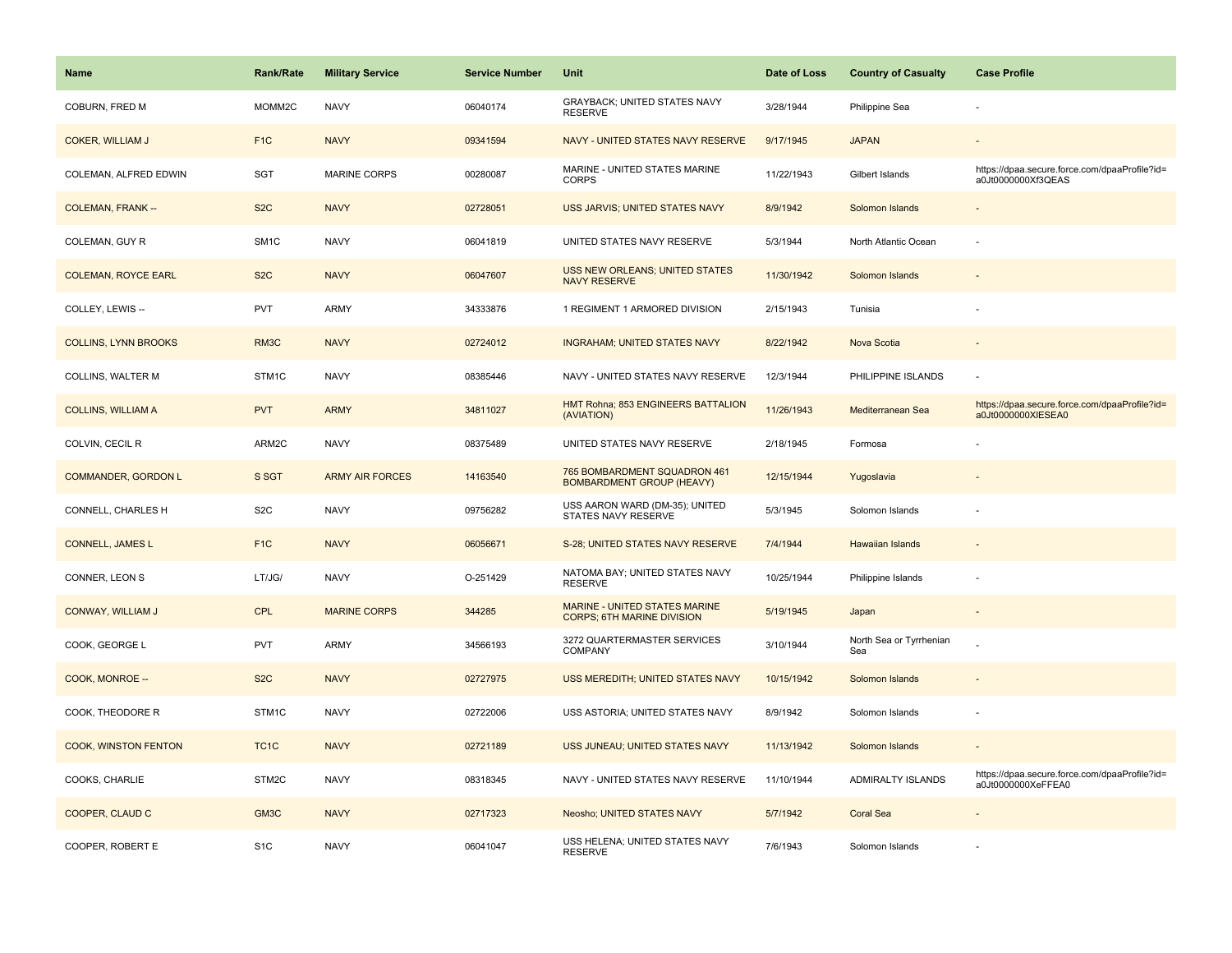| <b>Name</b>                 | <b>Rank/Rate</b>  | <b>Military Service</b> | <b>Service Number</b> | Unit                                                               | Date of Loss | <b>Country of Casualty</b>     | <b>Case Profile</b>                                                 |
|-----------------------------|-------------------|-------------------------|-----------------------|--------------------------------------------------------------------|--------------|--------------------------------|---------------------------------------------------------------------|
| COBURN, FRED M              | MOMM2C            | <b>NAVY</b>             | 06040174              | <b>GRAYBACK: UNITED STATES NAVY</b><br><b>RESERVE</b>              | 3/28/1944    | Philippine Sea                 |                                                                     |
| <b>COKER, WILLIAM J</b>     | F <sub>1</sub> C  | <b>NAVY</b>             | 09341594              | NAVY - UNITED STATES NAVY RESERVE                                  | 9/17/1945    | <b>JAPAN</b>                   |                                                                     |
| COLEMAN, ALFRED EDWIN       | <b>SGT</b>        | <b>MARINE CORPS</b>     | 00280087              | MARINE - UNITED STATES MARINE<br><b>CORPS</b>                      | 11/22/1943   | Gilbert Islands                | https://dpaa.secure.force.com/dpaaProfile?id=<br>a0Jt0000000Xf3QEAS |
| <b>COLEMAN, FRANK --</b>    | S <sub>2</sub> C  | <b>NAVY</b>             | 02728051              | USS JARVIS; UNITED STATES NAVY                                     | 8/9/1942     | Solomon Islands                |                                                                     |
| COLEMAN, GUY R              | SM <sub>1</sub> C | <b>NAVY</b>             | 06041819              | UNITED STATES NAVY RESERVE                                         | 5/3/1944     | North Atlantic Ocean           |                                                                     |
| <b>COLEMAN, ROYCE EARL</b>  | S <sub>2</sub> C  | <b>NAVY</b>             | 06047607              | USS NEW ORLEANS; UNITED STATES<br><b>NAVY RESERVE</b>              | 11/30/1942   | Solomon Islands                |                                                                     |
| COLLEY, LEWIS --            | <b>PVT</b>        | <b>ARMY</b>             | 34333876              | 1 REGIMENT 1 ARMORED DIVISION                                      | 2/15/1943    | Tunisia                        |                                                                     |
| <b>COLLINS, LYNN BROOKS</b> | RM3C              | <b>NAVY</b>             | 02724012              | <b>INGRAHAM; UNITED STATES NAVY</b>                                | 8/22/1942    | Nova Scotia                    |                                                                     |
| COLLINS, WALTER M           | STM1C             | <b>NAVY</b>             | 08385446              | NAVY - UNITED STATES NAVY RESERVE                                  | 12/3/1944    | PHILIPPINE ISLANDS             | ÷,                                                                  |
| <b>COLLINS, WILLIAM A</b>   | <b>PVT</b>        | <b>ARMY</b>             | 34811027              | HMT Rohna; 853 ENGINEERS BATTALION<br>(AVIATION)                   | 11/26/1943   | Mediterranean Sea              | https://dpaa.secure.force.com/dpaaProfile?id=<br>a0Jt0000000XIESEA0 |
| COLVIN, CECIL R             | ARM2C             | <b>NAVY</b>             | 08375489              | UNITED STATES NAVY RESERVE                                         | 2/18/1945    | Formosa                        |                                                                     |
| COMMANDER, GORDON L         | S SGT             | <b>ARMY AIR FORCES</b>  | 14163540              | 765 BOMBARDMENT SQUADRON 461<br><b>BOMBARDMENT GROUP (HEAVY)</b>   | 12/15/1944   | Yugoslavia                     |                                                                     |
| CONNELL, CHARLES H          | S <sub>2</sub> C  | <b>NAVY</b>             | 09756282              | USS AARON WARD (DM-35); UNITED<br>STATES NAVY RESERVE              | 5/3/1945     | Solomon Islands                |                                                                     |
| <b>CONNELL, JAMES L</b>     | F <sub>1C</sub>   | <b>NAVY</b>             | 06056671              | S-28; UNITED STATES NAVY RESERVE                                   | 7/4/1944     | Hawaiian Islands               | $\overline{a}$                                                      |
| CONNER, LEON S              | LT/JG/            | <b>NAVY</b>             | O-251429              | NATOMA BAY; UNITED STATES NAVY<br><b>RESERVE</b>                   | 10/25/1944   | Philippine Islands             | $\overline{\phantom{a}}$                                            |
| <b>CONWAY, WILLIAM J</b>    | CPL               | <b>MARINE CORPS</b>     | 344285                | MARINE - UNITED STATES MARINE<br><b>CORPS; 6TH MARINE DIVISION</b> | 5/19/1945    | Japan                          |                                                                     |
| COOK, GEORGE L              | <b>PVT</b>        | <b>ARMY</b>             | 34566193              | 3272 QUARTERMASTER SERVICES<br><b>COMPANY</b>                      | 3/10/1944    | North Sea or Tyrrhenian<br>Sea |                                                                     |
| COOK, MONROE --             | S <sub>2</sub> C  | <b>NAVY</b>             | 02727975              | USS MEREDITH; UNITED STATES NAVY                                   | 10/15/1942   | Solomon Islands                |                                                                     |
| COOK, THEODORE R            | STM <sub>1C</sub> | <b>NAVY</b>             | 02722006              | USS ASTORIA; UNITED STATES NAVY                                    | 8/9/1942     | Solomon Islands                |                                                                     |
| COOK, WINSTON FENTON        | TC <sub>1</sub> C | <b>NAVY</b>             | 02721189              | USS JUNEAU; UNITED STATES NAVY                                     | 11/13/1942   | Solomon Islands                | $\sim$                                                              |
| COOKS, CHARLIE              | STM2C             | <b>NAVY</b>             | 08318345              | NAVY - UNITED STATES NAVY RESERVE                                  | 11/10/1944   | <b>ADMIRALTY ISLANDS</b>       | https://dpaa.secure.force.com/dpaaProfile?id=<br>a0Jt0000000XeFFEA0 |
| COOPER, CLAUD C             | GM3C              | <b>NAVY</b>             | 02717323              | Neosho; UNITED STATES NAVY                                         | 5/7/1942     | <b>Coral Sea</b>               |                                                                     |
| COOPER, ROBERT E            | S <sub>1</sub> C  | <b>NAVY</b>             | 06041047              | USS HELENA; UNITED STATES NAVY<br><b>RESERVE</b>                   | 7/6/1943     | Solomon Islands                |                                                                     |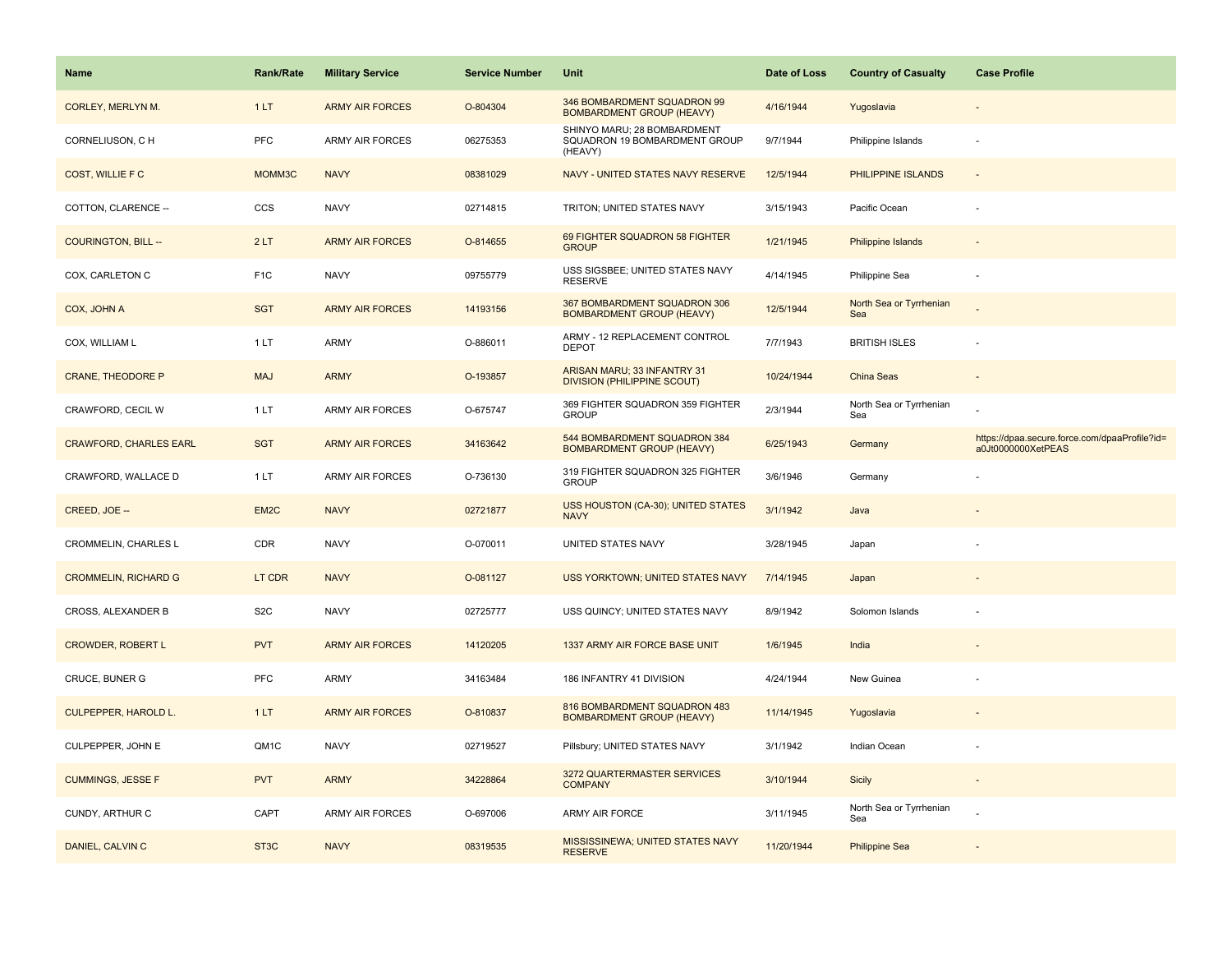| <b>Name</b>                   | <b>Rank/Rate</b>  | <b>Military Service</b> | <b>Service Number</b> | Unit                                                                    | Date of Loss | <b>Country of Casualty</b>     | <b>Case Profile</b>                                                 |
|-------------------------------|-------------------|-------------------------|-----------------------|-------------------------------------------------------------------------|--------------|--------------------------------|---------------------------------------------------------------------|
| <b>CORLEY, MERLYN M.</b>      | 1LT               | <b>ARMY AIR FORCES</b>  | O-804304              | 346 BOMBARDMENT SQUADRON 99<br><b>BOMBARDMENT GROUP (HEAVY)</b>         | 4/16/1944    | Yugoslavia                     |                                                                     |
| CORNELIUSON, C H              | PFC               | <b>ARMY AIR FORCES</b>  | 06275353              | SHINYO MARU; 28 BOMBARDMENT<br>SQUADRON 19 BOMBARDMENT GROUP<br>(HEAVY) | 9/7/1944     | Philippine Islands             |                                                                     |
| COST, WILLIE F C              | MOMM3C            | <b>NAVY</b>             | 08381029              | NAVY - UNITED STATES NAVY RESERVE                                       | 12/5/1944    | PHILIPPINE ISLANDS             |                                                                     |
| COTTON, CLARENCE --           | CCS               | <b>NAVY</b>             | 02714815              | TRITON; UNITED STATES NAVY                                              | 3/15/1943    | Pacific Ocean                  |                                                                     |
| <b>COURINGTON, BILL --</b>    | 2LT               | <b>ARMY AIR FORCES</b>  | O-814655              | 69 FIGHTER SQUADRON 58 FIGHTER<br><b>GROUP</b>                          | 1/21/1945    | Philippine Islands             |                                                                     |
| COX, CARLETON C               | F <sub>1</sub> C  | <b>NAVY</b>             | 09755779              | USS SIGSBEE; UNITED STATES NAVY<br><b>RESERVE</b>                       | 4/14/1945    | Philippine Sea                 |                                                                     |
| COX, JOHN A                   | <b>SGT</b>        | <b>ARMY AIR FORCES</b>  | 14193156              | 367 BOMBARDMENT SQUADRON 306<br><b>BOMBARDMENT GROUP (HEAVY)</b>        | 12/5/1944    | North Sea or Tyrrhenian<br>Sea |                                                                     |
| COX, WILLIAM L                | 1LT               | ARMY                    | O-886011              | ARMY - 12 REPLACEMENT CONTROL<br><b>DEPOT</b>                           | 7/7/1943     | <b>BRITISH ISLES</b>           |                                                                     |
| <b>CRANE, THEODORE P</b>      | <b>MAJ</b>        | <b>ARMY</b>             | O-193857              | ARISAN MARU; 33 INFANTRY 31<br><b>DIVISION (PHILIPPINE SCOUT)</b>       | 10/24/1944   | China Seas                     |                                                                     |
| CRAWFORD, CECIL W             | 1LT               | ARMY AIR FORCES         | O-675747              | 369 FIGHTER SQUADRON 359 FIGHTER<br><b>GROUP</b>                        | 2/3/1944     | North Sea or Tyrrhenian<br>Sea |                                                                     |
| <b>CRAWFORD, CHARLES EARL</b> | <b>SGT</b>        | <b>ARMY AIR FORCES</b>  | 34163642              | 544 BOMBARDMENT SQUADRON 384<br><b>BOMBARDMENT GROUP (HEAVY)</b>        | 6/25/1943    | Germany                        | https://dpaa.secure.force.com/dpaaProfile?id=<br>a0Jt0000000XetPEAS |
| CRAWFORD, WALLACE D           | 1 LT              | ARMY AIR FORCES         | O-736130              | 319 FIGHTER SQUADRON 325 FIGHTER<br><b>GROUP</b>                        | 3/6/1946     | Germany                        |                                                                     |
| CREED, JOE --                 | EM <sub>2C</sub>  | <b>NAVY</b>             | 02721877              | USS HOUSTON (CA-30); UNITED STATES<br><b>NAVY</b>                       | 3/1/1942     | Java                           |                                                                     |
| CROMMELIN, CHARLES L          | CDR               | <b>NAVY</b>             | O-070011              | UNITED STATES NAVY                                                      | 3/28/1945    | Japan                          |                                                                     |
| <b>CROMMELIN, RICHARD G</b>   | LT CDR            | <b>NAVY</b>             | O-081127              | <b>USS YORKTOWN; UNITED STATES NAVY</b>                                 | 7/14/1945    | Japan                          |                                                                     |
| CROSS, ALEXANDER B            | S <sub>2</sub> C  | <b>NAVY</b>             | 02725777              | USS QUINCY; UNITED STATES NAVY                                          | 8/9/1942     | Solomon Islands                |                                                                     |
| <b>CROWDER, ROBERT L</b>      | <b>PVT</b>        | <b>ARMY AIR FORCES</b>  | 14120205              | 1337 ARMY AIR FORCE BASE UNIT                                           | 1/6/1945     | India                          |                                                                     |
| CRUCE, BUNER G                | PFC               | ARMY                    | 34163484              | 186 INFANTRY 41 DIVISION                                                | 4/24/1944    | New Guinea                     |                                                                     |
| <b>CULPEPPER, HAROLD L.</b>   | 1LT               | <b>ARMY AIR FORCES</b>  | O-810837              | 816 BOMBARDMENT SQUADRON 483<br><b>BOMBARDMENT GROUP (HEAVY)</b>        | 11/14/1945   | Yugoslavia                     |                                                                     |
| CULPEPPER, JOHN E             | QM1C              | <b>NAVY</b>             | 02719527              | Pillsbury; UNITED STATES NAVY                                           | 3/1/1942     | Indian Ocean                   |                                                                     |
| <b>CUMMINGS, JESSE F</b>      | <b>PVT</b>        | <b>ARMY</b>             | 34228864              | 3272 QUARTERMASTER SERVICES<br><b>COMPANY</b>                           | 3/10/1944    | <b>Sicily</b>                  | $\overline{\phantom{a}}$                                            |
| CUNDY, ARTHUR C               | CAPT              | ARMY AIR FORCES         | O-697006              | ARMY AIR FORCE                                                          | 3/11/1945    | North Sea or Tyrrhenian<br>Sea |                                                                     |
| DANIEL, CALVIN C              | ST <sub>3</sub> C | <b>NAVY</b>             | 08319535              | MISSISSINEWA; UNITED STATES NAVY<br><b>RESERVE</b>                      | 11/20/1944   | <b>Philippine Sea</b>          |                                                                     |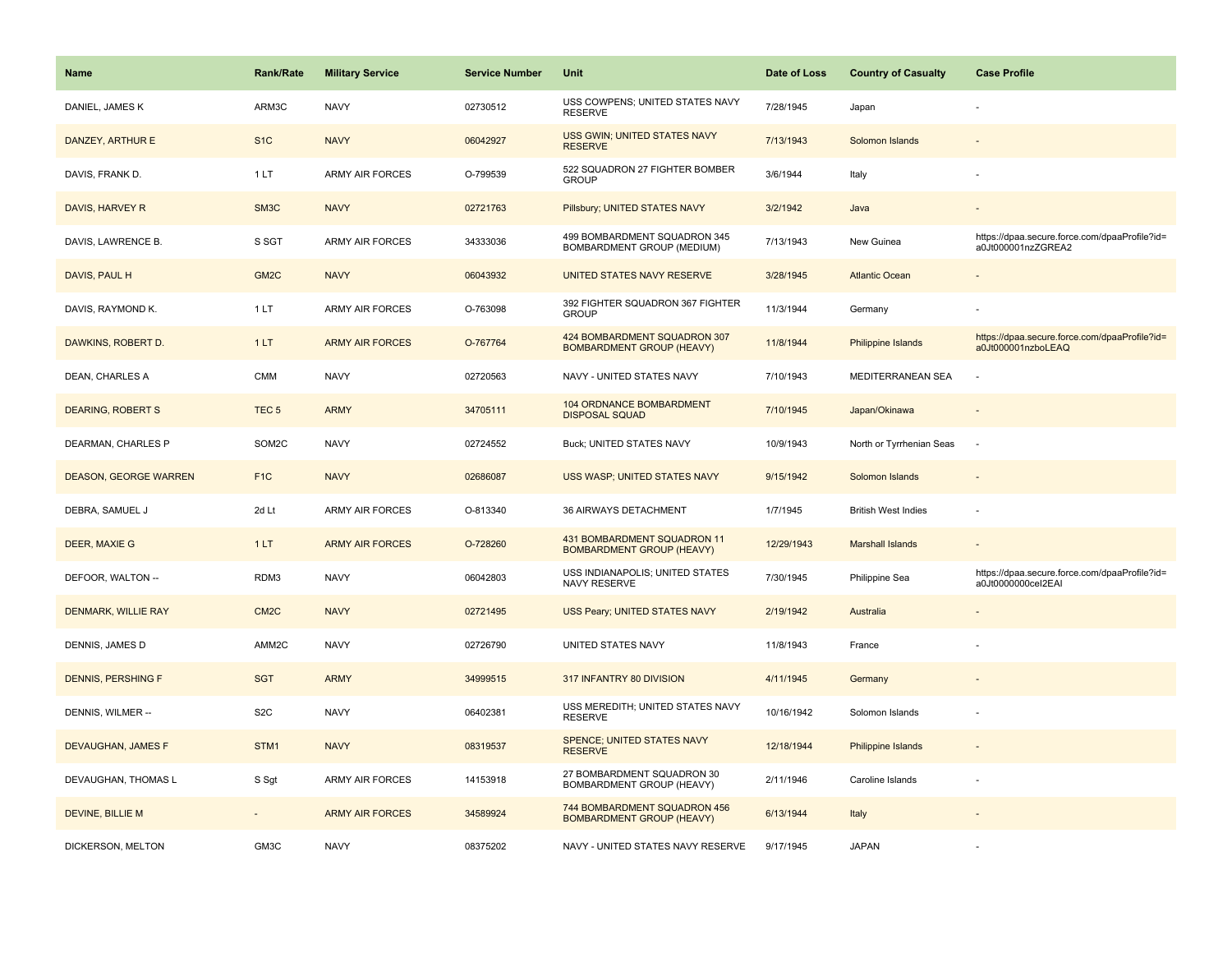| <b>Name</b>                  | <b>Rank/Rate</b>  | <b>Military Service</b> | <b>Service Number</b> | Unit                                                             | Date of Loss | <b>Country of Casualty</b> | <b>Case Profile</b>                                                 |
|------------------------------|-------------------|-------------------------|-----------------------|------------------------------------------------------------------|--------------|----------------------------|---------------------------------------------------------------------|
| DANIEL, JAMES K              | ARM3C             | <b>NAVY</b>             | 02730512              | USS COWPENS; UNITED STATES NAVY<br><b>RESERVE</b>                | 7/28/1945    | Japan                      |                                                                     |
| DANZEY, ARTHUR E             | S <sub>1</sub> C  | <b>NAVY</b>             | 06042927              | USS GWIN; UNITED STATES NAVY<br><b>RESERVE</b>                   | 7/13/1943    | Solomon Islands            |                                                                     |
| DAVIS, FRANK D.              | 1LT               | <b>ARMY AIR FORCES</b>  | O-799539              | 522 SQUADRON 27 FIGHTER BOMBER<br><b>GROUP</b>                   | 3/6/1944     | Italy                      |                                                                     |
| DAVIS, HARVEY R              | SM <sub>3</sub> C | <b>NAVY</b>             | 02721763              | Pillsbury; UNITED STATES NAVY                                    | 3/2/1942     | Java                       |                                                                     |
| DAVIS, LAWRENCE B.           | S SGT             | <b>ARMY AIR FORCES</b>  | 34333036              | 499 BOMBARDMENT SQUADRON 345<br>BOMBARDMENT GROUP (MEDIUM)       | 7/13/1943    | New Guinea                 | https://dpaa.secure.force.com/dpaaProfile?id=<br>a0Jt000001nzZGREA2 |
| DAVIS, PAUL H                | GM <sub>2</sub> C | <b>NAVY</b>             | 06043932              | UNITED STATES NAVY RESERVE                                       | 3/28/1945    | <b>Atlantic Ocean</b>      |                                                                     |
| DAVIS, RAYMOND K.            | 1LT               | ARMY AIR FORCES         | O-763098              | 392 FIGHTER SQUADRON 367 FIGHTER<br><b>GROUP</b>                 | 11/3/1944    | Germany                    |                                                                     |
| DAWKINS, ROBERT D.           | 1LT               | <b>ARMY AIR FORCES</b>  | O-767764              | 424 BOMBARDMENT SQUADRON 307<br><b>BOMBARDMENT GROUP (HEAVY)</b> | 11/8/1944    | Philippine Islands         | https://dpaa.secure.force.com/dpaaProfile?id=<br>a0Jt000001nzboLEAQ |
| DEAN, CHARLES A              | <b>CMM</b>        | <b>NAVY</b>             | 02720563              | NAVY - UNITED STATES NAVY                                        | 7/10/1943    | MEDITERRANEAN SEA          |                                                                     |
| <b>DEARING, ROBERT S</b>     | TEC <sub>5</sub>  | <b>ARMY</b>             | 34705111              | 104 ORDNANCE BOMBARDMENT<br><b>DISPOSAL SQUAD</b>                | 7/10/1945    | Japan/Okinawa              |                                                                     |
| DEARMAN, CHARLES P           | SOM2C             | <b>NAVY</b>             | 02724552              | <b>Buck; UNITED STATES NAVY</b>                                  | 10/9/1943    | North or Tyrrhenian Seas   |                                                                     |
| <b>DEASON, GEORGE WARREN</b> | F <sub>1C</sub>   | <b>NAVY</b>             | 02686087              | USS WASP; UNITED STATES NAVY                                     | 9/15/1942    | Solomon Islands            |                                                                     |
| DEBRA, SAMUEL J              | 2d Lt             | <b>ARMY AIR FORCES</b>  | O-813340              | 36 AIRWAYS DETACHMENT                                            | 1/7/1945     | <b>British West Indies</b> | ÷,                                                                  |
| <b>DEER, MAXIE G</b>         | 1LT               | <b>ARMY AIR FORCES</b>  | O-728260              | 431 BOMBARDMENT SQUADRON 11<br><b>BOMBARDMENT GROUP (HEAVY)</b>  | 12/29/1943   | <b>Marshall Islands</b>    |                                                                     |
| DEFOOR, WALTON --            | RDM3              | <b>NAVY</b>             | 06042803              | USS INDIANAPOLIS; UNITED STATES<br>NAVY RESERVE                  | 7/30/1945    | Philippine Sea             | https://dpaa.secure.force.com/dpaaProfile?id=<br>a0Jt0000000cel2EAI |
| <b>DENMARK, WILLIE RAY</b>   | CM <sub>2</sub> C | <b>NAVY</b>             | 02721495              | USS Peary; UNITED STATES NAVY                                    | 2/19/1942    | Australia                  |                                                                     |
| DENNIS, JAMES D              | AMM2C             | <b>NAVY</b>             | 02726790              | UNITED STATES NAVY                                               | 11/8/1943    | France                     |                                                                     |
| <b>DENNIS, PERSHING F</b>    | <b>SGT</b>        | <b>ARMY</b>             | 34999515              | 317 INFANTRY 80 DIVISION                                         | 4/11/1945    | Germany                    |                                                                     |
| DENNIS, WILMER --            | S <sub>2</sub> C  | <b>NAVY</b>             | 06402381              | USS MEREDITH; UNITED STATES NAVY<br><b>RESERVE</b>               | 10/16/1942   | Solomon Islands            |                                                                     |
| DEVAUGHAN, JAMES F           | STM1              | <b>NAVY</b>             | 08319537              | SPENCE; UNITED STATES NAVY<br><b>RESERVE</b>                     | 12/18/1944   | Philippine Islands         |                                                                     |
| DEVAUGHAN, THOMAS L          | S Sgt             | ARMY AIR FORCES         | 14153918              | 27 BOMBARDMENT SQUADRON 30<br><b>BOMBARDMENT GROUP (HEAVY)</b>   | 2/11/1946    | Caroline Islands           |                                                                     |
| <b>DEVINE, BILLIE M</b>      |                   | <b>ARMY AIR FORCES</b>  | 34589924              | 744 BOMBARDMENT SQUADRON 456<br><b>BOMBARDMENT GROUP (HEAVY)</b> | 6/13/1944    | Italy                      |                                                                     |
| DICKERSON, MELTON            | GM3C              | <b>NAVY</b>             | 08375202              | NAVY - UNITED STATES NAVY RESERVE                                | 9/17/1945    | <b>JAPAN</b>               |                                                                     |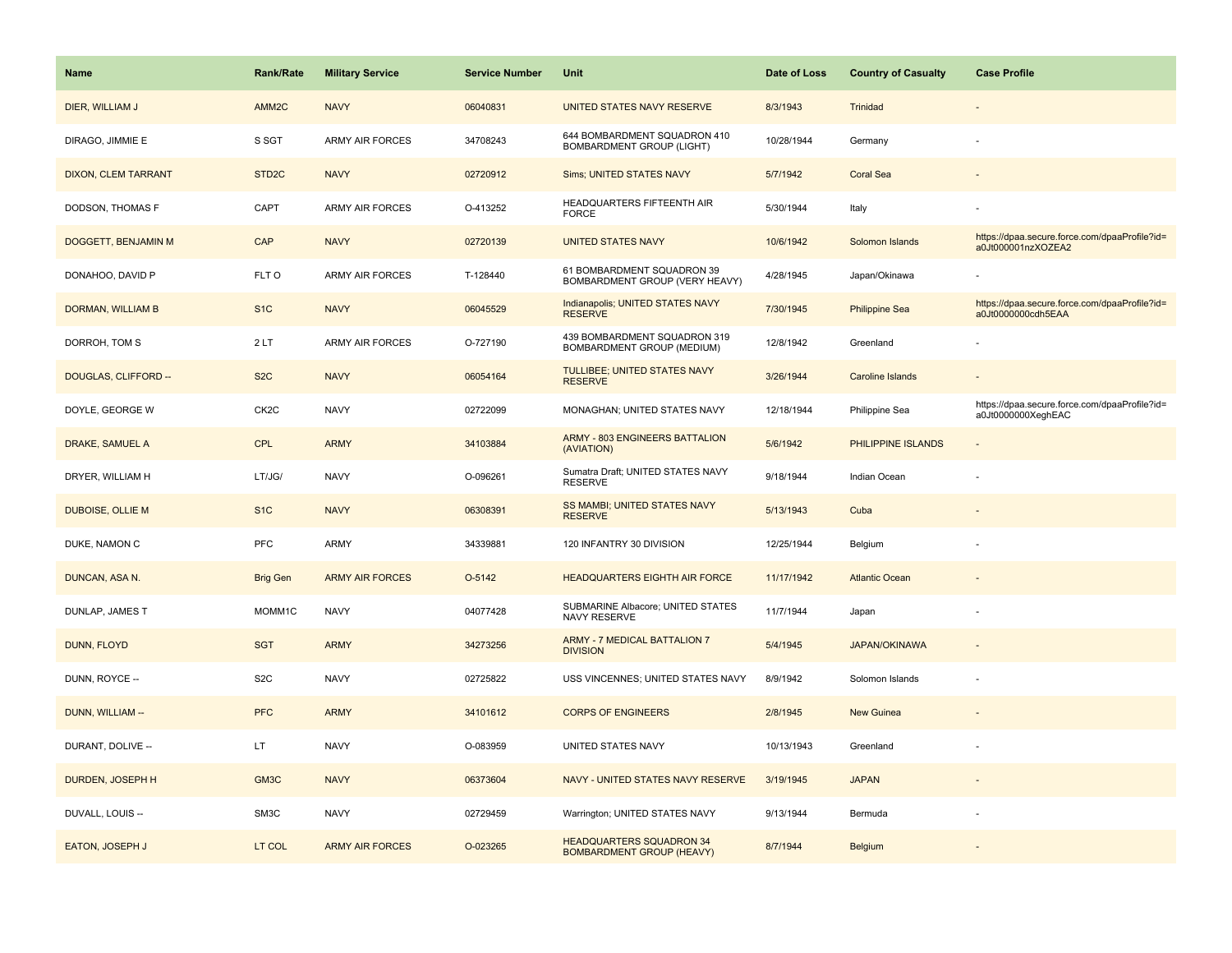| <b>Name</b>             | <b>Rank/Rate</b>   | <b>Military Service</b> | <b>Service Number</b> | Unit                                                                | Date of Loss | <b>Country of Casualty</b> | <b>Case Profile</b>                                                 |
|-------------------------|--------------------|-------------------------|-----------------------|---------------------------------------------------------------------|--------------|----------------------------|---------------------------------------------------------------------|
| DIER, WILLIAM J         | AMM <sub>2C</sub>  | <b>NAVY</b>             | 06040831              | UNITED STATES NAVY RESERVE                                          | 8/3/1943     | Trinidad                   |                                                                     |
| DIRAGO, JIMMIE E        | S SGT              | <b>ARMY AIR FORCES</b>  | 34708243              | 644 BOMBARDMENT SQUADRON 410<br>BOMBARDMENT GROUP (LIGHT)           | 10/28/1944   | Germany                    |                                                                     |
| DIXON, CLEM TARRANT     | STD <sub>2</sub> C | <b>NAVY</b>             | 02720912              | Sims; UNITED STATES NAVY                                            | 5/7/1942     | Coral Sea                  |                                                                     |
| DODSON, THOMAS F        | CAPT               | <b>ARMY AIR FORCES</b>  | O-413252              | HEADQUARTERS FIFTEENTH AIR<br><b>FORCE</b>                          | 5/30/1944    | Italy                      |                                                                     |
| DOGGETT, BENJAMIN M     | CAP                | <b>NAVY</b>             | 02720139              | <b>UNITED STATES NAVY</b>                                           | 10/6/1942    | Solomon Islands            | https://dpaa.secure.force.com/dpaaProfile?id=<br>a0Jt000001nzXOZEA2 |
| DONAHOO, DAVID P        | FLT O              | <b>ARMY AIR FORCES</b>  | T-128440              | 61 BOMBARDMENT SQUADRON 39<br>BOMBARDMENT GROUP (VERY HEAVY)        | 4/28/1945    | Japan/Okinawa              |                                                                     |
| DORMAN, WILLIAM B       | S <sub>1</sub> C   | <b>NAVY</b>             | 06045529              | Indianapolis; UNITED STATES NAVY<br><b>RESERVE</b>                  | 7/30/1945    | <b>Philippine Sea</b>      | https://dpaa.secure.force.com/dpaaProfile?id=<br>a0Jt0000000cdh5EAA |
| DORROH, TOM S           | 2LT                | <b>ARMY AIR FORCES</b>  | O-727190              | 439 BOMBARDMENT SQUADRON 319<br>BOMBARDMENT GROUP (MEDIUM)          | 12/8/1942    | Greenland                  |                                                                     |
| DOUGLAS, CLIFFORD --    | S <sub>2</sub> C   | <b>NAVY</b>             | 06054164              | TULLIBEE; UNITED STATES NAVY<br><b>RESERVE</b>                      | 3/26/1944    | <b>Caroline Islands</b>    |                                                                     |
| DOYLE, GEORGE W         | CK <sub>2</sub> C  | <b>NAVY</b>             | 02722099              | MONAGHAN; UNITED STATES NAVY                                        | 12/18/1944   | Philippine Sea             | https://dpaa.secure.force.com/dpaaProfile?id=<br>a0Jt0000000XeghEAC |
| DRAKE, SAMUEL A         | <b>CPL</b>         | <b>ARMY</b>             | 34103884              | ARMY - 803 ENGINEERS BATTALION<br>(AVIATION)                        | 5/6/1942     | PHILIPPINE ISLANDS         |                                                                     |
| DRYER, WILLIAM H        | LT/JG/             | <b>NAVY</b>             | O-096261              | Sumatra Draft; UNITED STATES NAVY<br><b>RESERVE</b>                 | 9/18/1944    | Indian Ocean               |                                                                     |
| <b>DUBOISE, OLLIE M</b> | S <sub>1</sub> C   | <b>NAVY</b>             | 06308391              | SS MAMBI; UNITED STATES NAVY<br><b>RESERVE</b>                      | 5/13/1943    | Cuba                       |                                                                     |
| DUKE, NAMON C           | <b>PFC</b>         | ARMY                    | 34339881              | 120 INFANTRY 30 DIVISION                                            | 12/25/1944   | Belgium                    |                                                                     |
| DUNCAN, ASA N.          | <b>Brig Gen</b>    | <b>ARMY AIR FORCES</b>  | O-5142                | <b>HEADQUARTERS EIGHTH AIR FORCE</b>                                | 11/17/1942   | <b>Atlantic Ocean</b>      |                                                                     |
| DUNLAP, JAMES T         | MOMM1C             | <b>NAVY</b>             | 04077428              | SUBMARINE Albacore; UNITED STATES<br>NAVY RESERVE                   | 11/7/1944    | Japan                      |                                                                     |
| DUNN, FLOYD             | <b>SGT</b>         | <b>ARMY</b>             | 34273256              | <b>ARMY - 7 MEDICAL BATTALION 7</b><br><b>DIVISION</b>              | 5/4/1945     | <b>JAPAN/OKINAWA</b>       |                                                                     |
| DUNN, ROYCE --          | S <sub>2</sub> C   | <b>NAVY</b>             | 02725822              | USS VINCENNES; UNITED STATES NAVY                                   | 8/9/1942     | Solomon Islands            |                                                                     |
| DUNN, WILLIAM --        | <b>PFC</b>         | <b>ARMY</b>             | 34101612              | <b>CORPS OF ENGINEERS</b>                                           | 2/8/1945     | <b>New Guinea</b>          |                                                                     |
| DURANT, DOLIVE --       | LT.                | <b>NAVY</b>             | O-083959              | UNITED STATES NAVY                                                  | 10/13/1943   | Greenland                  |                                                                     |
| DURDEN, JOSEPH H        | GM3C               | <b>NAVY</b>             | 06373604              | NAVY - UNITED STATES NAVY RESERVE                                   | 3/19/1945    | <b>JAPAN</b>               | ÷                                                                   |
| DUVALL, LOUIS --        | SM3C               | <b>NAVY</b>             | 02729459              | Warrington; UNITED STATES NAVY                                      | 9/13/1944    | Bermuda                    |                                                                     |
| EATON, JOSEPH J         | LT COL             | <b>ARMY AIR FORCES</b>  | O-023265              | <b>HEADQUARTERS SQUADRON 34</b><br><b>BOMBARDMENT GROUP (HEAVY)</b> | 8/7/1944     | Belgium                    |                                                                     |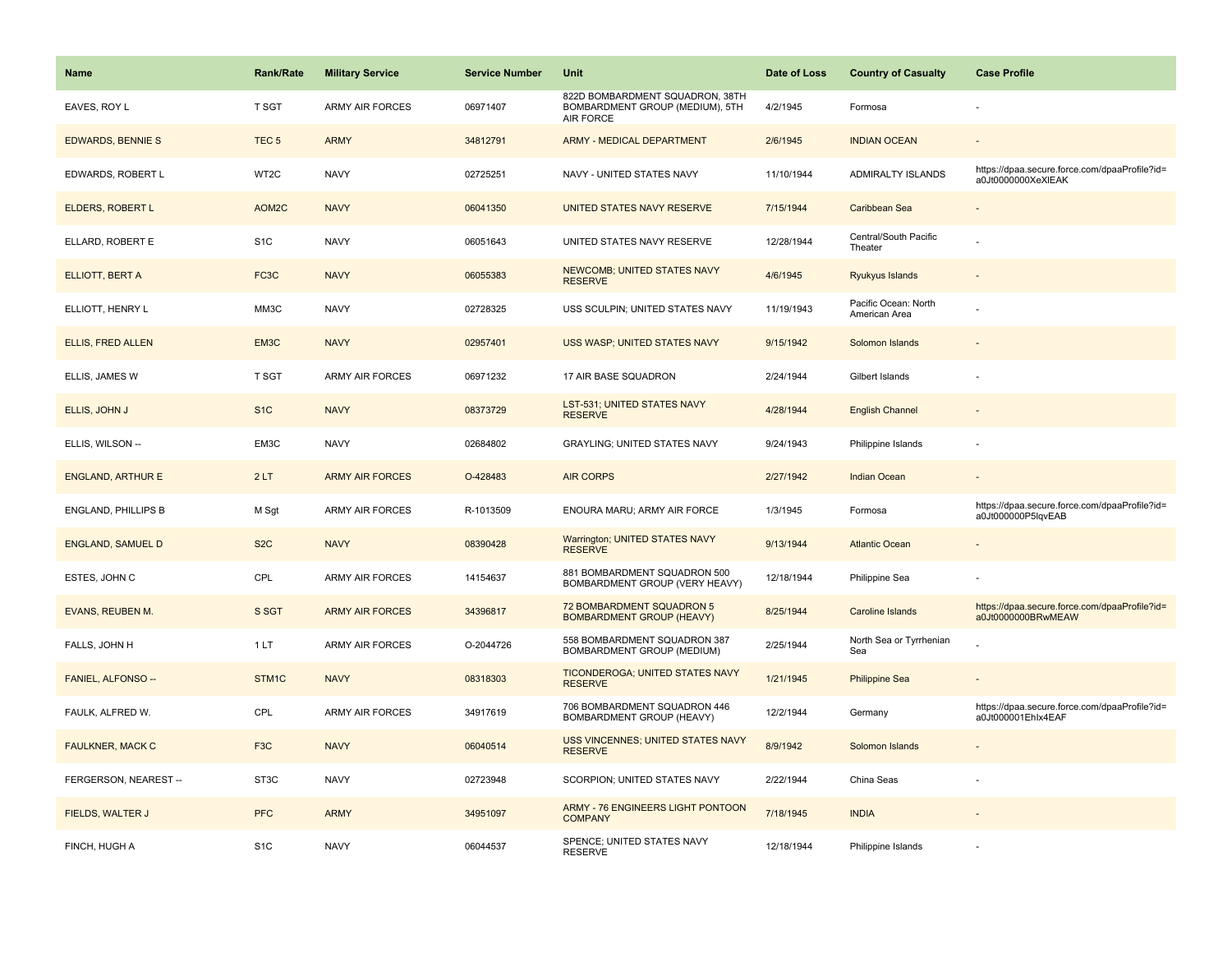| <b>Name</b>              | <b>Rank/Rate</b>  | <b>Military Service</b> | <b>Service Number</b> | Unit                                                                            | Date of Loss | <b>Country of Casualty</b>            | <b>Case Profile</b>                                                 |
|--------------------------|-------------------|-------------------------|-----------------------|---------------------------------------------------------------------------------|--------------|---------------------------------------|---------------------------------------------------------------------|
| EAVES, ROY L             | T SGT             | <b>ARMY AIR FORCES</b>  | 06971407              | 822D BOMBARDMENT SQUADRON, 38TH<br>BOMBARDMENT GROUP (MEDIUM), 5TH<br>AIR FORCE | 4/2/1945     | Formosa                               |                                                                     |
| <b>EDWARDS, BENNIE S</b> | TEC <sub>5</sub>  | <b>ARMY</b>             | 34812791              | ARMY - MEDICAL DEPARTMENT                                                       | 2/6/1945     | <b>INDIAN OCEAN</b>                   |                                                                     |
| EDWARDS, ROBERT L        | WT2C              | <b>NAVY</b>             | 02725251              | NAVY - UNITED STATES NAVY                                                       | 11/10/1944   | ADMIRALTY ISLANDS                     | https://dpaa.secure.force.com/dpaaProfile?id=<br>a0Jt0000000XeXIEAK |
| <b>ELDERS, ROBERT L</b>  | AOM2C             | <b>NAVY</b>             | 06041350              | UNITED STATES NAVY RESERVE                                                      | 7/15/1944    | Caribbean Sea                         |                                                                     |
| ELLARD, ROBERT E         | S <sub>1</sub> C  | <b>NAVY</b>             | 06051643              | UNITED STATES NAVY RESERVE                                                      | 12/28/1944   | Central/South Pacific<br>Theater      |                                                                     |
| ELLIOTT, BERT A          | FC3C              | <b>NAVY</b>             | 06055383              | <b>NEWCOMB; UNITED STATES NAVY</b><br><b>RESERVE</b>                            | 4/6/1945     | Ryukyus Islands                       |                                                                     |
| ELLIOTT, HENRY L         | MM3C              | <b>NAVY</b>             | 02728325              | USS SCULPIN; UNITED STATES NAVY                                                 | 11/19/1943   | Pacific Ocean: North<br>American Area |                                                                     |
| <b>ELLIS, FRED ALLEN</b> | EM3C              | <b>NAVY</b>             | 02957401              | USS WASP; UNITED STATES NAVY                                                    | 9/15/1942    | Solomon Islands                       |                                                                     |
| ELLIS, JAMES W           | <b>T SGT</b>      | ARMY AIR FORCES         | 06971232              | 17 AIR BASE SQUADRON                                                            | 2/24/1944    | Gilbert Islands                       |                                                                     |
| ELLIS, JOHN J            | S <sub>1</sub> C  | <b>NAVY</b>             | 08373729              | LST-531; UNITED STATES NAVY<br><b>RESERVE</b>                                   | 4/28/1944    | <b>English Channel</b>                |                                                                     |
| ELLIS, WILSON --         | EM3C              | <b>NAVY</b>             | 02684802              | <b>GRAYLING; UNITED STATES NAVY</b>                                             | 9/24/1943    | Philippine Islands                    |                                                                     |
| <b>ENGLAND, ARTHUR E</b> | 2LT               | <b>ARMY AIR FORCES</b>  | O-428483              | <b>AIR CORPS</b>                                                                | 2/27/1942    | <b>Indian Ocean</b>                   |                                                                     |
| ENGLAND, PHILLIPS B      | M Sgt             | ARMY AIR FORCES         | R-1013509             | ENOURA MARU; ARMY AIR FORCE                                                     | 1/3/1945     | Formosa                               | https://dpaa.secure.force.com/dpaaProfile?id=<br>a0Jt000000P5lqvEAB |
| <b>ENGLAND, SAMUEL D</b> | S <sub>2</sub> C  | <b>NAVY</b>             | 08390428              | Warrington; UNITED STATES NAVY<br><b>RESERVE</b>                                | 9/13/1944    | <b>Atlantic Ocean</b>                 |                                                                     |
| ESTES, JOHN C            | CPL               | <b>ARMY AIR FORCES</b>  | 14154637              | 881 BOMBARDMENT SQUADRON 500<br>BOMBARDMENT GROUP (VERY HEAVY)                  | 12/18/1944   | Philippine Sea                        |                                                                     |
| EVANS, REUBEN M.         | S SGT             | <b>ARMY AIR FORCES</b>  | 34396817              | 72 BOMBARDMENT SQUADRON 5<br><b>BOMBARDMENT GROUP (HEAVY)</b>                   | 8/25/1944    | Caroline Islands                      | https://dpaa.secure.force.com/dpaaProfile?id=<br>a0Jt0000000BRwMEAW |
| FALLS, JOHN H            | 1 LT              | <b>ARMY AIR FORCES</b>  | O-2044726             | 558 BOMBARDMENT SQUADRON 387<br>BOMBARDMENT GROUP (MEDIUM)                      | 2/25/1944    | North Sea or Tyrrhenian<br>Sea        |                                                                     |
| FANIEL, ALFONSO --       | STM1C             | <b>NAVY</b>             | 08318303              | TICONDEROGA; UNITED STATES NAVY<br><b>RESERVE</b>                               | 1/21/1945    | <b>Philippine Sea</b>                 |                                                                     |
| FAULK, ALFRED W.         | CPL               | ARMY AIR FORCES         | 34917619              | 706 BOMBARDMENT SQUADRON 446<br>BOMBARDMENT GROUP (HEAVY)                       | 12/2/1944    | Germany                               | https://dpaa.secure.force.com/dpaaProfile?id=<br>a0Jt000001Ehlx4EAF |
| <b>FAULKNER, MACK C</b>  | F <sub>3</sub> C  | <b>NAVY</b>             | 06040514              | USS VINCENNES; UNITED STATES NAVY<br><b>RESERVE</b>                             | 8/9/1942     | Solomon Islands                       |                                                                     |
| FERGERSON, NEAREST --    | ST <sub>3</sub> C | <b>NAVY</b>             | 02723948              | SCORPION; UNITED STATES NAVY                                                    | 2/22/1944    | China Seas                            |                                                                     |
| FIELDS, WALTER J         | <b>PFC</b>        | <b>ARMY</b>             | 34951097              | <b>ARMY - 76 ENGINEERS LIGHT PONTOON</b><br><b>COMPANY</b>                      | 7/18/1945    | <b>INDIA</b>                          |                                                                     |
| FINCH, HUGH A            | S <sub>1</sub> C  | <b>NAVY</b>             | 06044537              | SPENCE; UNITED STATES NAVY<br><b>RESERVE</b>                                    | 12/18/1944   | Philippine Islands                    |                                                                     |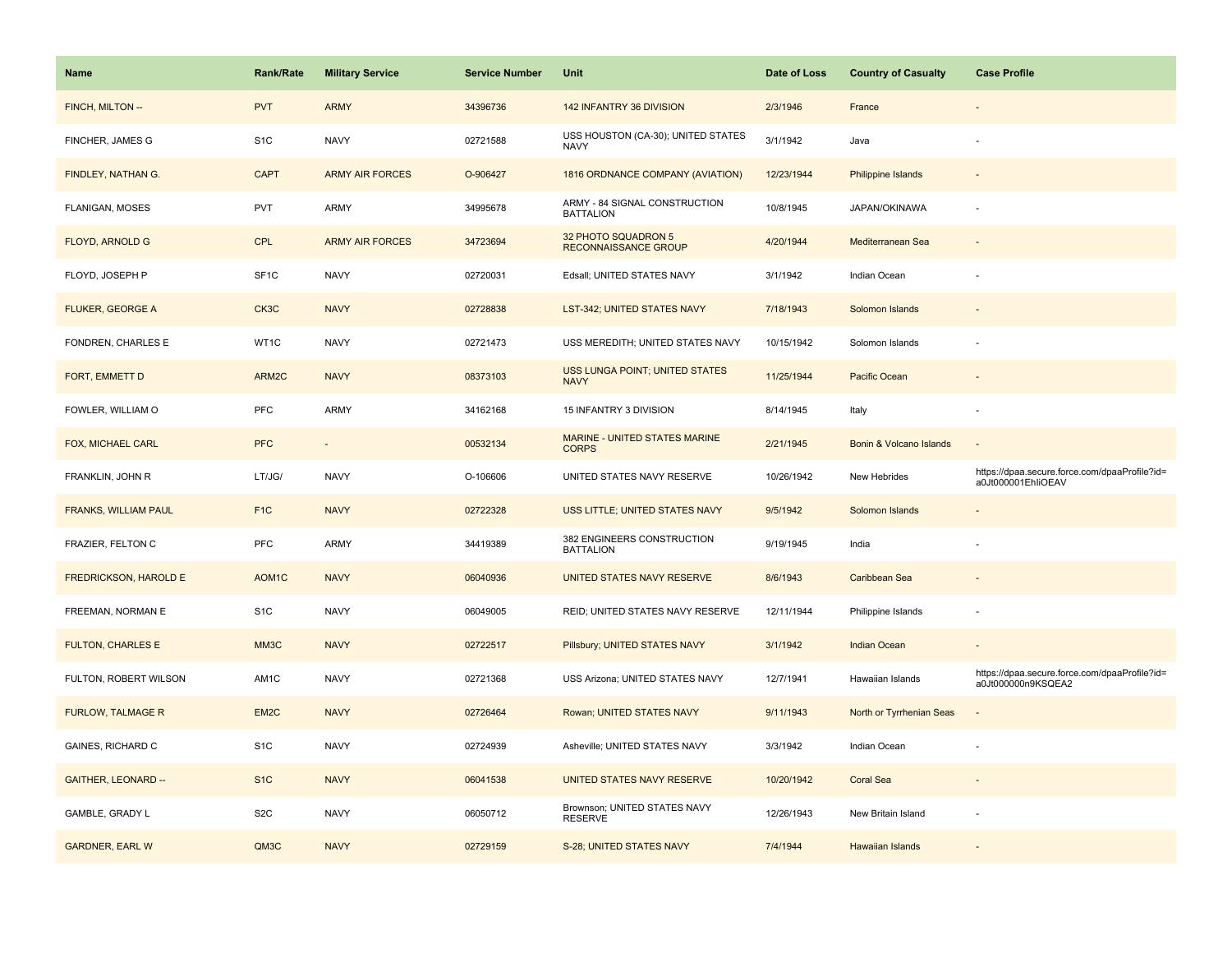| Name                         | <b>Rank/Rate</b>  | <b>Military Service</b> | <b>Service Number</b> | Unit                                              | Date of Loss | <b>Country of Casualty</b> | <b>Case Profile</b>                                                 |
|------------------------------|-------------------|-------------------------|-----------------------|---------------------------------------------------|--------------|----------------------------|---------------------------------------------------------------------|
| FINCH, MILTON --             | <b>PVT</b>        | <b>ARMY</b>             | 34396736              | 142 INFANTRY 36 DIVISION                          | 2/3/1946     | France                     |                                                                     |
| FINCHER, JAMES G             | S <sub>1</sub> C  | <b>NAVY</b>             | 02721588              | USS HOUSTON (CA-30); UNITED STATES<br><b>NAVY</b> | 3/1/1942     | Java                       |                                                                     |
| FINDLEY, NATHAN G.           | <b>CAPT</b>       | <b>ARMY AIR FORCES</b>  | O-906427              | 1816 ORDNANCE COMPANY (AVIATION)                  | 12/23/1944   | Philippine Islands         |                                                                     |
| FLANIGAN, MOSES              | <b>PVT</b>        | ARMY                    | 34995678              | ARMY - 84 SIGNAL CONSTRUCTION<br><b>BATTALION</b> | 10/8/1945    | JAPAN/OKINAWA              |                                                                     |
| <b>FLOYD, ARNOLD G</b>       | CPL               | <b>ARMY AIR FORCES</b>  | 34723694              | 32 PHOTO SQUADRON 5<br>RECONNAISSANCE GROUP       | 4/20/1944    | Mediterranean Sea          |                                                                     |
| FLOYD, JOSEPH P              | SF <sub>1</sub> C | <b>NAVY</b>             | 02720031              | Edsall; UNITED STATES NAVY                        | 3/1/1942     | Indian Ocean               |                                                                     |
| FLUKER, GEORGE A             | CK3C              | <b>NAVY</b>             | 02728838              | LST-342; UNITED STATES NAVY                       | 7/18/1943    | Solomon Islands            | $\overline{\phantom{a}}$                                            |
| FONDREN, CHARLES E           | WT1C              | <b>NAVY</b>             | 02721473              | USS MEREDITH; UNITED STATES NAVY                  | 10/15/1942   | Solomon Islands            |                                                                     |
| FORT, EMMETT D               | ARM2C             | <b>NAVY</b>             | 08373103              | USS LUNGA POINT; UNITED STATES<br><b>NAVY</b>     | 11/25/1944   | Pacific Ocean              |                                                                     |
| FOWLER, WILLIAM O            | PFC               | ARMY                    | 34162168              | 15 INFANTRY 3 DIVISION                            | 8/14/1945    | Italy                      |                                                                     |
| FOX, MICHAEL CARL            | <b>PFC</b>        |                         | 00532134              | MARINE - UNITED STATES MARINE<br><b>CORPS</b>     | 2/21/1945    | Bonin & Volcano Islands    |                                                                     |
| FRANKLIN, JOHN R             | LT/JG/            | <b>NAVY</b>             | O-106606              | UNITED STATES NAVY RESERVE                        | 10/26/1942   | New Hebrides               | https://dpaa.secure.force.com/dpaaProfile?id=<br>a0Jt000001EhliOEAV |
| <b>FRANKS, WILLIAM PAUL</b>  | F <sub>1C</sub>   | <b>NAVY</b>             | 02722328              | USS LITTLE; UNITED STATES NAVY                    | 9/5/1942     | Solomon Islands            |                                                                     |
| FRAZIER, FELTON C            | PFC               | ARMY                    | 34419389              | 382 ENGINEERS CONSTRUCTION<br><b>BATTALION</b>    | 9/19/1945    | India                      |                                                                     |
| <b>FREDRICKSON, HAROLD E</b> | AOM1C             | <b>NAVY</b>             | 06040936              | UNITED STATES NAVY RESERVE                        | 8/6/1943     | Caribbean Sea              |                                                                     |
| FREEMAN, NORMAN E            | S <sub>1</sub> C  | <b>NAVY</b>             | 06049005              | REID; UNITED STATES NAVY RESERVE                  | 12/11/1944   | Philippine Islands         | ÷,                                                                  |
| <b>FULTON, CHARLES E</b>     | MM3C              | <b>NAVY</b>             | 02722517              | Pillsbury; UNITED STATES NAVY                     | 3/1/1942     | <b>Indian Ocean</b>        |                                                                     |
| FULTON, ROBERT WILSON        | AM1C              | <b>NAVY</b>             | 02721368              | USS Arizona; UNITED STATES NAVY                   | 12/7/1941    | Hawaiian Islands           | https://dpaa.secure.force.com/dpaaProfile?id=<br>a0Jt000000n9KSQEA2 |
| <b>FURLOW, TALMAGE R</b>     | EM <sub>2</sub> C | <b>NAVY</b>             | 02726464              | Rowan; UNITED STATES NAVY                         | 9/11/1943    | North or Tyrrhenian Seas   |                                                                     |
| GAINES, RICHARD C            | S <sub>1</sub> C  | <b>NAVY</b>             | 02724939              | Asheville; UNITED STATES NAVY                     | 3/3/1942     | Indian Ocean               |                                                                     |
| <b>GAITHER, LEONARD --</b>   | S <sub>1C</sub>   | <b>NAVY</b>             | 06041538              | UNITED STATES NAVY RESERVE                        | 10/20/1942   | <b>Coral Sea</b>           | $\overline{\phantom{a}}$                                            |
| GAMBLE, GRADY L              | S <sub>2</sub> C  | <b>NAVY</b>             | 06050712              | Brownson; UNITED STATES NAVY<br><b>RESERVE</b>    | 12/26/1943   | New Britain Island         | ÷.                                                                  |
| <b>GARDNER, EARL W</b>       | QM3C              | <b>NAVY</b>             | 02729159              | S-28; UNITED STATES NAVY                          | 7/4/1944     | <b>Hawaiian Islands</b>    |                                                                     |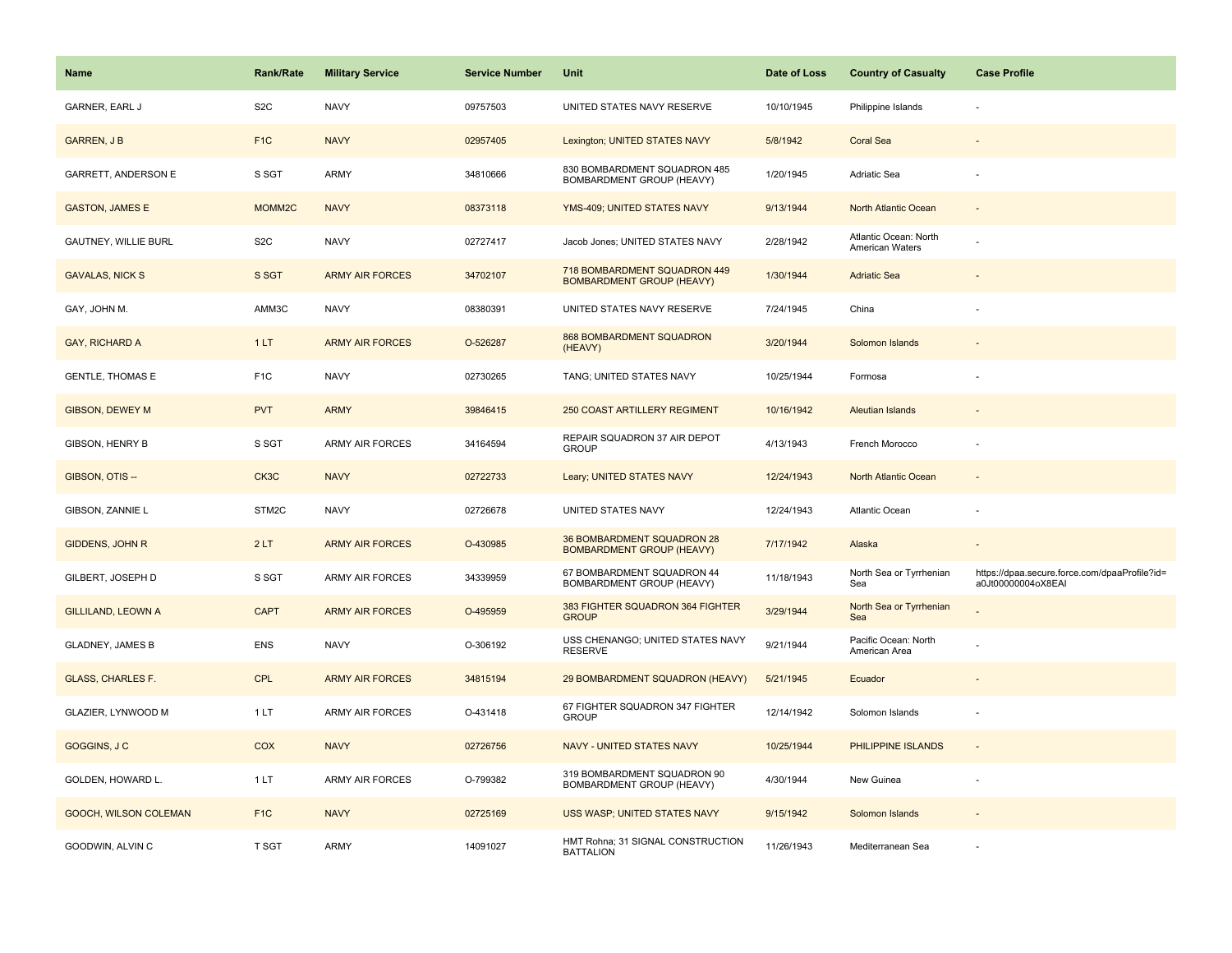| <b>Name</b>                | <b>Rank/Rate</b>   | <b>Military Service</b> | <b>Service Number</b> | Unit                                                             | Date of Loss | <b>Country of Casualty</b>               | <b>Case Profile</b>                                                 |
|----------------------------|--------------------|-------------------------|-----------------------|------------------------------------------------------------------|--------------|------------------------------------------|---------------------------------------------------------------------|
| <b>GARNER, EARL J</b>      | S <sub>2</sub> C   | <b>NAVY</b>             | 09757503              | UNITED STATES NAVY RESERVE                                       | 10/10/1945   | Philippine Islands                       |                                                                     |
| <b>GARREN, J B</b>         | F <sub>1C</sub>    | <b>NAVY</b>             | 02957405              | Lexington; UNITED STATES NAVY                                    | 5/8/1942     | <b>Coral Sea</b>                         |                                                                     |
| <b>GARRETT, ANDERSON E</b> | S SGT              | ARMY                    | 34810666              | 830 BOMBARDMENT SQUADRON 485<br>BOMBARDMENT GROUP (HEAVY)        | 1/20/1945    | Adriatic Sea                             |                                                                     |
| <b>GASTON, JAMES E</b>     | MOMM <sub>2C</sub> | <b>NAVY</b>             | 08373118              | YMS-409; UNITED STATES NAVY                                      | 9/13/1944    | North Atlantic Ocean                     |                                                                     |
| GAUTNEY, WILLIE BURL       | S <sub>2</sub> C   | <b>NAVY</b>             | 02727417              | Jacob Jones; UNITED STATES NAVY                                  | 2/28/1942    | Atlantic Ocean: North<br>American Waters |                                                                     |
| <b>GAVALAS, NICK S</b>     | S SGT              | <b>ARMY AIR FORCES</b>  | 34702107              | 718 BOMBARDMENT SQUADRON 449<br><b>BOMBARDMENT GROUP (HEAVY)</b> | 1/30/1944    | <b>Adriatic Sea</b>                      |                                                                     |
| GAY, JOHN M.               | AMM3C              | <b>NAVY</b>             | 08380391              | UNITED STATES NAVY RESERVE                                       | 7/24/1945    | China                                    |                                                                     |
| GAY, RICHARD A             | 1LT                | <b>ARMY AIR FORCES</b>  | O-526287              | 868 BOMBARDMENT SQUADRON<br>(HEAVY)                              | 3/20/1944    | Solomon Islands                          |                                                                     |
| <b>GENTLE, THOMAS E</b>    | F <sub>1</sub> C   | <b>NAVY</b>             | 02730265              | TANG; UNITED STATES NAVY                                         | 10/25/1944   | Formosa                                  |                                                                     |
| <b>GIBSON, DEWEY M</b>     | <b>PVT</b>         | <b>ARMY</b>             | 39846415              | <b>250 COAST ARTILLERY REGIMENT</b>                              | 10/16/1942   | <b>Aleutian Islands</b>                  |                                                                     |
| GIBSON, HENRY B            | S SGT              | ARMY AIR FORCES         | 34164594              | REPAIR SQUADRON 37 AIR DEPOT<br><b>GROUP</b>                     | 4/13/1943    | French Morocco                           |                                                                     |
| GIBSON, OTIS --            | CK3C               | <b>NAVY</b>             | 02722733              | Leary; UNITED STATES NAVY                                        | 12/24/1943   | North Atlantic Ocean                     |                                                                     |
| GIBSON, ZANNIE L           | STM2C              | <b>NAVY</b>             | 02726678              | UNITED STATES NAVY                                               | 12/24/1943   | Atlantic Ocean                           |                                                                     |
| <b>GIDDENS, JOHN R</b>     | 2LT                | <b>ARMY AIR FORCES</b>  | O-430985              | 36 BOMBARDMENT SQUADRON 28<br><b>BOMBARDMENT GROUP (HEAVY)</b>   | 7/17/1942    | Alaska                                   | $\sim$                                                              |
| GILBERT, JOSEPH D          | S SGT              | ARMY AIR FORCES         | 34339959              | 67 BOMBARDMENT SQUADRON 44<br>BOMBARDMENT GROUP (HEAVY)          | 11/18/1943   | North Sea or Tyrrhenian<br>Sea           | https://dpaa.secure.force.com/dpaaProfile?id=<br>a0Jt00000004oX8EAI |
| <b>GILLILAND, LEOWN A</b>  | <b>CAPT</b>        | <b>ARMY AIR FORCES</b>  | O-495959              | 383 FIGHTER SQUADRON 364 FIGHTER<br><b>GROUP</b>                 | 3/29/1944    | North Sea or Tyrrhenian<br>Sea           |                                                                     |
| <b>GLADNEY, JAMES B</b>    | ENS                | <b>NAVY</b>             | O-306192              | USS CHENANGO; UNITED STATES NAVY<br><b>RESERVE</b>               | 9/21/1944    | Pacific Ocean: North<br>American Area    |                                                                     |
| <b>GLASS, CHARLES F.</b>   | CPL                | <b>ARMY AIR FORCES</b>  | 34815194              | 29 BOMBARDMENT SQUADRON (HEAVY)                                  | 5/21/1945    | Ecuador                                  |                                                                     |
| GLAZIER, LYNWOOD M         | 1 LT               | <b>ARMY AIR FORCES</b>  | O-431418              | 67 FIGHTER SQUADRON 347 FIGHTER<br><b>GROUP</b>                  | 12/14/1942   | Solomon Islands                          |                                                                     |
| GOGGINS, J C               | COX                | <b>NAVY</b>             | 02726756              | NAVY - UNITED STATES NAVY                                        | 10/25/1944   | PHILIPPINE ISLANDS                       | $\sim$                                                              |
| GOLDEN, HOWARD L.          | 1LT                | <b>ARMY AIR FORCES</b>  | O-799382              | 319 BOMBARDMENT SQUADRON 90<br>BOMBARDMENT GROUP (HEAVY)         | 4/30/1944    | New Guinea                               |                                                                     |
| GOOCH, WILSON COLEMAN      | F <sub>1</sub> C   | <b>NAVY</b>             | 02725169              | USS WASP; UNITED STATES NAVY                                     | 9/15/1942    | Solomon Islands                          |                                                                     |
| GOODWIN, ALVIN C           | T SGT              | ARMY                    | 14091027              | HMT Rohna; 31 SIGNAL CONSTRUCTION<br><b>BATTALION</b>            | 11/26/1943   | Mediterranean Sea                        |                                                                     |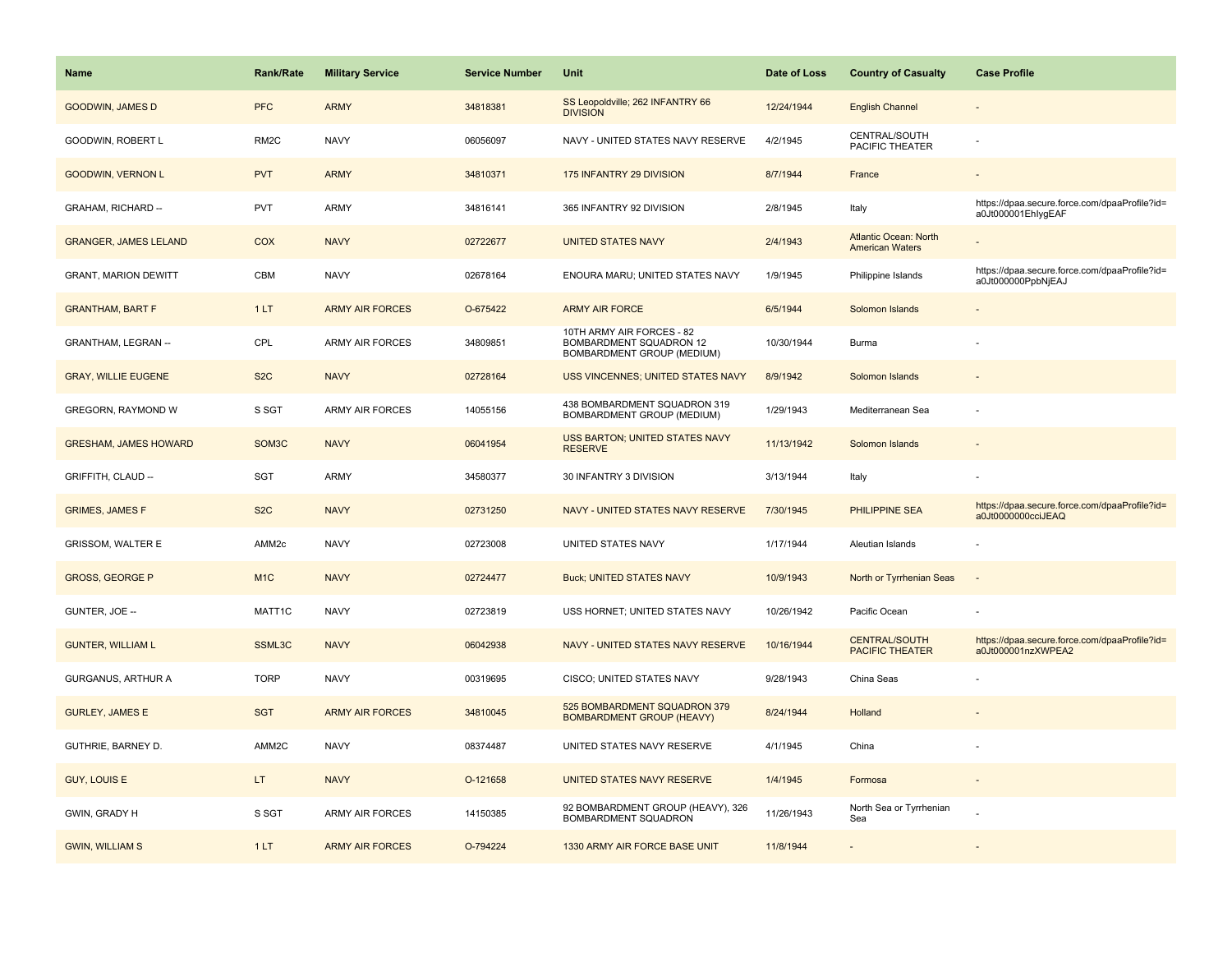| <b>Name</b>                  | <b>Rank/Rate</b>   | <b>Military Service</b> | <b>Service Number</b> | Unit                                                                               | Date of Loss | <b>Country of Casualty</b>                             | <b>Case Profile</b>                                                 |
|------------------------------|--------------------|-------------------------|-----------------------|------------------------------------------------------------------------------------|--------------|--------------------------------------------------------|---------------------------------------------------------------------|
| <b>GOODWIN, JAMES D</b>      | <b>PFC</b>         | <b>ARMY</b>             | 34818381              | SS Leopoldville; 262 INFANTRY 66<br><b>DIVISION</b>                                | 12/24/1944   | <b>English Channel</b>                                 |                                                                     |
| GOODWIN, ROBERT L            | RM <sub>2</sub> C  | <b>NAVY</b>             | 06056097              | NAVY - UNITED STATES NAVY RESERVE                                                  | 4/2/1945     | CENTRAL/SOUTH<br>PACIFIC THEATER                       |                                                                     |
| <b>GOODWIN, VERNON L</b>     | <b>PVT</b>         | <b>ARMY</b>             | 34810371              | 175 INFANTRY 29 DIVISION                                                           | 8/7/1944     | France                                                 |                                                                     |
| GRAHAM, RICHARD --           | <b>PVT</b>         | ARMY                    | 34816141              | 365 INFANTRY 92 DIVISION                                                           | 2/8/1945     | Italy                                                  | https://dpaa.secure.force.com/dpaaProfile?id=<br>a0Jt000001EhlygEAF |
| <b>GRANGER, JAMES LELAND</b> | COX                | <b>NAVY</b>             | 02722677              | <b>UNITED STATES NAVY</b>                                                          | 2/4/1943     | <b>Atlantic Ocean: North</b><br><b>American Waters</b> |                                                                     |
| <b>GRANT, MARION DEWITT</b>  | CBM                | <b>NAVY</b>             | 02678164              | ENOURA MARU; UNITED STATES NAVY                                                    | 1/9/1945     | Philippine Islands                                     | https://dpaa.secure.force.com/dpaaProfile?id=<br>a0Jt000000PpbNjEAJ |
| <b>GRANTHAM, BART F</b>      | 1LT                | <b>ARMY AIR FORCES</b>  | O-675422              | <b>ARMY AIR FORCE</b>                                                              | 6/5/1944     | Solomon Islands                                        |                                                                     |
| GRANTHAM, LEGRAN --          | CPL                | <b>ARMY AIR FORCES</b>  | 34809851              | 10TH ARMY AIR FORCES - 82<br>BOMBARDMENT SQUADRON 12<br>BOMBARDMENT GROUP (MEDIUM) | 10/30/1944   | Burma                                                  |                                                                     |
| <b>GRAY, WILLIE EUGENE</b>   | S <sub>2</sub> C   | <b>NAVY</b>             | 02728164              | USS VINCENNES; UNITED STATES NAVY                                                  | 8/9/1942     | Solomon Islands                                        |                                                                     |
| GREGORN, RAYMOND W           | S SGT              | <b>ARMY AIR FORCES</b>  | 14055156              | 438 BOMBARDMENT SQUADRON 319<br>BOMBARDMENT GROUP (MEDIUM)                         | 1/29/1943    | Mediterranean Sea                                      |                                                                     |
| <b>GRESHAM, JAMES HOWARD</b> | SOM <sub>3</sub> C | <b>NAVY</b>             | 06041954              | <b>USS BARTON; UNITED STATES NAVY</b><br><b>RESERVE</b>                            | 11/13/1942   | Solomon Islands                                        |                                                                     |
| GRIFFITH, CLAUD --           | <b>SGT</b>         | <b>ARMY</b>             | 34580377              | 30 INFANTRY 3 DIVISION                                                             | 3/13/1944    | Italy                                                  |                                                                     |
| <b>GRIMES, JAMES F</b>       | S <sub>2</sub> C   | <b>NAVY</b>             | 02731250              | NAVY - UNITED STATES NAVY RESERVE                                                  | 7/30/1945    | <b>PHILIPPINE SEA</b>                                  | https://dpaa.secure.force.com/dpaaProfile?id=<br>a0Jt0000000cciJEAQ |
| <b>GRISSOM, WALTER E</b>     | AMM <sub>2c</sub>  | <b>NAVY</b>             | 02723008              | UNITED STATES NAVY                                                                 | 1/17/1944    | Aleutian Islands                                       |                                                                     |
| <b>GROSS, GEORGE P</b>       | M <sub>1C</sub>    | <b>NAVY</b>             | 02724477              | <b>Buck; UNITED STATES NAVY</b>                                                    | 10/9/1943    | North or Tyrrhenian Seas                               | $\sim$                                                              |
| GUNTER, JOE --               | MATT1C             | <b>NAVY</b>             | 02723819              | USS HORNET; UNITED STATES NAVY                                                     | 10/26/1942   | Pacific Ocean                                          |                                                                     |
| <b>GUNTER, WILLIAM L</b>     | SSML3C             | <b>NAVY</b>             | 06042938              | NAVY - UNITED STATES NAVY RESERVE                                                  | 10/16/1944   | <b>CENTRAL/SOUTH</b><br><b>PACIFIC THEATER</b>         | https://dpaa.secure.force.com/dpaaProfile?id=<br>a0Jt000001nzXWPEA2 |
| GURGANUS, ARTHUR A           | <b>TORP</b>        | <b>NAVY</b>             | 00319695              | CISCO; UNITED STATES NAVY                                                          | 9/28/1943    | China Seas                                             |                                                                     |
| <b>GURLEY, JAMES E</b>       | <b>SGT</b>         | <b>ARMY AIR FORCES</b>  | 34810045              | 525 BOMBARDMENT SQUADRON 379<br><b>BOMBARDMENT GROUP (HEAVY)</b>                   | 8/24/1944    | Holland                                                |                                                                     |
| GUTHRIE, BARNEY D.           | AMM2C              | <b>NAVY</b>             | 08374487              | UNITED STATES NAVY RESERVE                                                         | 4/1/1945     | China                                                  |                                                                     |
| <b>GUY, LOUIS E</b>          | LT.                | <b>NAVY</b>             | O-121658              | UNITED STATES NAVY RESERVE                                                         | 1/4/1945     | Formosa                                                | $\sim$                                                              |
| GWIN, GRADY H                | S SGT              | ARMY AIR FORCES         | 14150385              | 92 BOMBARDMENT GROUP (HEAVY), 326<br>BOMBARDMENT SQUADRON                          | 11/26/1943   | North Sea or Tyrrhenian<br>Sea                         |                                                                     |
| <b>GWIN, WILLIAM S</b>       | 1LT                | <b>ARMY AIR FORCES</b>  | O-794224              | 1330 ARMY AIR FORCE BASE UNIT                                                      | 11/8/1944    |                                                        |                                                                     |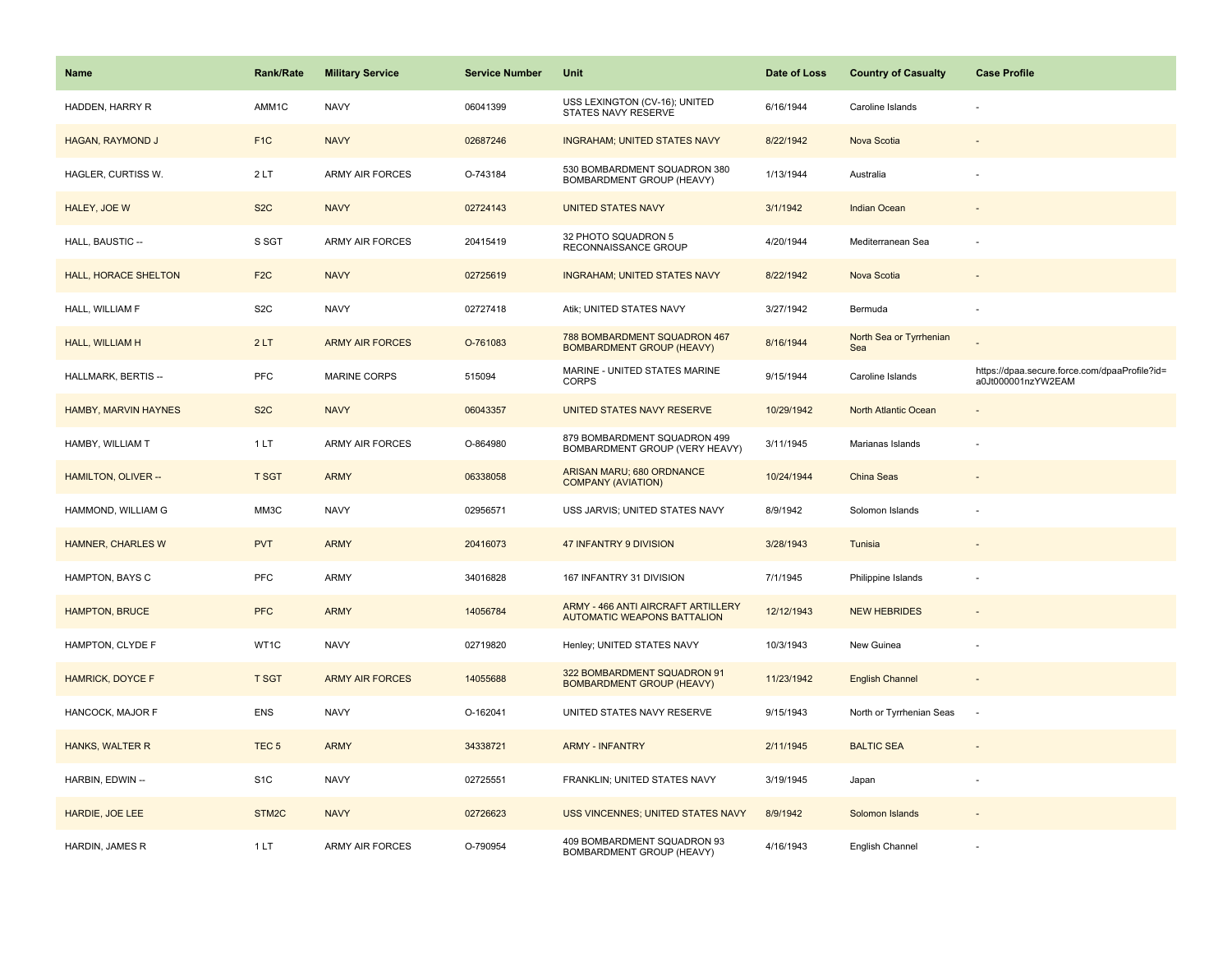| Name                        | <b>Rank/Rate</b> | <b>Military Service</b> | <b>Service Number</b> | Unit                                                                     | Date of Loss | <b>Country of Casualty</b>     | <b>Case Profile</b>                                                 |
|-----------------------------|------------------|-------------------------|-----------------------|--------------------------------------------------------------------------|--------------|--------------------------------|---------------------------------------------------------------------|
| HADDEN, HARRY R             | AMM1C            | <b>NAVY</b>             | 06041399              | USS LEXINGTON (CV-16); UNITED<br>STATES NAVY RESERVE                     | 6/16/1944    | Caroline Islands               |                                                                     |
| HAGAN, RAYMOND J            | F <sub>1C</sub>  | <b>NAVY</b>             | 02687246              | <b>INGRAHAM; UNITED STATES NAVY</b>                                      | 8/22/1942    | Nova Scotia                    |                                                                     |
| HAGLER, CURTISS W.          | 2LT              | <b>ARMY AIR FORCES</b>  | O-743184              | 530 BOMBARDMENT SQUADRON 380<br>BOMBARDMENT GROUP (HEAVY)                | 1/13/1944    | Australia                      |                                                                     |
| HALEY, JOE W                | S <sub>2</sub> C | <b>NAVY</b>             | 02724143              | <b>UNITED STATES NAVY</b>                                                | 3/1/1942     | <b>Indian Ocean</b>            |                                                                     |
| HALL, BAUSTIC --            | S SGT            | <b>ARMY AIR FORCES</b>  | 20415419              | 32 PHOTO SQUADRON 5<br>RECONNAISSANCE GROUP                              | 4/20/1944    | Mediterranean Sea              |                                                                     |
| <b>HALL, HORACE SHELTON</b> | F <sub>2</sub> C | <b>NAVY</b>             | 02725619              | <b>INGRAHAM; UNITED STATES NAVY</b>                                      | 8/22/1942    | Nova Scotia                    |                                                                     |
| HALL, WILLIAM F             | S <sub>2</sub> C | <b>NAVY</b>             | 02727418              | Atik; UNITED STATES NAVY                                                 | 3/27/1942    | Bermuda                        | ÷                                                                   |
| HALL, WILLIAM H             | 2LT              | <b>ARMY AIR FORCES</b>  | O-761083              | 788 BOMBARDMENT SQUADRON 467<br><b>BOMBARDMENT GROUP (HEAVY)</b>         | 8/16/1944    | North Sea or Tyrrhenian<br>Sea |                                                                     |
| HALLMARK, BERTIS --         | PFC              | <b>MARINE CORPS</b>     | 515094                | MARINE - UNITED STATES MARINE<br><b>CORPS</b>                            | 9/15/1944    | Caroline Islands               | https://dpaa.secure.force.com/dpaaProfile?id=<br>a0Jt000001nzYW2EAM |
| HAMBY, MARVIN HAYNES        | S <sub>2</sub> C | <b>NAVY</b>             | 06043357              | UNITED STATES NAVY RESERVE                                               | 10/29/1942   | North Atlantic Ocean           |                                                                     |
| HAMBY, WILLIAM T            | 1 LT             | <b>ARMY AIR FORCES</b>  | O-864980              | 879 BOMBARDMENT SQUADRON 499<br>BOMBARDMENT GROUP (VERY HEAVY)           | 3/11/1945    | Marianas Islands               |                                                                     |
| HAMILTON, OLIVER --         | <b>T SGT</b>     | <b>ARMY</b>             | 06338058              | ARISAN MARU; 680 ORDNANCE<br><b>COMPANY (AVIATION)</b>                   | 10/24/1944   | China Seas                     |                                                                     |
| HAMMOND, WILLIAM G          | MM3C             | <b>NAVY</b>             | 02956571              | USS JARVIS; UNITED STATES NAVY                                           | 8/9/1942     | Solomon Islands                |                                                                     |
| <b>HAMNER, CHARLES W</b>    | <b>PVT</b>       | <b>ARMY</b>             | 20416073              | 47 INFANTRY 9 DIVISION                                                   | 3/28/1943    | Tunisia                        |                                                                     |
| HAMPTON, BAYS C             | <b>PFC</b>       | ARMY                    | 34016828              | 167 INFANTRY 31 DIVISION                                                 | 7/1/1945     | Philippine Islands             |                                                                     |
| <b>HAMPTON, BRUCE</b>       | <b>PFC</b>       | <b>ARMY</b>             | 14056784              | ARMY - 466 ANTI AIRCRAFT ARTILLERY<br><b>AUTOMATIC WEAPONS BATTALION</b> | 12/12/1943   | <b>NEW HEBRIDES</b>            |                                                                     |
| HAMPTON, CLYDE F            | WT1C             | <b>NAVY</b>             | 02719820              | Henley; UNITED STATES NAVY                                               | 10/3/1943    | New Guinea                     |                                                                     |
| <b>HAMRICK, DOYCE F</b>     | <b>T SGT</b>     | <b>ARMY AIR FORCES</b>  | 14055688              | 322 BOMBARDMENT SQUADRON 91<br><b>BOMBARDMENT GROUP (HEAVY)</b>          | 11/23/1942   | <b>English Channel</b>         |                                                                     |
| HANCOCK, MAJOR F            | <b>ENS</b>       | <b>NAVY</b>             | O-162041              | UNITED STATES NAVY RESERVE                                               | 9/15/1943    | North or Tyrrhenian Seas       | $\overline{\phantom{a}}$                                            |
| <b>HANKS, WALTER R</b>      | TEC <sub>5</sub> | <b>ARMY</b>             | 34338721              | <b>ARMY - INFANTRY</b>                                                   | 2/11/1945    | <b>BALTIC SEA</b>              |                                                                     |
| HARBIN, EDWIN --            | S <sub>1</sub> C | <b>NAVY</b>             | 02725551              | FRANKLIN; UNITED STATES NAVY                                             | 3/19/1945    | Japan                          |                                                                     |
| HARDIE, JOE LEE             | STM2C            | <b>NAVY</b>             | 02726623              | USS VINCENNES; UNITED STATES NAVY                                        | 8/9/1942     | Solomon Islands                |                                                                     |
| HARDIN, JAMES R             | 1LT              | <b>ARMY AIR FORCES</b>  | O-790954              | 409 BOMBARDMENT SQUADRON 93<br>BOMBARDMENT GROUP (HEAVY)                 | 4/16/1943    | English Channel                |                                                                     |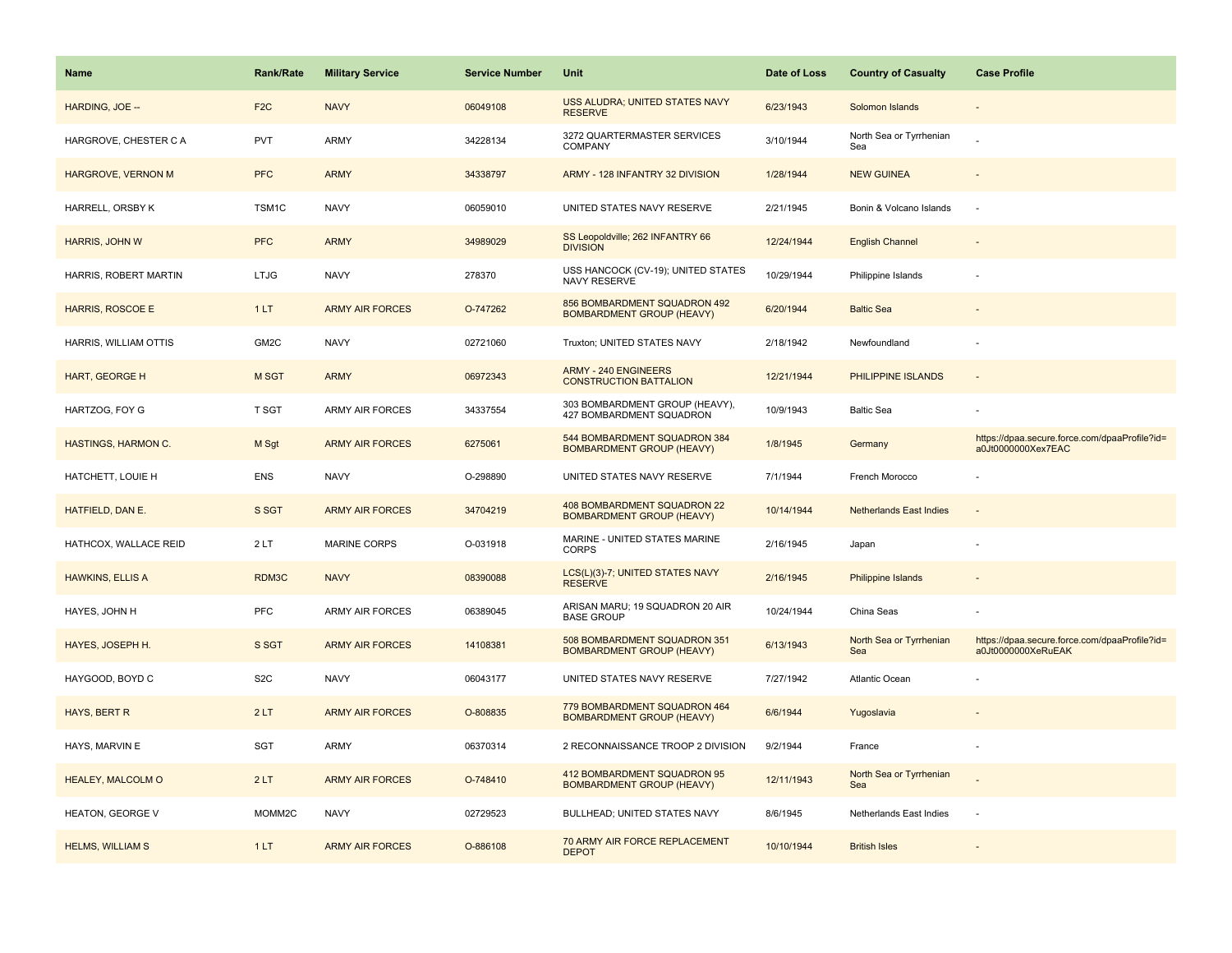| Name                       | <b>Rank/Rate</b>   | <b>Military Service</b> | <b>Service Number</b> | Unit                                                             | Date of Loss | <b>Country of Casualty</b>     | <b>Case Profile</b>                                                 |
|----------------------------|--------------------|-------------------------|-----------------------|------------------------------------------------------------------|--------------|--------------------------------|---------------------------------------------------------------------|
| HARDING, JOE --            | F <sub>2</sub> C   | <b>NAVY</b>             | 06049108              | USS ALUDRA; UNITED STATES NAVY<br><b>RESERVE</b>                 | 6/23/1943    | Solomon Islands                |                                                                     |
| HARGROVE, CHESTER C A      | PVT                | ARMY                    | 34228134              | 3272 QUARTERMASTER SERVICES<br>COMPANY                           | 3/10/1944    | North Sea or Tyrrhenian<br>Sea |                                                                     |
| HARGROVE, VERNON M         | <b>PFC</b>         | <b>ARMY</b>             | 34338797              | ARMY - 128 INFANTRY 32 DIVISION                                  | 1/28/1944    | <b>NEW GUINEA</b>              |                                                                     |
| HARRELL, ORSBY K           | TSM1C              | <b>NAVY</b>             | 06059010              | UNITED STATES NAVY RESERVE                                       | 2/21/1945    | Bonin & Volcano Islands        |                                                                     |
| <b>HARRIS, JOHN W</b>      | <b>PFC</b>         | <b>ARMY</b>             | 34989029              | SS Leopoldville; 262 INFANTRY 66<br><b>DIVISION</b>              | 12/24/1944   | <b>English Channel</b>         |                                                                     |
| HARRIS, ROBERT MARTIN      | <b>LTJG</b>        | <b>NAVY</b>             | 278370                | USS HANCOCK (CV-19); UNITED STATES<br>NAVY RESERVE               | 10/29/1944   | Philippine Islands             |                                                                     |
| <b>HARRIS, ROSCOE E</b>    | 1LT                | <b>ARMY AIR FORCES</b>  | O-747262              | 856 BOMBARDMENT SQUADRON 492<br><b>BOMBARDMENT GROUP (HEAVY)</b> | 6/20/1944    | <b>Baltic Sea</b>              |                                                                     |
| HARRIS, WILLIAM OTTIS      | GM2C               | <b>NAVY</b>             | 02721060              | Truxton; UNITED STATES NAVY                                      | 2/18/1942    | Newfoundland                   |                                                                     |
| <b>HART, GEORGE H</b>      | M SGT              | <b>ARMY</b>             | 06972343              | <b>ARMY - 240 ENGINEERS</b><br><b>CONSTRUCTION BATTALION</b>     | 12/21/1944   | PHILIPPINE ISLANDS             |                                                                     |
| HARTZOG, FOY G             | T SGT              | ARMY AIR FORCES         | 34337554              | 303 BOMBARDMENT GROUP (HEAVY),<br>427 BOMBARDMENT SQUADRON       | 10/9/1943    | <b>Baltic Sea</b>              |                                                                     |
| <b>HASTINGS, HARMON C.</b> | M Sgt              | <b>ARMY AIR FORCES</b>  | 6275061               | 544 BOMBARDMENT SQUADRON 384<br><b>BOMBARDMENT GROUP (HEAVY)</b> | 1/8/1945     | Germany                        | https://dpaa.secure.force.com/dpaaProfile?id=<br>a0Jt0000000Xex7EAC |
| HATCHETT, LOUIE H          | <b>ENS</b>         | <b>NAVY</b>             | O-298890              | UNITED STATES NAVY RESERVE                                       | 7/1/1944     | French Morocco                 |                                                                     |
| HATFIELD, DAN E.           | S SGT              | <b>ARMY AIR FORCES</b>  | 34704219              | 408 BOMBARDMENT SQUADRON 22<br><b>BOMBARDMENT GROUP (HEAVY)</b>  | 10/14/1944   | <b>Netherlands East Indies</b> |                                                                     |
| HATHCOX, WALLACE REID      | 2LT                | <b>MARINE CORPS</b>     | O-031918              | MARINE - UNITED STATES MARINE<br><b>CORPS</b>                    | 2/16/1945    | Japan                          |                                                                     |
| <b>HAWKINS, ELLIS A</b>    | RDM3C              | <b>NAVY</b>             | 08390088              | LCS(L)(3)-7; UNITED STATES NAVY<br><b>RESERVE</b>                | 2/16/1945    | Philippine Islands             |                                                                     |
| HAYES, JOHN H              | PFC                | <b>ARMY AIR FORCES</b>  | 06389045              | ARISAN MARU; 19 SQUADRON 20 AIR<br><b>BASE GROUP</b>             | 10/24/1944   | China Seas                     |                                                                     |
| HAYES, JOSEPH H.           | S SGT              | <b>ARMY AIR FORCES</b>  | 14108381              | 508 BOMBARDMENT SQUADRON 351<br><b>BOMBARDMENT GROUP (HEAVY)</b> | 6/13/1943    | North Sea or Tyrrhenian<br>Sea | https://dpaa.secure.force.com/dpaaProfile?id=<br>a0Jt0000000XeRuEAK |
| HAYGOOD, BOYD C            | S <sub>2</sub> C   | <b>NAVY</b>             | 06043177              | UNITED STATES NAVY RESERVE                                       | 7/27/1942    | <b>Atlantic Ocean</b>          |                                                                     |
| HAYS, BERT R               | 2LT                | <b>ARMY AIR FORCES</b>  | O-808835              | 779 BOMBARDMENT SQUADRON 464<br><b>BOMBARDMENT GROUP (HEAVY)</b> | 6/6/1944     | Yugoslavia                     |                                                                     |
| HAYS, MARVIN E             | <b>SGT</b>         | ARMY                    | 06370314              | 2 RECONNAISSANCE TROOP 2 DIVISION                                | 9/2/1944     | France                         |                                                                     |
| <b>HEALEY, MALCOLM O</b>   | 2LT                | <b>ARMY AIR FORCES</b>  | O-748410              | 412 BOMBARDMENT SQUADRON 95<br><b>BOMBARDMENT GROUP (HEAVY)</b>  | 12/11/1943   | North Sea or Tyrrhenian<br>Sea |                                                                     |
| <b>HEATON, GEORGE V</b>    | MOMM <sub>2C</sub> | <b>NAVY</b>             | 02729523              | BULLHEAD; UNITED STATES NAVY                                     | 8/6/1945     | Netherlands East Indies        |                                                                     |
| <b>HELMS, WILLIAM S</b>    | 1LT                | <b>ARMY AIR FORCES</b>  | O-886108              | 70 ARMY AIR FORCE REPLACEMENT<br><b>DEPOT</b>                    | 10/10/1944   | <b>British Isles</b>           |                                                                     |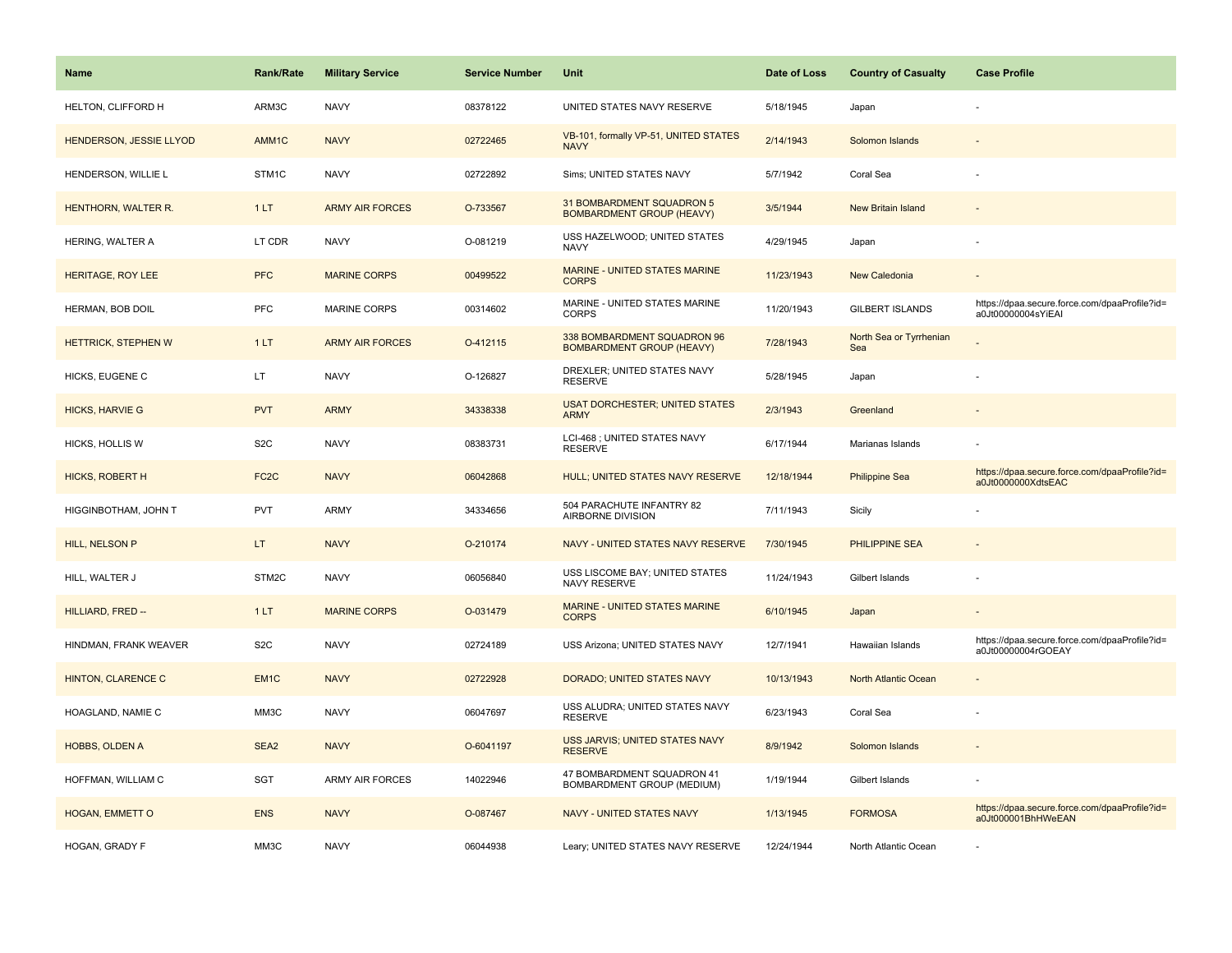| <b>Name</b>                    | <b>Rank/Rate</b>  | <b>Military Service</b> | <b>Service Number</b> | Unit                                                            | Date of Loss | <b>Country of Casualty</b>     | <b>Case Profile</b>                                                 |
|--------------------------------|-------------------|-------------------------|-----------------------|-----------------------------------------------------------------|--------------|--------------------------------|---------------------------------------------------------------------|
| HELTON, CLIFFORD H             | ARM3C             | <b>NAVY</b>             | 08378122              | UNITED STATES NAVY RESERVE                                      | 5/18/1945    | Japan                          |                                                                     |
| <b>HENDERSON, JESSIE LLYOD</b> | AMM1C             | <b>NAVY</b>             | 02722465              | VB-101, formally VP-51, UNITED STATES<br><b>NAVY</b>            | 2/14/1943    | Solomon Islands                |                                                                     |
| HENDERSON, WILLIE L            | STM1C             | <b>NAVY</b>             | 02722892              | Sims; UNITED STATES NAVY                                        | 5/7/1942     | Coral Sea                      |                                                                     |
| HENTHORN, WALTER R.            | 1LT               | <b>ARMY AIR FORCES</b>  | O-733567              | 31 BOMBARDMENT SQUADRON 5<br><b>BOMBARDMENT GROUP (HEAVY)</b>   | 3/5/1944     | <b>New Britain Island</b>      |                                                                     |
| HERING, WALTER A               | LT CDR            | <b>NAVY</b>             | O-081219              | USS HAZELWOOD; UNITED STATES<br><b>NAVY</b>                     | 4/29/1945    | Japan                          |                                                                     |
| <b>HERITAGE, ROY LEE</b>       | <b>PFC</b>        | <b>MARINE CORPS</b>     | 00499522              | MARINE - UNITED STATES MARINE<br><b>CORPS</b>                   | 11/23/1943   | New Caledonia                  |                                                                     |
| HERMAN, BOB DOIL               | PFC               | <b>MARINE CORPS</b>     | 00314602              | MARINE - UNITED STATES MARINE<br><b>CORPS</b>                   | 11/20/1943   | <b>GILBERT ISLANDS</b>         | https://dpaa.secure.force.com/dpaaProfile?id=<br>a0Jt00000004sYiEAI |
| <b>HETTRICK, STEPHEN W</b>     | 1LT               | <b>ARMY AIR FORCES</b>  | O-412115              | 338 BOMBARDMENT SQUADRON 96<br><b>BOMBARDMENT GROUP (HEAVY)</b> | 7/28/1943    | North Sea or Tyrrhenian<br>Sea |                                                                     |
| HICKS, EUGENE C                | LT                | <b>NAVY</b>             | O-126827              | DREXLER; UNITED STATES NAVY<br><b>RESERVE</b>                   | 5/28/1945    | Japan                          |                                                                     |
| <b>HICKS, HARVIE G</b>         | <b>PVT</b>        | <b>ARMY</b>             | 34338338              | <b>USAT DORCHESTER; UNITED STATES</b><br><b>ARMY</b>            | 2/3/1943     | Greenland                      |                                                                     |
| <b>HICKS, HOLLIS W</b>         | S <sub>2</sub> C  | <b>NAVY</b>             | 08383731              | LCI-468 ; UNITED STATES NAVY<br><b>RESERVE</b>                  | 6/17/1944    | Marianas Islands               |                                                                     |
| HICKS, ROBERT H                | FC <sub>2</sub> C | <b>NAVY</b>             | 06042868              | HULL; UNITED STATES NAVY RESERVE                                | 12/18/1944   | <b>Philippine Sea</b>          | https://dpaa.secure.force.com/dpaaProfile?id=<br>a0Jt0000000XdtsEAC |
| HIGGINBOTHAM, JOHN T           | <b>PVT</b>        | <b>ARMY</b>             | 34334656              | 504 PARACHUTE INFANTRY 82<br>AIRBORNE DIVISION                  | 7/11/1943    | Sicily                         |                                                                     |
| HILL, NELSON P                 | LT.               | <b>NAVY</b>             | O-210174              | NAVY - UNITED STATES NAVY RESERVE                               | 7/30/1945    | PHILIPPINE SEA                 |                                                                     |
| HILL, WALTER J                 | STM2C             | <b>NAVY</b>             | 06056840              | USS LISCOME BAY; UNITED STATES<br>NAVY RESERVE                  | 11/24/1943   | Gilbert Islands                |                                                                     |
| HILLIARD, FRED --              | 1LT               | <b>MARINE CORPS</b>     | O-031479              | <b>MARINE - UNITED STATES MARINE</b><br><b>CORPS</b>            | 6/10/1945    | Japan                          |                                                                     |
| HINDMAN, FRANK WEAVER          | S <sub>2</sub> C  | <b>NAVY</b>             | 02724189              | USS Arizona; UNITED STATES NAVY                                 | 12/7/1941    | Hawaiian Islands               | https://dpaa.secure.force.com/dpaaProfile?id=<br>a0Jt00000004rGOEAY |
| <b>HINTON, CLARENCE C</b>      | EM <sub>1C</sub>  | <b>NAVY</b>             | 02722928              | DORADO; UNITED STATES NAVY                                      | 10/13/1943   | <b>North Atlantic Ocean</b>    |                                                                     |
| HOAGLAND, NAMIE C              | MM3C              | <b>NAVY</b>             | 06047697              | USS ALUDRA; UNITED STATES NAVY<br><b>RESERVE</b>                | 6/23/1943    | Coral Sea                      |                                                                     |
| HOBBS, OLDEN A                 | SEA2              | <b>NAVY</b>             | O-6041197             | USS JARVIS; UNITED STATES NAVY<br><b>RESERVE</b>                | 8/9/1942     | Solomon Islands                |                                                                     |
| HOFFMAN, WILLIAM C             | <b>SGT</b>        | <b>ARMY AIR FORCES</b>  | 14022946              | 47 BOMBARDMENT SQUADRON 41<br>BOMBARDMENT GROUP (MEDIUM)        | 1/19/1944    | Gilbert Islands                |                                                                     |
| HOGAN, EMMETT O                | <b>ENS</b>        | <b>NAVY</b>             | O-087467              | <b>NAVY - UNITED STATES NAVY</b>                                | 1/13/1945    | <b>FORMOSA</b>                 | https://dpaa.secure.force.com/dpaaProfile?id=<br>a0Jt000001BhHWeEAN |
| HOGAN, GRADY F                 | MM3C              | <b>NAVY</b>             | 06044938              | Leary; UNITED STATES NAVY RESERVE                               | 12/24/1944   | North Atlantic Ocean           |                                                                     |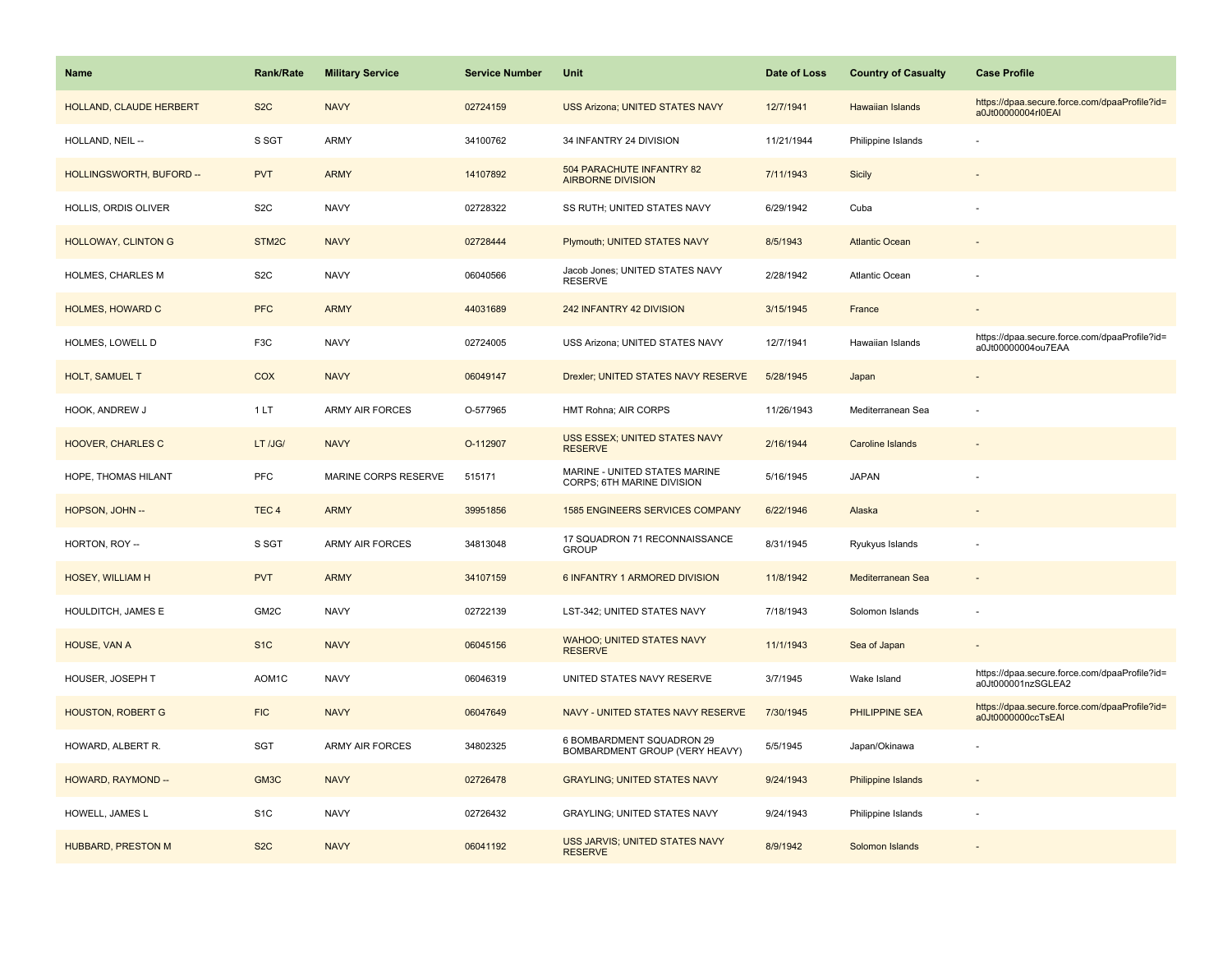| Name                       | <b>Rank/Rate</b>   | <b>Military Service</b> | <b>Service Number</b> | Unit                                                        | Date of Loss | <b>Country of Casualty</b> | <b>Case Profile</b>                                                 |
|----------------------------|--------------------|-------------------------|-----------------------|-------------------------------------------------------------|--------------|----------------------------|---------------------------------------------------------------------|
| HOLLAND, CLAUDE HERBERT    | S <sub>2</sub> C   | <b>NAVY</b>             | 02724159              | <b>USS Arizona; UNITED STATES NAVY</b>                      | 12/7/1941    | Hawaiian Islands           | https://dpaa.secure.force.com/dpaaProfile?id=<br>a0Jt00000004rI0EAI |
| HOLLAND, NEIL --           | S SGT              | <b>ARMY</b>             | 34100762              | 34 INFANTRY 24 DIVISION                                     | 11/21/1944   | Philippine Islands         |                                                                     |
| HOLLINGSWORTH, BUFORD --   | <b>PVT</b>         | <b>ARMY</b>             | 14107892              | 504 PARACHUTE INFANTRY 82<br><b>AIRBORNE DIVISION</b>       | 7/11/1943    | Sicily                     |                                                                     |
| HOLLIS, ORDIS OLIVER       | S <sub>2</sub> C   | <b>NAVY</b>             | 02728322              | SS RUTH; UNITED STATES NAVY                                 | 6/29/1942    | Cuba                       |                                                                     |
| <b>HOLLOWAY, CLINTON G</b> | STM <sub>2</sub> C | <b>NAVY</b>             | 02728444              | Plymouth; UNITED STATES NAVY                                | 8/5/1943     | <b>Atlantic Ocean</b>      |                                                                     |
| HOLMES, CHARLES M          | S <sub>2</sub> C   | <b>NAVY</b>             | 06040566              | Jacob Jones; UNITED STATES NAVY<br><b>RESERVE</b>           | 2/28/1942    | Atlantic Ocean             |                                                                     |
| <b>HOLMES, HOWARD C</b>    | <b>PFC</b>         | <b>ARMY</b>             | 44031689              | 242 INFANTRY 42 DIVISION                                    | 3/15/1945    | France                     |                                                                     |
| HOLMES, LOWELL D           | F3C                | <b>NAVY</b>             | 02724005              | USS Arizona; UNITED STATES NAVY                             | 12/7/1941    | Hawaiian Islands           | https://dpaa.secure.force.com/dpaaProfile?id=<br>a0Jt00000004ou7EAA |
| <b>HOLT, SAMUEL T</b>      | <b>COX</b>         | <b>NAVY</b>             | 06049147              | Drexler; UNITED STATES NAVY RESERVE                         | 5/28/1945    | Japan                      |                                                                     |
| HOOK, ANDREW J             | 1LT                | ARMY AIR FORCES         | O-577965              | HMT Rohna; AIR CORPS                                        | 11/26/1943   | Mediterranean Sea          |                                                                     |
| <b>HOOVER, CHARLES C</b>   | LT /JG/            | <b>NAVY</b>             | O-112907              | USS ESSEX; UNITED STATES NAVY<br><b>RESERVE</b>             | 2/16/1944    | <b>Caroline Islands</b>    |                                                                     |
| HOPE, THOMAS HILANT        | PFC                | MARINE CORPS RESERVE    | 515171                | MARINE - UNITED STATES MARINE<br>CORPS; 6TH MARINE DIVISION | 5/16/1945    | <b>JAPAN</b>               |                                                                     |
| HOPSON, JOHN --            | TEC <sub>4</sub>   | <b>ARMY</b>             | 39951856              | <b>1585 ENGINEERS SERVICES COMPANY</b>                      | 6/22/1946    | Alaska                     |                                                                     |
| HORTON, ROY --             | S SGT              | ARMY AIR FORCES         | 34813048              | 17 SQUADRON 71 RECONNAISSANCE<br><b>GROUP</b>               | 8/31/1945    | Ryukyus Islands            |                                                                     |
| <b>HOSEY, WILLIAM H</b>    | <b>PVT</b>         | <b>ARMY</b>             | 34107159              | 6 INFANTRY 1 ARMORED DIVISION                               | 11/8/1942    | Mediterranean Sea          |                                                                     |
| HOULDITCH, JAMES E         | GM2C               | <b>NAVY</b>             | 02722139              | LST-342; UNITED STATES NAVY                                 | 7/18/1943    | Solomon Islands            |                                                                     |
| HOUSE, VAN A               | S <sub>1</sub> C   | <b>NAVY</b>             | 06045156              | <b>WAHOO; UNITED STATES NAVY</b><br><b>RESERVE</b>          | 11/1/1943    | Sea of Japan               |                                                                     |
| HOUSER, JOSEPH T           | AOM1C              | <b>NAVY</b>             | 06046319              | UNITED STATES NAVY RESERVE                                  | 3/7/1945     | Wake Island                | https://dpaa.secure.force.com/dpaaProfile?id=<br>a0Jt000001nzSGLEA2 |
| <b>HOUSTON, ROBERT G</b>   | <b>FIC</b>         | <b>NAVY</b>             | 06047649              | NAVY - UNITED STATES NAVY RESERVE                           | 7/30/1945    | PHILIPPINE SEA             | https://dpaa.secure.force.com/dpaaProfile?id=<br>a0Jt0000000ccTsEAI |
| HOWARD, ALBERT R.          | <b>SGT</b>         | <b>ARMY AIR FORCES</b>  | 34802325              | 6 BOMBARDMENT SQUADRON 29<br>BOMBARDMENT GROUP (VERY HEAVY) | 5/5/1945     | Japan/Okinawa              |                                                                     |
| HOWARD, RAYMOND --         | GM <sub>3</sub> C  | <b>NAVY</b>             | 02726478              | <b>GRAYLING; UNITED STATES NAVY</b>                         | 9/24/1943    | Philippine Islands         |                                                                     |
| HOWELL, JAMES L            | S <sub>1</sub> C   | <b>NAVY</b>             | 02726432              | GRAYLING; UNITED STATES NAVY                                | 9/24/1943    | Philippine Islands         |                                                                     |
| <b>HUBBARD, PRESTON M</b>  | S <sub>2</sub> C   | <b>NAVY</b>             | 06041192              | USS JARVIS; UNITED STATES NAVY<br><b>RESERVE</b>            | 8/9/1942     | Solomon Islands            |                                                                     |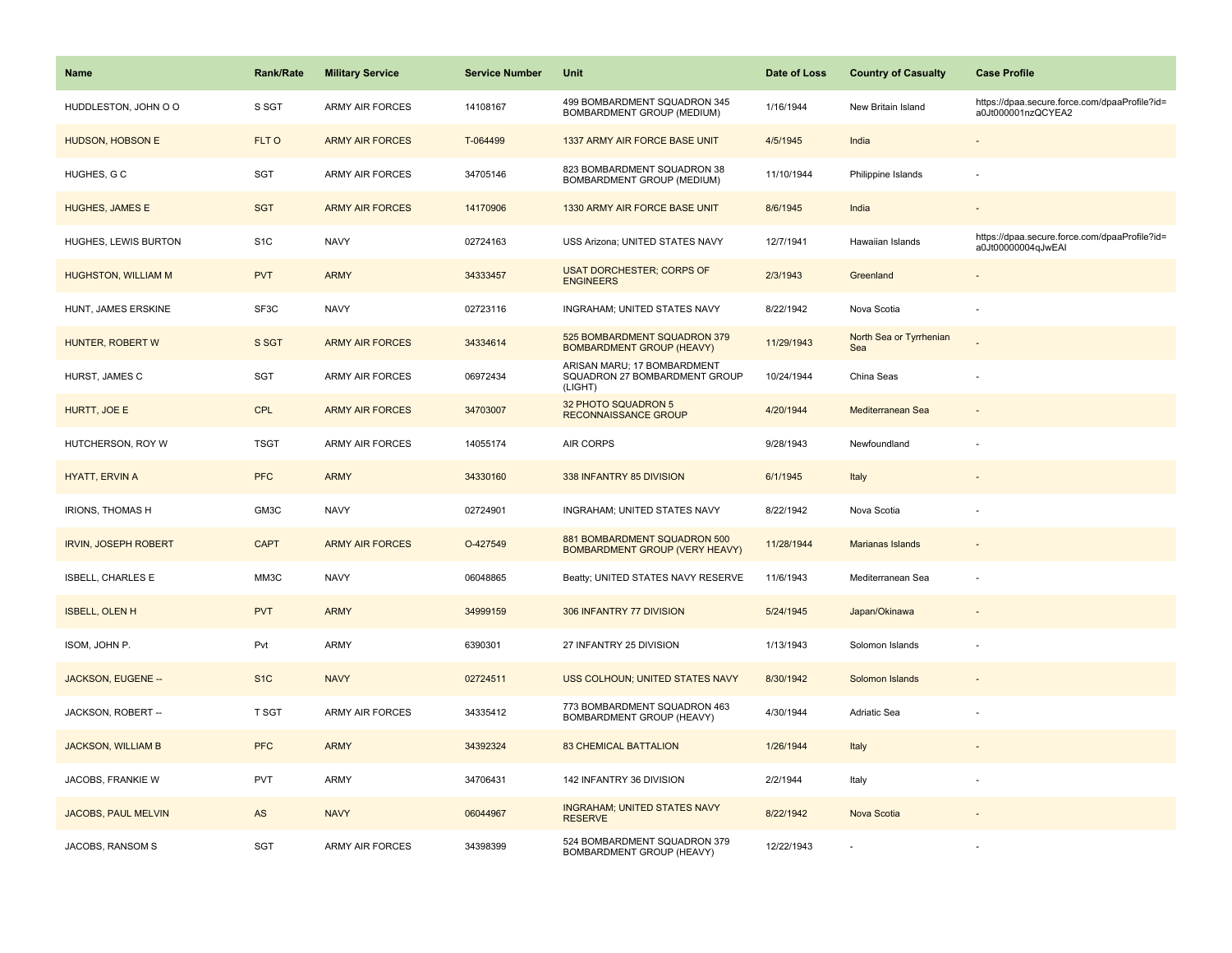| <b>Name</b>                 | Rank/Rate        | <b>Military Service</b> | <b>Service Number</b> | Unit                                                                    | Date of Loss | <b>Country of Casualty</b>     | <b>Case Profile</b>                                                 |
|-----------------------------|------------------|-------------------------|-----------------------|-------------------------------------------------------------------------|--------------|--------------------------------|---------------------------------------------------------------------|
| HUDDLESTON, JOHN O O        | S SGT            | <b>ARMY AIR FORCES</b>  | 14108167              | 499 BOMBARDMENT SQUADRON 345<br>BOMBARDMENT GROUP (MEDIUM)              | 1/16/1944    | New Britain Island             | https://dpaa.secure.force.com/dpaaProfile?id=<br>a0Jt000001nzQCYEA2 |
| HUDSON, HOBSON E            | FLT O            | <b>ARMY AIR FORCES</b>  | T-064499              | 1337 ARMY AIR FORCE BASE UNIT                                           | 4/5/1945     | India                          |                                                                     |
| HUGHES, G C                 | SGT              | ARMY AIR FORCES         | 34705146              | 823 BOMBARDMENT SQUADRON 38<br>BOMBARDMENT GROUP (MEDIUM)               | 11/10/1944   | Philippine Islands             |                                                                     |
| <b>HUGHES, JAMES E</b>      | <b>SGT</b>       | <b>ARMY AIR FORCES</b>  | 14170906              | 1330 ARMY AIR FORCE BASE UNIT                                           | 8/6/1945     | India                          |                                                                     |
| HUGHES, LEWIS BURTON        | S <sub>1</sub> C | <b>NAVY</b>             | 02724163              | USS Arizona; UNITED STATES NAVY                                         | 12/7/1941    | Hawaiian Islands               | https://dpaa.secure.force.com/dpaaProfile?id=<br>a0Jt00000004qJwEAI |
| <b>HUGHSTON, WILLIAM M</b>  | <b>PVT</b>       | <b>ARMY</b>             | 34333457              | <b>USAT DORCHESTER; CORPS OF</b><br><b>ENGINEERS</b>                    | 2/3/1943     | Greenland                      | $\blacksquare$                                                      |
| HUNT, JAMES ERSKINE         | SF3C             | <b>NAVY</b>             | 02723116              | INGRAHAM; UNITED STATES NAVY                                            | 8/22/1942    | Nova Scotia                    | ÷                                                                   |
| HUNTER, ROBERT W            | S SGT            | <b>ARMY AIR FORCES</b>  | 34334614              | 525 BOMBARDMENT SQUADRON 379<br><b>BOMBARDMENT GROUP (HEAVY)</b>        | 11/29/1943   | North Sea or Tyrrhenian<br>Sea |                                                                     |
| HURST, JAMES C              | SGT              | <b>ARMY AIR FORCES</b>  | 06972434              | ARISAN MARU; 17 BOMBARDMENT<br>SQUADRON 27 BOMBARDMENT GROUP<br>(LIGHT) | 10/24/1944   | China Seas                     |                                                                     |
| HURTT, JOE E                | <b>CPL</b>       | <b>ARMY AIR FORCES</b>  | 34703007              | 32 PHOTO SQUADRON 5<br><b>RECONNAISSANCE GROUP</b>                      | 4/20/1944    | Mediterranean Sea              |                                                                     |
| HUTCHERSON, ROY W           | <b>TSGT</b>      | <b>ARMY AIR FORCES</b>  | 14055174              | <b>AIR CORPS</b>                                                        | 9/28/1943    | Newfoundland                   |                                                                     |
| <b>HYATT, ERVIN A</b>       | <b>PFC</b>       | <b>ARMY</b>             | 34330160              | 338 INFANTRY 85 DIVISION                                                | 6/1/1945     | Italy                          |                                                                     |
| <b>IRIONS, THOMAS H</b>     | GM3C             | <b>NAVY</b>             | 02724901              | INGRAHAM; UNITED STATES NAVY                                            | 8/22/1942    | Nova Scotia                    |                                                                     |
| <b>IRVIN, JOSEPH ROBERT</b> | <b>CAPT</b>      | <b>ARMY AIR FORCES</b>  | O-427549              | 881 BOMBARDMENT SQUADRON 500<br><b>BOMBARDMENT GROUP (VERY HEAVY)</b>   | 11/28/1944   | Marianas Islands               |                                                                     |
| <b>ISBELL, CHARLES E</b>    | MM3C             | <b>NAVY</b>             | 06048865              | Beatty; UNITED STATES NAVY RESERVE                                      | 11/6/1943    | Mediterranean Sea              |                                                                     |
| <b>ISBELL, OLEN H</b>       | <b>PVT</b>       | <b>ARMY</b>             | 34999159              | 306 INFANTRY 77 DIVISION                                                | 5/24/1945    | Japan/Okinawa                  |                                                                     |
| ISOM, JOHN P.               | Pvt              | ARMY                    | 6390301               | 27 INFANTRY 25 DIVISION                                                 | 1/13/1943    | Solomon Islands                |                                                                     |
| JACKSON, EUGENE --          | S <sub>1</sub> C | <b>NAVY</b>             | 02724511              | USS COLHOUN; UNITED STATES NAVY                                         | 8/30/1942    | Solomon Islands                |                                                                     |
| JACKSON, ROBERT --          | T SGT            | <b>ARMY AIR FORCES</b>  | 34335412              | 773 BOMBARDMENT SQUADRON 463<br>BOMBARDMENT GROUP (HEAVY)               | 4/30/1944    | Adriatic Sea                   |                                                                     |
| <b>JACKSON, WILLIAM B</b>   | <b>PFC</b>       | <b>ARMY</b>             | 34392324              | <b>83 CHEMICAL BATTALION</b>                                            | 1/26/1944    | Italy                          |                                                                     |
| JACOBS, FRANKIE W           | <b>PVT</b>       | <b>ARMY</b>             | 34706431              | 142 INFANTRY 36 DIVISION                                                | 2/2/1944     | Italy                          |                                                                     |
| <b>JACOBS, PAUL MELVIN</b>  | AS               | <b>NAVY</b>             | 06044967              | <b>INGRAHAM; UNITED STATES NAVY</b><br><b>RESERVE</b>                   | 8/22/1942    | Nova Scotia                    |                                                                     |
| JACOBS, RANSOM S            | <b>SGT</b>       | <b>ARMY AIR FORCES</b>  | 34398399              | 524 BOMBARDMENT SQUADRON 379<br>BOMBARDMENT GROUP (HEAVY)               | 12/22/1943   |                                |                                                                     |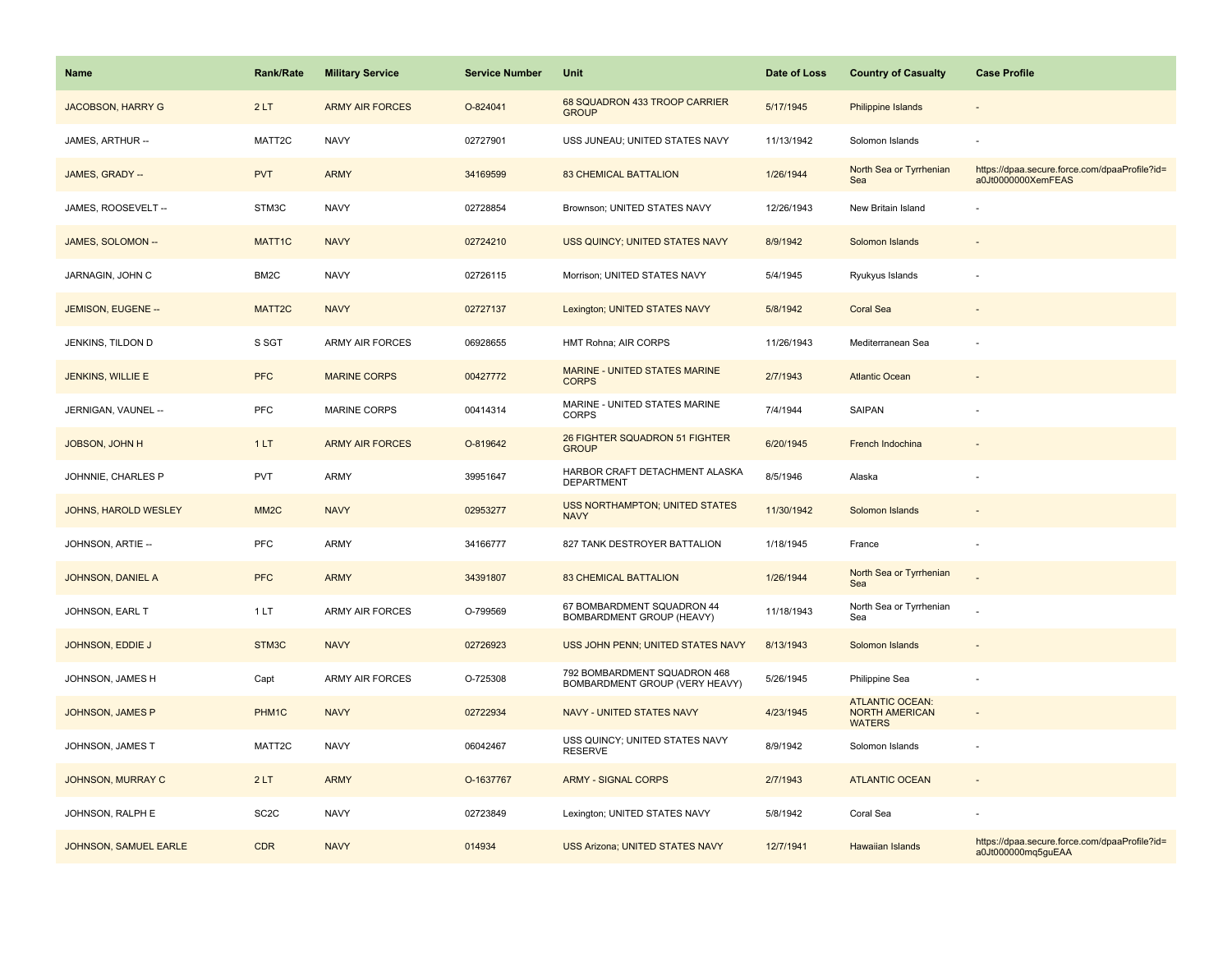| Name                     | <b>Rank/Rate</b>  | <b>Military Service</b> | <b>Service Number</b> | Unit                                                           | Date of Loss | <b>Country of Casualty</b>                                       | <b>Case Profile</b>                                                 |
|--------------------------|-------------------|-------------------------|-----------------------|----------------------------------------------------------------|--------------|------------------------------------------------------------------|---------------------------------------------------------------------|
| <b>JACOBSON, HARRY G</b> | 2LT               | <b>ARMY AIR FORCES</b>  | O-824041              | 68 SQUADRON 433 TROOP CARRIER<br><b>GROUP</b>                  | 5/17/1945    | <b>Philippine Islands</b>                                        |                                                                     |
| JAMES, ARTHUR --         | MATT2C            | <b>NAVY</b>             | 02727901              | USS JUNEAU; UNITED STATES NAVY                                 | 11/13/1942   | Solomon Islands                                                  |                                                                     |
| JAMES, GRADY --          | <b>PVT</b>        | <b>ARMY</b>             | 34169599              | <b>83 CHEMICAL BATTALION</b>                                   | 1/26/1944    | North Sea or Tyrrhenian<br>Sea                                   | https://dpaa.secure.force.com/dpaaProfile?id=<br>a0Jt0000000XemFEAS |
| JAMES, ROOSEVELT --      | STM3C             | <b>NAVY</b>             | 02728854              | Brownson; UNITED STATES NAVY                                   | 12/26/1943   | New Britain Island                                               |                                                                     |
| JAMES, SOLOMON --        | MATT1C            | <b>NAVY</b>             | 02724210              | USS QUINCY; UNITED STATES NAVY                                 | 8/9/1942     | Solomon Islands                                                  |                                                                     |
| JARNAGIN, JOHN C         | BM2C              | <b>NAVY</b>             | 02726115              | Morrison; UNITED STATES NAVY                                   | 5/4/1945     | Ryukyus Islands                                                  |                                                                     |
| JEMISON, EUGENE --       | MATT2C            | <b>NAVY</b>             | 02727137              | Lexington; UNITED STATES NAVY                                  | 5/8/1942     | <b>Coral Sea</b>                                                 | $\overline{\phantom{a}}$                                            |
| JENKINS, TILDON D        | S SGT             | <b>ARMY AIR FORCES</b>  | 06928655              | HMT Rohna; AIR CORPS                                           | 11/26/1943   | Mediterranean Sea                                                |                                                                     |
| JENKINS, WILLIE E        | <b>PFC</b>        | <b>MARINE CORPS</b>     | 00427772              | <b>MARINE - UNITED STATES MARINE</b><br><b>CORPS</b>           | 2/7/1943     | <b>Atlantic Ocean</b>                                            |                                                                     |
| JERNIGAN, VAUNEL --      | PFC               | <b>MARINE CORPS</b>     | 00414314              | MARINE - UNITED STATES MARINE<br><b>CORPS</b>                  | 7/4/1944     | SAIPAN                                                           |                                                                     |
| <b>JOBSON, JOHN H</b>    | 1LT               | <b>ARMY AIR FORCES</b>  | O-819642              | 26 FIGHTER SQUADRON 51 FIGHTER<br><b>GROUP</b>                 | 6/20/1945    | French Indochina                                                 |                                                                     |
| JOHNNIE, CHARLES P       | <b>PVT</b>        | <b>ARMY</b>             | 39951647              | HARBOR CRAFT DETACHMENT ALASKA<br><b>DEPARTMENT</b>            | 8/5/1946     | Alaska                                                           |                                                                     |
| JOHNS, HAROLD WESLEY     | MM <sub>2</sub> C | <b>NAVY</b>             | 02953277              | <b>USS NORTHAMPTON; UNITED STATES</b><br><b>NAVY</b>           | 11/30/1942   | Solomon Islands                                                  |                                                                     |
| JOHNSON, ARTIE --        | <b>PFC</b>        | <b>ARMY</b>             | 34166777              | 827 TANK DESTROYER BATTALION                                   | 1/18/1945    | France                                                           |                                                                     |
| JOHNSON, DANIEL A        | <b>PFC</b>        | <b>ARMY</b>             | 34391807              | <b>83 CHEMICAL BATTALION</b>                                   | 1/26/1944    | North Sea or Tyrrhenian<br>Sea                                   |                                                                     |
| JOHNSON, EARL T          | 1LT               | <b>ARMY AIR FORCES</b>  | O-799569              | 67 BOMBARDMENT SQUADRON 44<br>BOMBARDMENT GROUP (HEAVY)        | 11/18/1943   | North Sea or Tyrrhenian<br>Sea                                   |                                                                     |
| JOHNSON, EDDIE J         | STM3C             | <b>NAVY</b>             | 02726923              | USS JOHN PENN; UNITED STATES NAVY                              | 8/13/1943    | Solomon Islands                                                  |                                                                     |
| JOHNSON, JAMES H         | Capt              | <b>ARMY AIR FORCES</b>  | O-725308              | 792 BOMBARDMENT SQUADRON 468<br>BOMBARDMENT GROUP (VERY HEAVY) | 5/26/1945    | Philippine Sea                                                   |                                                                     |
| JOHNSON, JAMES P         | PHM1C             | <b>NAVY</b>             | 02722934              | <b>NAVY - UNITED STATES NAVY</b>                               | 4/23/1945    | <b>ATLANTIC OCEAN:</b><br><b>NORTH AMERICAN</b><br><b>WATERS</b> |                                                                     |
| JOHNSON, JAMES T         | MATT2C            | <b>NAVY</b>             | 06042467              | USS QUINCY; UNITED STATES NAVY<br><b>RESERVE</b>               | 8/9/1942     | Solomon Islands                                                  |                                                                     |
| JOHNSON, MURRAY C        | 2LT               | <b>ARMY</b>             | O-1637767             | <b>ARMY - SIGNAL CORPS</b>                                     | 2/7/1943     | <b>ATLANTIC OCEAN</b>                                            |                                                                     |
| JOHNSON, RALPH E         | SC <sub>2</sub> C | <b>NAVY</b>             | 02723849              | Lexington; UNITED STATES NAVY                                  | 5/8/1942     | Coral Sea                                                        |                                                                     |
| JOHNSON, SAMUEL EARLE    | <b>CDR</b>        | <b>NAVY</b>             | 014934                | <b>USS Arizona; UNITED STATES NAVY</b>                         | 12/7/1941    | <b>Hawaiian Islands</b>                                          | https://dpaa.secure.force.com/dpaaProfile?id=<br>a0Jt000000mq5guEAA |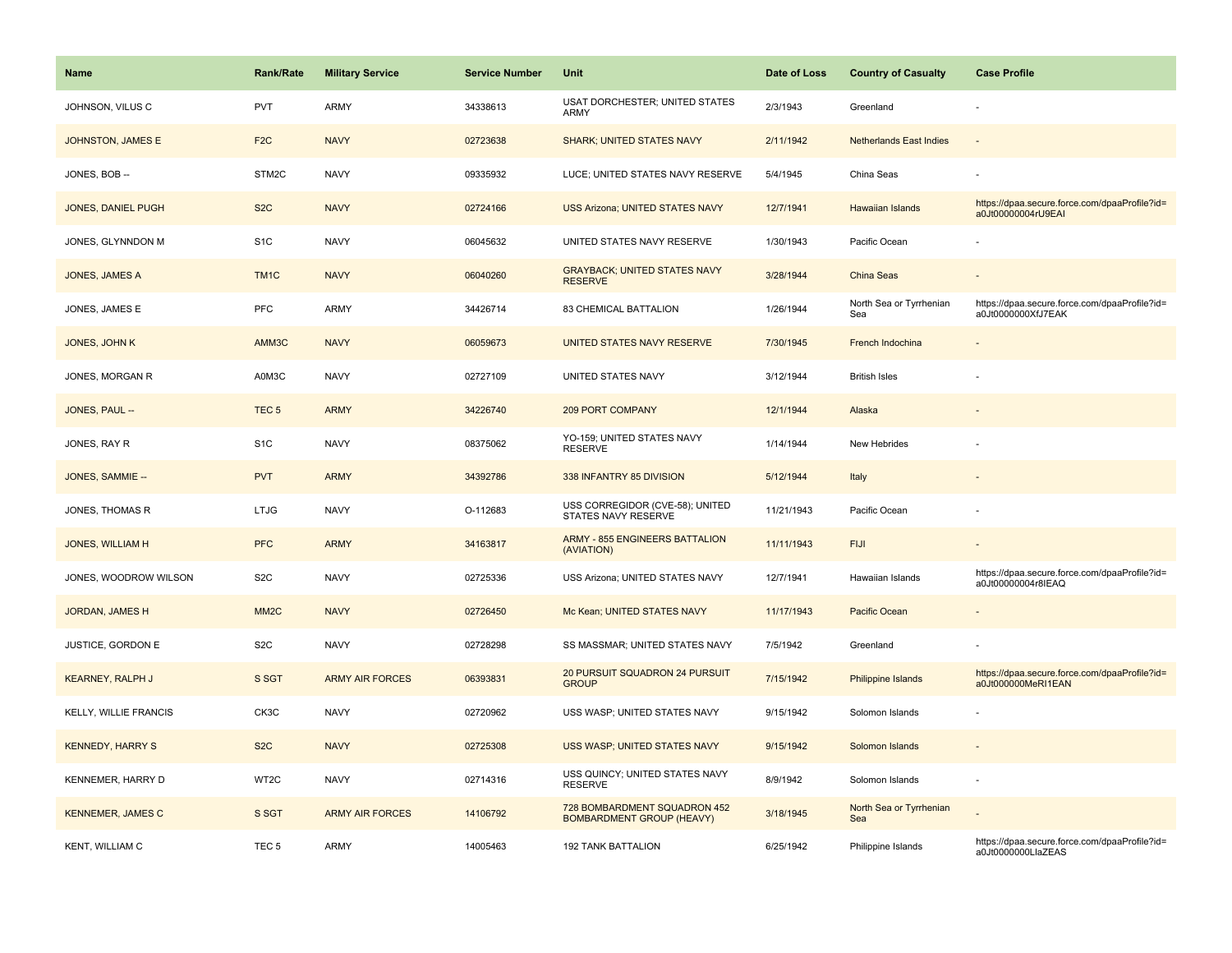| Name                     | <b>Rank/Rate</b>  | <b>Military Service</b> | <b>Service Number</b> | Unit                                                             | Date of Loss | <b>Country of Casualty</b>     | <b>Case Profile</b>                                                 |
|--------------------------|-------------------|-------------------------|-----------------------|------------------------------------------------------------------|--------------|--------------------------------|---------------------------------------------------------------------|
| JOHNSON, VILUS C         | PVT               | <b>ARMY</b>             | 34338613              | USAT DORCHESTER; UNITED STATES<br>ARMY                           | 2/3/1943     | Greenland                      |                                                                     |
| JOHNSTON, JAMES E        | F <sub>2</sub> C  | <b>NAVY</b>             | 02723638              | <b>SHARK; UNITED STATES NAVY</b>                                 | 2/11/1942    | <b>Netherlands East Indies</b> | $\overline{\phantom{a}}$                                            |
| JONES, BOB --            | STM2C             | <b>NAVY</b>             | 09335932              | LUCE; UNITED STATES NAVY RESERVE                                 | 5/4/1945     | China Seas                     |                                                                     |
| JONES, DANIEL PUGH       | S <sub>2</sub> C  | <b>NAVY</b>             | 02724166              | <b>USS Arizona; UNITED STATES NAVY</b>                           | 12/7/1941    | <b>Hawaiian Islands</b>        | https://dpaa.secure.force.com/dpaaProfile?id=<br>a0Jt00000004rU9EAI |
| JONES, GLYNNDON M        | S <sub>1</sub> C  | <b>NAVY</b>             | 06045632              | UNITED STATES NAVY RESERVE                                       | 1/30/1943    | Pacific Ocean                  |                                                                     |
| JONES, JAMES A           | TM1C              | <b>NAVY</b>             | 06040260              | <b>GRAYBACK; UNITED STATES NAVY</b><br><b>RESERVE</b>            | 3/28/1944    | <b>China Seas</b>              | $\sim$                                                              |
| JONES, JAMES E           | <b>PFC</b>        | <b>ARMY</b>             | 34426714              | 83 CHEMICAL BATTALION                                            | 1/26/1944    | North Sea or Tyrrhenian<br>Sea | https://dpaa.secure.force.com/dpaaProfile?id=<br>a0Jt0000000XfJ7EAK |
| JONES, JOHN K            | AMM3C             | <b>NAVY</b>             | 06059673              | UNITED STATES NAVY RESERVE                                       | 7/30/1945    | French Indochina               |                                                                     |
| JONES, MORGAN R          | A0M3C             | <b>NAVY</b>             | 02727109              | UNITED STATES NAVY                                               | 3/12/1944    | <b>British Isles</b>           |                                                                     |
| JONES, PAUL --           | TEC <sub>5</sub>  | <b>ARMY</b>             | 34226740              | <b>209 PORT COMPANY</b>                                          | 12/1/1944    | Alaska                         |                                                                     |
| JONES, RAY R             | S <sub>1</sub> C  | <b>NAVY</b>             | 08375062              | YO-159; UNITED STATES NAVY<br><b>RESERVE</b>                     | 1/14/1944    | New Hebrides                   |                                                                     |
| JONES, SAMMIE --         | <b>PVT</b>        | <b>ARMY</b>             | 34392786              | 338 INFANTRY 85 DIVISION                                         | 5/12/1944    | Italy                          |                                                                     |
| JONES, THOMAS R          | <b>LTJG</b>       | <b>NAVY</b>             | O-112683              | USS CORREGIDOR (CVE-58); UNITED<br>STATES NAVY RESERVE           | 11/21/1943   | Pacific Ocean                  |                                                                     |
| JONES, WILLIAM H         | <b>PFC</b>        | <b>ARMY</b>             | 34163817              | <b>ARMY - 855 ENGINEERS BATTALION</b><br>(AVIATION)              | 11/11/1943   | <b>FIJI</b>                    | $\overline{\phantom{a}}$                                            |
| JONES, WOODROW WILSON    | S <sub>2</sub> C  | <b>NAVY</b>             | 02725336              | USS Arizona; UNITED STATES NAVY                                  | 12/7/1941    | Hawaiian Islands               | https://dpaa.secure.force.com/dpaaProfile?id=<br>a0Jt00000004r8IEAQ |
| JORDAN, JAMES H          | MM <sub>2</sub> C | <b>NAVY</b>             | 02726450              | Mc Kean; UNITED STATES NAVY                                      | 11/17/1943   | Pacific Ocean                  |                                                                     |
| JUSTICE, GORDON E        | S <sub>2</sub> C  | <b>NAVY</b>             | 02728298              | SS MASSMAR; UNITED STATES NAVY                                   | 7/5/1942     | Greenland                      |                                                                     |
| <b>KEARNEY, RALPH J</b>  | S SGT             | <b>ARMY AIR FORCES</b>  | 06393831              | 20 PURSUIT SQUADRON 24 PURSUIT<br><b>GROUP</b>                   | 7/15/1942    | <b>Philippine Islands</b>      | https://dpaa.secure.force.com/dpaaProfile?id=<br>a0Jt000000MeRI1EAN |
| KELLY, WILLIE FRANCIS    | CK3C              | <b>NAVY</b>             | 02720962              | USS WASP; UNITED STATES NAVY                                     | 9/15/1942    | Solomon Islands                |                                                                     |
| <b>KENNEDY, HARRY S</b>  | S <sub>2</sub> C  | <b>NAVY</b>             | 02725308              | USS WASP; UNITED STATES NAVY                                     | 9/15/1942    | Solomon Islands                |                                                                     |
| KENNEMER, HARRY D        | WT2C              | <b>NAVY</b>             | 02714316              | USS QUINCY; UNITED STATES NAVY<br><b>RESERVE</b>                 | 8/9/1942     | Solomon Islands                | $\sim$                                                              |
| <b>KENNEMER, JAMES C</b> | S SGT             | <b>ARMY AIR FORCES</b>  | 14106792              | 728 BOMBARDMENT SQUADRON 452<br><b>BOMBARDMENT GROUP (HEAVY)</b> | 3/18/1945    | North Sea or Tyrrhenian<br>Sea |                                                                     |
| KENT, WILLIAM C          | TEC <sub>5</sub>  | <b>ARMY</b>             | 14005463              | <b>192 TANK BATTALION</b>                                        | 6/25/1942    | Philippine Islands             | https://dpaa.secure.force.com/dpaaProfile?id=<br>a0Jt0000000LlaZEAS |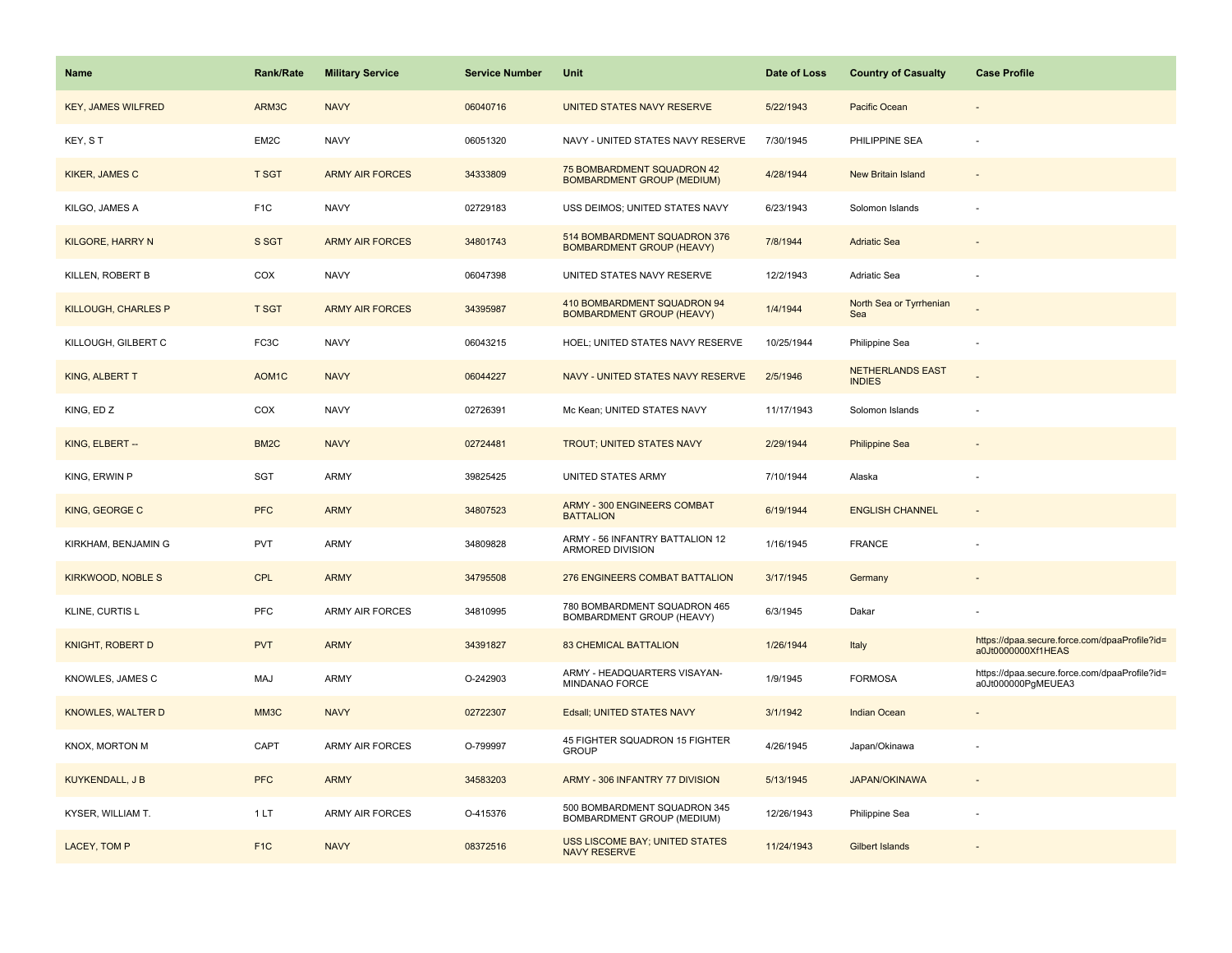| Name                       | <b>Rank/Rate</b>   | <b>Military Service</b> | <b>Service Number</b> | Unit                                                             | Date of Loss | <b>Country of Casualty</b>               | <b>Case Profile</b>                                                 |
|----------------------------|--------------------|-------------------------|-----------------------|------------------------------------------------------------------|--------------|------------------------------------------|---------------------------------------------------------------------|
| <b>KEY, JAMES WILFRED</b>  | ARM3C              | <b>NAVY</b>             | 06040716              | UNITED STATES NAVY RESERVE                                       | 5/22/1943    | Pacific Ocean                            |                                                                     |
| KEY, ST                    | EM2C               | <b>NAVY</b>             | 06051320              | NAVY - UNITED STATES NAVY RESERVE                                | 7/30/1945    | PHILIPPINE SEA                           |                                                                     |
| <b>KIKER, JAMES C</b>      | <b>T SGT</b>       | <b>ARMY AIR FORCES</b>  | 34333809              | 75 BOMBARDMENT SQUADRON 42<br><b>BOMBARDMENT GROUP (MEDIUM)</b>  | 4/28/1944    | <b>New Britain Island</b>                |                                                                     |
| KILGO, JAMES A             | F <sub>1</sub> C   | <b>NAVY</b>             | 02729183              | USS DEIMOS; UNITED STATES NAVY                                   | 6/23/1943    | Solomon Islands                          |                                                                     |
| <b>KILGORE, HARRY N</b>    | S SGT              | <b>ARMY AIR FORCES</b>  | 34801743              | 514 BOMBARDMENT SQUADRON 376<br><b>BOMBARDMENT GROUP (HEAVY)</b> | 7/8/1944     | <b>Adriatic Sea</b>                      |                                                                     |
| KILLEN, ROBERT B           | COX                | <b>NAVY</b>             | 06047398              | UNITED STATES NAVY RESERVE                                       | 12/2/1943    | Adriatic Sea                             |                                                                     |
| <b>KILLOUGH, CHARLES P</b> | T SGT              | <b>ARMY AIR FORCES</b>  | 34395987              | 410 BOMBARDMENT SQUADRON 94<br><b>BOMBARDMENT GROUP (HEAVY)</b>  | 1/4/1944     | North Sea or Tyrrhenian<br>Sea           |                                                                     |
| KILLOUGH, GILBERT C        | FC3C               | <b>NAVY</b>             | 06043215              | HOEL; UNITED STATES NAVY RESERVE                                 | 10/25/1944   | Philippine Sea                           | $\sim$                                                              |
| KING, ALBERT T             | AOM <sub>1</sub> C | <b>NAVY</b>             | 06044227              | NAVY - UNITED STATES NAVY RESERVE                                | 2/5/1946     | <b>NETHERLANDS EAST</b><br><b>INDIES</b> |                                                                     |
| KING, ED Z                 | COX                | <b>NAVY</b>             | 02726391              | Mc Kean; UNITED STATES NAVY                                      | 11/17/1943   | Solomon Islands                          |                                                                     |
| KING, ELBERT --            | BM <sub>2</sub> C  | <b>NAVY</b>             | 02724481              | <b>TROUT; UNITED STATES NAVY</b>                                 | 2/29/1944    | <b>Philippine Sea</b>                    |                                                                     |
| KING, ERWIN P              | SGT                | ARMY                    | 39825425              | UNITED STATES ARMY                                               | 7/10/1944    | Alaska                                   |                                                                     |
| KING, GEORGE C             | <b>PFC</b>         | <b>ARMY</b>             | 34807523              | ARMY - 300 ENGINEERS COMBAT<br><b>BATTALION</b>                  | 6/19/1944    | <b>ENGLISH CHANNEL</b>                   |                                                                     |
| KIRKHAM, BENJAMIN G        | <b>PVT</b>         | ARMY                    | 34809828              | ARMY - 56 INFANTRY BATTALION 12<br>ARMORED DIVISION              | 1/16/1945    | FRANCE                                   |                                                                     |
| <b>KIRKWOOD, NOBLE S</b>   | <b>CPL</b>         | <b>ARMY</b>             | 34795508              | 276 ENGINEERS COMBAT BATTALION                                   | 3/17/1945    | Germany                                  |                                                                     |
| KLINE, CURTIS L            | <b>PFC</b>         | ARMY AIR FORCES         | 34810995              | 780 BOMBARDMENT SQUADRON 465<br>BOMBARDMENT GROUP (HEAVY)        | 6/3/1945     | Dakar                                    |                                                                     |
| <b>KNIGHT, ROBERT D</b>    | <b>PVT</b>         | <b>ARMY</b>             | 34391827              | <b>83 CHEMICAL BATTALION</b>                                     | 1/26/1944    | Italy                                    | https://dpaa.secure.force.com/dpaaProfile?id=<br>a0Jt0000000Xf1HEAS |
| KNOWLES, JAMES C           | MAJ                | ARMY                    | O-242903              | ARMY - HEADQUARTERS VISAYAN-<br>MINDANAO FORCE                   | 1/9/1945     | <b>FORMOSA</b>                           | https://dpaa.secure.force.com/dpaaProfile?id=<br>a0Jt000000PgMEUEA3 |
| <b>KNOWLES, WALTER D</b>   | MM <sub>3</sub> C  | <b>NAVY</b>             | 02722307              | Edsall; UNITED STATES NAVY                                       | 3/1/1942     | <b>Indian Ocean</b>                      |                                                                     |
| KNOX, MORTON M             | CAPT               | <b>ARMY AIR FORCES</b>  | O-799997              | 45 FIGHTER SQUADRON 15 FIGHTER<br><b>GROUP</b>                   | 4/26/1945    | Japan/Okinawa                            |                                                                     |
| <b>KUYKENDALL, J B</b>     | <b>PFC</b>         | <b>ARMY</b>             | 34583203              | ARMY - 306 INFANTRY 77 DIVISION                                  | 5/13/1945    | <b>JAPAN/OKINAWA</b>                     |                                                                     |
| KYSER, WILLIAM T.          | 1LT                | <b>ARMY AIR FORCES</b>  | O-415376              | 500 BOMBARDMENT SQUADRON 345<br>BOMBARDMENT GROUP (MEDIUM)       | 12/26/1943   | Philippine Sea                           |                                                                     |
| LACEY, TOM P               | F <sub>1</sub> C   | <b>NAVY</b>             | 08372516              | <b>USS LISCOME BAY; UNITED STATES</b><br><b>NAVY RESERVE</b>     | 11/24/1943   | Gilbert Islands                          |                                                                     |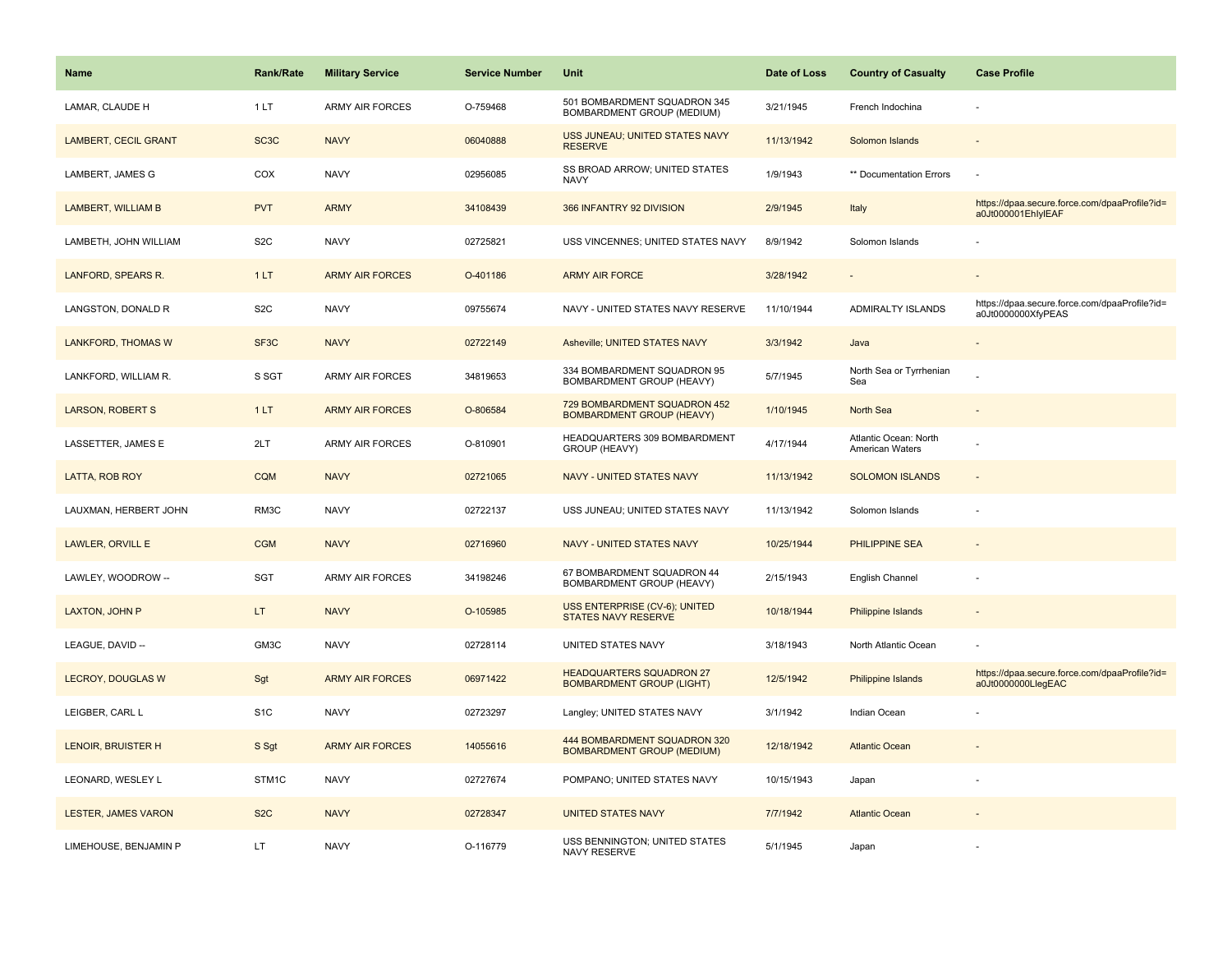| <b>Name</b>                 | Rank/Rate         | <b>Military Service</b> | <b>Service Number</b> | Unit                                                                | Date of Loss | <b>Country of Casualty</b>               | <b>Case Profile</b>                                                 |
|-----------------------------|-------------------|-------------------------|-----------------------|---------------------------------------------------------------------|--------------|------------------------------------------|---------------------------------------------------------------------|
| LAMAR, CLAUDE H             | 1LT               | <b>ARMY AIR FORCES</b>  | O-759468              | 501 BOMBARDMENT SQUADRON 345<br>BOMBARDMENT GROUP (MEDIUM)          | 3/21/1945    | French Indochina                         |                                                                     |
| <b>LAMBERT, CECIL GRANT</b> | SC <sub>3</sub> C | <b>NAVY</b>             | 06040888              | USS JUNEAU; UNITED STATES NAVY<br><b>RESERVE</b>                    | 11/13/1942   | Solomon Islands                          |                                                                     |
| LAMBERT, JAMES G            | COX               | <b>NAVY</b>             | 02956085              | SS BROAD ARROW; UNITED STATES<br><b>NAVY</b>                        | 1/9/1943     | ** Documentation Errors                  | ÷,                                                                  |
| LAMBERT, WILLIAM B          | <b>PVT</b>        | <b>ARMY</b>             | 34108439              | 366 INFANTRY 92 DIVISION                                            | 2/9/1945     | Italy                                    | https://dpaa.secure.force.com/dpaaProfile?id=<br>a0Jt000001EhlylEAF |
| LAMBETH, JOHN WILLIAM       | S <sub>2</sub> C  | <b>NAVY</b>             | 02725821              | USS VINCENNES; UNITED STATES NAVY                                   | 8/9/1942     | Solomon Islands                          |                                                                     |
| LANFORD, SPEARS R.          | 1LT               | <b>ARMY AIR FORCES</b>  | O-401186              | <b>ARMY AIR FORCE</b>                                               | 3/28/1942    |                                          |                                                                     |
| LANGSTON, DONALD R          | S <sub>2</sub> C  | <b>NAVY</b>             | 09755674              | NAVY - UNITED STATES NAVY RESERVE                                   | 11/10/1944   | ADMIRALTY ISLANDS                        | https://dpaa.secure.force.com/dpaaProfile?id=<br>a0Jt0000000XfyPEAS |
| LANKFORD, THOMAS W          | SF <sub>3</sub> C | <b>NAVY</b>             | 02722149              | Asheville; UNITED STATES NAVY                                       | 3/3/1942     | Java                                     |                                                                     |
| LANKFORD, WILLIAM R.        | S SGT             | ARMY AIR FORCES         | 34819653              | 334 BOMBARDMENT SQUADRON 95<br>BOMBARDMENT GROUP (HEAVY)            | 5/7/1945     | North Sea or Tyrrhenian<br>Sea           |                                                                     |
| <b>LARSON, ROBERT S</b>     | 1LT               | <b>ARMY AIR FORCES</b>  | O-806584              | 729 BOMBARDMENT SQUADRON 452<br><b>BOMBARDMENT GROUP (HEAVY)</b>    | 1/10/1945    | North Sea                                |                                                                     |
| LASSETTER, JAMES E          | 2LT               | <b>ARMY AIR FORCES</b>  | O-810901              | HEADQUARTERS 309 BOMBARDMENT<br>GROUP (HEAVY)                       | 4/17/1944    | Atlantic Ocean: North<br>American Waters |                                                                     |
| LATTA, ROB ROY              | <b>CQM</b>        | <b>NAVY</b>             | 02721065              | <b>NAVY - UNITED STATES NAVY</b>                                    | 11/13/1942   | <b>SOLOMON ISLANDS</b>                   | $\blacksquare$                                                      |
| LAUXMAN, HERBERT JOHN       | RM3C              | <b>NAVY</b>             | 02722137              | USS JUNEAU; UNITED STATES NAVY                                      | 11/13/1942   | Solomon Islands                          |                                                                     |
| LAWLER, ORVILL E            | <b>CGM</b>        | <b>NAVY</b>             | 02716960              | NAVY - UNITED STATES NAVY                                           | 10/25/1944   | PHILIPPINE SEA                           | $\overline{a}$                                                      |
| LAWLEY, WOODROW --          | SGT               | <b>ARMY AIR FORCES</b>  | 34198246              | 67 BOMBARDMENT SQUADRON 44<br>BOMBARDMENT GROUP (HEAVY)             | 2/15/1943    | English Channel                          |                                                                     |
| <b>LAXTON, JOHN P</b>       | LT                | <b>NAVY</b>             | O-105985              | USS ENTERPRISE (CV-6); UNITED<br><b>STATES NAVY RESERVE</b>         | 10/18/1944   | <b>Philippine Islands</b>                |                                                                     |
| LEAGUE, DAVID --            | GM3C              | <b>NAVY</b>             | 02728114              | UNITED STATES NAVY                                                  | 3/18/1943    | North Atlantic Ocean                     |                                                                     |
| <b>LECROY, DOUGLAS W</b>    | Sgt               | <b>ARMY AIR FORCES</b>  | 06971422              | <b>HEADQUARTERS SQUADRON 27</b><br><b>BOMBARDMENT GROUP (LIGHT)</b> | 12/5/1942    | Philippine Islands                       | https://dpaa.secure.force.com/dpaaProfile?id=<br>a0Jt0000000LlegEAC |
| LEIGBER, CARL L             | S <sub>1</sub> C  | <b>NAVY</b>             | 02723297              | Langley; UNITED STATES NAVY                                         | 3/1/1942     | Indian Ocean                             |                                                                     |
| <b>LENOIR, BRUISTER H</b>   | S Sgt             | <b>ARMY AIR FORCES</b>  | 14055616              | 444 BOMBARDMENT SQUADRON 320<br><b>BOMBARDMENT GROUP (MEDIUM)</b>   | 12/18/1942   | <b>Atlantic Ocean</b>                    |                                                                     |
| LEONARD, WESLEY L           | STM1C             | <b>NAVY</b>             | 02727674              | POMPANO; UNITED STATES NAVY                                         | 10/15/1943   | Japan                                    |                                                                     |
| LESTER, JAMES VARON         | S <sub>2</sub> C  | <b>NAVY</b>             | 02728347              | <b>UNITED STATES NAVY</b>                                           | 7/7/1942     | <b>Atlantic Ocean</b>                    |                                                                     |
| LIMEHOUSE, BENJAMIN P       | LT                | <b>NAVY</b>             | O-116779              | USS BENNINGTON; UNITED STATES<br>NAVY RESERVE                       | 5/1/1945     | Japan                                    |                                                                     |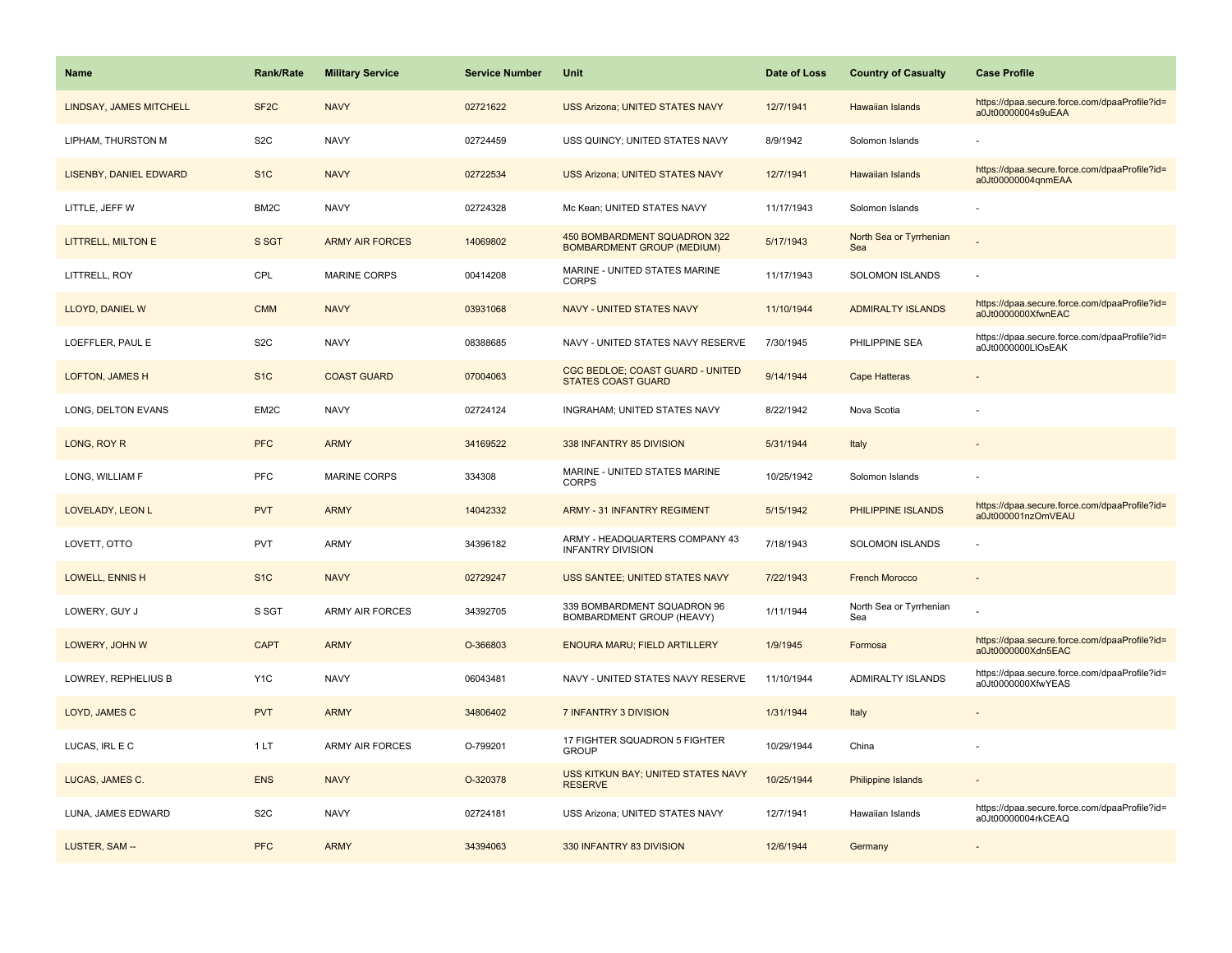| <b>Name</b>                    | <b>Rank/Rate</b>  | <b>Military Service</b> | <b>Service Number</b> | Unit                                                              | Date of Loss | <b>Country of Casualty</b>     | <b>Case Profile</b>                                                 |
|--------------------------------|-------------------|-------------------------|-----------------------|-------------------------------------------------------------------|--------------|--------------------------------|---------------------------------------------------------------------|
| <b>LINDSAY, JAMES MITCHELL</b> | SF <sub>2</sub> C | <b>NAVY</b>             | 02721622              | <b>USS Arizona; UNITED STATES NAVY</b>                            | 12/7/1941    | <b>Hawaiian Islands</b>        | https://dpaa.secure.force.com/dpaaProfile?id=<br>a0Jt00000004s9uEAA |
| LIPHAM, THURSTON M             | S <sub>2</sub> C  | <b>NAVY</b>             | 02724459              | USS QUINCY; UNITED STATES NAVY                                    | 8/9/1942     | Solomon Islands                |                                                                     |
| LISENBY, DANIEL EDWARD         | S <sub>1</sub> C  | <b>NAVY</b>             | 02722534              | <b>USS Arizona; UNITED STATES NAVY</b>                            | 12/7/1941    | <b>Hawaiian Islands</b>        | https://dpaa.secure.force.com/dpaaProfile?id=<br>a0Jt00000004qnmEAA |
| LITTLE, JEFF W                 | BM <sub>2</sub> C | <b>NAVY</b>             | 02724328              | Mc Kean; UNITED STATES NAVY                                       | 11/17/1943   | Solomon Islands                |                                                                     |
| <b>LITTRELL, MILTON E</b>      | S SGT             | <b>ARMY AIR FORCES</b>  | 14069802              | 450 BOMBARDMENT SQUADRON 322<br><b>BOMBARDMENT GROUP (MEDIUM)</b> | 5/17/1943    | North Sea or Tyrrhenian<br>Sea |                                                                     |
| LITTRELL, ROY                  | CPL               | MARINE CORPS            | 00414208              | MARINE - UNITED STATES MARINE<br><b>CORPS</b>                     | 11/17/1943   | SOLOMON ISLANDS                |                                                                     |
| LLOYD, DANIEL W                | <b>CMM</b>        | <b>NAVY</b>             | 03931068              | NAVY - UNITED STATES NAVY                                         | 11/10/1944   | <b>ADMIRALTY ISLANDS</b>       | https://dpaa.secure.force.com/dpaaProfile?id=<br>a0Jt0000000XfwnEAC |
| LOEFFLER, PAUL E               | S <sub>2</sub> C  | <b>NAVY</b>             | 08388685              | NAVY - UNITED STATES NAVY RESERVE                                 | 7/30/1945    | PHILIPPINE SEA                 | https://dpaa.secure.force.com/dpaaProfile?id=<br>a0Jt0000000LIOsEAK |
| LOFTON, JAMES H                | S <sub>1</sub> C  | <b>COAST GUARD</b>      | 07004063              | CGC BEDLOE; COAST GUARD - UNITED<br><b>STATES COAST GUARD</b>     | 9/14/1944    | <b>Cape Hatteras</b>           |                                                                     |
| LONG, DELTON EVANS             | EM2C              | <b>NAVY</b>             | 02724124              | INGRAHAM; UNITED STATES NAVY                                      | 8/22/1942    | Nova Scotia                    |                                                                     |
| LONG, ROY R                    | <b>PFC</b>        | <b>ARMY</b>             | 34169522              | 338 INFANTRY 85 DIVISION                                          | 5/31/1944    | Italy                          |                                                                     |
| LONG, WILLIAM F                | PFC               | MARINE CORPS            | 334308                | MARINE - UNITED STATES MARINE<br><b>CORPS</b>                     | 10/25/1942   | Solomon Islands                |                                                                     |
| LOVELADY, LEON L               | <b>PVT</b>        | <b>ARMY</b>             | 14042332              | <b>ARMY - 31 INFANTRY REGIMENT</b>                                | 5/15/1942    | PHILIPPINE ISLANDS             | https://dpaa.secure.force.com/dpaaProfile?id=<br>a0Jt000001nzOmVEAU |
| LOVETT, OTTO                   | PVT               | <b>ARMY</b>             | 34396182              | ARMY - HEADQUARTERS COMPANY 43<br><b>INFANTRY DIVISION</b>        | 7/18/1943    | SOLOMON ISLANDS                |                                                                     |
| LOWELL, ENNIS H                | S <sub>1</sub> C  | <b>NAVY</b>             | 02729247              | USS SANTEE; UNITED STATES NAVY                                    | 7/22/1943    | <b>French Morocco</b>          |                                                                     |
| LOWERY, GUY J                  | S SGT             | ARMY AIR FORCES         | 34392705              | 339 BOMBARDMENT SQUADRON 96<br>BOMBARDMENT GROUP (HEAVY)          | 1/11/1944    | North Sea or Tyrrhenian<br>Sea |                                                                     |
| LOWERY, JOHN W                 | <b>CAPT</b>       | <b>ARMY</b>             | O-366803              | <b>ENOURA MARU; FIELD ARTILLERY</b>                               | 1/9/1945     | Formosa                        | https://dpaa.secure.force.com/dpaaProfile?id=<br>a0Jt0000000Xdn5EAC |
| LOWREY, REPHELIUS B            | Y <sub>1</sub> C  | <b>NAVY</b>             | 06043481              | NAVY - UNITED STATES NAVY RESERVE                                 | 11/10/1944   | ADMIRALTY ISLANDS              | https://dpaa.secure.force.com/dpaaProfile?id=<br>a0Jt0000000XfwYEAS |
| LOYD, JAMES C                  | <b>PVT</b>        | <b>ARMY</b>             | 34806402              | 7 INFANTRY 3 DIVISION                                             | 1/31/1944    | Italy                          |                                                                     |
| LUCAS, IRL E C                 | 1LT               | <b>ARMY AIR FORCES</b>  | O-799201              | 17 FIGHTER SQUADRON 5 FIGHTER<br><b>GROUP</b>                     | 10/29/1944   | China                          |                                                                     |
| LUCAS, JAMES C.                | <b>ENS</b>        | <b>NAVY</b>             | O-320378              | USS KITKUN BAY; UNITED STATES NAVY<br><b>RESERVE</b>              | 10/25/1944   | <b>Philippine Islands</b>      |                                                                     |
| LUNA, JAMES EDWARD             | S <sub>2</sub> C  | <b>NAVY</b>             | 02724181              | USS Arizona; UNITED STATES NAVY                                   | 12/7/1941    | Hawaiian Islands               | https://dpaa.secure.force.com/dpaaProfile?id=<br>a0Jt00000004rkCEAQ |
| LUSTER, SAM --                 | <b>PFC</b>        | <b>ARMY</b>             | 34394063              | 330 INFANTRY 83 DIVISION                                          | 12/6/1944    | Germany                        |                                                                     |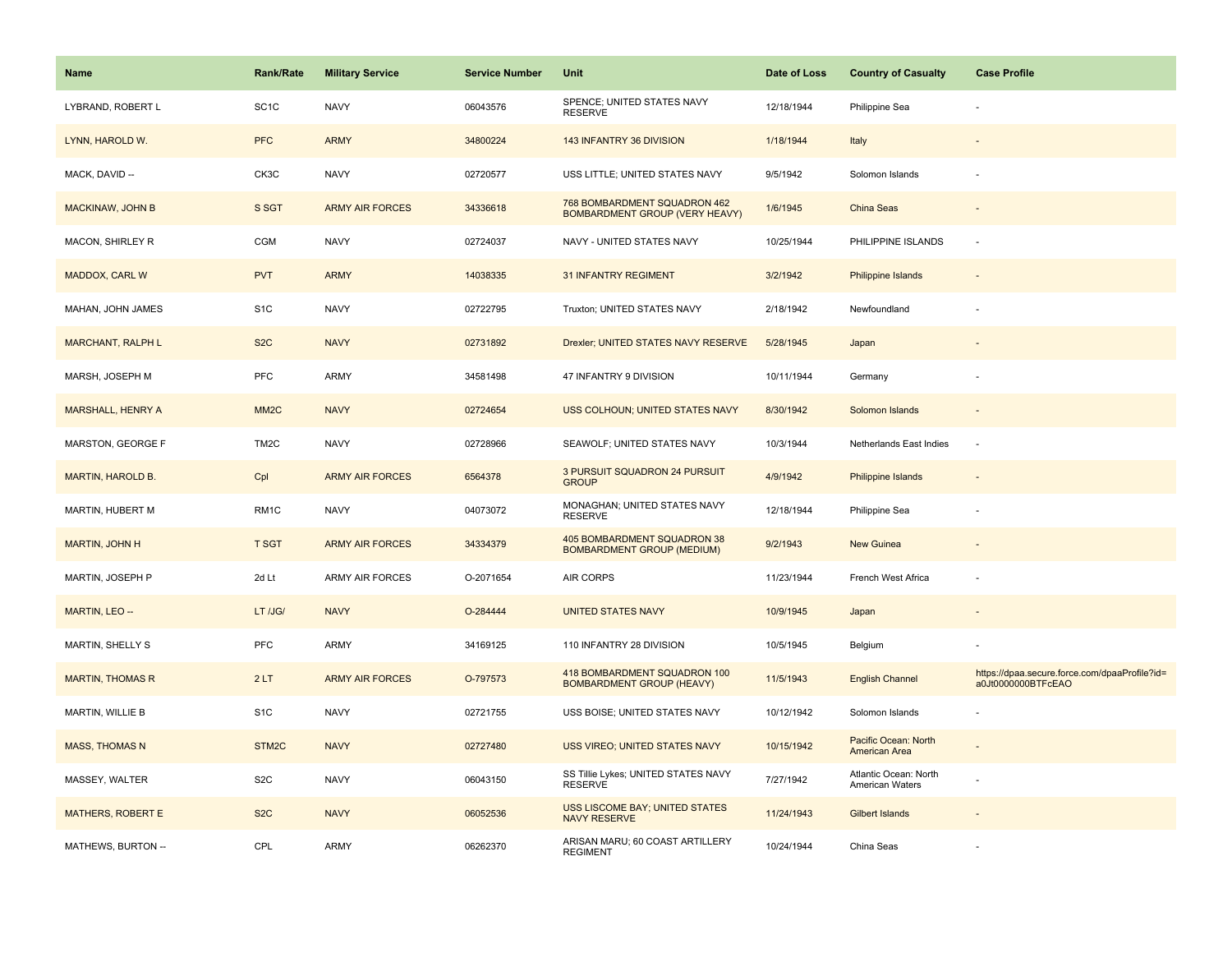| <b>Name</b>              | Rank/Rate         | <b>Military Service</b> | <b>Service Number</b> | Unit                                                                  | Date of Loss | <b>Country of Casualty</b>               | <b>Case Profile</b>                                                 |
|--------------------------|-------------------|-------------------------|-----------------------|-----------------------------------------------------------------------|--------------|------------------------------------------|---------------------------------------------------------------------|
| LYBRAND, ROBERT L        | SC <sub>1</sub> C | <b>NAVY</b>             | 06043576              | SPENCE; UNITED STATES NAVY<br><b>RESERVE</b>                          | 12/18/1944   | Philippine Sea                           |                                                                     |
| LYNN, HAROLD W.          | <b>PFC</b>        | <b>ARMY</b>             | 34800224              | 143 INFANTRY 36 DIVISION                                              | 1/18/1944    | Italy                                    |                                                                     |
| MACK, DAVID --           | CK3C              | <b>NAVY</b>             | 02720577              | USS LITTLE; UNITED STATES NAVY                                        | 9/5/1942     | Solomon Islands                          |                                                                     |
| <b>MACKINAW, JOHN B</b>  | S SGT             | <b>ARMY AIR FORCES</b>  | 34336618              | 768 BOMBARDMENT SQUADRON 462<br><b>BOMBARDMENT GROUP (VERY HEAVY)</b> | 1/6/1945     | China Seas                               |                                                                     |
| MACON, SHIRLEY R         | CGM               | <b>NAVY</b>             | 02724037              | NAVY - UNITED STATES NAVY                                             | 10/25/1944   | PHILIPPINE ISLANDS                       |                                                                     |
| MADDOX, CARL W           | <b>PVT</b>        | <b>ARMY</b>             | 14038335              | <b>31 INFANTRY REGIMENT</b>                                           | 3/2/1942     | Philippine Islands                       |                                                                     |
| MAHAN, JOHN JAMES        | S <sub>1</sub> C  | <b>NAVY</b>             | 02722795              | Truxton; UNITED STATES NAVY                                           | 2/18/1942    | Newfoundland                             |                                                                     |
| <b>MARCHANT, RALPH L</b> | S <sub>2</sub> C  | <b>NAVY</b>             | 02731892              | Drexler; UNITED STATES NAVY RESERVE                                   | 5/28/1945    | Japan                                    |                                                                     |
| MARSH, JOSEPH M          | PFC               | ARMY                    | 34581498              | 47 INFANTRY 9 DIVISION                                                | 10/11/1944   | Germany                                  |                                                                     |
| MARSHALL, HENRY A        | MM <sub>2</sub> C | <b>NAVY</b>             | 02724654              | USS COLHOUN; UNITED STATES NAVY                                       | 8/30/1942    | Solomon Islands                          |                                                                     |
| MARSTON, GEORGE F        | TM <sub>2</sub> C | <b>NAVY</b>             | 02728966              | SEAWOLF; UNITED STATES NAVY                                           | 10/3/1944    | Netherlands East Indies                  | ÷,                                                                  |
| MARTIN, HAROLD B.        | Cpl               | <b>ARMY AIR FORCES</b>  | 6564378               | 3 PURSUIT SQUADRON 24 PURSUIT<br><b>GROUP</b>                         | 4/9/1942     | <b>Philippine Islands</b>                | $\sim$                                                              |
| MARTIN, HUBERT M         | RM1C              | <b>NAVY</b>             | 04073072              | MONAGHAN; UNITED STATES NAVY<br><b>RESERVE</b>                        | 12/18/1944   | Philippine Sea                           |                                                                     |
| MARTIN, JOHN H           | <b>T SGT</b>      | <b>ARMY AIR FORCES</b>  | 34334379              | 405 BOMBARDMENT SQUADRON 38<br><b>BOMBARDMENT GROUP (MEDIUM)</b>      | 9/2/1943     | <b>New Guinea</b>                        | $\sim$                                                              |
| MARTIN, JOSEPH P         | 2d Lt             | <b>ARMY AIR FORCES</b>  | O-2071654             | <b>AIR CORPS</b>                                                      | 11/23/1944   | French West Africa                       | ÷,                                                                  |
| MARTIN, LEO --           | LT /JG/           | <b>NAVY</b>             | O-284444              | <b>UNITED STATES NAVY</b>                                             | 10/9/1945    | Japan                                    |                                                                     |
| MARTIN, SHELLY S         | <b>PFC</b>        | <b>ARMY</b>             | 34169125              | 110 INFANTRY 28 DIVISION                                              | 10/5/1945    | Belgium                                  |                                                                     |
| <b>MARTIN, THOMAS R</b>  | 2LT               | <b>ARMY AIR FORCES</b>  | O-797573              | 418 BOMBARDMENT SQUADRON 100<br><b>BOMBARDMENT GROUP (HEAVY)</b>      | 11/5/1943    | <b>English Channel</b>                   | https://dpaa.secure.force.com/dpaaProfile?id=<br>a0Jt0000000BTFcEAO |
| MARTIN, WILLIE B         | S <sub>1</sub> C  | <b>NAVY</b>             | 02721755              | USS BOISE; UNITED STATES NAVY                                         | 10/12/1942   | Solomon Islands                          |                                                                     |
| <b>MASS, THOMAS N</b>    | STM2C             | <b>NAVY</b>             | 02727480              | USS VIREO; UNITED STATES NAVY                                         | 10/15/1942   | Pacific Ocean: North<br>American Area    |                                                                     |
| MASSEY, WALTER           | S <sub>2</sub> C  | <b>NAVY</b>             | 06043150              | SS Tillie Lykes; UNITED STATES NAVY<br><b>RESERVE</b>                 | 7/27/1942    | Atlantic Ocean: North<br>American Waters |                                                                     |
| <b>MATHERS, ROBERT E</b> | S <sub>2</sub> C  | <b>NAVY</b>             | 06052536              | USS LISCOME BAY; UNITED STATES<br><b>NAVY RESERVE</b>                 | 11/24/1943   | <b>Gilbert Islands</b>                   |                                                                     |
| MATHEWS, BURTON --       | CPL               | <b>ARMY</b>             | 06262370              | ARISAN MARU; 60 COAST ARTILLERY<br><b>REGIMENT</b>                    | 10/24/1944   | China Seas                               |                                                                     |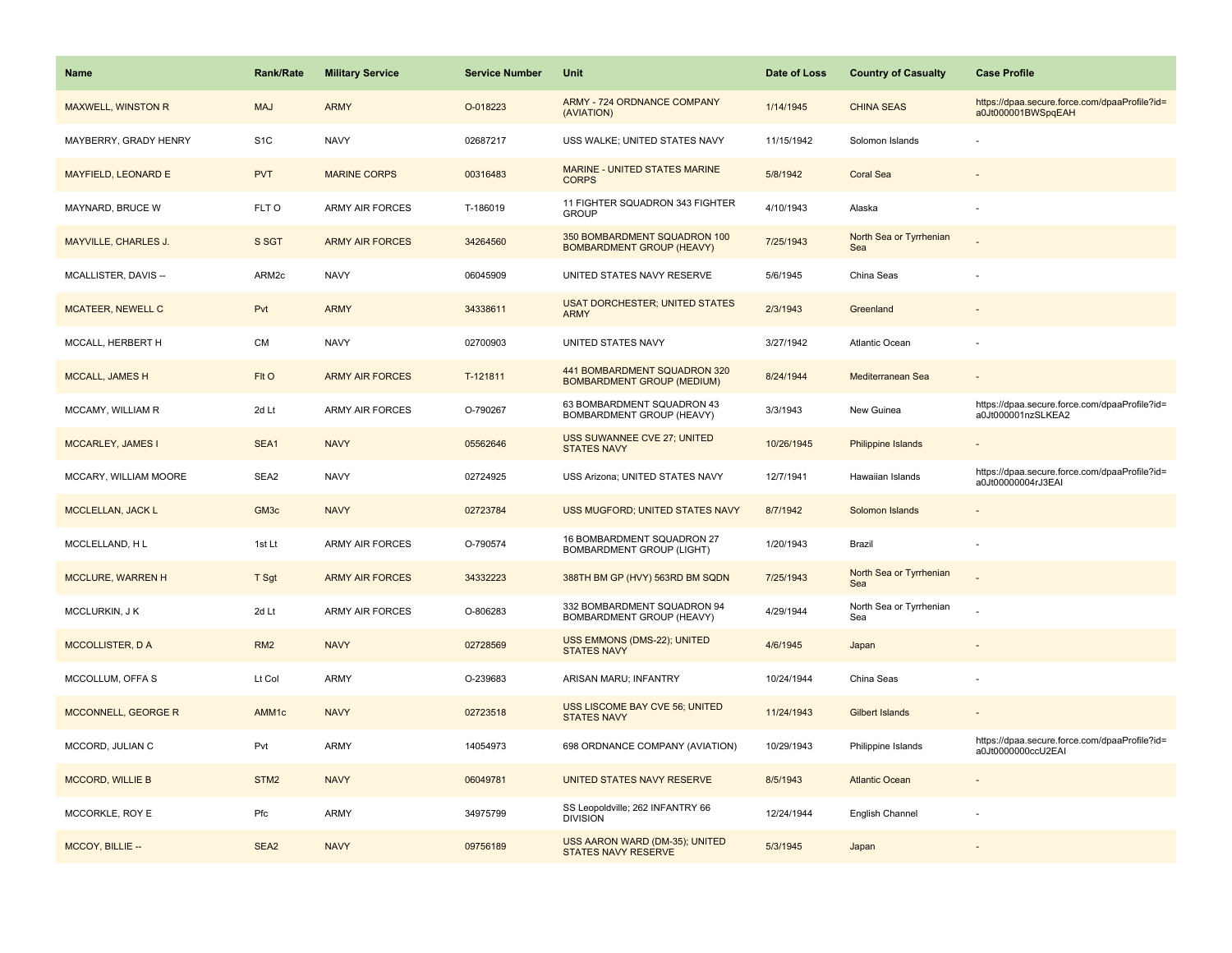| Name                        | <b>Rank/Rate</b> | <b>Military Service</b> | <b>Service Number</b> | Unit                                                              | Date of Loss | <b>Country of Casualty</b>     | <b>Case Profile</b>                                                 |
|-----------------------------|------------------|-------------------------|-----------------------|-------------------------------------------------------------------|--------------|--------------------------------|---------------------------------------------------------------------|
| <b>MAXWELL, WINSTON R</b>   | <b>MAJ</b>       | <b>ARMY</b>             | O-018223              | <b>ARMY - 724 ORDNANCE COMPANY</b><br>(AVIATION)                  | 1/14/1945    | <b>CHINA SEAS</b>              | https://dpaa.secure.force.com/dpaaProfile?id=<br>a0Jt000001BWSpqEAH |
| MAYBERRY, GRADY HENRY       | S <sub>1</sub> C | <b>NAVY</b>             | 02687217              | USS WALKE; UNITED STATES NAVY                                     | 11/15/1942   | Solomon Islands                |                                                                     |
| <b>MAYFIELD, LEONARD E</b>  | <b>PVT</b>       | <b>MARINE CORPS</b>     | 00316483              | MARINE - UNITED STATES MARINE<br><b>CORPS</b>                     | 5/8/1942     | <b>Coral Sea</b>               |                                                                     |
| MAYNARD, BRUCE W            | FLT O            | <b>ARMY AIR FORCES</b>  | T-186019              | 11 FIGHTER SQUADRON 343 FIGHTER<br><b>GROUP</b>                   | 4/10/1943    | Alaska                         |                                                                     |
| <b>MAYVILLE, CHARLES J.</b> | S SGT            | <b>ARMY AIR FORCES</b>  | 34264560              | 350 BOMBARDMENT SQUADRON 100<br><b>BOMBARDMENT GROUP (HEAVY)</b>  | 7/25/1943    | North Sea or Tyrrhenian<br>Sea |                                                                     |
| MCALLISTER, DAVIS --        | ARM2c            | <b>NAVY</b>             | 06045909              | UNITED STATES NAVY RESERVE                                        | 5/6/1945     | China Seas                     |                                                                     |
| <b>MCATEER, NEWELL C</b>    | Pvt              | <b>ARMY</b>             | 34338611              | <b>USAT DORCHESTER; UNITED STATES</b><br><b>ARMY</b>              | 2/3/1943     | Greenland                      |                                                                     |
| MCCALL, HERBERT H           | <b>CM</b>        | <b>NAVY</b>             | 02700903              | UNITED STATES NAVY                                                | 3/27/1942    | Atlantic Ocean                 |                                                                     |
| MCCALL, JAMES H             | FIt O            | <b>ARMY AIR FORCES</b>  | T-121811              | 441 BOMBARDMENT SQUADRON 320<br><b>BOMBARDMENT GROUP (MEDIUM)</b> | 8/24/1944    | Mediterranean Sea              |                                                                     |
| MCCAMY, WILLIAM R           | 2d Lt            | <b>ARMY AIR FORCES</b>  | O-790267              | 63 BOMBARDMENT SQUADRON 43<br><b>BOMBARDMENT GROUP (HEAVY)</b>    | 3/3/1943     | New Guinea                     | https://dpaa.secure.force.com/dpaaProfile?id=<br>a0Jt000001nzSLKEA2 |
| MCCARLEY, JAMES I           | SEA1             | <b>NAVY</b>             | 05562646              | <b>USS SUWANNEE CVE 27; UNITED</b><br><b>STATES NAVY</b>          | 10/26/1945   | Philippine Islands             |                                                                     |
| MCCARY, WILLIAM MOORE       | SEA2             | <b>NAVY</b>             | 02724925              | USS Arizona; UNITED STATES NAVY                                   | 12/7/1941    | Hawaiian Islands               | https://dpaa.secure.force.com/dpaaProfile?id=<br>a0Jt00000004rJ3EAI |
| MCCLELLAN, JACK L           | GM <sub>3c</sub> | <b>NAVY</b>             | 02723784              | USS MUGFORD; UNITED STATES NAVY                                   | 8/7/1942     | Solomon Islands                |                                                                     |
| MCCLELLAND, HL              | 1st Lt           | <b>ARMY AIR FORCES</b>  | O-790574              | 16 BOMBARDMENT SQUADRON 27<br><b>BOMBARDMENT GROUP (LIGHT)</b>    | 1/20/1943    | Brazil                         |                                                                     |
| MCCLURE, WARREN H           | T Sgt            | <b>ARMY AIR FORCES</b>  | 34332223              | 388TH BM GP (HVY) 563RD BM SQDN                                   | 7/25/1943    | North Sea or Tyrrhenian<br>Sea |                                                                     |
| MCCLURKIN, J K              | 2d Lt            | <b>ARMY AIR FORCES</b>  | O-806283              | 332 BOMBARDMENT SQUADRON 94<br>BOMBARDMENT GROUP (HEAVY)          | 4/29/1944    | North Sea or Tyrrhenian<br>Sea |                                                                     |
| <b>MCCOLLISTER, DA</b>      | RM <sub>2</sub>  | <b>NAVY</b>             | 02728569              | USS EMMONS (DMS-22); UNITED<br><b>STATES NAVY</b>                 | 4/6/1945     | Japan                          |                                                                     |
| MCCOLLUM, OFFA S            | Lt Col           | <b>ARMY</b>             | O-239683              | ARISAN MARU; INFANTRY                                             | 10/24/1944   | China Seas                     |                                                                     |
| MCCONNELL, GEORGE R         | AMM1c            | <b>NAVY</b>             | 02723518              | USS LISCOME BAY CVE 56; UNITED<br><b>STATES NAVY</b>              | 11/24/1943   | Gilbert Islands                |                                                                     |
| MCCORD, JULIAN C            | Pvt              | ARMY                    | 14054973              | 698 ORDNANCE COMPANY (AVIATION)                                   | 10/29/1943   | Philippine Islands             | https://dpaa.secure.force.com/dpaaProfile?id=<br>a0Jt0000000ccU2EAI |
| <b>MCCORD, WILLIE B</b>     | STM <sub>2</sub> | <b>NAVY</b>             | 06049781              | UNITED STATES NAVY RESERVE                                        | 8/5/1943     | <b>Atlantic Ocean</b>          |                                                                     |
| MCCORKLE, ROY E             | Pfc              | <b>ARMY</b>             | 34975799              | SS Leopoldville; 262 INFANTRY 66<br><b>DIVISION</b>               | 12/24/1944   | English Channel                |                                                                     |
| MCCOY, BILLIE --            | SEA <sub>2</sub> | <b>NAVY</b>             | 09756189              | USS AARON WARD (DM-35); UNITED<br><b>STATES NAVY RESERVE</b>      | 5/3/1945     | Japan                          |                                                                     |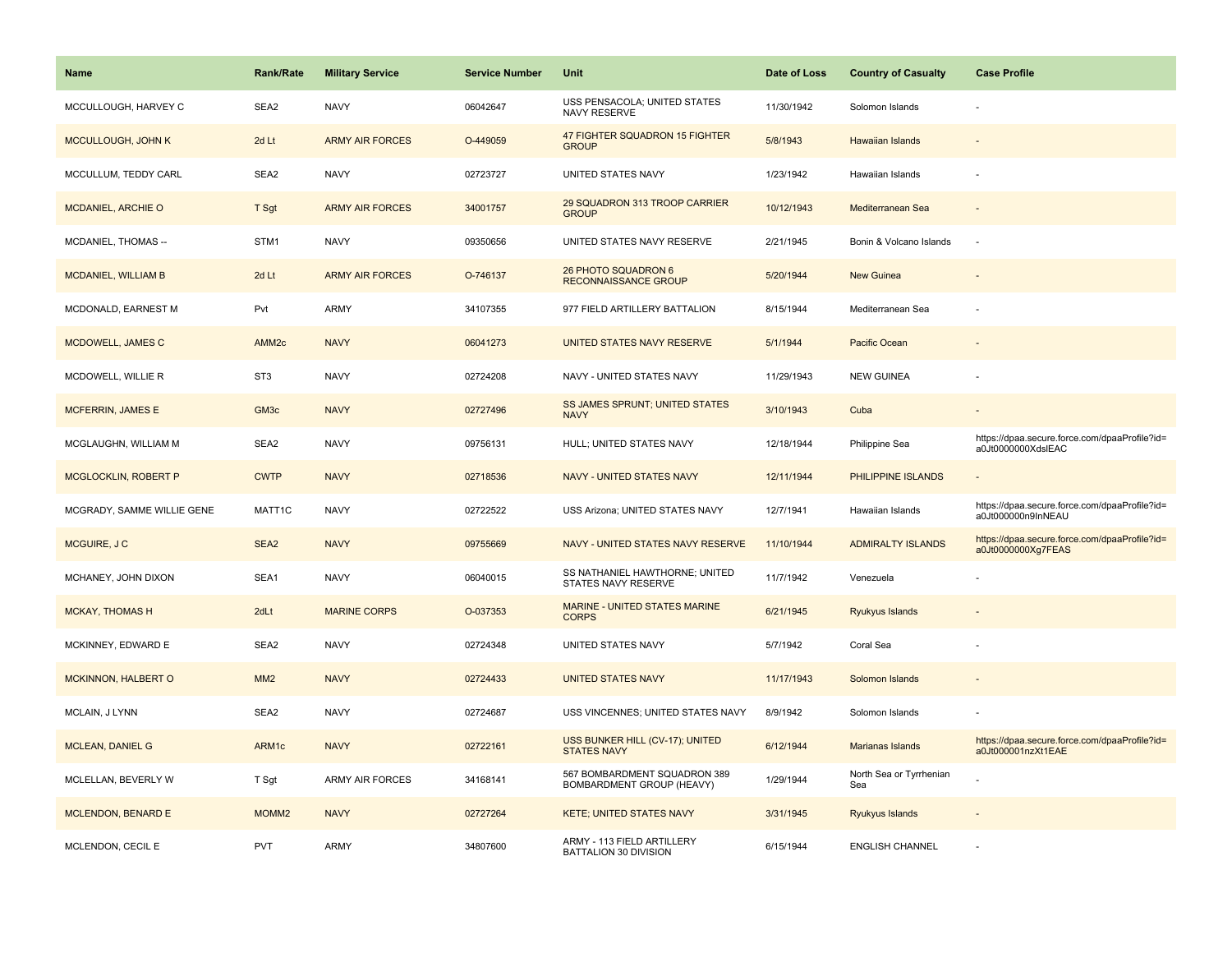| <b>Name</b>                 | <b>Rank/Rate</b>  | <b>Military Service</b> | <b>Service Number</b> | Unit                                                      | Date of Loss | <b>Country of Casualty</b>     | <b>Case Profile</b>                                                 |
|-----------------------------|-------------------|-------------------------|-----------------------|-----------------------------------------------------------|--------------|--------------------------------|---------------------------------------------------------------------|
| MCCULLOUGH, HARVEY C        | SEA <sub>2</sub>  | <b>NAVY</b>             | 06042647              | USS PENSACOLA; UNITED STATES<br><b>NAVY RESERVE</b>       | 11/30/1942   | Solomon Islands                |                                                                     |
| MCCULLOUGH, JOHN K          | 2d Lt             | <b>ARMY AIR FORCES</b>  | O-449059              | 47 FIGHTER SQUADRON 15 FIGHTER<br><b>GROUP</b>            | 5/8/1943     | Hawaiian Islands               |                                                                     |
| MCCULLUM, TEDDY CARL        | SEA2              | <b>NAVY</b>             | 02723727              | UNITED STATES NAVY                                        | 1/23/1942    | Hawaiian Islands               |                                                                     |
| <b>MCDANIEL, ARCHIE O</b>   | T Sgt             | <b>ARMY AIR FORCES</b>  | 34001757              | 29 SQUADRON 313 TROOP CARRIER<br><b>GROUP</b>             | 10/12/1943   | Mediterranean Sea              |                                                                     |
| MCDANIEL, THOMAS --         | STM1              | <b>NAVY</b>             | 09350656              | UNITED STATES NAVY RESERVE                                | 2/21/1945    | Bonin & Volcano Islands        | ÷.                                                                  |
| <b>MCDANIEL, WILLIAM B</b>  | 2d Lt             | <b>ARMY AIR FORCES</b>  | O-746137              | 26 PHOTO SQUADRON 6<br><b>RECONNAISSANCE GROUP</b>        | 5/20/1944    | New Guinea                     |                                                                     |
| MCDONALD, EARNEST M         | Pvt               | <b>ARMY</b>             | 34107355              | 977 FIELD ARTILLERY BATTALION                             | 8/15/1944    | Mediterranean Sea              |                                                                     |
| MCDOWELL, JAMES C           | AMM <sub>2c</sub> | <b>NAVY</b>             | 06041273              | UNITED STATES NAVY RESERVE                                | 5/1/1944     | Pacific Ocean                  |                                                                     |
| MCDOWELL, WILLIE R          | ST <sub>3</sub>   | <b>NAVY</b>             | 02724208              | NAVY - UNITED STATES NAVY                                 | 11/29/1943   | <b>NEW GUINEA</b>              |                                                                     |
| <b>MCFERRIN, JAMES E</b>    | GM <sub>3c</sub>  | <b>NAVY</b>             | 02727496              | SS JAMES SPRUNT; UNITED STATES<br><b>NAVY</b>             | 3/10/1943    | Cuba                           |                                                                     |
| MCGLAUGHN, WILLIAM M        | SEA2              | <b>NAVY</b>             | 09756131              | HULL; UNITED STATES NAVY                                  | 12/18/1944   | Philippine Sea                 | https://dpaa.secure.force.com/dpaaProfile?id=<br>a0Jt0000000XdslEAC |
| <b>MCGLOCKLIN, ROBERT P</b> | <b>CWTP</b>       | <b>NAVY</b>             | 02718536              | NAVY - UNITED STATES NAVY                                 | 12/11/1944   | PHILIPPINE ISLANDS             |                                                                     |
| MCGRADY, SAMME WILLIE GENE  | MATT1C            | <b>NAVY</b>             | 02722522              | USS Arizona; UNITED STATES NAVY                           | 12/7/1941    | Hawaiian Islands               | https://dpaa.secure.force.com/dpaaProfile?id=<br>a0Jt000000n9InNEAU |
| MCGUIRE, J C                | SEA2              | <b>NAVY</b>             | 09755669              | NAVY - UNITED STATES NAVY RESERVE                         | 11/10/1944   | <b>ADMIRALTY ISLANDS</b>       | https://dpaa.secure.force.com/dpaaProfile?id=<br>a0Jt0000000Xg7FEAS |
| MCHANEY, JOHN DIXON         | SEA1              | <b>NAVY</b>             | 06040015              | SS NATHANIEL HAWTHORNE; UNITED<br>STATES NAVY RESERVE     | 11/7/1942    | Venezuela                      |                                                                     |
| <b>MCKAY, THOMAS H</b>      | 2dLt              | <b>MARINE CORPS</b>     | O-037353              | MARINE - UNITED STATES MARINE<br><b>CORPS</b>             | 6/21/1945    | Ryukyus Islands                |                                                                     |
| MCKINNEY, EDWARD E          | SEA2              | <b>NAVY</b>             | 02724348              | UNITED STATES NAVY                                        | 5/7/1942     | Coral Sea                      |                                                                     |
| MCKINNON, HALBERT O         | MM <sub>2</sub>   | <b>NAVY</b>             | 02724433              | <b>UNITED STATES NAVY</b>                                 | 11/17/1943   | Solomon Islands                |                                                                     |
| MCLAIN, J LYNN              | SEA2              | <b>NAVY</b>             | 02724687              | USS VINCENNES; UNITED STATES NAVY                         | 8/9/1942     | Solomon Islands                |                                                                     |
| <b>MCLEAN, DANIEL G</b>     | ARM1c             | <b>NAVY</b>             | 02722161              | USS BUNKER HILL (CV-17); UNITED<br><b>STATES NAVY</b>     | 6/12/1944    | Marianas Islands               | https://dpaa.secure.force.com/dpaaProfile?id=<br>a0Jt000001nzXt1EAE |
| MCLELLAN, BEVERLY W         | T Sgt             | <b>ARMY AIR FORCES</b>  | 34168141              | 567 BOMBARDMENT SQUADRON 389<br>BOMBARDMENT GROUP (HEAVY) | 1/29/1944    | North Sea or Tyrrhenian<br>Sea |                                                                     |
| <b>MCLENDON, BENARD E</b>   | MOMM <sub>2</sub> | <b>NAVY</b>             | 02727264              | <b>KETE; UNITED STATES NAVY</b>                           | 3/31/1945    | Ryukyus Islands                |                                                                     |
| MCLENDON, CECIL E           | PVT               | <b>ARMY</b>             | 34807600              | ARMY - 113 FIELD ARTILLERY<br>BATTALION 30 DIVISION       | 6/15/1944    | <b>ENGLISH CHANNEL</b>         |                                                                     |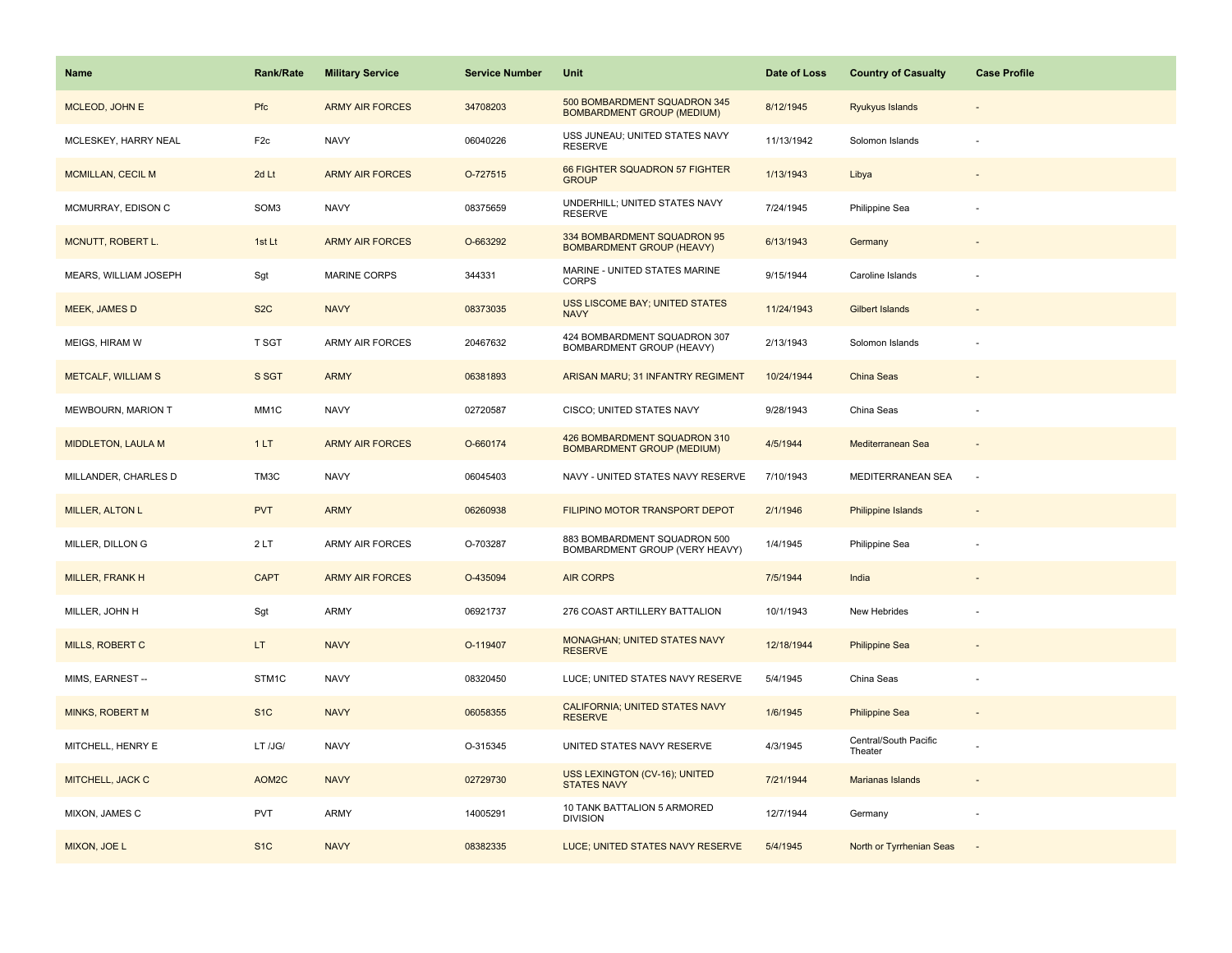| Name                      | <b>Rank/Rate</b> | <b>Military Service</b> | <b>Service Number</b> | Unit                                                              | Date of Loss | <b>Country of Casualty</b>       | <b>Case Profile</b>      |
|---------------------------|------------------|-------------------------|-----------------------|-------------------------------------------------------------------|--------------|----------------------------------|--------------------------|
| MCLEOD, JOHN E            | Pfc              | <b>ARMY AIR FORCES</b>  | 34708203              | 500 BOMBARDMENT SQUADRON 345<br><b>BOMBARDMENT GROUP (MEDIUM)</b> | 8/12/1945    | Ryukyus Islands                  |                          |
| MCLESKEY, HARRY NEAL      | F <sub>2c</sub>  | <b>NAVY</b>             | 06040226              | USS JUNEAU; UNITED STATES NAVY<br><b>RESERVE</b>                  | 11/13/1942   | Solomon Islands                  |                          |
| MCMILLAN, CECIL M         | 2d Lt            | <b>ARMY AIR FORCES</b>  | O-727515              | 66 FIGHTER SQUADRON 57 FIGHTER<br><b>GROUP</b>                    | 1/13/1943    | Libya                            |                          |
| MCMURRAY, EDISON C        | SOM3             | <b>NAVY</b>             | 08375659              | UNDERHILL; UNITED STATES NAVY<br><b>RESERVE</b>                   | 7/24/1945    | Philippine Sea                   |                          |
| MCNUTT, ROBERT L.         | 1st Lt           | <b>ARMY AIR FORCES</b>  | O-663292              | 334 BOMBARDMENT SQUADRON 95<br><b>BOMBARDMENT GROUP (HEAVY)</b>   | 6/13/1943    | Germany                          |                          |
| MEARS, WILLIAM JOSEPH     | Sgt              | MARINE CORPS            | 344331                | MARINE - UNITED STATES MARINE<br><b>CORPS</b>                     | 9/15/1944    | Caroline Islands                 |                          |
| <b>MEEK, JAMES D</b>      | S <sub>2</sub> C | <b>NAVY</b>             | 08373035              | <b>USS LISCOME BAY; UNITED STATES</b><br><b>NAVY</b>              | 11/24/1943   | Gilbert Islands                  |                          |
| MEIGS, HIRAM W            | T SGT            | <b>ARMY AIR FORCES</b>  | 20467632              | 424 BOMBARDMENT SQUADRON 307<br>BOMBARDMENT GROUP (HEAVY)         | 2/13/1943    | Solomon Islands                  |                          |
| <b>METCALF, WILLIAM S</b> | S SGT            | <b>ARMY</b>             | 06381893              | ARISAN MARU; 31 INFANTRY REGIMENT                                 | 10/24/1944   | China Seas                       |                          |
| MEWBOURN, MARION T        | MM1C             | <b>NAVY</b>             | 02720587              | CISCO; UNITED STATES NAVY                                         | 9/28/1943    | China Seas                       |                          |
| <b>MIDDLETON, LAULA M</b> | 1LT              | <b>ARMY AIR FORCES</b>  | O-660174              | 426 BOMBARDMENT SQUADRON 310<br><b>BOMBARDMENT GROUP (MEDIUM)</b> | 4/5/1944     | Mediterranean Sea                |                          |
| MILLANDER, CHARLES D      | TM3C             | <b>NAVY</b>             | 06045403              | NAVY - UNITED STATES NAVY RESERVE                                 | 7/10/1943    | MEDITERRANEAN SEA                | $\overline{\phantom{a}}$ |
| MILLER, ALTON L           | <b>PVT</b>       | <b>ARMY</b>             | 06260938              | FILIPINO MOTOR TRANSPORT DEPOT                                    | 2/1/1946     | <b>Philippine Islands</b>        |                          |
| MILLER, DILLON G          | 2LT              | <b>ARMY AIR FORCES</b>  | O-703287              | 883 BOMBARDMENT SQUADRON 500<br>BOMBARDMENT GROUP (VERY HEAVY)    | 1/4/1945     | Philippine Sea                   |                          |
| MILLER, FRANK H           | <b>CAPT</b>      | <b>ARMY AIR FORCES</b>  | O-435094              | <b>AIR CORPS</b>                                                  | 7/5/1944     | India                            |                          |
| MILLER, JOHN H            | Sgt              | <b>ARMY</b>             | 06921737              | 276 COAST ARTILLERY BATTALION                                     | 10/1/1943    | New Hebrides                     |                          |
| <b>MILLS, ROBERT C</b>    | LT.              | <b>NAVY</b>             | O-119407              | MONAGHAN; UNITED STATES NAVY<br><b>RESERVE</b>                    | 12/18/1944   | <b>Philippine Sea</b>            |                          |
| MIMS, EARNEST --          | STM1C            | <b>NAVY</b>             | 08320450              | LUCE; UNITED STATES NAVY RESERVE                                  | 5/4/1945     | China Seas                       |                          |
| <b>MINKS, ROBERT M</b>    | S <sub>1</sub> C | <b>NAVY</b>             | 06058355              | <b>CALIFORNIA; UNITED STATES NAVY</b><br><b>RESERVE</b>           | 1/6/1945     | <b>Philippine Sea</b>            |                          |
| MITCHELL, HENRY E         | LT /JG/          | <b>NAVY</b>             | O-315345              | UNITED STATES NAVY RESERVE                                        | 4/3/1945     | Central/South Pacific<br>Theater |                          |
| MITCHELL, JACK C          | AOM2C            | <b>NAVY</b>             | 02729730              | USS LEXINGTON (CV-16); UNITED<br><b>STATES NAVY</b>               | 7/21/1944    | <b>Marianas Islands</b>          |                          |
| MIXON, JAMES C            | <b>PVT</b>       | <b>ARMY</b>             | 14005291              | 10 TANK BATTALION 5 ARMORED<br><b>DIVISION</b>                    | 12/7/1944    | Germany                          |                          |
| MIXON, JOE L              | S <sub>1</sub> C | <b>NAVY</b>             | 08382335              | LUCE; UNITED STATES NAVY RESERVE                                  | 5/4/1945     | North or Tyrrhenian Seas         |                          |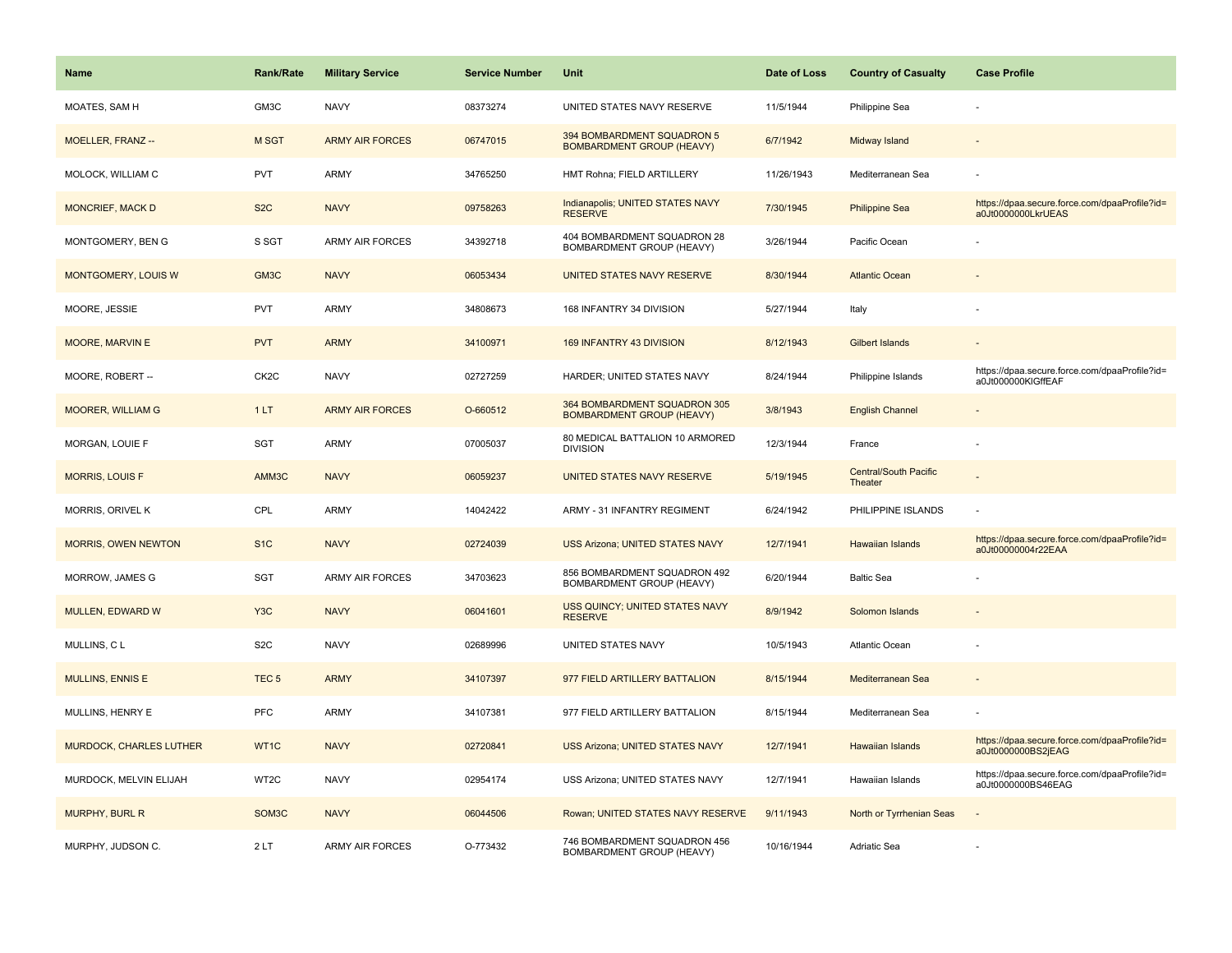| <b>Name</b>                    | <b>Rank/Rate</b>   | <b>Military Service</b> | <b>Service Number</b> | Unit                                                             | Date of Loss | <b>Country of Casualty</b>       | <b>Case Profile</b>                                                 |
|--------------------------------|--------------------|-------------------------|-----------------------|------------------------------------------------------------------|--------------|----------------------------------|---------------------------------------------------------------------|
| MOATES, SAM H                  | GM3C               | <b>NAVY</b>             | 08373274              | UNITED STATES NAVY RESERVE                                       | 11/5/1944    | Philippine Sea                   |                                                                     |
| MOELLER, FRANZ --              | M SGT              | <b>ARMY AIR FORCES</b>  | 06747015              | 394 BOMBARDMENT SQUADRON 5<br><b>BOMBARDMENT GROUP (HEAVY)</b>   | 6/7/1942     | Midway Island                    |                                                                     |
| MOLOCK, WILLIAM C              | <b>PVT</b>         | <b>ARMY</b>             | 34765250              | HMT Rohna; FIELD ARTILLERY                                       | 11/26/1943   | Mediterranean Sea                |                                                                     |
| <b>MONCRIEF, MACK D</b>        | S <sub>2</sub> C   | <b>NAVY</b>             | 09758263              | Indianapolis; UNITED STATES NAVY<br><b>RESERVE</b>               | 7/30/1945    | <b>Philippine Sea</b>            | https://dpaa.secure.force.com/dpaaProfile?id=<br>a0Jt0000000LkrUEAS |
| MONTGOMERY, BEN G              | S SGT              | <b>ARMY AIR FORCES</b>  | 34392718              | 404 BOMBARDMENT SQUADRON 28<br>BOMBARDMENT GROUP (HEAVY)         | 3/26/1944    | Pacific Ocean                    |                                                                     |
| <b>MONTGOMERY, LOUIS W</b>     | GM <sub>3</sub> C  | <b>NAVY</b>             | 06053434              | UNITED STATES NAVY RESERVE                                       | 8/30/1944    | <b>Atlantic Ocean</b>            |                                                                     |
| MOORE, JESSIE                  | <b>PVT</b>         | ARMY                    | 34808673              | 168 INFANTRY 34 DIVISION                                         | 5/27/1944    | Italy                            |                                                                     |
| MOORE, MARVIN E                | <b>PVT</b>         | <b>ARMY</b>             | 34100971              | 169 INFANTRY 43 DIVISION                                         | 8/12/1943    | <b>Gilbert Islands</b>           |                                                                     |
| MOORE, ROBERT --               | CK <sub>2</sub> C  | <b>NAVY</b>             | 02727259              | HARDER; UNITED STATES NAVY                                       | 8/24/1944    | Philippine Islands               | https://dpaa.secure.force.com/dpaaProfile?id=<br>a0Jt000000KIGffEAF |
| <b>MOORER, WILLIAM G</b>       | 1LT                | <b>ARMY AIR FORCES</b>  | O-660512              | 364 BOMBARDMENT SQUADRON 305<br><b>BOMBARDMENT GROUP (HEAVY)</b> | 3/8/1943     | <b>English Channel</b>           |                                                                     |
| <b>MORGAN, LOUIE F</b>         | <b>SGT</b>         | <b>ARMY</b>             | 07005037              | 80 MEDICAL BATTALION 10 ARMORED<br><b>DIVISION</b>               | 12/3/1944    | France                           |                                                                     |
| <b>MORRIS, LOUIS F</b>         | AMM3C              | <b>NAVY</b>             | 06059237              | UNITED STATES NAVY RESERVE                                       | 5/19/1945    | Central/South Pacific<br>Theater |                                                                     |
| MORRIS, ORIVEL K               | CPL                | <b>ARMY</b>             | 14042422              | ARMY - 31 INFANTRY REGIMENT                                      | 6/24/1942    | PHILIPPINE ISLANDS               |                                                                     |
| <b>MORRIS, OWEN NEWTON</b>     | S <sub>1C</sub>    | <b>NAVY</b>             | 02724039              | USS Arizona; UNITED STATES NAVY                                  | 12/7/1941    | <b>Hawaiian Islands</b>          | https://dpaa.secure.force.com/dpaaProfile?id=<br>a0Jt00000004r22EAA |
| MORROW, JAMES G                | <b>SGT</b>         | <b>ARMY AIR FORCES</b>  | 34703623              | 856 BOMBARDMENT SQUADRON 492<br>BOMBARDMENT GROUP (HEAVY)        | 6/20/1944    | <b>Baltic Sea</b>                |                                                                     |
| <b>MULLEN, EDWARD W</b>        | Y <sub>3</sub> C   | <b>NAVY</b>             | 06041601              | USS QUINCY; UNITED STATES NAVY<br><b>RESERVE</b>                 | 8/9/1942     | Solomon Islands                  |                                                                     |
| MULLINS, CL                    | S <sub>2</sub> C   | <b>NAVY</b>             | 02689996              | UNITED STATES NAVY                                               | 10/5/1943    | Atlantic Ocean                   |                                                                     |
| <b>MULLINS, ENNIS E</b>        | TEC <sub>5</sub>   | <b>ARMY</b>             | 34107397              | 977 FIELD ARTILLERY BATTALION                                    | 8/15/1944    | Mediterranean Sea                |                                                                     |
| MULLINS, HENRY E               | <b>PFC</b>         | <b>ARMY</b>             | 34107381              | 977 FIELD ARTILLERY BATTALION                                    | 8/15/1944    | Mediterranean Sea                |                                                                     |
| <b>MURDOCK, CHARLES LUTHER</b> | WT1C               | <b>NAVY</b>             | 02720841              | <b>USS Arizona; UNITED STATES NAVY</b>                           | 12/7/1941    | <b>Hawaiian Islands</b>          | https://dpaa.secure.force.com/dpaaProfile?id=<br>a0Jt0000000BS2jEAG |
| MURDOCK, MELVIN ELIJAH         | WT2C               | <b>NAVY</b>             | 02954174              | USS Arizona; UNITED STATES NAVY                                  | 12/7/1941    | Hawaiian Islands                 | https://dpaa.secure.force.com/dpaaProfile?id=<br>a0Jt0000000BS46EAG |
| <b>MURPHY, BURL R</b>          | SOM <sub>3</sub> C | <b>NAVY</b>             | 06044506              | Rowan; UNITED STATES NAVY RESERVE                                | 9/11/1943    | North or Tyrrhenian Seas         |                                                                     |
| MURPHY, JUDSON C.              | 2LT                | <b>ARMY AIR FORCES</b>  | O-773432              | 746 BOMBARDMENT SQUADRON 456<br>BOMBARDMENT GROUP (HEAVY)        | 10/16/1944   | Adriatic Sea                     |                                                                     |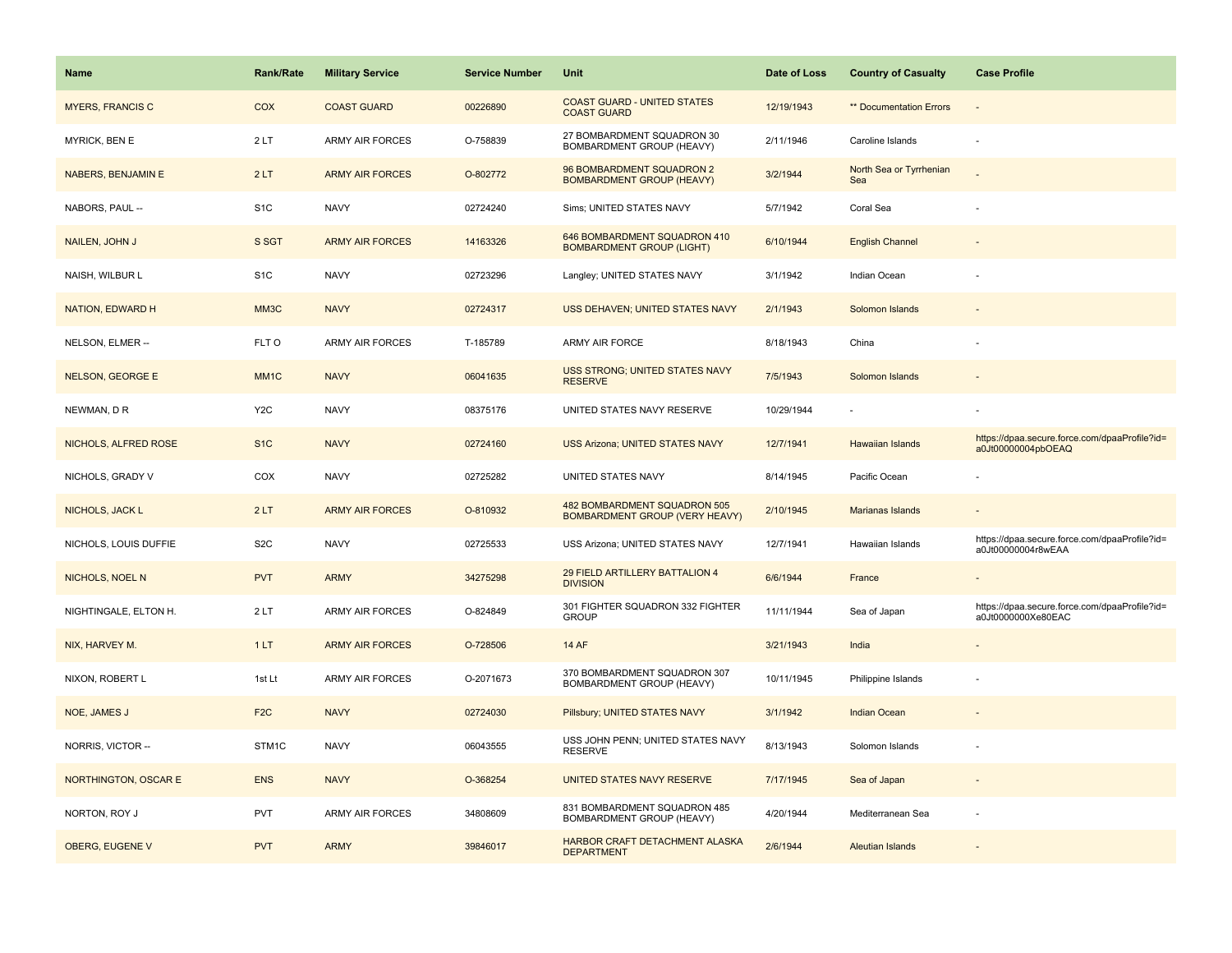| Name                    | <b>Rank/Rate</b>  | <b>Military Service</b> | <b>Service Number</b> | Unit                                                                  | Date of Loss | <b>Country of Casualty</b>     | <b>Case Profile</b>                                                 |
|-------------------------|-------------------|-------------------------|-----------------------|-----------------------------------------------------------------------|--------------|--------------------------------|---------------------------------------------------------------------|
| <b>MYERS, FRANCIS C</b> | <b>COX</b>        | <b>COAST GUARD</b>      | 00226890              | <b>COAST GUARD - UNITED STATES</b><br><b>COAST GUARD</b>              | 12/19/1943   | ** Documentation Errors        |                                                                     |
| MYRICK, BEN E           | 2LT               | ARMY AIR FORCES         | O-758839              | 27 BOMBARDMENT SQUADRON 30<br>BOMBARDMENT GROUP (HEAVY)               | 2/11/1946    | Caroline Islands               |                                                                     |
| NABERS, BENJAMIN E      | 2LT               | <b>ARMY AIR FORCES</b>  | O-802772              | 96 BOMBARDMENT SQUADRON 2<br><b>BOMBARDMENT GROUP (HEAVY)</b>         | 3/2/1944     | North Sea or Tyrrhenian<br>Sea |                                                                     |
| NABORS, PAUL --         | S <sub>1</sub> C  | <b>NAVY</b>             | 02724240              | Sims; UNITED STATES NAVY                                              | 5/7/1942     | Coral Sea                      |                                                                     |
| NAILEN, JOHN J          | S SGT             | <b>ARMY AIR FORCES</b>  | 14163326              | 646 BOMBARDMENT SQUADRON 410<br><b>BOMBARDMENT GROUP (LIGHT)</b>      | 6/10/1944    | <b>English Channel</b>         |                                                                     |
| NAISH, WILBUR L         | S <sub>1</sub> C  | <b>NAVY</b>             | 02723296              | Langley; UNITED STATES NAVY                                           | 3/1/1942     | Indian Ocean                   |                                                                     |
| <b>NATION, EDWARD H</b> | MM3C              | <b>NAVY</b>             | 02724317              | USS DEHAVEN; UNITED STATES NAVY                                       | 2/1/1943     | Solomon Islands                |                                                                     |
| NELSON, ELMER --        | FLT O             | <b>ARMY AIR FORCES</b>  | T-185789              | ARMY AIR FORCE                                                        | 8/18/1943    | China                          |                                                                     |
| <b>NELSON, GEORGE E</b> | MM <sub>1</sub> C | <b>NAVY</b>             | 06041635              | <b>USS STRONG; UNITED STATES NAVY</b><br><b>RESERVE</b>               | 7/5/1943     | Solomon Islands                |                                                                     |
| NEWMAN, D R             | Y <sub>2</sub> C  | <b>NAVY</b>             | 08375176              | UNITED STATES NAVY RESERVE                                            | 10/29/1944   |                                |                                                                     |
| NICHOLS, ALFRED ROSE    | S <sub>1</sub> C  | <b>NAVY</b>             | 02724160              | <b>USS Arizona; UNITED STATES NAVY</b>                                | 12/7/1941    | Hawaiian Islands               | https://dpaa.secure.force.com/dpaaProfile?id=<br>a0Jt00000004pbOEAQ |
| NICHOLS, GRADY V        | COX               | <b>NAVY</b>             | 02725282              | UNITED STATES NAVY                                                    | 8/14/1945    | Pacific Ocean                  |                                                                     |
| NICHOLS, JACK L         | 2LT               | <b>ARMY AIR FORCES</b>  | O-810932              | 482 BOMBARDMENT SQUADRON 505<br><b>BOMBARDMENT GROUP (VERY HEAVY)</b> | 2/10/1945    | <b>Marianas Islands</b>        |                                                                     |
| NICHOLS, LOUIS DUFFIE   | S <sub>2</sub> C  | <b>NAVY</b>             | 02725533              | USS Arizona; UNITED STATES NAVY                                       | 12/7/1941    | Hawaiian Islands               | https://dpaa.secure.force.com/dpaaProfile?id=<br>a0Jt00000004r8wEAA |
| NICHOLS, NOEL N         | <b>PVT</b>        | <b>ARMY</b>             | 34275298              | 29 FIELD ARTILLERY BATTALION 4<br><b>DIVISION</b>                     | 6/6/1944     | France                         |                                                                     |
| NIGHTINGALE, ELTON H.   | 2LT               | <b>ARMY AIR FORCES</b>  | O-824849              | 301 FIGHTER SQUADRON 332 FIGHTER<br><b>GROUP</b>                      | 11/11/1944   | Sea of Japan                   | https://dpaa.secure.force.com/dpaaProfile?id=<br>a0Jt0000000Xe80EAC |
| NIX, HARVEY M.          | 1LT               | <b>ARMY AIR FORCES</b>  | O-728506              | <b>14 AF</b>                                                          | 3/21/1943    | India                          |                                                                     |
| NIXON, ROBERT L         | 1st Lt            | <b>ARMY AIR FORCES</b>  | O-2071673             | 370 BOMBARDMENT SQUADRON 307<br>BOMBARDMENT GROUP (HEAVY)             | 10/11/1945   | Philippine Islands             |                                                                     |
| <b>NOE, JAMES J</b>     | F <sub>2</sub> C  | <b>NAVY</b>             | 02724030              | Pillsbury; UNITED STATES NAVY                                         | 3/1/1942     | <b>Indian Ocean</b>            |                                                                     |
| NORRIS, VICTOR --       | STM1C             | <b>NAVY</b>             | 06043555              | USS JOHN PENN; UNITED STATES NAVY<br><b>RESERVE</b>                   | 8/13/1943    | Solomon Islands                |                                                                     |
| NORTHINGTON, OSCAR E    | <b>ENS</b>        | <b>NAVY</b>             | O-368254              | UNITED STATES NAVY RESERVE                                            | 7/17/1945    | Sea of Japan                   |                                                                     |
| NORTON, ROY J           | <b>PVT</b>        | <b>ARMY AIR FORCES</b>  | 34808609              | 831 BOMBARDMENT SQUADRON 485<br>BOMBARDMENT GROUP (HEAVY)             | 4/20/1944    | Mediterranean Sea              |                                                                     |
| OBERG, EUGENE V         | <b>PVT</b>        | <b>ARMY</b>             | 39846017              | HARBOR CRAFT DETACHMENT ALASKA<br><b>DEPARTMENT</b>                   | 2/6/1944     | Aleutian Islands               |                                                                     |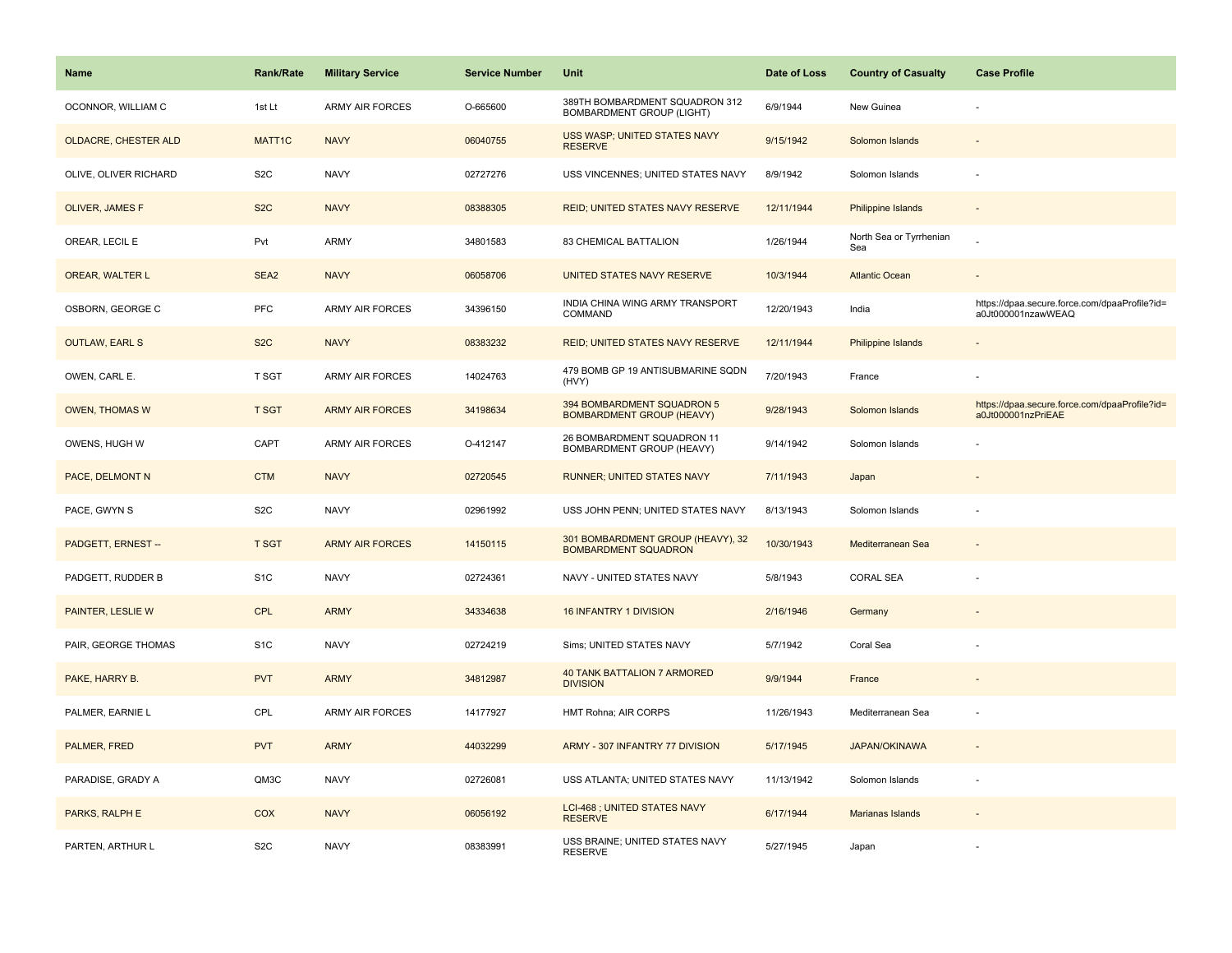| <b>Name</b>           | <b>Rank/Rate</b> | <b>Military Service</b> | <b>Service Number</b> | Unit                                                             | Date of Loss | <b>Country of Casualty</b>     | <b>Case Profile</b>                                                 |
|-----------------------|------------------|-------------------------|-----------------------|------------------------------------------------------------------|--------------|--------------------------------|---------------------------------------------------------------------|
| OCONNOR, WILLIAM C    | 1st Lt           | <b>ARMY AIR FORCES</b>  | O-665600              | 389TH BOMBARDMENT SQUADRON 312<br>BOMBARDMENT GROUP (LIGHT)      | 6/9/1944     | New Guinea                     |                                                                     |
| OLDACRE, CHESTER ALD  | MATT1C           | <b>NAVY</b>             | 06040755              | USS WASP; UNITED STATES NAVY<br><b>RESERVE</b>                   | 9/15/1942    | Solomon Islands                |                                                                     |
| OLIVE, OLIVER RICHARD | S <sub>2</sub> C | <b>NAVY</b>             | 02727276              | USS VINCENNES; UNITED STATES NAVY                                | 8/9/1942     | Solomon Islands                |                                                                     |
| OLIVER, JAMES F       | S <sub>2</sub> C | <b>NAVY</b>             | 08388305              | REID; UNITED STATES NAVY RESERVE                                 | 12/11/1944   | Philippine Islands             |                                                                     |
| OREAR, LECIL E        | Pvt              | ARMY                    | 34801583              | 83 CHEMICAL BATTALION                                            | 1/26/1944    | North Sea or Tyrrhenian<br>Sea |                                                                     |
| OREAR, WALTER L       | SEA <sub>2</sub> | <b>NAVY</b>             | 06058706              | UNITED STATES NAVY RESERVE                                       | 10/3/1944    | <b>Atlantic Ocean</b>          | $\overline{\phantom{a}}$                                            |
| OSBORN, GEORGE C      | PFC              | <b>ARMY AIR FORCES</b>  | 34396150              | INDIA CHINA WING ARMY TRANSPORT<br>COMMAND                       | 12/20/1943   | India                          | https://dpaa.secure.force.com/dpaaProfile?id=<br>a0Jt000001nzawWEAQ |
| <b>OUTLAW, EARL S</b> | S <sub>2</sub> C | <b>NAVY</b>             | 08383232              | <b>REID; UNITED STATES NAVY RESERVE</b>                          | 12/11/1944   | Philippine Islands             |                                                                     |
| OWEN, CARL E.         | T SGT            | <b>ARMY AIR FORCES</b>  | 14024763              | 479 BOMB GP 19 ANTISUBMARINE SQDN<br>(HVY)                       | 7/20/1943    | France                         |                                                                     |
| <b>OWEN, THOMAS W</b> | <b>T SGT</b>     | <b>ARMY AIR FORCES</b>  | 34198634              | 394 BOMBARDMENT SQUADRON 5<br><b>BOMBARDMENT GROUP (HEAVY)</b>   | 9/28/1943    | Solomon Islands                | https://dpaa.secure.force.com/dpaaProfile?id=<br>a0Jt000001nzPriEAE |
| OWENS, HUGH W         | CAPT             | ARMY AIR FORCES         | O-412147              | 26 BOMBARDMENT SQUADRON 11<br>BOMBARDMENT GROUP (HEAVY)          | 9/14/1942    | Solomon Islands                |                                                                     |
| PACE, DELMONT N       | <b>CTM</b>       | <b>NAVY</b>             | 02720545              | RUNNER; UNITED STATES NAVY                                       | 7/11/1943    | Japan                          | $\sim$                                                              |
| PACE, GWYN S          | S2C              | <b>NAVY</b>             | 02961992              | USS JOHN PENN; UNITED STATES NAVY                                | 8/13/1943    | Solomon Islands                |                                                                     |
| PADGETT, ERNEST --    | <b>T SGT</b>     | <b>ARMY AIR FORCES</b>  | 14150115              | 301 BOMBARDMENT GROUP (HEAVY), 32<br><b>BOMBARDMENT SQUADRON</b> | 10/30/1943   | Mediterranean Sea              |                                                                     |
| PADGETT, RUDDER B     | S <sub>1</sub> C | <b>NAVY</b>             | 02724361              | NAVY - UNITED STATES NAVY                                        | 5/8/1943     | <b>CORAL SEA</b>               |                                                                     |
| PAINTER, LESLIE W     | CPL              | <b>ARMY</b>             | 34334638              | 16 INFANTRY 1 DIVISION                                           | 2/16/1946    | Germany                        |                                                                     |
| PAIR, GEORGE THOMAS   | S <sub>1</sub> C | <b>NAVY</b>             | 02724219              | Sims; UNITED STATES NAVY                                         | 5/7/1942     | Coral Sea                      |                                                                     |
| PAKE, HARRY B.        | <b>PVT</b>       | <b>ARMY</b>             | 34812987              | <b>40 TANK BATTALION 7 ARMORED</b><br><b>DIVISION</b>            | 9/9/1944     | France                         |                                                                     |
| PALMER, EARNIE L      | CPL              | ARMY AIR FORCES         | 14177927              | HMT Rohna; AIR CORPS                                             | 11/26/1943   | Mediterranean Sea              | $\overline{\phantom{a}}$                                            |
| PALMER, FRED          | <b>PVT</b>       | <b>ARMY</b>             | 44032299              | ARMY - 307 INFANTRY 77 DIVISION                                  | 5/17/1945    | <b>JAPAN/OKINAWA</b>           | $\overline{\phantom{a}}$                                            |
| PARADISE, GRADY A     | QM3C             | <b>NAVY</b>             | 02726081              | USS ATLANTA; UNITED STATES NAVY                                  | 11/13/1942   | Solomon Islands                | ÷,                                                                  |
| PARKS, RALPH E        | <b>COX</b>       | <b>NAVY</b>             | 06056192              | LCI-468 ; UNITED STATES NAVY<br><b>RESERVE</b>                   | 6/17/1944    | Marianas Islands               |                                                                     |
| PARTEN, ARTHUR L      | S <sub>2</sub> C | <b>NAVY</b>             | 08383991              | USS BRAINE; UNITED STATES NAVY<br><b>RESERVE</b>                 | 5/27/1945    | Japan                          |                                                                     |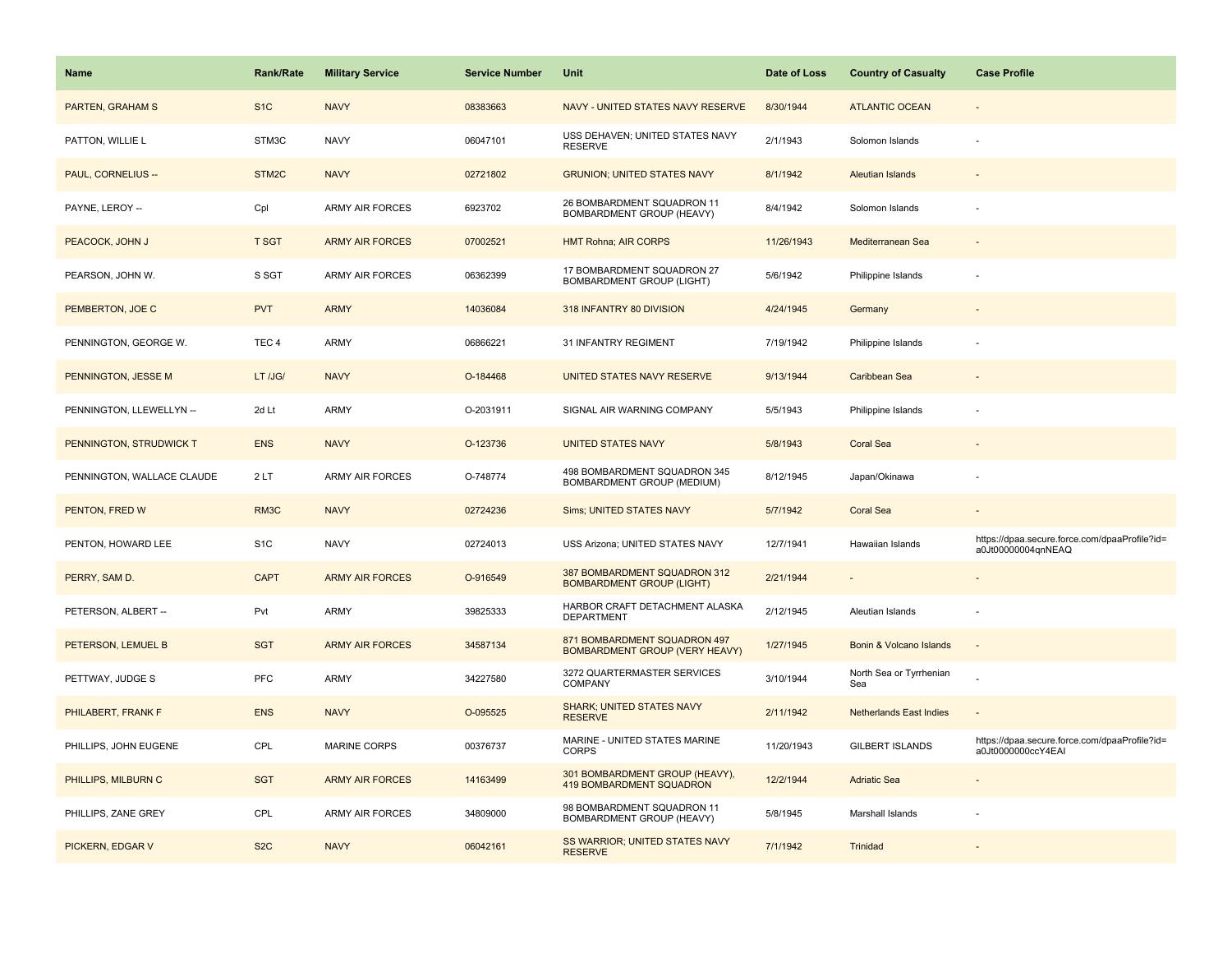| <b>Name</b>                | <b>Rank/Rate</b> | <b>Military Service</b> | <b>Service Number</b> | Unit                                                                  | Date of Loss | <b>Country of Casualty</b>     | <b>Case Profile</b>                                                 |
|----------------------------|------------------|-------------------------|-----------------------|-----------------------------------------------------------------------|--------------|--------------------------------|---------------------------------------------------------------------|
| <b>PARTEN, GRAHAM S</b>    | S <sub>1</sub> C | <b>NAVY</b>             | 08383663              | NAVY - UNITED STATES NAVY RESERVE                                     | 8/30/1944    | <b>ATLANTIC OCEAN</b>          |                                                                     |
| PATTON, WILLIE L           | STM3C            | <b>NAVY</b>             | 06047101              | USS DEHAVEN; UNITED STATES NAVY<br><b>RESERVE</b>                     | 2/1/1943     | Solomon Islands                |                                                                     |
| PAUL, CORNELIUS --         | STM2C            | <b>NAVY</b>             | 02721802              | <b>GRUNION; UNITED STATES NAVY</b>                                    | 8/1/1942     | Aleutian Islands               |                                                                     |
| PAYNE, LEROY --            | Cpl              | <b>ARMY AIR FORCES</b>  | 6923702               | 26 BOMBARDMENT SQUADRON 11<br>BOMBARDMENT GROUP (HEAVY)               | 8/4/1942     | Solomon Islands                |                                                                     |
| PEACOCK, JOHN J            | <b>T SGT</b>     | <b>ARMY AIR FORCES</b>  | 07002521              | <b>HMT Rohna; AIR CORPS</b>                                           | 11/26/1943   | Mediterranean Sea              |                                                                     |
| PEARSON, JOHN W.           | S SGT            | <b>ARMY AIR FORCES</b>  | 06362399              | 17 BOMBARDMENT SQUADRON 27<br><b>BOMBARDMENT GROUP (LIGHT)</b>        | 5/6/1942     | Philippine Islands             |                                                                     |
| PEMBERTON, JOE C           | <b>PVT</b>       | <b>ARMY</b>             | 14036084              | 318 INFANTRY 80 DIVISION                                              | 4/24/1945    | Germany                        |                                                                     |
| PENNINGTON, GEORGE W.      | TEC <sub>4</sub> | <b>ARMY</b>             | 06866221              | 31 INFANTRY REGIMENT                                                  | 7/19/1942    | Philippine Islands             |                                                                     |
| PENNINGTON, JESSE M        | LT /JG/          | <b>NAVY</b>             | O-184468              | UNITED STATES NAVY RESERVE                                            | 9/13/1944    | Caribbean Sea                  |                                                                     |
| PENNINGTON, LLEWELLYN --   | 2d Lt            | ARMY                    | O-2031911             | SIGNAL AIR WARNING COMPANY                                            | 5/5/1943     | Philippine Islands             |                                                                     |
| PENNINGTON, STRUDWICK T    | <b>ENS</b>       | <b>NAVY</b>             | O-123736              | <b>UNITED STATES NAVY</b>                                             | 5/8/1943     | <b>Coral Sea</b>               |                                                                     |
| PENNINGTON, WALLACE CLAUDE | 2LT              | <b>ARMY AIR FORCES</b>  | O-748774              | 498 BOMBARDMENT SQUADRON 345<br>BOMBARDMENT GROUP (MEDIUM)            | 8/12/1945    | Japan/Okinawa                  |                                                                     |
| PENTON, FRED W             | RM3C             | <b>NAVY</b>             | 02724236              | Sims; UNITED STATES NAVY                                              | 5/7/1942     | <b>Coral Sea</b>               |                                                                     |
| PENTON, HOWARD LEE         | S <sub>1</sub> C | <b>NAVY</b>             | 02724013              | USS Arizona; UNITED STATES NAVY                                       | 12/7/1941    | Hawaiian Islands               | https://dpaa.secure.force.com/dpaaProfile?id=<br>a0Jt00000004qnNEAQ |
| PERRY, SAM D.              | <b>CAPT</b>      | <b>ARMY AIR FORCES</b>  | O-916549              | 387 BOMBARDMENT SQUADRON 312<br><b>BOMBARDMENT GROUP (LIGHT)</b>      | 2/21/1944    |                                |                                                                     |
| PETERSON, ALBERT --        | Pvt              | ARMY                    | 39825333              | HARBOR CRAFT DETACHMENT ALASKA<br><b>DEPARTMENT</b>                   | 2/12/1945    | Aleutian Islands               |                                                                     |
| PETERSON, LEMUEL B         | <b>SGT</b>       | <b>ARMY AIR FORCES</b>  | 34587134              | 871 BOMBARDMENT SQUADRON 497<br><b>BOMBARDMENT GROUP (VERY HEAVY)</b> | 1/27/1945    | Bonin & Volcano Islands        | $\overline{a}$                                                      |
| PETTWAY, JUDGE S           | PFC              | ARMY                    | 34227580              | 3272 QUARTERMASTER SERVICES<br>COMPANY                                | 3/10/1944    | North Sea or Tyrrhenian<br>Sea |                                                                     |
| PHILABERT, FRANK F         | <b>ENS</b>       | <b>NAVY</b>             | O-095525              | SHARK; UNITED STATES NAVY<br><b>RESERVE</b>                           | 2/11/1942    | <b>Netherlands East Indies</b> |                                                                     |
| PHILLIPS, JOHN EUGENE      | CPL              | <b>MARINE CORPS</b>     | 00376737              | MARINE - UNITED STATES MARINE<br>CORPS                                | 11/20/1943   | <b>GILBERT ISLANDS</b>         | https://dpaa.secure.force.com/dpaaProfile?id=<br>a0Jt0000000ccY4EAI |
| PHILLIPS, MILBURN C        | <b>SGT</b>       | <b>ARMY AIR FORCES</b>  | 14163499              | 301 BOMBARDMENT GROUP (HEAVY),<br><b>419 BOMBARDMENT SQUADRON</b>     | 12/2/1944    | <b>Adriatic Sea</b>            |                                                                     |
| PHILLIPS, ZANE GREY        | CPL              | <b>ARMY AIR FORCES</b>  | 34809000              | 98 BOMBARDMENT SQUADRON 11<br>BOMBARDMENT GROUP (HEAVY)               | 5/8/1945     | Marshall Islands               |                                                                     |
| PICKERN, EDGAR V           | S <sub>2</sub> C | <b>NAVY</b>             | 06042161              | SS WARRIOR; UNITED STATES NAVY<br><b>RESERVE</b>                      | 7/1/1942     | Trinidad                       |                                                                     |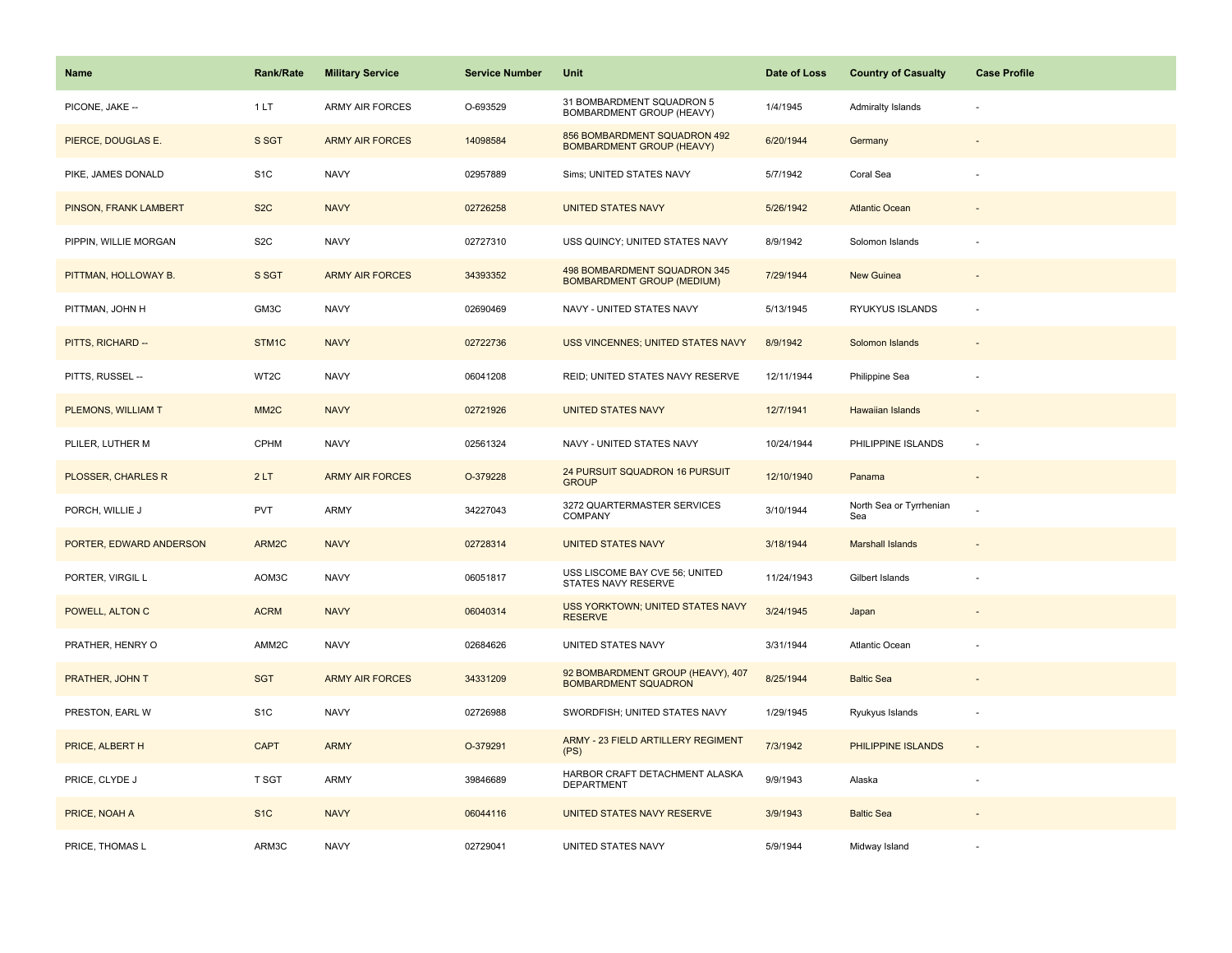| <b>Name</b>             | <b>Rank/Rate</b>  | <b>Military Service</b> | <b>Service Number</b> | Unit                                                              | Date of Loss | <b>Country of Casualty</b>     | <b>Case Profile</b>      |
|-------------------------|-------------------|-------------------------|-----------------------|-------------------------------------------------------------------|--------------|--------------------------------|--------------------------|
| PICONE, JAKE --         | 1LT               | <b>ARMY AIR FORCES</b>  | O-693529              | 31 BOMBARDMENT SQUADRON 5<br>BOMBARDMENT GROUP (HEAVY)            | 1/4/1945     | Admiralty Islands              |                          |
| PIERCE, DOUGLAS E.      | S SGT             | <b>ARMY AIR FORCES</b>  | 14098584              | 856 BOMBARDMENT SQUADRON 492<br><b>BOMBARDMENT GROUP (HEAVY)</b>  | 6/20/1944    | Germany                        |                          |
| PIKE, JAMES DONALD      | S <sub>1</sub> C  | <b>NAVY</b>             | 02957889              | Sims; UNITED STATES NAVY                                          | 5/7/1942     | Coral Sea                      |                          |
| PINSON, FRANK LAMBERT   | S <sub>2</sub> C  | <b>NAVY</b>             | 02726258              | <b>UNITED STATES NAVY</b>                                         | 5/26/1942    | <b>Atlantic Ocean</b>          |                          |
| PIPPIN, WILLIE MORGAN   | S <sub>2</sub> C  | <b>NAVY</b>             | 02727310              | USS QUINCY; UNITED STATES NAVY                                    | 8/9/1942     | Solomon Islands                |                          |
| PITTMAN, HOLLOWAY B.    | S SGT             | <b>ARMY AIR FORCES</b>  | 34393352              | 498 BOMBARDMENT SQUADRON 345<br><b>BOMBARDMENT GROUP (MEDIUM)</b> | 7/29/1944    | New Guinea                     |                          |
| PITTMAN, JOHN H         | GM3C              | <b>NAVY</b>             | 02690469              | NAVY - UNITED STATES NAVY                                         | 5/13/1945    | RYUKYUS ISLANDS                | $\sim$                   |
| PITTS, RICHARD --       | STM <sub>1C</sub> | <b>NAVY</b>             | 02722736              | <b>USS VINCENNES; UNITED STATES NAVY</b>                          | 8/9/1942     | Solomon Islands                |                          |
| PITTS, RUSSEL --        | WT2C              | <b>NAVY</b>             | 06041208              | REID; UNITED STATES NAVY RESERVE                                  | 12/11/1944   | Philippine Sea                 |                          |
| PLEMONS, WILLIAM T      | MM <sub>2</sub> C | <b>NAVY</b>             | 02721926              | <b>UNITED STATES NAVY</b>                                         | 12/7/1941    | Hawaiian Islands               |                          |
| PLILER, LUTHER M        | <b>CPHM</b>       | <b>NAVY</b>             | 02561324              | NAVY - UNITED STATES NAVY                                         | 10/24/1944   | PHILIPPINE ISLANDS             |                          |
| PLOSSER, CHARLES R      | 2LT               | <b>ARMY AIR FORCES</b>  | O-379228              | 24 PURSUIT SQUADRON 16 PURSUIT<br><b>GROUP</b>                    | 12/10/1940   | Panama                         | $\overline{\phantom{a}}$ |
| PORCH, WILLIE J         | <b>PVT</b>        | <b>ARMY</b>             | 34227043              | 3272 QUARTERMASTER SERVICES<br>COMPANY                            | 3/10/1944    | North Sea or Tyrrhenian<br>Sea |                          |
| PORTER, EDWARD ANDERSON | ARM2C             | <b>NAVY</b>             | 02728314              | <b>UNITED STATES NAVY</b>                                         | 3/18/1944    | <b>Marshall Islands</b>        |                          |
| PORTER, VIRGIL L        | AOM3C             | <b>NAVY</b>             | 06051817              | USS LISCOME BAY CVE 56; UNITED<br>STATES NAVY RESERVE             | 11/24/1943   | Gilbert Islands                |                          |
| POWELL, ALTON C         | <b>ACRM</b>       | <b>NAVY</b>             | 06040314              | USS YORKTOWN; UNITED STATES NAVY<br><b>RESERVE</b>                | 3/24/1945    | Japan                          |                          |
| PRATHER, HENRY O        | AMM2C             | <b>NAVY</b>             | 02684626              | UNITED STATES NAVY                                                | 3/31/1944    | Atlantic Ocean                 |                          |
| PRATHER, JOHN T         | <b>SGT</b>        | <b>ARMY AIR FORCES</b>  | 34331209              | 92 BOMBARDMENT GROUP (HEAVY), 407<br><b>BOMBARDMENT SQUADRON</b>  | 8/25/1944    | <b>Baltic Sea</b>              |                          |
| PRESTON, EARL W         | S <sub>1</sub> C  | <b>NAVY</b>             | 02726988              | SWORDFISH; UNITED STATES NAVY                                     | 1/29/1945    | Ryukyus Islands                | $\overline{\phantom{a}}$ |
| PRICE, ALBERT H         | <b>CAPT</b>       | <b>ARMY</b>             | O-379291              | ARMY - 23 FIELD ARTILLERY REGIMENT<br>(PS)                        | 7/3/1942     | PHILIPPINE ISLANDS             | $\sim$                   |
| PRICE, CLYDE J          | <b>T SGT</b>      | ARMY                    | 39846689              | HARBOR CRAFT DETACHMENT ALASKA<br><b>DEPARTMENT</b>               | 9/9/1943     | Alaska                         |                          |
| PRICE, NOAH A           | S <sub>1C</sub>   | <b>NAVY</b>             | 06044116              | UNITED STATES NAVY RESERVE                                        | 3/9/1943     | <b>Baltic Sea</b>              |                          |
| PRICE, THOMAS L         | ARM3C             | <b>NAVY</b>             | 02729041              | UNITED STATES NAVY                                                | 5/9/1944     | Midway Island                  |                          |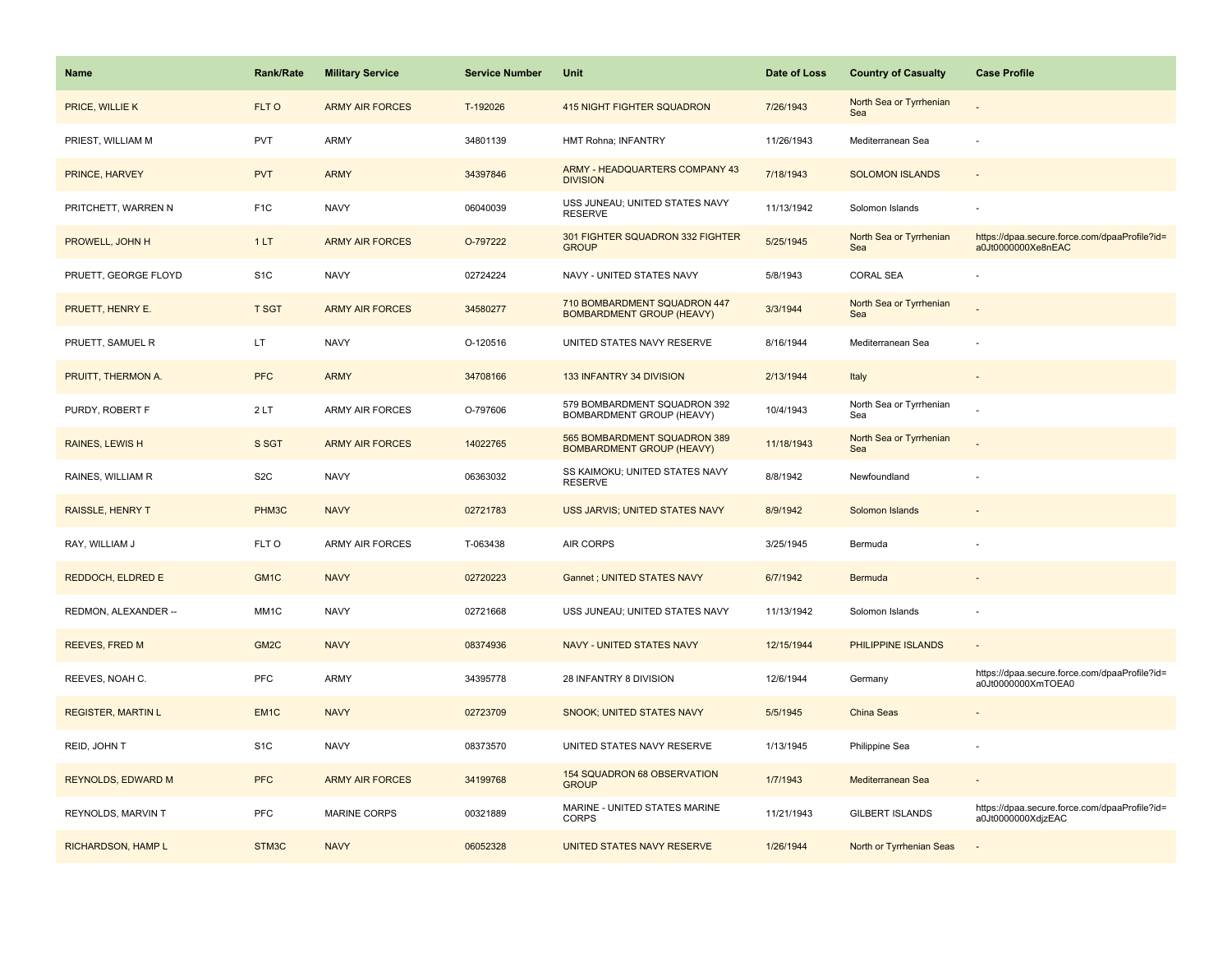| <b>Name</b>               | <b>Rank/Rate</b>  | <b>Military Service</b> | <b>Service Number</b> | Unit                                                             | Date of Loss | <b>Country of Casualty</b>     | <b>Case Profile</b>                                                 |
|---------------------------|-------------------|-------------------------|-----------------------|------------------------------------------------------------------|--------------|--------------------------------|---------------------------------------------------------------------|
| PRICE, WILLIE K           | FLT O             | <b>ARMY AIR FORCES</b>  | T-192026              | <b>415 NIGHT FIGHTER SQUADRON</b>                                | 7/26/1943    | North Sea or Tyrrhenian<br>Sea |                                                                     |
| PRIEST, WILLIAM M         | <b>PVT</b>        | ARMY                    | 34801139              | HMT Rohna; INFANTRY                                              | 11/26/1943   | Mediterranean Sea              |                                                                     |
| PRINCE, HARVEY            | <b>PVT</b>        | <b>ARMY</b>             | 34397846              | ARMY - HEADQUARTERS COMPANY 43<br><b>DIVISION</b>                | 7/18/1943    | <b>SOLOMON ISLANDS</b>         |                                                                     |
| PRITCHETT, WARREN N       | F <sub>1C</sub>   | <b>NAVY</b>             | 06040039              | USS JUNEAU; UNITED STATES NAVY<br><b>RESERVE</b>                 | 11/13/1942   | Solomon Islands                |                                                                     |
| PROWELL, JOHN H           | 1LT               | <b>ARMY AIR FORCES</b>  | O-797222              | 301 FIGHTER SQUADRON 332 FIGHTER<br><b>GROUP</b>                 | 5/25/1945    | North Sea or Tyrrhenian<br>Sea | https://dpaa.secure.force.com/dpaaProfile?id=<br>a0Jt0000000Xe8nEAC |
| PRUETT, GEORGE FLOYD      | S <sub>1</sub> C  | <b>NAVY</b>             | 02724224              | NAVY - UNITED STATES NAVY                                        | 5/8/1943     | <b>CORAL SEA</b>               |                                                                     |
| PRUETT, HENRY E.          | <b>T SGT</b>      | <b>ARMY AIR FORCES</b>  | 34580277              | 710 BOMBARDMENT SQUADRON 447<br><b>BOMBARDMENT GROUP (HEAVY)</b> | 3/3/1944     | North Sea or Tyrrhenian<br>Sea |                                                                     |
| PRUETT, SAMUEL R          | LT.               | <b>NAVY</b>             | O-120516              | UNITED STATES NAVY RESERVE                                       | 8/16/1944    | Mediterranean Sea              |                                                                     |
| PRUITT, THERMON A.        | <b>PFC</b>        | <b>ARMY</b>             | 34708166              | 133 INFANTRY 34 DIVISION                                         | 2/13/1944    | Italy                          |                                                                     |
| PURDY, ROBERT F           | 2LT               | ARMY AIR FORCES         | O-797606              | 579 BOMBARDMENT SQUADRON 392<br>BOMBARDMENT GROUP (HEAVY)        | 10/4/1943    | North Sea or Tyrrhenian<br>Sea |                                                                     |
| RAINES, LEWIS H           | S SGT             | <b>ARMY AIR FORCES</b>  | 14022765              | 565 BOMBARDMENT SQUADRON 389<br><b>BOMBARDMENT GROUP (HEAVY)</b> | 11/18/1943   | North Sea or Tyrrhenian<br>Sea |                                                                     |
| RAINES, WILLIAM R         | S <sub>2</sub> C  | <b>NAVY</b>             | 06363032              | SS KAIMOKU; UNITED STATES NAVY<br><b>RESERVE</b>                 | 8/8/1942     | Newfoundland                   |                                                                     |
| <b>RAISSLE, HENRY T</b>   | PHM3C             | <b>NAVY</b>             | 02721783              | USS JARVIS; UNITED STATES NAVY                                   | 8/9/1942     | Solomon Islands                |                                                                     |
| RAY, WILLIAM J            | FLT O             | <b>ARMY AIR FORCES</b>  | T-063438              | <b>AIR CORPS</b>                                                 | 3/25/1945    | Bermuda                        |                                                                     |
| REDDOCH, ELDRED E         | GM <sub>1</sub> C | <b>NAVY</b>             | 02720223              | Gannet ; UNITED STATES NAVY                                      | 6/7/1942     | Bermuda                        |                                                                     |
| REDMON, ALEXANDER --      | MM <sub>1</sub> C | <b>NAVY</b>             | 02721668              | USS JUNEAU; UNITED STATES NAVY                                   | 11/13/1942   | Solomon Islands                |                                                                     |
| <b>REEVES, FRED M</b>     | GM <sub>2</sub> C | <b>NAVY</b>             | 08374936              | <b>NAVY - UNITED STATES NAVY</b>                                 | 12/15/1944   | PHILIPPINE ISLANDS             |                                                                     |
| REEVES, NOAH C.           | <b>PFC</b>        | ARMY                    | 34395778              | 28 INFANTRY 8 DIVISION                                           | 12/6/1944    | Germany                        | https://dpaa.secure.force.com/dpaaProfile?id=<br>a0Jt0000000XmTOEA0 |
| <b>REGISTER, MARTIN L</b> | EM <sub>1C</sub>  | <b>NAVY</b>             | 02723709              | SNOOK; UNITED STATES NAVY                                        | 5/5/1945     | <b>China Seas</b>              |                                                                     |
| REID, JOHN T              | S <sub>1</sub> C  | <b>NAVY</b>             | 08373570              | UNITED STATES NAVY RESERVE                                       | 1/13/1945    | Philippine Sea                 |                                                                     |
| REYNOLDS, EDWARD M        | <b>PFC</b>        | <b>ARMY AIR FORCES</b>  | 34199768              | 154 SQUADRON 68 OBSERVATION<br><b>GROUP</b>                      | 1/7/1943     | Mediterranean Sea              |                                                                     |
| REYNOLDS, MARVIN T        | PFC               | <b>MARINE CORPS</b>     | 00321889              | MARINE - UNITED STATES MARINE<br><b>CORPS</b>                    | 11/21/1943   | <b>GILBERT ISLANDS</b>         | https://dpaa.secure.force.com/dpaaProfile?id=<br>a0Jt0000000XdjzEAC |
| RICHARDSON, HAMP L        | STM3C             | <b>NAVY</b>             | 06052328              | UNITED STATES NAVY RESERVE                                       | 1/26/1944    | North or Tyrrhenian Seas       |                                                                     |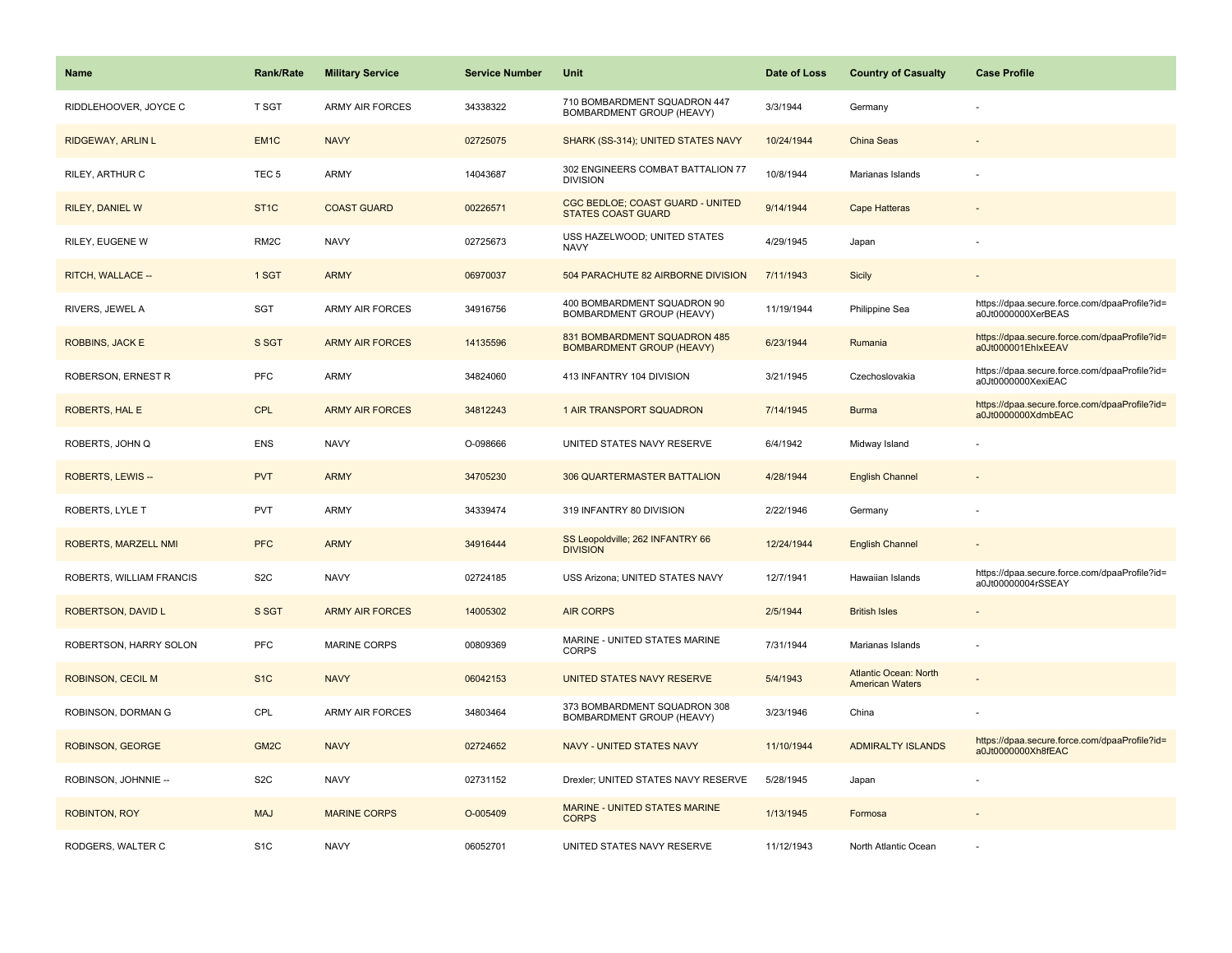| <b>Name</b>              | <b>Rank/Rate</b>  | <b>Military Service</b> | <b>Service Number</b> | Unit                                                             | Date of Loss | <b>Country of Casualty</b>                             | <b>Case Profile</b>                                                 |
|--------------------------|-------------------|-------------------------|-----------------------|------------------------------------------------------------------|--------------|--------------------------------------------------------|---------------------------------------------------------------------|
| RIDDLEHOOVER, JOYCE C    | T SGT             | <b>ARMY AIR FORCES</b>  | 34338322              | 710 BOMBARDMENT SQUADRON 447<br>BOMBARDMENT GROUP (HEAVY)        | 3/3/1944     | Germany                                                |                                                                     |
| RIDGEWAY, ARLIN L        | EM <sub>1C</sub>  | <b>NAVY</b>             | 02725075              | SHARK (SS-314); UNITED STATES NAVY                               | 10/24/1944   | <b>China Seas</b>                                      |                                                                     |
| RILEY, ARTHUR C          | TEC <sub>5</sub>  | <b>ARMY</b>             | 14043687              | 302 ENGINEERS COMBAT BATTALION 77<br><b>DIVISION</b>             | 10/8/1944    | Marianas Islands                                       |                                                                     |
| <b>RILEY, DANIEL W</b>   | ST <sub>1</sub> C | <b>COAST GUARD</b>      | 00226571              | CGC BEDLOE; COAST GUARD - UNITED<br><b>STATES COAST GUARD</b>    | 9/14/1944    | <b>Cape Hatteras</b>                                   |                                                                     |
| RILEY, EUGENE W          | RM <sub>2</sub> C | <b>NAVY</b>             | 02725673              | USS HAZELWOOD; UNITED STATES<br><b>NAVY</b>                      | 4/29/1945    | Japan                                                  |                                                                     |
| RITCH, WALLACE --        | 1 SGT             | <b>ARMY</b>             | 06970037              | 504 PARACHUTE 82 AIRBORNE DIVISION                               | 7/11/1943    | <b>Sicily</b>                                          |                                                                     |
| RIVERS, JEWEL A          | <b>SGT</b>        | <b>ARMY AIR FORCES</b>  | 34916756              | 400 BOMBARDMENT SQUADRON 90<br>BOMBARDMENT GROUP (HEAVY)         | 11/19/1944   | Philippine Sea                                         | https://dpaa.secure.force.com/dpaaProfile?id=<br>a0Jt0000000XerBEAS |
| <b>ROBBINS, JACK E</b>   | S SGT             | <b>ARMY AIR FORCES</b>  | 14135596              | 831 BOMBARDMENT SQUADRON 485<br><b>BOMBARDMENT GROUP (HEAVY)</b> | 6/23/1944    | Rumania                                                | https://dpaa.secure.force.com/dpaaProfile?id=<br>a0Jt000001EhlxEEAV |
| ROBERSON, ERNEST R       | PFC               | <b>ARMY</b>             | 34824060              | 413 INFANTRY 104 DIVISION                                        | 3/21/1945    | Czechoslovakia                                         | https://dpaa.secure.force.com/dpaaProfile?id=<br>a0Jt0000000XexiEAC |
| <b>ROBERTS, HAL E</b>    | <b>CPL</b>        | <b>ARMY AIR FORCES</b>  | 34812243              | 1 AIR TRANSPORT SQUADRON                                         | 7/14/1945    | <b>Burma</b>                                           | https://dpaa.secure.force.com/dpaaProfile?id=<br>a0Jt0000000XdmbEAC |
| ROBERTS, JOHN Q          | <b>ENS</b>        | <b>NAVY</b>             | O-098666              | UNITED STATES NAVY RESERVE                                       | 6/4/1942     | Midway Island                                          |                                                                     |
| ROBERTS, LEWIS --        | <b>PVT</b>        | <b>ARMY</b>             | 34705230              | 306 QUARTERMASTER BATTALION                                      | 4/28/1944    | <b>English Channel</b>                                 |                                                                     |
| ROBERTS, LYLE T          | <b>PVT</b>        | <b>ARMY</b>             | 34339474              | 319 INFANTRY 80 DIVISION                                         | 2/22/1946    | Germany                                                |                                                                     |
| ROBERTS, MARZELL NMI     | <b>PFC</b>        | <b>ARMY</b>             | 34916444              | SS Leopoldville; 262 INFANTRY 66<br><b>DIVISION</b>              | 12/24/1944   | <b>English Channel</b>                                 |                                                                     |
| ROBERTS, WILLIAM FRANCIS | S <sub>2</sub> C  | <b>NAVY</b>             | 02724185              | USS Arizona; UNITED STATES NAVY                                  | 12/7/1941    | Hawaiian Islands                                       | https://dpaa.secure.force.com/dpaaProfile?id=<br>a0Jt00000004rSSEAY |
| ROBERTSON, DAVID L       | S SGT             | <b>ARMY AIR FORCES</b>  | 14005302              | <b>AIR CORPS</b>                                                 | 2/5/1944     | <b>British Isles</b>                                   |                                                                     |
| ROBERTSON, HARRY SOLON   | <b>PFC</b>        | <b>MARINE CORPS</b>     | 00809369              | MARINE - UNITED STATES MARINE<br><b>CORPS</b>                    | 7/31/1944    | Marianas Islands                                       |                                                                     |
| <b>ROBINSON, CECIL M</b> | S <sub>1C</sub>   | <b>NAVY</b>             | 06042153              | UNITED STATES NAVY RESERVE                                       | 5/4/1943     | <b>Atlantic Ocean: North</b><br><b>American Waters</b> |                                                                     |
| ROBINSON, DORMAN G       | CPL               | ARMY AIR FORCES         | 34803464              | 373 BOMBARDMENT SQUADRON 308<br>BOMBARDMENT GROUP (HEAVY)        | 3/23/1946    | China                                                  |                                                                     |
| ROBINSON, GEORGE         | GM <sub>2</sub> C | <b>NAVY</b>             | 02724652              | <b>NAVY - UNITED STATES NAVY</b>                                 | 11/10/1944   | <b>ADMIRALTY ISLANDS</b>                               | https://dpaa.secure.force.com/dpaaProfile?id=<br>a0Jt0000000Xh8fEAC |
| ROBINSON, JOHNNIE --     | S <sub>2</sub> C  | <b>NAVY</b>             | 02731152              | Drexler; UNITED STATES NAVY RESERVE                              | 5/28/1945    | Japan                                                  |                                                                     |
| <b>ROBINTON, ROY</b>     | <b>MAJ</b>        | <b>MARINE CORPS</b>     | O-005409              | MARINE - UNITED STATES MARINE<br><b>CORPS</b>                    | 1/13/1945    | Formosa                                                |                                                                     |
| RODGERS, WALTER C        | S <sub>1</sub> C  | <b>NAVY</b>             | 06052701              | UNITED STATES NAVY RESERVE                                       | 11/12/1943   | North Atlantic Ocean                                   |                                                                     |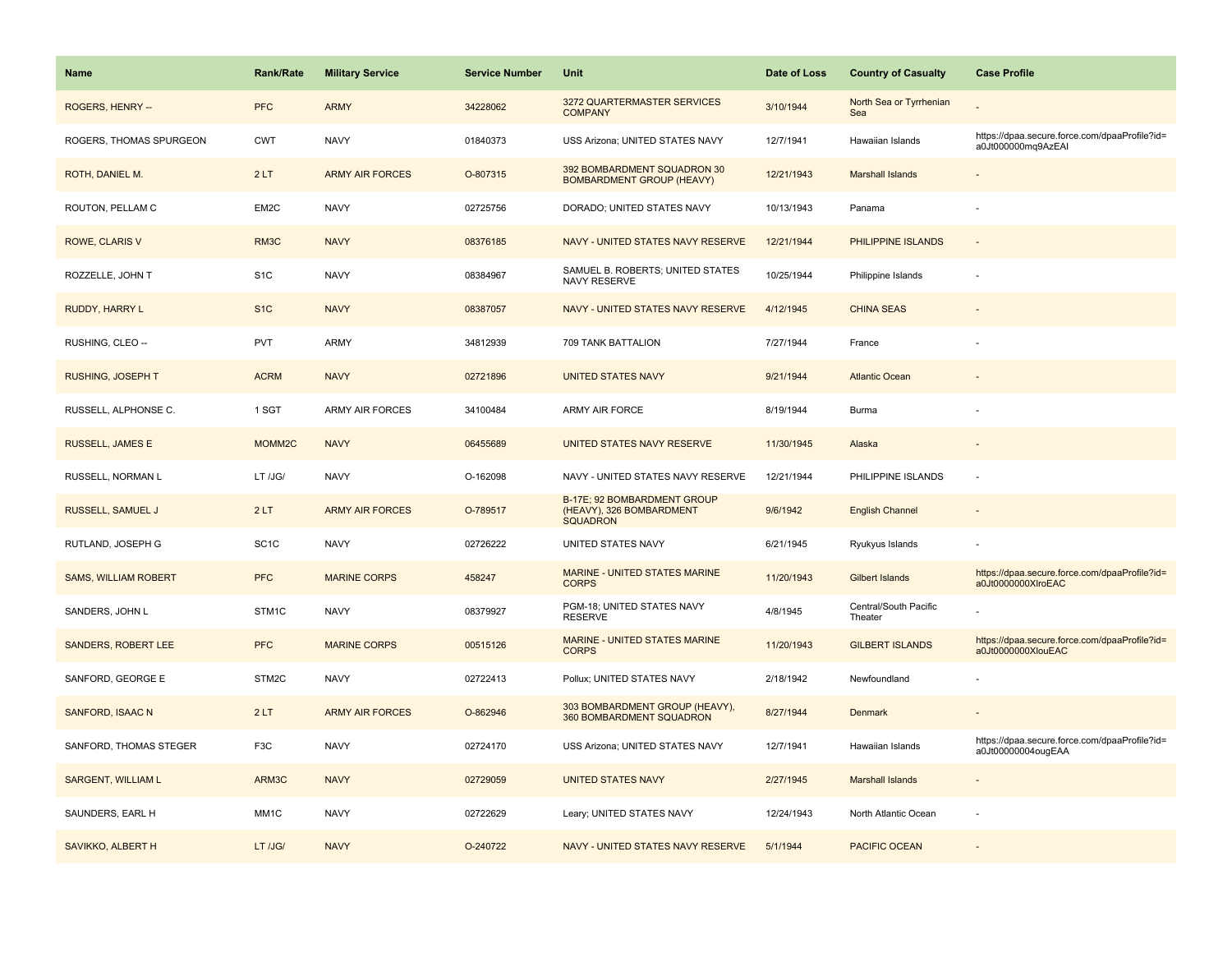| <b>Name</b>                 | <b>Rank/Rate</b>   | <b>Military Service</b> | <b>Service Number</b> | Unit                                                                       | Date of Loss | <b>Country of Casualty</b>       | <b>Case Profile</b>                                                 |
|-----------------------------|--------------------|-------------------------|-----------------------|----------------------------------------------------------------------------|--------------|----------------------------------|---------------------------------------------------------------------|
| ROGERS, HENRY --            | <b>PFC</b>         | <b>ARMY</b>             | 34228062              | 3272 QUARTERMASTER SERVICES<br><b>COMPANY</b>                              | 3/10/1944    | North Sea or Tyrrhenian<br>Sea   |                                                                     |
| ROGERS, THOMAS SPURGEON     | <b>CWT</b>         | <b>NAVY</b>             | 01840373              | USS Arizona; UNITED STATES NAVY                                            | 12/7/1941    | Hawaiian Islands                 | https://dpaa.secure.force.com/dpaaProfile?id=<br>a0Jt000000mq9AzEAI |
| ROTH, DANIEL M.             | 2LT                | <b>ARMY AIR FORCES</b>  | O-807315              | 392 BOMBARDMENT SQUADRON 30<br><b>BOMBARDMENT GROUP (HEAVY)</b>            | 12/21/1943   | <b>Marshall Islands</b>          |                                                                     |
| ROUTON, PELLAM C            | EM2C               | <b>NAVY</b>             | 02725756              | DORADO; UNITED STATES NAVY                                                 | 10/13/1943   | Panama                           |                                                                     |
| ROWE, CLARIS V              | RM3C               | <b>NAVY</b>             | 08376185              | NAVY - UNITED STATES NAVY RESERVE                                          | 12/21/1944   | PHILIPPINE ISLANDS               |                                                                     |
| ROZZELLE, JOHN T            | S <sub>1</sub> C   | <b>NAVY</b>             | 08384967              | SAMUEL B. ROBERTS; UNITED STATES<br>NAVY RESERVE                           | 10/25/1944   | Philippine Islands               |                                                                     |
| RUDDY, HARRY L              | S <sub>1</sub> C   | <b>NAVY</b>             | 08387057              | NAVY - UNITED STATES NAVY RESERVE                                          | 4/12/1945    | <b>CHINA SEAS</b>                |                                                                     |
| RUSHING, CLEO --            | <b>PVT</b>         | ARMY                    | 34812939              | 709 TANK BATTALION                                                         | 7/27/1944    | France                           |                                                                     |
| RUSHING, JOSEPH T           | <b>ACRM</b>        | <b>NAVY</b>             | 02721896              | <b>UNITED STATES NAVY</b>                                                  | 9/21/1944    | <b>Atlantic Ocean</b>            |                                                                     |
| RUSSELL, ALPHONSE C.        | 1 SGT              | <b>ARMY AIR FORCES</b>  | 34100484              | ARMY AIR FORCE                                                             | 8/19/1944    | Burma                            |                                                                     |
| <b>RUSSELL, JAMES E</b>     | MOMM <sub>2C</sub> | <b>NAVY</b>             | 06455689              | UNITED STATES NAVY RESERVE                                                 | 11/30/1945   | Alaska                           |                                                                     |
| RUSSELL, NORMAN L           | LT /JG/            | <b>NAVY</b>             | O-162098              | NAVY - UNITED STATES NAVY RESERVE                                          | 12/21/1944   | PHILIPPINE ISLANDS               |                                                                     |
| RUSSELL, SAMUEL J           | 2LT                | <b>ARMY AIR FORCES</b>  | O-789517              | B-17E; 92 BOMBARDMENT GROUP<br>(HEAVY), 326 BOMBARDMENT<br><b>SQUADRON</b> | 9/6/1942     | <b>English Channel</b>           |                                                                     |
| RUTLAND, JOSEPH G           | SC <sub>1</sub> C  | <b>NAVY</b>             | 02726222              | UNITED STATES NAVY                                                         | 6/21/1945    | Ryukyus Islands                  |                                                                     |
| <b>SAMS, WILLIAM ROBERT</b> | <b>PFC</b>         | <b>MARINE CORPS</b>     | 458247                | <b>MARINE - UNITED STATES MARINE</b><br><b>CORPS</b>                       | 11/20/1943   | <b>Gilbert Islands</b>           | https://dpaa.secure.force.com/dpaaProfile?id=<br>a0Jt0000000XlroEAC |
| SANDERS, JOHN L             | STM1C              | <b>NAVY</b>             | 08379927              | PGM-18; UNITED STATES NAVY<br><b>RESERVE</b>                               | 4/8/1945     | Central/South Pacific<br>Theater |                                                                     |
| <b>SANDERS, ROBERT LEE</b>  | <b>PFC</b>         | <b>MARINE CORPS</b>     | 00515126              | MARINE - UNITED STATES MARINE<br><b>CORPS</b>                              | 11/20/1943   | <b>GILBERT ISLANDS</b>           | https://dpaa.secure.force.com/dpaaProfile?id=<br>a0Jt0000000XlouEAC |
| SANFORD, GEORGE E           | STM2C              | <b>NAVY</b>             | 02722413              | Pollux; UNITED STATES NAVY                                                 | 2/18/1942    | Newfoundland                     |                                                                     |
| SANFORD, ISAAC N            | 2LT                | <b>ARMY AIR FORCES</b>  | O-862946              | 303 BOMBARDMENT GROUP (HEAVY),<br>360 BOMBARDMENT SQUADRON                 | 8/27/1944    | <b>Denmark</b>                   |                                                                     |
| SANFORD, THOMAS STEGER      | F3C                | <b>NAVY</b>             | 02724170              | USS Arizona; UNITED STATES NAVY                                            | 12/7/1941    | Hawaiian Islands                 | https://dpaa.secure.force.com/dpaaProfile?id=<br>a0Jt00000004ougEAA |
| <b>SARGENT, WILLIAM L</b>   | ARM3C              | <b>NAVY</b>             | 02729059              | <b>UNITED STATES NAVY</b>                                                  | 2/27/1945    | <b>Marshall Islands</b>          |                                                                     |
| SAUNDERS, EARL H            | MM <sub>1</sub> C  | <b>NAVY</b>             | 02722629              | Leary; UNITED STATES NAVY                                                  | 12/24/1943   | North Atlantic Ocean             |                                                                     |
| SAVIKKO, ALBERT H           | LT /JG/            | <b>NAVY</b>             | O-240722              | NAVY - UNITED STATES NAVY RESERVE                                          | 5/1/1944     | <b>PACIFIC OCEAN</b>             |                                                                     |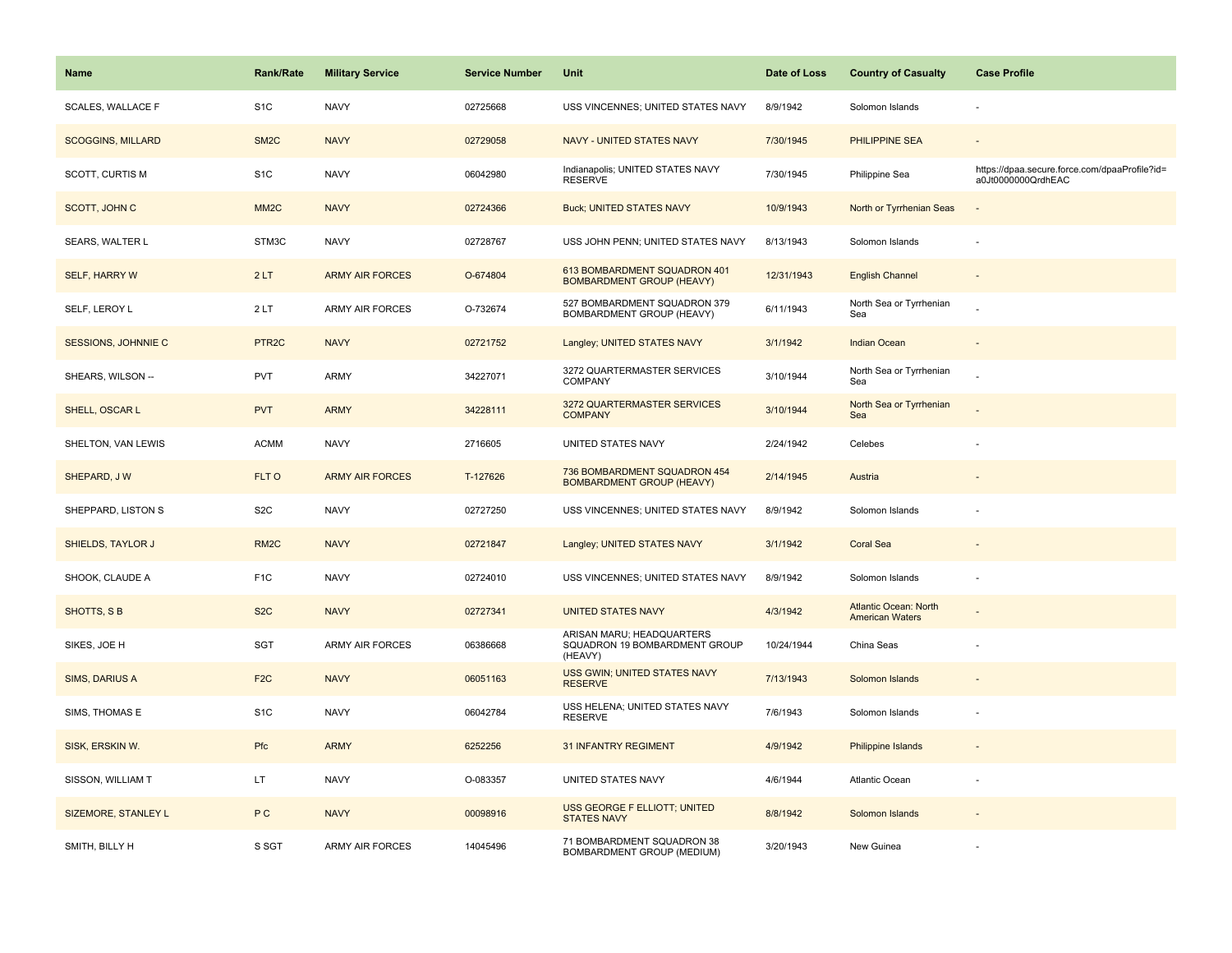| <b>Name</b>              | <b>Rank/Rate</b>   | <b>Military Service</b> | <b>Service Number</b> | Unit                                                                  | Date of Loss | <b>Country of Casualty</b>                             | <b>Case Profile</b>                                                 |
|--------------------------|--------------------|-------------------------|-----------------------|-----------------------------------------------------------------------|--------------|--------------------------------------------------------|---------------------------------------------------------------------|
| SCALES, WALLACE F        | S <sub>1</sub> C   | <b>NAVY</b>             | 02725668              | USS VINCENNES; UNITED STATES NAVY                                     | 8/9/1942     | Solomon Islands                                        |                                                                     |
| <b>SCOGGINS, MILLARD</b> | SM <sub>2</sub> C  | <b>NAVY</b>             | 02729058              | <b>NAVY - UNITED STATES NAVY</b>                                      | 7/30/1945    | <b>PHILIPPINE SEA</b>                                  |                                                                     |
| SCOTT, CURTIS M          | S <sub>1</sub> C   | <b>NAVY</b>             | 06042980              | Indianapolis; UNITED STATES NAVY<br><b>RESERVE</b>                    | 7/30/1945    | Philippine Sea                                         | https://dpaa.secure.force.com/dpaaProfile?id=<br>a0Jt0000000QrdhEAC |
| <b>SCOTT, JOHN C</b>     | MM <sub>2C</sub>   | <b>NAVY</b>             | 02724366              | <b>Buck; UNITED STATES NAVY</b>                                       | 10/9/1943    | North or Tyrrhenian Seas                               |                                                                     |
| SEARS, WALTER L          | STM3C              | <b>NAVY</b>             | 02728767              | USS JOHN PENN; UNITED STATES NAVY                                     | 8/13/1943    | Solomon Islands                                        |                                                                     |
| <b>SELF, HARRY W</b>     | 2LT                | <b>ARMY AIR FORCES</b>  | O-674804              | 613 BOMBARDMENT SQUADRON 401<br><b>BOMBARDMENT GROUP (HEAVY)</b>      | 12/31/1943   | <b>English Channel</b>                                 |                                                                     |
| SELF, LEROY L            | 2LT                | ARMY AIR FORCES         | O-732674              | 527 BOMBARDMENT SQUADRON 379<br>BOMBARDMENT GROUP (HEAVY)             | 6/11/1943    | North Sea or Tyrrhenian<br>Sea                         |                                                                     |
| SESSIONS, JOHNNIE C      | PTR <sub>2</sub> C | <b>NAVY</b>             | 02721752              | Langley; UNITED STATES NAVY                                           | 3/1/1942     | <b>Indian Ocean</b>                                    |                                                                     |
| SHEARS, WILSON --        | <b>PVT</b>         | ARMY                    | 34227071              | 3272 QUARTERMASTER SERVICES<br><b>COMPANY</b>                         | 3/10/1944    | North Sea or Tyrrhenian<br>Sea                         |                                                                     |
| SHELL, OSCAR L           | <b>PVT</b>         | <b>ARMY</b>             | 34228111              | 3272 QUARTERMASTER SERVICES<br><b>COMPANY</b>                         | 3/10/1944    | North Sea or Tyrrhenian<br>Sea                         |                                                                     |
| SHELTON, VAN LEWIS       | <b>ACMM</b>        | <b>NAVY</b>             | 2716605               | UNITED STATES NAVY                                                    | 2/24/1942    | Celebes                                                |                                                                     |
| SHEPARD, JW              | FLT O              | <b>ARMY AIR FORCES</b>  | T-127626              | 736 BOMBARDMENT SQUADRON 454<br><b>BOMBARDMENT GROUP (HEAVY)</b>      | 2/14/1945    | Austria                                                |                                                                     |
| SHEPPARD, LISTON S       | S <sub>2</sub> C   | <b>NAVY</b>             | 02727250              | USS VINCENNES; UNITED STATES NAVY                                     | 8/9/1942     | Solomon Islands                                        |                                                                     |
| SHIELDS, TAYLOR J        | RM <sub>2</sub> C  | <b>NAVY</b>             | 02721847              | Langley; UNITED STATES NAVY                                           | 3/1/1942     | <b>Coral Sea</b>                                       |                                                                     |
| SHOOK, CLAUDE A          | F <sub>1</sub> C   | <b>NAVY</b>             | 02724010              | USS VINCENNES; UNITED STATES NAVY                                     | 8/9/1942     | Solomon Islands                                        |                                                                     |
| SHOTTS, SB               | S <sub>2</sub> C   | <b>NAVY</b>             | 02727341              | <b>UNITED STATES NAVY</b>                                             | 4/3/1942     | <b>Atlantic Ocean: North</b><br><b>American Waters</b> |                                                                     |
| SIKES, JOE H             | <b>SGT</b>         | ARMY AIR FORCES         | 06386668              | ARISAN MARU; HEADQUARTERS<br>SQUADRON 19 BOMBARDMENT GROUP<br>(HEAVY) | 10/24/1944   | China Seas                                             |                                                                     |
| SIMS, DARIUS A           | F <sub>2C</sub>    | <b>NAVY</b>             | 06051163              | USS GWIN; UNITED STATES NAVY<br><b>RESERVE</b>                        | 7/13/1943    | Solomon Islands                                        |                                                                     |
| SIMS, THOMAS E           | S <sub>1</sub> C   | <b>NAVY</b>             | 06042784              | USS HELENA; UNITED STATES NAVY<br><b>RESERVE</b>                      | 7/6/1943     | Solomon Islands                                        |                                                                     |
| SISK, ERSKIN W.          | Pfc                | <b>ARMY</b>             | 6252256               | <b>31 INFANTRY REGIMENT</b>                                           | 4/9/1942     | <b>Philippine Islands</b>                              |                                                                     |
| SISSON, WILLIAM T        | LT                 | <b>NAVY</b>             | O-083357              | UNITED STATES NAVY                                                    | 4/6/1944     | Atlantic Ocean                                         |                                                                     |
| SIZEMORE, STANLEY L      | P C                | <b>NAVY</b>             | 00098916              | USS GEORGE F ELLIOTT; UNITED<br><b>STATES NAVY</b>                    | 8/8/1942     | Solomon Islands                                        |                                                                     |
| SMITH, BILLY H           | S SGT              | ARMY AIR FORCES         | 14045496              | 71 BOMBARDMENT SQUADRON 38<br>BOMBARDMENT GROUP (MEDIUM)              | 3/20/1943    | New Guinea                                             |                                                                     |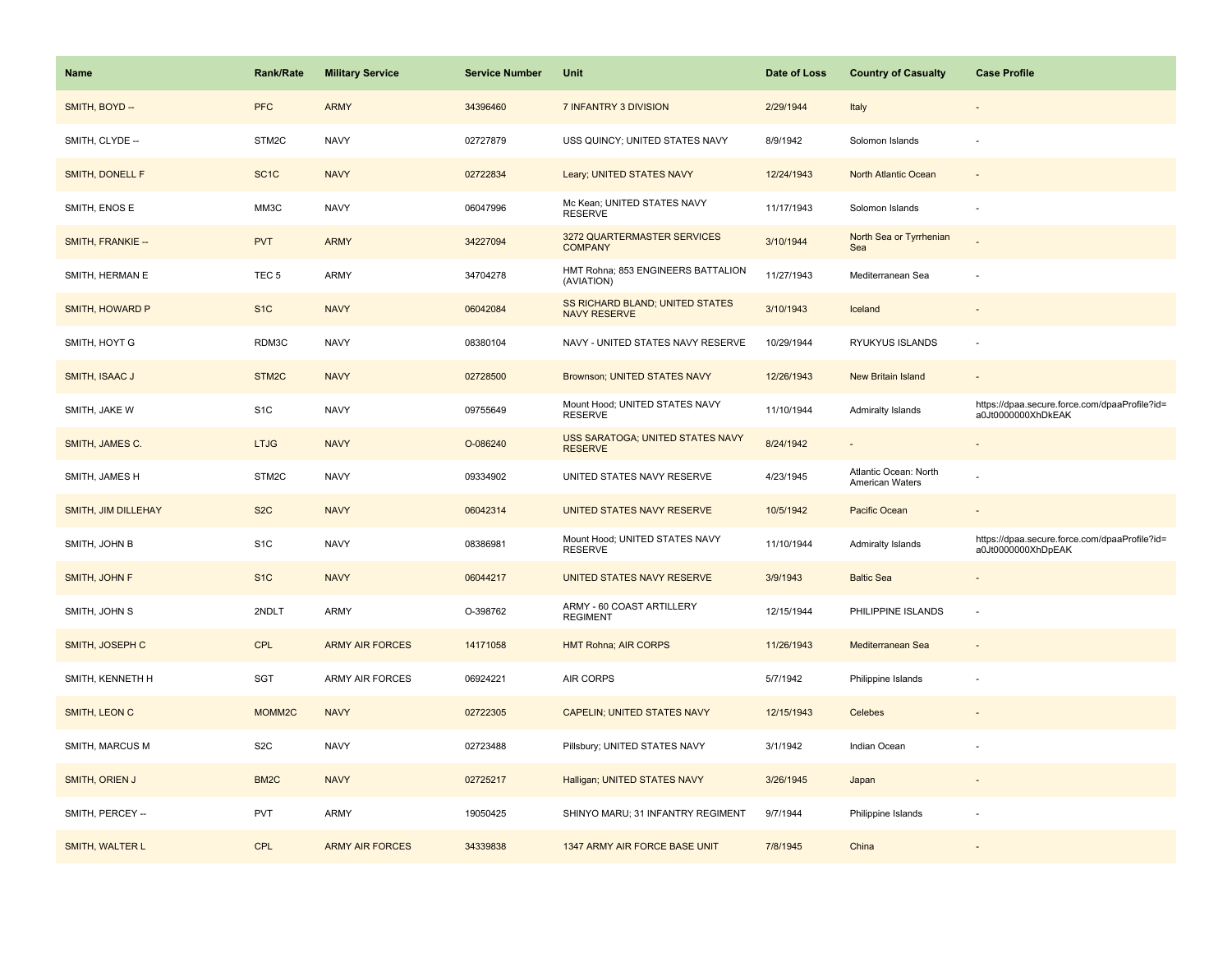| Name                | <b>Rank/Rate</b>  | <b>Military Service</b> | <b>Service Number</b> | Unit                                                          | Date of Loss | <b>Country of Casualty</b>               | <b>Case Profile</b>                                                 |
|---------------------|-------------------|-------------------------|-----------------------|---------------------------------------------------------------|--------------|------------------------------------------|---------------------------------------------------------------------|
| SMITH, BOYD --      | <b>PFC</b>        | <b>ARMY</b>             | 34396460              | 7 INFANTRY 3 DIVISION                                         | 2/29/1944    | Italy                                    |                                                                     |
| SMITH, CLYDE --     | STM2C             | <b>NAVY</b>             | 02727879              | USS QUINCY; UNITED STATES NAVY                                | 8/9/1942     | Solomon Islands                          | $\sim$                                                              |
| SMITH, DONELL F     | SC <sub>1</sub> C | <b>NAVY</b>             | 02722834              | Leary; UNITED STATES NAVY                                     | 12/24/1943   | North Atlantic Ocean                     |                                                                     |
| SMITH, ENOS E       | MM3C              | <b>NAVY</b>             | 06047996              | Mc Kean; UNITED STATES NAVY<br><b>RESERVE</b>                 | 11/17/1943   | Solomon Islands                          |                                                                     |
| SMITH, FRANKIE --   | <b>PVT</b>        | <b>ARMY</b>             | 34227094              | 3272 QUARTERMASTER SERVICES<br><b>COMPANY</b>                 | 3/10/1944    | North Sea or Tyrrhenian<br>Sea           |                                                                     |
| SMITH, HERMAN E     | TEC <sub>5</sub>  | <b>ARMY</b>             | 34704278              | HMT Rohna; 853 ENGINEERS BATTALION<br>(AVIATION)              | 11/27/1943   | Mediterranean Sea                        |                                                                     |
| SMITH, HOWARD P     | S <sub>1</sub> C  | <b>NAVY</b>             | 06042084              | <b>SS RICHARD BLAND; UNITED STATES</b><br><b>NAVY RESERVE</b> | 3/10/1943    | Iceland                                  | $\overline{\phantom{a}}$                                            |
| SMITH, HOYT G       | RDM3C             | <b>NAVY</b>             | 08380104              | NAVY - UNITED STATES NAVY RESERVE                             | 10/29/1944   | RYUKYUS ISLANDS                          | ÷.                                                                  |
| SMITH, ISAAC J      | STM <sub>2C</sub> | <b>NAVY</b>             | 02728500              | Brownson; UNITED STATES NAVY                                  | 12/26/1943   | New Britain Island                       |                                                                     |
| SMITH, JAKE W       | S <sub>1</sub> C  | <b>NAVY</b>             | 09755649              | Mount Hood; UNITED STATES NAVY<br><b>RESERVE</b>              | 11/10/1944   | Admiralty Islands                        | https://dpaa.secure.force.com/dpaaProfile?id=<br>a0Jt0000000XhDkEAK |
| SMITH, JAMES C.     | <b>LTJG</b>       | <b>NAVY</b>             | O-086240              | USS SARATOGA; UNITED STATES NAVY<br><b>RESERVE</b>            | 8/24/1942    |                                          |                                                                     |
| SMITH, JAMES H      | STM2C             | <b>NAVY</b>             | 09334902              | UNITED STATES NAVY RESERVE                                    | 4/23/1945    | Atlantic Ocean: North<br>American Waters |                                                                     |
| SMITH, JIM DILLEHAY | S <sub>2</sub> C  | <b>NAVY</b>             | 06042314              | UNITED STATES NAVY RESERVE                                    | 10/5/1942    | Pacific Ocean                            |                                                                     |
| SMITH, JOHN B       | S <sub>1</sub> C  | <b>NAVY</b>             | 08386981              | Mount Hood; UNITED STATES NAVY<br><b>RESERVE</b>              | 11/10/1944   | Admiralty Islands                        | https://dpaa.secure.force.com/dpaaProfile?id=<br>a0Jt0000000XhDpEAK |
| SMITH, JOHN F       | S <sub>1C</sub>   | <b>NAVY</b>             | 06044217              | UNITED STATES NAVY RESERVE                                    | 3/9/1943     | <b>Baltic Sea</b>                        | $\overline{\phantom{a}}$                                            |
| SMITH, JOHN S       | 2NDLT             | <b>ARMY</b>             | O-398762              | ARMY - 60 COAST ARTILLERY<br><b>REGIMENT</b>                  | 12/15/1944   | PHILIPPINE ISLANDS                       | ÷,                                                                  |
| SMITH, JOSEPH C     | CPL               | <b>ARMY AIR FORCES</b>  | 14171058              | <b>HMT Rohna; AIR CORPS</b>                                   | 11/26/1943   | Mediterranean Sea                        |                                                                     |
| SMITH, KENNETH H    | SGT               | ARMY AIR FORCES         | 06924221              | AIR CORPS                                                     | 5/7/1942     | Philippine Islands                       | ÷,                                                                  |
| SMITH, LEON C       | MOMM2C            | <b>NAVY</b>             | 02722305              | CAPELIN; UNITED STATES NAVY                                   | 12/15/1943   | Celebes                                  |                                                                     |
| SMITH, MARCUS M     | S <sub>2</sub> C  | <b>NAVY</b>             | 02723488              | Pillsbury; UNITED STATES NAVY                                 | 3/1/1942     | Indian Ocean                             |                                                                     |
| SMITH, ORIEN J      | BM <sub>2</sub> C | <b>NAVY</b>             | 02725217              | Halligan; UNITED STATES NAVY                                  | 3/26/1945    | Japan                                    | $\sim$                                                              |
| SMITH, PERCEY --    | <b>PVT</b>        | <b>ARMY</b>             | 19050425              | SHINYO MARU; 31 INFANTRY REGIMENT                             | 9/7/1944     | Philippine Islands                       |                                                                     |
| SMITH, WALTER L     | CPL               | <b>ARMY AIR FORCES</b>  | 34339838              | 1347 ARMY AIR FORCE BASE UNIT                                 | 7/8/1945     | China                                    |                                                                     |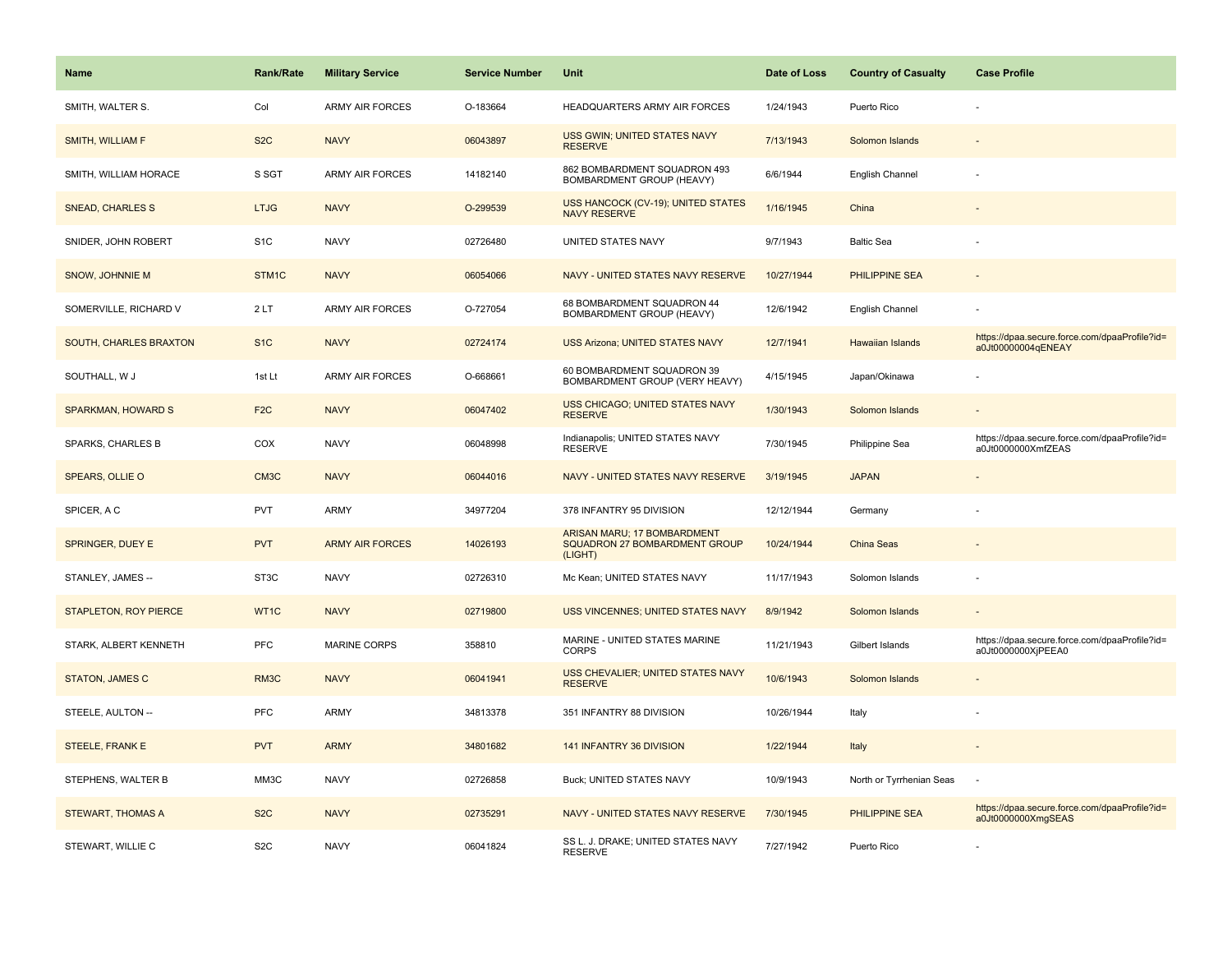| <b>Name</b>                  | <b>Rank/Rate</b>  | <b>Military Service</b> | <b>Service Number</b> | <b>Unit</b>                                                             | Date of Loss | <b>Country of Casualty</b> | <b>Case Profile</b>                                                 |
|------------------------------|-------------------|-------------------------|-----------------------|-------------------------------------------------------------------------|--------------|----------------------------|---------------------------------------------------------------------|
| SMITH, WALTER S.             | Col               | <b>ARMY AIR FORCES</b>  | O-183664              | HEADQUARTERS ARMY AIR FORCES                                            | 1/24/1943    | Puerto Rico                |                                                                     |
| SMITH, WILLIAM F             | S <sub>2</sub> C  | <b>NAVY</b>             | 06043897              | USS GWIN; UNITED STATES NAVY<br><b>RESERVE</b>                          | 7/13/1943    | Solomon Islands            |                                                                     |
| SMITH, WILLIAM HORACE        | S SGT             | <b>ARMY AIR FORCES</b>  | 14182140              | 862 BOMBARDMENT SQUADRON 493<br>BOMBARDMENT GROUP (HEAVY)               | 6/6/1944     | English Channel            |                                                                     |
| <b>SNEAD, CHARLES S</b>      | <b>LTJG</b>       | <b>NAVY</b>             | O-299539              | <b>USS HANCOCK (CV-19); UNITED STATES</b><br>NAVY RESERVE               | 1/16/1945    | China                      |                                                                     |
| SNIDER, JOHN ROBERT          | S <sub>1</sub> C  | <b>NAVY</b>             | 02726480              | UNITED STATES NAVY                                                      | 9/7/1943     | <b>Baltic Sea</b>          |                                                                     |
| SNOW, JOHNNIE M              | STM1C             | <b>NAVY</b>             | 06054066              | NAVY - UNITED STATES NAVY RESERVE                                       | 10/27/1944   | PHILIPPINE SEA             |                                                                     |
| SOMERVILLE, RICHARD V        | 2LT               | <b>ARMY AIR FORCES</b>  | O-727054              | 68 BOMBARDMENT SQUADRON 44<br>BOMBARDMENT GROUP (HEAVY)                 | 12/6/1942    | English Channel            |                                                                     |
| SOUTH, CHARLES BRAXTON       | S <sub>1</sub> C  | <b>NAVY</b>             | 02724174              | <b>USS Arizona; UNITED STATES NAVY</b>                                  | 12/7/1941    | Hawaiian Islands           | https://dpaa.secure.force.com/dpaaProfile?id=<br>a0Jt00000004qENEAY |
| SOUTHALL, W J                | 1st Lt            | <b>ARMY AIR FORCES</b>  | O-668661              | 60 BOMBARDMENT SQUADRON 39<br>BOMBARDMENT GROUP (VERY HEAVY)            | 4/15/1945    | Japan/Okinawa              |                                                                     |
| <b>SPARKMAN, HOWARD S</b>    | F <sub>2</sub> C  | <b>NAVY</b>             | 06047402              | <b>USS CHICAGO; UNITED STATES NAVY</b><br><b>RESERVE</b>                | 1/30/1943    | Solomon Islands            |                                                                     |
| SPARKS, CHARLES B            | COX               | <b>NAVY</b>             | 06048998              | Indianapolis; UNITED STATES NAVY<br><b>RESERVE</b>                      | 7/30/1945    | Philippine Sea             | https://dpaa.secure.force.com/dpaaProfile?id=<br>a0Jt0000000XmfZEAS |
| <b>SPEARS, OLLIE O</b>       | CM <sub>3</sub> C | <b>NAVY</b>             | 06044016              | NAVY - UNITED STATES NAVY RESERVE                                       | 3/19/1945    | <b>JAPAN</b>               |                                                                     |
| SPICER, A C                  | PVT               | <b>ARMY</b>             | 34977204              | 378 INFANTRY 95 DIVISION                                                | 12/12/1944   | Germany                    |                                                                     |
| SPRINGER, DUEY E             | <b>PVT</b>        | <b>ARMY AIR FORCES</b>  | 14026193              | ARISAN MARU; 17 BOMBARDMENT<br>SQUADRON 27 BOMBARDMENT GROUP<br>(LIGHT) | 10/24/1944   | China Seas                 |                                                                     |
| STANLEY, JAMES --            | ST3C              | <b>NAVY</b>             | 02726310              | Mc Kean; UNITED STATES NAVY                                             | 11/17/1943   | Solomon Islands            |                                                                     |
| <b>STAPLETON, ROY PIERCE</b> | WT1C              | <b>NAVY</b>             | 02719800              | <b>USS VINCENNES; UNITED STATES NAVY</b>                                | 8/9/1942     | Solomon Islands            |                                                                     |
| STARK, ALBERT KENNETH        | <b>PFC</b>        | <b>MARINE CORPS</b>     | 358810                | MARINE - UNITED STATES MARINE<br><b>CORPS</b>                           | 11/21/1943   | Gilbert Islands            | https://dpaa.secure.force.com/dpaaProfile?id=<br>a0Jt0000000XjPEEA0 |
| <b>STATON, JAMES C</b>       | RM3C              | <b>NAVY</b>             | 06041941              | USS CHEVALIER; UNITED STATES NAVY<br><b>RESERVE</b>                     | 10/6/1943    | Solomon Islands            |                                                                     |
| STEELE, AULTON --            | <b>PFC</b>        | <b>ARMY</b>             | 34813378              | 351 INFANTRY 88 DIVISION                                                | 10/26/1944   | Italy                      |                                                                     |
| STEELE, FRANK E              | <b>PVT</b>        | <b>ARMY</b>             | 34801682              | 141 INFANTRY 36 DIVISION                                                | 1/22/1944    | Italy                      |                                                                     |
| STEPHENS, WALTER B           | MM3C              | <b>NAVY</b>             | 02726858              | Buck; UNITED STATES NAVY                                                | 10/9/1943    | North or Tyrrhenian Seas   |                                                                     |
| <b>STEWART, THOMAS A</b>     | S <sub>2</sub> C  | <b>NAVY</b>             | 02735291              | NAVY - UNITED STATES NAVY RESERVE                                       | 7/30/1945    | <b>PHILIPPINE SEA</b>      | https://dpaa.secure.force.com/dpaaProfile?id=<br>a0Jt0000000XmgSEAS |
| STEWART, WILLIE C            | S <sub>2</sub> C  | <b>NAVY</b>             | 06041824              | SS L. J. DRAKE; UNITED STATES NAVY<br><b>RESERVE</b>                    | 7/27/1942    | Puerto Rico                |                                                                     |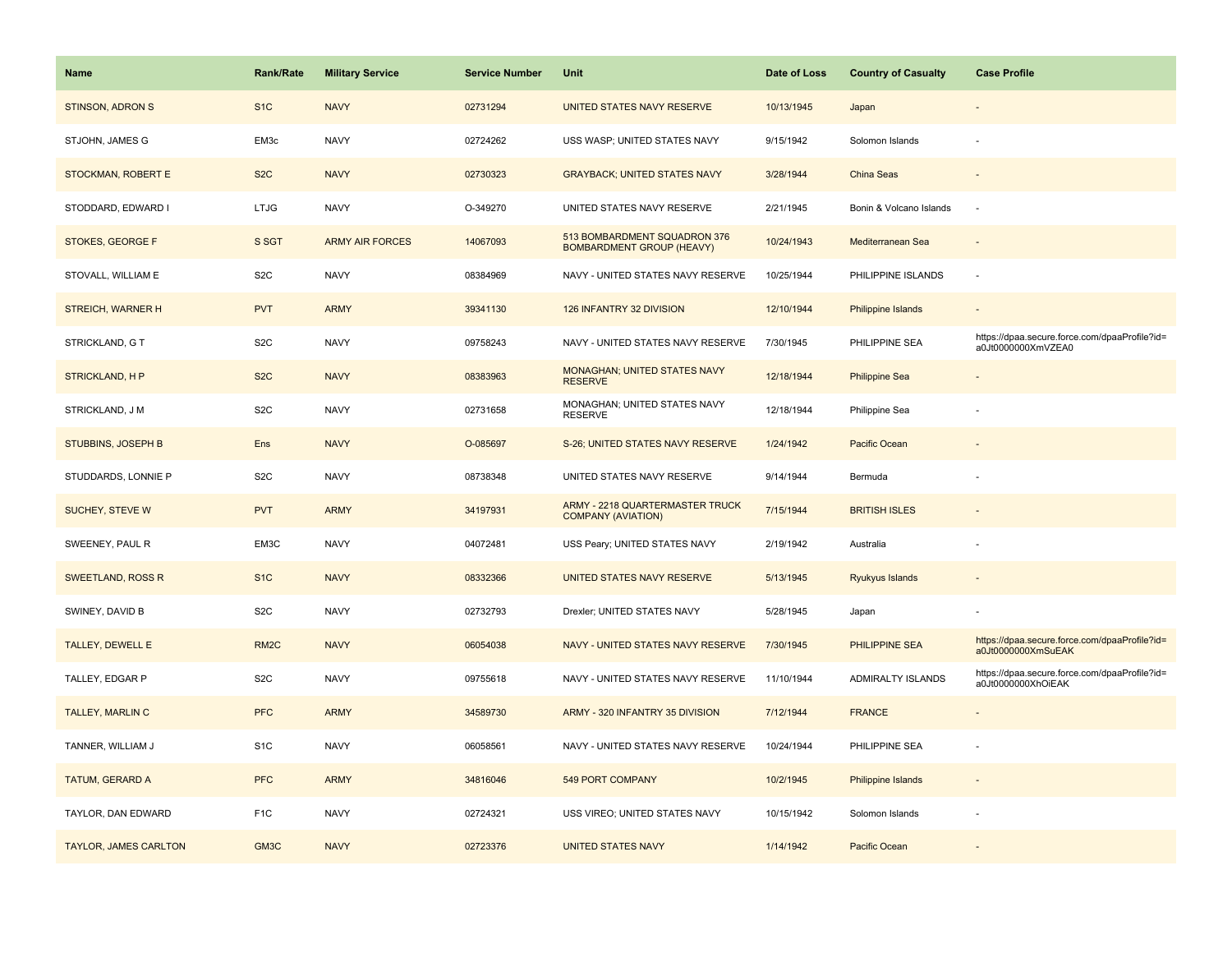| <b>Name</b>             | <b>Rank/Rate</b>  | <b>Military Service</b> | <b>Service Number</b> | Unit                                                             | Date of Loss | <b>Country of Casualty</b> | <b>Case Profile</b>                                                 |
|-------------------------|-------------------|-------------------------|-----------------------|------------------------------------------------------------------|--------------|----------------------------|---------------------------------------------------------------------|
| <b>STINSON, ADRON S</b> | S <sub>1</sub> C  | <b>NAVY</b>             | 02731294              | UNITED STATES NAVY RESERVE                                       | 10/13/1945   | Japan                      |                                                                     |
| STJOHN, JAMES G         | EM3c              | <b>NAVY</b>             | 02724262              | USS WASP; UNITED STATES NAVY                                     | 9/15/1942    | Solomon Islands            |                                                                     |
| STOCKMAN, ROBERT E      | S <sub>2</sub> C  | <b>NAVY</b>             | 02730323              | <b>GRAYBACK; UNITED STATES NAVY</b>                              | 3/28/1944    | China Seas                 |                                                                     |
| STODDARD, EDWARD I      | <b>LTJG</b>       | <b>NAVY</b>             | O-349270              | UNITED STATES NAVY RESERVE                                       | 2/21/1945    | Bonin & Volcano Islands    | $\sim$                                                              |
| STOKES, GEORGE F        | S SGT             | <b>ARMY AIR FORCES</b>  | 14067093              | 513 BOMBARDMENT SQUADRON 376<br><b>BOMBARDMENT GROUP (HEAVY)</b> | 10/24/1943   | Mediterranean Sea          |                                                                     |
| STOVALL, WILLIAM E      | S <sub>2</sub> C  | <b>NAVY</b>             | 08384969              | NAVY - UNITED STATES NAVY RESERVE                                | 10/25/1944   | PHILIPPINE ISLANDS         |                                                                     |
| STREICH, WARNER H       | <b>PVT</b>        | <b>ARMY</b>             | 39341130              | 126 INFANTRY 32 DIVISION                                         | 12/10/1944   | Philippine Islands         | $\overline{\phantom{a}}$                                            |
| STRICKLAND, G T         | S <sub>2</sub> C  | <b>NAVY</b>             | 09758243              | NAVY - UNITED STATES NAVY RESERVE                                | 7/30/1945    | PHILIPPINE SEA             | https://dpaa.secure.force.com/dpaaProfile?id=<br>a0Jt0000000XmVZEA0 |
| <b>STRICKLAND, HP</b>   | S <sub>2</sub> C  | <b>NAVY</b>             | 08383963              | MONAGHAN; UNITED STATES NAVY<br><b>RESERVE</b>                   | 12/18/1944   | <b>Philippine Sea</b>      |                                                                     |
| STRICKLAND, J M         | S <sub>2</sub> C  | <b>NAVY</b>             | 02731658              | MONAGHAN; UNITED STATES NAVY<br><b>RESERVE</b>                   | 12/18/1944   | Philippine Sea             |                                                                     |
| STUBBINS, JOSEPH B      | Ens               | <b>NAVY</b>             | O-085697              | S-26; UNITED STATES NAVY RESERVE                                 | 1/24/1942    | Pacific Ocean              |                                                                     |
| STUDDARDS, LONNIE P     | S <sub>2</sub> C  | <b>NAVY</b>             | 08738348              | UNITED STATES NAVY RESERVE                                       | 9/14/1944    | Bermuda                    |                                                                     |
| SUCHEY, STEVE W         | <b>PVT</b>        | <b>ARMY</b>             | 34197931              | ARMY - 2218 QUARTERMASTER TRUCK<br><b>COMPANY (AVIATION)</b>     | 7/15/1944    | <b>BRITISH ISLES</b>       |                                                                     |
| SWEENEY, PAUL R         | EM3C              | <b>NAVY</b>             | 04072481              | USS Peary; UNITED STATES NAVY                                    | 2/19/1942    | Australia                  | ÷,                                                                  |
| SWEETLAND, ROSS R       | S <sub>1C</sub>   | <b>NAVY</b>             | 08332366              | UNITED STATES NAVY RESERVE                                       | 5/13/1945    | Ryukyus Islands            | $\overline{\phantom{a}}$                                            |
| SWINEY, DAVID B         | S <sub>2</sub> C  | <b>NAVY</b>             | 02732793              | Drexler; UNITED STATES NAVY                                      | 5/28/1945    | Japan                      |                                                                     |
| <b>TALLEY, DEWELL E</b> | RM <sub>2</sub> C | <b>NAVY</b>             | 06054038              | NAVY - UNITED STATES NAVY RESERVE                                | 7/30/1945    | PHILIPPINE SEA             | https://dpaa.secure.force.com/dpaaProfile?id=<br>a0Jt0000000XmSuEAK |
| TALLEY, EDGAR P         | S <sub>2</sub> C  | <b>NAVY</b>             | 09755618              | NAVY - UNITED STATES NAVY RESERVE                                | 11/10/1944   | ADMIRALTY ISLANDS          | https://dpaa.secure.force.com/dpaaProfile?id=<br>a0Jt0000000XhOiEAK |
| TALLEY, MARLIN C        | <b>PFC</b>        | <b>ARMY</b>             | 34589730              | ARMY - 320 INFANTRY 35 DIVISION                                  | 7/12/1944    | <b>FRANCE</b>              |                                                                     |
| TANNER, WILLIAM J       | S <sub>1</sub> C  | <b>NAVY</b>             | 06058561              | NAVY - UNITED STATES NAVY RESERVE                                | 10/24/1944   | PHILIPPINE SEA             |                                                                     |
| TATUM, GERARD A         | <b>PFC</b>        | <b>ARMY</b>             | 34816046              | <b>549 PORT COMPANY</b>                                          | 10/2/1945    | Philippine Islands         | $\sim$                                                              |
| TAYLOR, DAN EDWARD      | F <sub>1</sub> C  | <b>NAVY</b>             | 02724321              | USS VIREO; UNITED STATES NAVY                                    | 10/15/1942   | Solomon Islands            |                                                                     |
| TAYLOR, JAMES CARLTON   | GM3C              | <b>NAVY</b>             | 02723376              | <b>UNITED STATES NAVY</b>                                        | 1/14/1942    | Pacific Ocean              |                                                                     |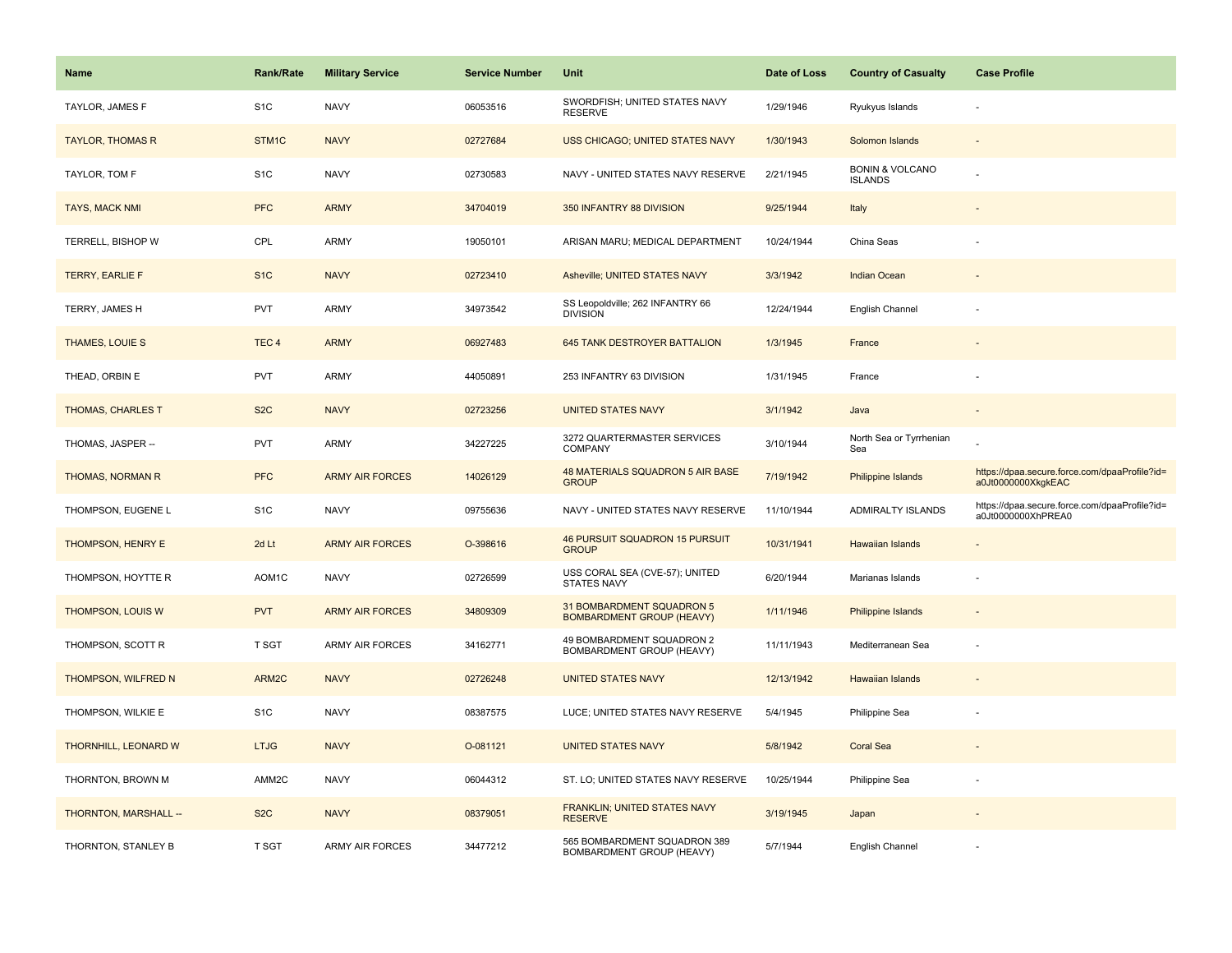| <b>Name</b>              | <b>Rank/Rate</b>   | <b>Military Service</b> | <b>Service Number</b> | Unit                                                          | Date of Loss | <b>Country of Casualty</b>                   | <b>Case Profile</b>                                                 |
|--------------------------|--------------------|-------------------------|-----------------------|---------------------------------------------------------------|--------------|----------------------------------------------|---------------------------------------------------------------------|
| TAYLOR, JAMES F          | S <sub>1</sub> C   | <b>NAVY</b>             | 06053516              | SWORDFISH; UNITED STATES NAVY<br><b>RESERVE</b>               | 1/29/1946    | Ryukyus Islands                              |                                                                     |
| <b>TAYLOR, THOMAS R</b>  | STM1C              | <b>NAVY</b>             | 02727684              | USS CHICAGO; UNITED STATES NAVY                               | 1/30/1943    | Solomon Islands                              |                                                                     |
| TAYLOR, TOM F            | S <sub>1</sub> C   | <b>NAVY</b>             | 02730583              | NAVY - UNITED STATES NAVY RESERVE                             | 2/21/1945    | <b>BONIN &amp; VOLCANO</b><br><b>ISLANDS</b> |                                                                     |
| <b>TAYS, MACK NMI</b>    | <b>PFC</b>         | <b>ARMY</b>             | 34704019              | 350 INFANTRY 88 DIVISION                                      | 9/25/1944    | Italy                                        |                                                                     |
| TERRELL, BISHOP W        | CPL                | ARMY                    | 19050101              | ARISAN MARU; MEDICAL DEPARTMENT                               | 10/24/1944   | China Seas                                   |                                                                     |
| <b>TERRY, EARLIE F</b>   | S <sub>1</sub> C   | <b>NAVY</b>             | 02723410              | Asheville; UNITED STATES NAVY                                 | 3/3/1942     | Indian Ocean                                 |                                                                     |
| TERRY, JAMES H           | <b>PVT</b>         | ARMY                    | 34973542              | SS Leopoldville; 262 INFANTRY 66<br><b>DIVISION</b>           | 12/24/1944   | English Channel                              |                                                                     |
| THAMES, LOUIE S          | TEC <sub>4</sub>   | <b>ARMY</b>             | 06927483              | 645 TANK DESTROYER BATTALION                                  | 1/3/1945     | France                                       |                                                                     |
| THEAD, ORBIN E           | <b>PVT</b>         | ARMY                    | 44050891              | 253 INFANTRY 63 DIVISION                                      | 1/31/1945    | France                                       |                                                                     |
| <b>THOMAS, CHARLES T</b> | S <sub>2</sub> C   | <b>NAVY</b>             | 02723256              | <b>UNITED STATES NAVY</b>                                     | 3/1/1942     | Java                                         |                                                                     |
| THOMAS, JASPER --        | <b>PVT</b>         | ARMY                    | 34227225              | 3272 QUARTERMASTER SERVICES<br><b>COMPANY</b>                 | 3/10/1944    | North Sea or Tyrrhenian<br>Sea               |                                                                     |
| THOMAS, NORMAN R         | <b>PFC</b>         | <b>ARMY AIR FORCES</b>  | 14026129              | 48 MATERIALS SQUADRON 5 AIR BASE<br><b>GROUP</b>              | 7/19/1942    | Philippine Islands                           | https://dpaa.secure.force.com/dpaaProfile?id=<br>a0Jt0000000XkgkEAC |
| THOMPSON, EUGENE L       | S <sub>1</sub> C   | <b>NAVY</b>             | 09755636              | NAVY - UNITED STATES NAVY RESERVE                             | 11/10/1944   | <b>ADMIRALTY ISLANDS</b>                     | https://dpaa.secure.force.com/dpaaProfile?id=<br>a0Jt0000000XhPREA0 |
| THOMPSON, HENRY E        | 2d Lt              | <b>ARMY AIR FORCES</b>  | O-398616              | <b>46 PURSUIT SQUADRON 15 PURSUIT</b><br><b>GROUP</b>         | 10/31/1941   | Hawaiian Islands                             |                                                                     |
| THOMPSON, HOYTTE R       | AOM <sub>1</sub> C | <b>NAVY</b>             | 02726599              | USS CORAL SEA (CVE-57); UNITED<br>STATES NAVY                 | 6/20/1944    | Marianas Islands                             |                                                                     |
| THOMPSON, LOUIS W        | <b>PVT</b>         | <b>ARMY AIR FORCES</b>  | 34809309              | 31 BOMBARDMENT SQUADRON 5<br><b>BOMBARDMENT GROUP (HEAVY)</b> | 1/11/1946    | Philippine Islands                           |                                                                     |
| THOMPSON, SCOTT R        | <b>T SGT</b>       | ARMY AIR FORCES         | 34162771              | 49 BOMBARDMENT SQUADRON 2<br>BOMBARDMENT GROUP (HEAVY)        | 11/11/1943   | Mediterranean Sea                            |                                                                     |
| THOMPSON, WILFRED N      | ARM2C              | <b>NAVY</b>             | 02726248              | <b>UNITED STATES NAVY</b>                                     | 12/13/1942   | Hawaiian Islands                             |                                                                     |
| THOMPSON, WILKIE E       | S <sub>1</sub> C   | <b>NAVY</b>             | 08387575              | LUCE; UNITED STATES NAVY RESERVE                              | 5/4/1945     | Philippine Sea                               |                                                                     |
| THORNHILL, LEONARD W     | <b>LTJG</b>        | <b>NAVY</b>             | O-081121              | <b>UNITED STATES NAVY</b>                                     | 5/8/1942     | <b>Coral Sea</b>                             |                                                                     |
| THORNTON, BROWN M        | AMM2C              | <b>NAVY</b>             | 06044312              | ST. LO; UNITED STATES NAVY RESERVE                            | 10/25/1944   | Philippine Sea                               |                                                                     |
| THORNTON, MARSHALL --    | S <sub>2</sub> C   | <b>NAVY</b>             | 08379051              | FRANKLIN; UNITED STATES NAVY<br><b>RESERVE</b>                | 3/19/1945    | Japan                                        |                                                                     |
| THORNTON, STANLEY B      | T SGT              | ARMY AIR FORCES         | 34477212              | 565 BOMBARDMENT SQUADRON 389<br>BOMBARDMENT GROUP (HEAVY)     | 5/7/1944     | English Channel                              |                                                                     |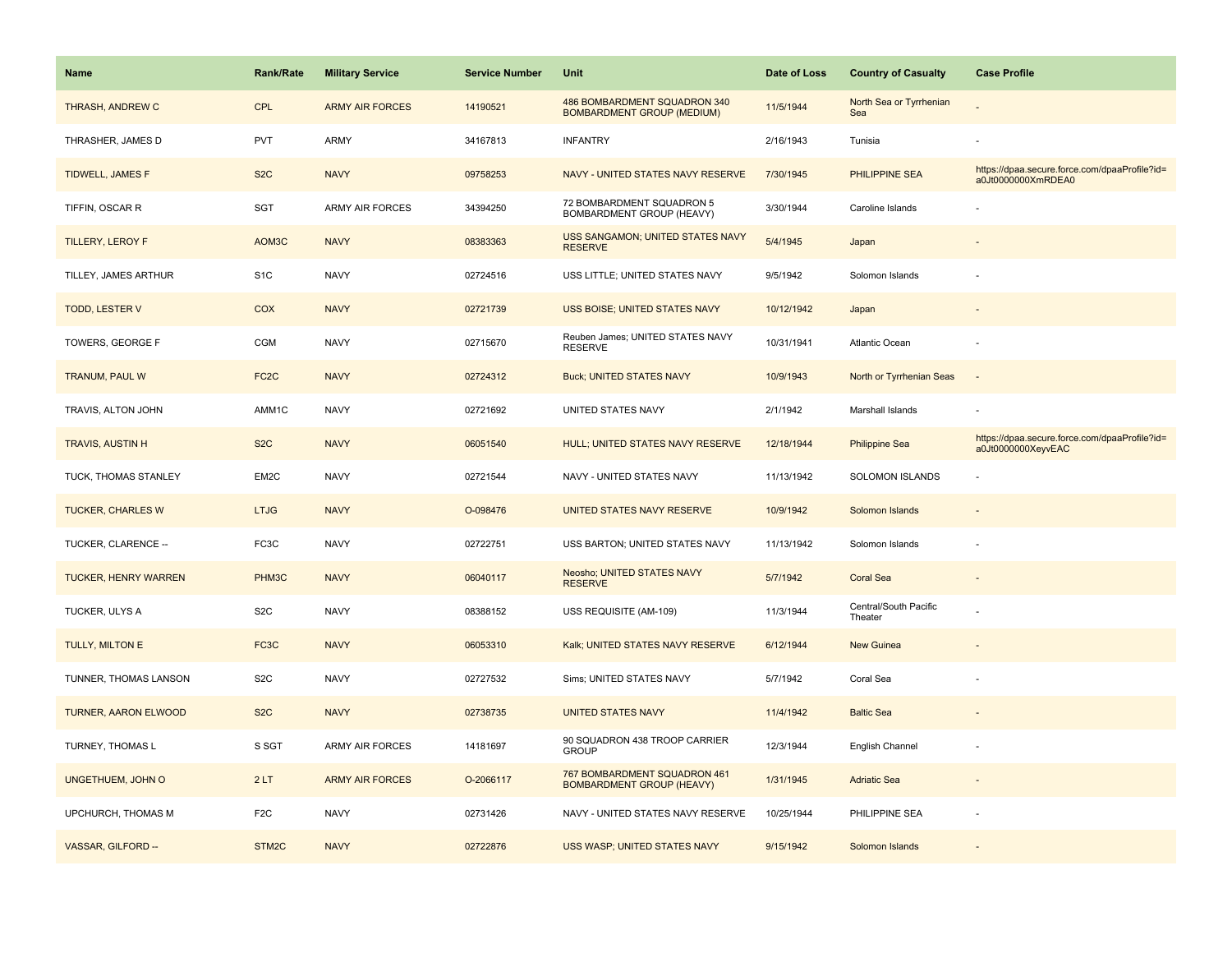| Name                        | <b>Rank/Rate</b>  | <b>Military Service</b> | <b>Service Number</b> | Unit                                                              | Date of Loss | <b>Country of Casualty</b>       | <b>Case Profile</b>                                                 |
|-----------------------------|-------------------|-------------------------|-----------------------|-------------------------------------------------------------------|--------------|----------------------------------|---------------------------------------------------------------------|
| THRASH, ANDREW C            | <b>CPL</b>        | <b>ARMY AIR FORCES</b>  | 14190521              | 486 BOMBARDMENT SQUADRON 340<br><b>BOMBARDMENT GROUP (MEDIUM)</b> | 11/5/1944    | North Sea or Tyrrhenian<br>Sea   |                                                                     |
| THRASHER, JAMES D           | PVT               | <b>ARMY</b>             | 34167813              | <b>INFANTRY</b>                                                   | 2/16/1943    | Tunisia                          |                                                                     |
| TIDWELL, JAMES F            | S <sub>2</sub> C  | <b>NAVY</b>             | 09758253              | NAVY - UNITED STATES NAVY RESERVE                                 | 7/30/1945    | <b>PHILIPPINE SEA</b>            | https://dpaa.secure.force.com/dpaaProfile?id=<br>a0Jt0000000XmRDEA0 |
| TIFFIN, OSCAR R             | SGT               | <b>ARMY AIR FORCES</b>  | 34394250              | 72 BOMBARDMENT SQUADRON 5<br>BOMBARDMENT GROUP (HEAVY)            | 3/30/1944    | Caroline Islands                 |                                                                     |
| <b>TILLERY, LEROY F</b>     | AOM3C             | <b>NAVY</b>             | 08383363              | USS SANGAMON; UNITED STATES NAVY<br><b>RESERVE</b>                | 5/4/1945     | Japan                            |                                                                     |
| TILLEY, JAMES ARTHUR        | S <sub>1</sub> C  | <b>NAVY</b>             | 02724516              | USS LITTLE; UNITED STATES NAVY                                    | 9/5/1942     | Solomon Islands                  |                                                                     |
| TODD, LESTER V              | COX               | <b>NAVY</b>             | 02721739              | <b>USS BOISE; UNITED STATES NAVY</b>                              | 10/12/1942   | Japan                            |                                                                     |
| TOWERS, GEORGE F            | <b>CGM</b>        | <b>NAVY</b>             | 02715670              | Reuben James; UNITED STATES NAVY<br><b>RESERVE</b>                | 10/31/1941   | Atlantic Ocean                   |                                                                     |
| <b>TRANUM, PAUL W</b>       | FC <sub>2</sub> C | <b>NAVY</b>             | 02724312              | <b>Buck; UNITED STATES NAVY</b>                                   | 10/9/1943    | North or Tyrrhenian Seas         | $\sim$                                                              |
| TRAVIS, ALTON JOHN          | AMM1C             | <b>NAVY</b>             | 02721692              | UNITED STATES NAVY                                                | 2/1/1942     | Marshall Islands                 |                                                                     |
| <b>TRAVIS, AUSTIN H</b>     | S <sub>2</sub> C  | <b>NAVY</b>             | 06051540              | HULL; UNITED STATES NAVY RESERVE                                  | 12/18/1944   | <b>Philippine Sea</b>            | https://dpaa.secure.force.com/dpaaProfile?id=<br>a0Jt0000000XeyvEAC |
| TUCK, THOMAS STANLEY        | EM2C              | <b>NAVY</b>             | 02721544              | NAVY - UNITED STATES NAVY                                         | 11/13/1942   | SOLOMON ISLANDS                  |                                                                     |
| <b>TUCKER, CHARLES W</b>    | <b>LTJG</b>       | <b>NAVY</b>             | O-098476              | UNITED STATES NAVY RESERVE                                        | 10/9/1942    | Solomon Islands                  |                                                                     |
| TUCKER, CLARENCE --         | FC <sub>3</sub> C | <b>NAVY</b>             | 02722751              | USS BARTON; UNITED STATES NAVY                                    | 11/13/1942   | Solomon Islands                  |                                                                     |
| <b>TUCKER, HENRY WARREN</b> | PHM3C             | <b>NAVY</b>             | 06040117              | Neosho; UNITED STATES NAVY<br><b>RESERVE</b>                      | 5/7/1942     | <b>Coral Sea</b>                 | $\overline{a}$                                                      |
| TUCKER, ULYS A              | S <sub>2</sub> C  | <b>NAVY</b>             | 08388152              | USS REQUISITE (AM-109)                                            | 11/3/1944    | Central/South Pacific<br>Theater |                                                                     |
| TULLY, MILTON E             | FC3C              | <b>NAVY</b>             | 06053310              | Kalk; UNITED STATES NAVY RESERVE                                  | 6/12/1944    | <b>New Guinea</b>                |                                                                     |
| TUNNER, THOMAS LANSON       | S <sub>2</sub> C  | <b>NAVY</b>             | 02727532              | Sims; UNITED STATES NAVY                                          | 5/7/1942     | Coral Sea                        |                                                                     |
| <b>TURNER, AARON ELWOOD</b> | S <sub>2</sub> C  | <b>NAVY</b>             | 02738735              | <b>UNITED STATES NAVY</b>                                         | 11/4/1942    | <b>Baltic Sea</b>                |                                                                     |
| TURNEY, THOMAS L            | S SGT             | <b>ARMY AIR FORCES</b>  | 14181697              | 90 SQUADRON 438 TROOP CARRIER<br><b>GROUP</b>                     | 12/3/1944    | English Channel                  |                                                                     |
| UNGETHUEM, JOHN O           | 2LT               | <b>ARMY AIR FORCES</b>  | O-2066117             | 767 BOMBARDMENT SQUADRON 461<br><b>BOMBARDMENT GROUP (HEAVY)</b>  | 1/31/1945    | <b>Adriatic Sea</b>              |                                                                     |
| UPCHURCH, THOMAS M          | F <sub>2</sub> C  | <b>NAVY</b>             | 02731426              | NAVY - UNITED STATES NAVY RESERVE                                 | 10/25/1944   | PHILIPPINE SEA                   |                                                                     |
| VASSAR, GILFORD --          | STM2C             | <b>NAVY</b>             | 02722876              | USS WASP; UNITED STATES NAVY                                      | 9/15/1942    | Solomon Islands                  |                                                                     |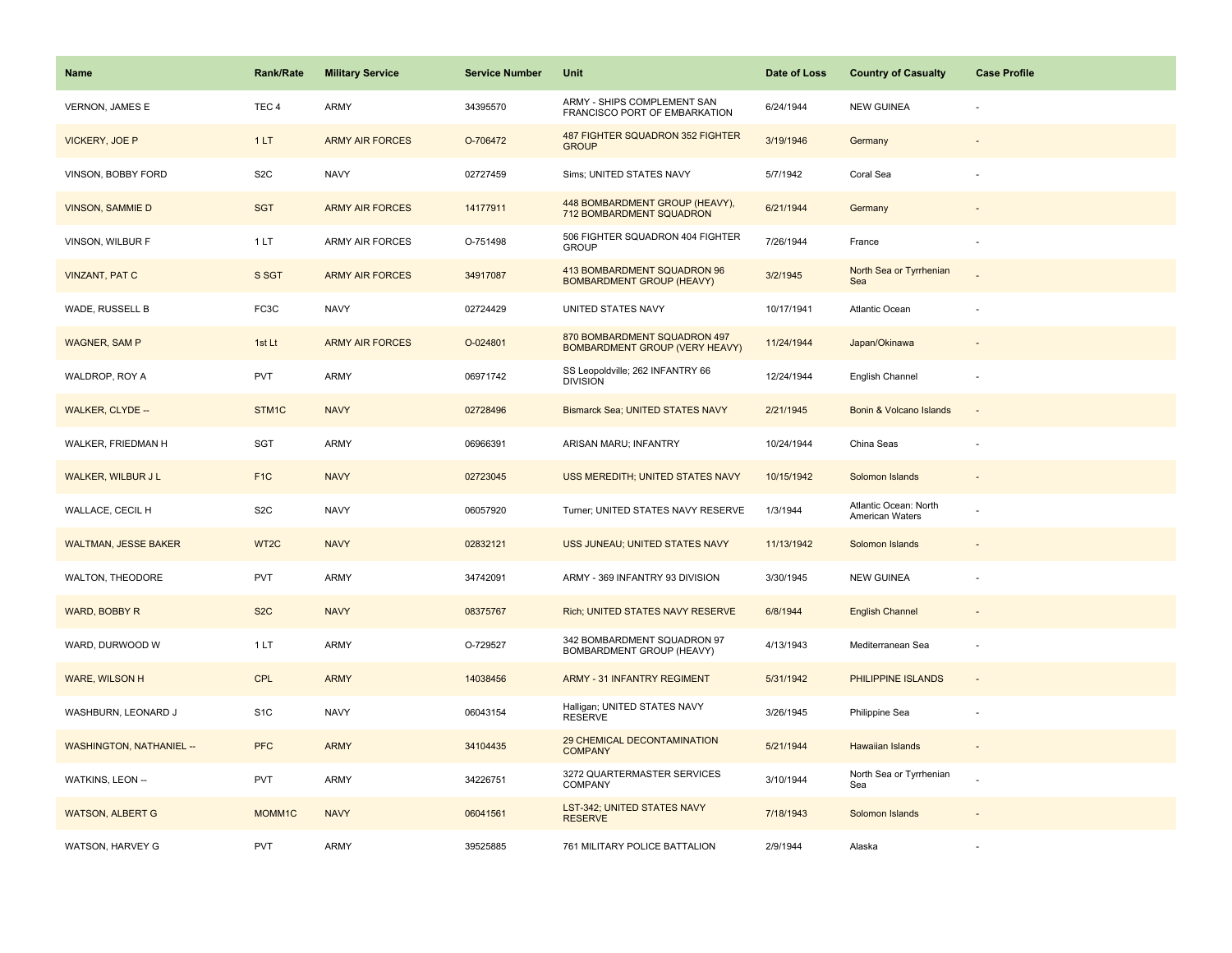| Name                            | <b>Rank/Rate</b>    | <b>Military Service</b> | <b>Service Number</b> | Unit                                                                  | Date of Loss | <b>Country of Casualty</b>               | <b>Case Profile</b>      |
|---------------------------------|---------------------|-------------------------|-----------------------|-----------------------------------------------------------------------|--------------|------------------------------------------|--------------------------|
| <b>VERNON, JAMES E</b>          | TEC <sub>4</sub>    | ARMY                    | 34395570              | ARMY - SHIPS COMPLEMENT SAN<br>FRANCISCO PORT OF EMBARKATION          | 6/24/1944    | <b>NEW GUINEA</b>                        |                          |
| VICKERY, JOE P                  | 1LT                 | <b>ARMY AIR FORCES</b>  | O-706472              | 487 FIGHTER SQUADRON 352 FIGHTER<br><b>GROUP</b>                      | 3/19/1946    | Germany                                  |                          |
| VINSON, BOBBY FORD              | S <sub>2</sub> C    | <b>NAVY</b>             | 02727459              | Sims; UNITED STATES NAVY                                              | 5/7/1942     | Coral Sea                                |                          |
| <b>VINSON, SAMMIE D</b>         | <b>SGT</b>          | <b>ARMY AIR FORCES</b>  | 14177911              | 448 BOMBARDMENT GROUP (HEAVY),<br>712 BOMBARDMENT SQUADRON            | 6/21/1944    | Germany                                  |                          |
| VINSON, WILBUR F                | 1LT                 | ARMY AIR FORCES         | O-751498              | 506 FIGHTER SQUADRON 404 FIGHTER<br><b>GROUP</b>                      | 7/26/1944    | France                                   |                          |
| <b>VINZANT, PAT C</b>           | S SGT               | <b>ARMY AIR FORCES</b>  | 34917087              | 413 BOMBARDMENT SQUADRON 96<br><b>BOMBARDMENT GROUP (HEAVY)</b>       | 3/2/1945     | North Sea or Tyrrhenian<br>Sea           |                          |
| WADE, RUSSELL B                 | FC3C                | <b>NAVY</b>             | 02724429              | UNITED STATES NAVY                                                    | 10/17/1941   | Atlantic Ocean                           |                          |
| <b>WAGNER, SAM P</b>            | 1st Lt              | <b>ARMY AIR FORCES</b>  | O-024801              | 870 BOMBARDMENT SQUADRON 497<br><b>BOMBARDMENT GROUP (VERY HEAVY)</b> | 11/24/1944   | Japan/Okinawa                            |                          |
| WALDROP, ROY A                  | <b>PVT</b>          | ARMY                    | 06971742              | SS Leopoldville; 262 INFANTRY 66<br><b>DIVISION</b>                   | 12/24/1944   | English Channel                          | ÷,                       |
| <b>WALKER, CLYDE --</b>         | STM1C               | <b>NAVY</b>             | 02728496              | Bismarck Sea; UNITED STATES NAVY                                      | 2/21/1945    | Bonin & Volcano Islands                  |                          |
| WALKER, FRIEDMAN H              | SGT                 | ARMY                    | 06966391              | ARISAN MARU; INFANTRY                                                 | 10/24/1944   | China Seas                               |                          |
| <b>WALKER, WILBUR J L</b>       | F <sub>1</sub> C    | <b>NAVY</b>             | 02723045              | USS MEREDITH; UNITED STATES NAVY                                      | 10/15/1942   | Solomon Islands                          | $\overline{\phantom{a}}$ |
| WALLACE, CECIL H                | S <sub>2</sub> C    | <b>NAVY</b>             | 06057920              | Turner; UNITED STATES NAVY RESERVE                                    | 1/3/1944     | Atlantic Ocean: North<br>American Waters |                          |
| <b>WALTMAN, JESSE BAKER</b>     | WT <sub>2</sub> C   | <b>NAVY</b>             | 02832121              | USS JUNEAU; UNITED STATES NAVY                                        | 11/13/1942   | Solomon Islands                          |                          |
| WALTON, THEODORE                | PVT                 | ARMY                    | 34742091              | ARMY - 369 INFANTRY 93 DIVISION                                       | 3/30/1945    | <b>NEW GUINEA</b>                        |                          |
| <b>WARD, BOBBY R</b>            | S <sub>2</sub> C    | <b>NAVY</b>             | 08375767              | Rich; UNITED STATES NAVY RESERVE                                      | 6/8/1944     | <b>English Channel</b>                   |                          |
| WARD, DURWOOD W                 | 1 LT                | ARMY                    | O-729527              | 342 BOMBARDMENT SQUADRON 97<br>BOMBARDMENT GROUP (HEAVY)              | 4/13/1943    | Mediterranean Sea                        |                          |
| WARE, WILSON H                  | CPL                 | <b>ARMY</b>             | 14038456              | <b>ARMY - 31 INFANTRY REGIMENT</b>                                    | 5/31/1942    | PHILIPPINE ISLANDS                       | $\overline{\phantom{a}}$ |
| WASHBURN, LEONARD J             | S <sub>1</sub> C    | <b>NAVY</b>             | 06043154              | Halligan; UNITED STATES NAVY<br><b>RESERVE</b>                        | 3/26/1945    | Philippine Sea                           | ÷,                       |
| <b>WASHINGTON, NATHANIEL --</b> | <b>PFC</b>          | <b>ARMY</b>             | 34104435              | 29 CHEMICAL DECONTAMINATION<br><b>COMPANY</b>                         | 5/21/1944    | Hawaiian Islands                         | $\overline{a}$           |
| WATKINS, LEON --                | <b>PVT</b>          | ARMY                    | 34226751              | 3272 QUARTERMASTER SERVICES<br>COMPANY                                | 3/10/1944    | North Sea or Tyrrhenian<br>Sea           |                          |
| <b>WATSON, ALBERT G</b>         | MOMM <sub>1</sub> C | <b>NAVY</b>             | 06041561              | LST-342; UNITED STATES NAVY<br><b>RESERVE</b>                         | 7/18/1943    | Solomon Islands                          |                          |
| WATSON, HARVEY G                | <b>PVT</b>          | ARMY                    | 39525885              | 761 MILITARY POLICE BATTALION                                         | 2/9/1944     | Alaska                                   |                          |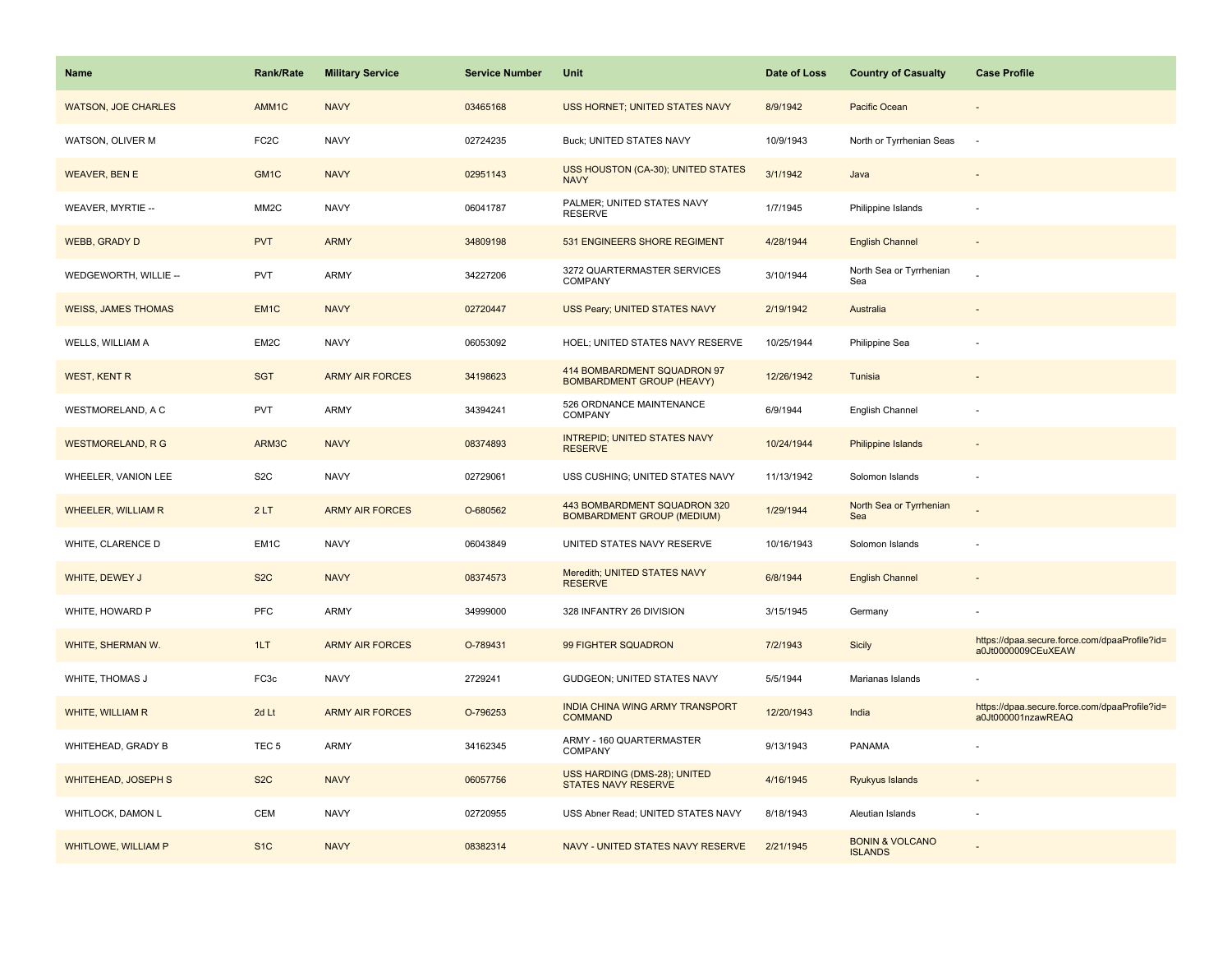| <b>Name</b>                | <b>Rank/Rate</b>  | <b>Military Service</b> | <b>Service Number</b> | Unit                                                              | Date of Loss | <b>Country of Casualty</b>                   | <b>Case Profile</b>                                                 |
|----------------------------|-------------------|-------------------------|-----------------------|-------------------------------------------------------------------|--------------|----------------------------------------------|---------------------------------------------------------------------|
| <b>WATSON, JOE CHARLES</b> | AMM1C             | <b>NAVY</b>             | 03465168              | USS HORNET; UNITED STATES NAVY                                    | 8/9/1942     | Pacific Ocean                                |                                                                     |
| WATSON, OLIVER M           | FC <sub>2</sub> C | <b>NAVY</b>             | 02724235              | Buck; UNITED STATES NAVY                                          | 10/9/1943    | North or Tyrrhenian Seas                     | $\sim$                                                              |
| <b>WEAVER, BEN E</b>       | GM <sub>1</sub> C | <b>NAVY</b>             | 02951143              | USS HOUSTON (CA-30); UNITED STATES<br><b>NAVY</b>                 | 3/1/1942     | Java                                         |                                                                     |
| WEAVER, MYRTIE --          | MM <sub>2</sub> C | <b>NAVY</b>             | 06041787              | PALMER; UNITED STATES NAVY<br><b>RESERVE</b>                      | 1/7/1945     | Philippine Islands                           |                                                                     |
| <b>WEBB, GRADY D</b>       | <b>PVT</b>        | <b>ARMY</b>             | 34809198              | 531 ENGINEERS SHORE REGIMENT                                      | 4/28/1944    | <b>English Channel</b>                       |                                                                     |
| WEDGEWORTH, WILLIE --      | <b>PVT</b>        | ARMY                    | 34227206              | 3272 QUARTERMASTER SERVICES<br>COMPANY                            | 3/10/1944    | North Sea or Tyrrhenian<br>Sea               |                                                                     |
| <b>WEISS, JAMES THOMAS</b> | EM <sub>1</sub> C | <b>NAVY</b>             | 02720447              | USS Peary; UNITED STATES NAVY                                     | 2/19/1942    | Australia                                    |                                                                     |
| WELLS, WILLIAM A           | EM2C              | <b>NAVY</b>             | 06053092              | HOEL; UNITED STATES NAVY RESERVE                                  | 10/25/1944   | Philippine Sea                               |                                                                     |
| <b>WEST, KENT R</b>        | <b>SGT</b>        | <b>ARMY AIR FORCES</b>  | 34198623              | 414 BOMBARDMENT SQUADRON 97<br><b>BOMBARDMENT GROUP (HEAVY)</b>   | 12/26/1942   | Tunisia                                      |                                                                     |
| WESTMORELAND, A C          | <b>PVT</b>        | ARMY                    | 34394241              | 526 ORDNANCE MAINTENANCE<br>COMPANY                               | 6/9/1944     | English Channel                              |                                                                     |
| <b>WESTMORELAND, R G</b>   | ARM3C             | <b>NAVY</b>             | 08374893              | <b>INTREPID; UNITED STATES NAVY</b><br><b>RESERVE</b>             | 10/24/1944   | <b>Philippine Islands</b>                    |                                                                     |
| WHEELER, VANION LEE        | S <sub>2</sub> C  | <b>NAVY</b>             | 02729061              | USS CUSHING; UNITED STATES NAVY                                   | 11/13/1942   | Solomon Islands                              |                                                                     |
| <b>WHEELER, WILLIAM R</b>  | 2LT               | <b>ARMY AIR FORCES</b>  | O-680562              | 443 BOMBARDMENT SQUADRON 320<br><b>BOMBARDMENT GROUP (MEDIUM)</b> | 1/29/1944    | North Sea or Tyrrhenian<br>Sea               |                                                                     |
| WHITE, CLARENCE D          | EM1C              | <b>NAVY</b>             | 06043849              | UNITED STATES NAVY RESERVE                                        | 10/16/1943   | Solomon Islands                              |                                                                     |
| WHITE, DEWEY J             | S <sub>2</sub> C  | <b>NAVY</b>             | 08374573              | Meredith; UNITED STATES NAVY<br><b>RESERVE</b>                    | 6/8/1944     | <b>English Channel</b>                       |                                                                     |
| WHITE, HOWARD P            | PFC               | ARMY                    | 34999000              | 328 INFANTRY 26 DIVISION                                          | 3/15/1945    | Germany                                      |                                                                     |
| WHITE, SHERMAN W.          | 1LT               | <b>ARMY AIR FORCES</b>  | O-789431              | 99 FIGHTER SQUADRON                                               | 7/2/1943     | <b>Sicily</b>                                | https://dpaa.secure.force.com/dpaaProfile?id=<br>a0Jt0000009CEuXEAW |
| WHITE, THOMAS J            | FC3c              | <b>NAVY</b>             | 2729241               | GUDGEON; UNITED STATES NAVY                                       | 5/5/1944     | Marianas Islands                             |                                                                     |
| <b>WHITE, WILLIAM R</b>    | 2d Lt             | <b>ARMY AIR FORCES</b>  | O-796253              | INDIA CHINA WING ARMY TRANSPORT<br><b>COMMAND</b>                 | 12/20/1943   | India                                        | https://dpaa.secure.force.com/dpaaProfile?id=<br>a0Jt000001nzawREAQ |
| WHITEHEAD, GRADY B         | TEC <sub>5</sub>  | ARMY                    | 34162345              | ARMY - 160 QUARTERMASTER<br><b>COMPANY</b>                        | 9/13/1943    | <b>PANAMA</b>                                |                                                                     |
| <b>WHITEHEAD, JOSEPH S</b> | S <sub>2</sub> C  | <b>NAVY</b>             | 06057756              | USS HARDING (DMS-28); UNITED<br><b>STATES NAVY RESERVE</b>        | 4/16/1945    | Ryukyus Islands                              |                                                                     |
| WHITLOCK, DAMON L          | <b>CEM</b>        | <b>NAVY</b>             | 02720955              | USS Abner Read; UNITED STATES NAVY                                | 8/18/1943    | Aleutian Islands                             |                                                                     |
| <b>WHITLOWE, WILLIAM P</b> | S <sub>1C</sub>   | <b>NAVY</b>             | 08382314              | NAVY - UNITED STATES NAVY RESERVE                                 | 2/21/1945    | <b>BONIN &amp; VOLCANO</b><br><b>ISLANDS</b> |                                                                     |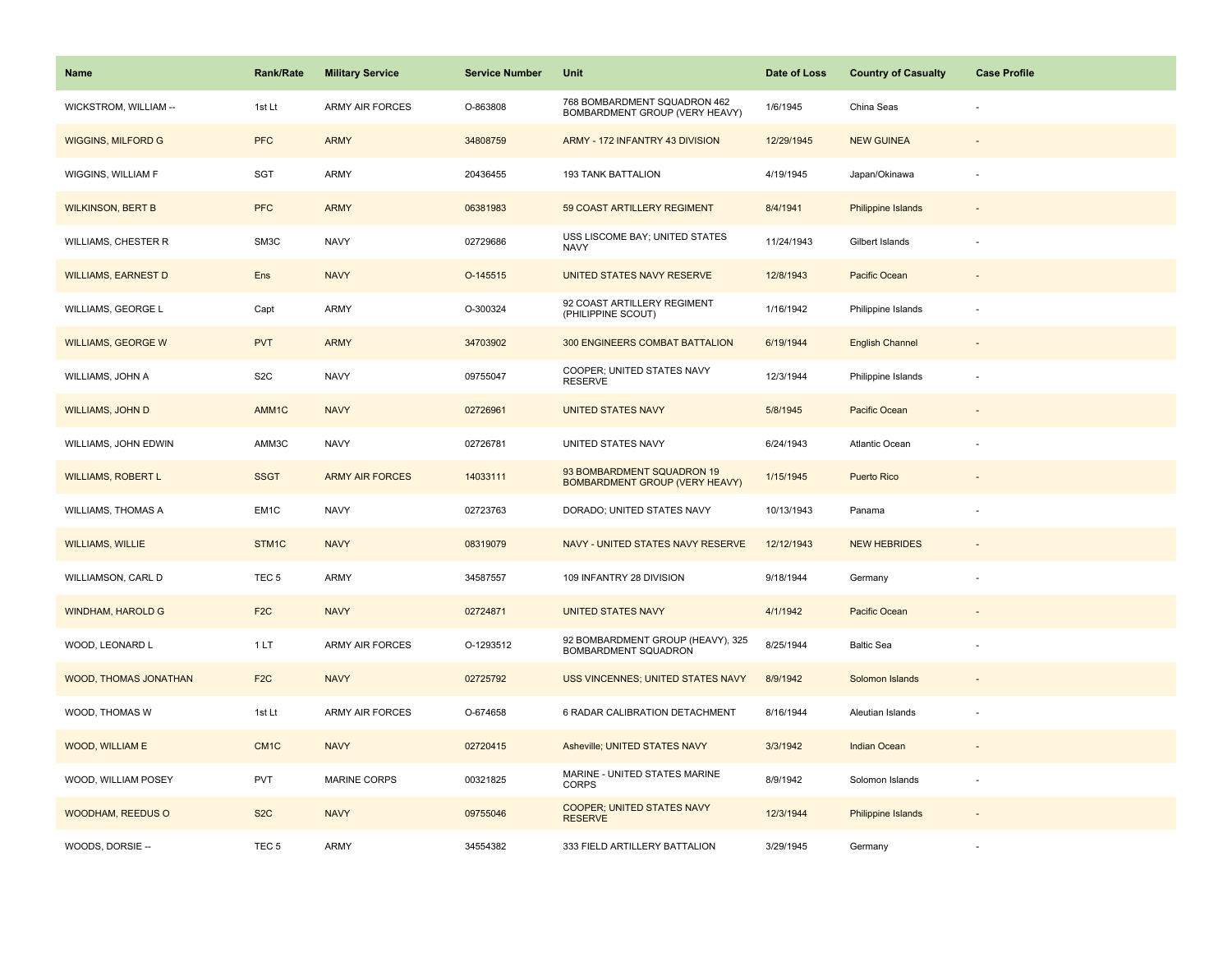| Name                       | Rank/Rate         | <b>Military Service</b> | <b>Service Number</b> | Unit                                                                | Date of Loss | <b>Country of Casualty</b> | <b>Case Profile</b>      |
|----------------------------|-------------------|-------------------------|-----------------------|---------------------------------------------------------------------|--------------|----------------------------|--------------------------|
| WICKSTROM, WILLIAM --      | 1st Lt            | <b>ARMY AIR FORCES</b>  | O-863808              | 768 BOMBARDMENT SQUADRON 462<br>BOMBARDMENT GROUP (VERY HEAVY)      | 1/6/1945     | China Seas                 |                          |
| <b>WIGGINS, MILFORD G</b>  | <b>PFC</b>        | <b>ARMY</b>             | 34808759              | ARMY - 172 INFANTRY 43 DIVISION                                     | 12/29/1945   | <b>NEW GUINEA</b>          |                          |
| WIGGINS, WILLIAM F         | SGT               | <b>ARMY</b>             | 20436455              | <b>193 TANK BATTALION</b>                                           | 4/19/1945    | Japan/Okinawa              |                          |
| <b>WILKINSON, BERT B</b>   | <b>PFC</b>        | <b>ARMY</b>             | 06381983              | 59 COAST ARTILLERY REGIMENT                                         | 8/4/1941     | <b>Philippine Islands</b>  |                          |
| <b>WILLIAMS, CHESTER R</b> | SM3C              | <b>NAVY</b>             | 02729686              | USS LISCOME BAY; UNITED STATES<br><b>NAVY</b>                       | 11/24/1943   | Gilbert Islands            |                          |
| <b>WILLIAMS, EARNEST D</b> | Ens               | <b>NAVY</b>             | O-145515              | UNITED STATES NAVY RESERVE                                          | 12/8/1943    | Pacific Ocean              |                          |
| WILLIAMS, GEORGE L         | Capt              | <b>ARMY</b>             | O-300324              | 92 COAST ARTILLERY REGIMENT<br>(PHILIPPINE SCOUT)                   | 1/16/1942    | Philippine Islands         |                          |
| <b>WILLIAMS, GEORGE W</b>  | <b>PVT</b>        | <b>ARMY</b>             | 34703902              | 300 ENGINEERS COMBAT BATTALION                                      | 6/19/1944    | <b>English Channel</b>     |                          |
| WILLIAMS, JOHN A           | S <sub>2</sub> C  | <b>NAVY</b>             | 09755047              | COOPER; UNITED STATES NAVY<br><b>RESERVE</b>                        | 12/3/1944    | Philippine Islands         | $\overline{\phantom{a}}$ |
| <b>WILLIAMS, JOHN D</b>    | AMM1C             | <b>NAVY</b>             | 02726961              | <b>UNITED STATES NAVY</b>                                           | 5/8/1945     | Pacific Ocean              |                          |
| WILLIAMS, JOHN EDWIN       | AMM3C             | <b>NAVY</b>             | 02726781              | UNITED STATES NAVY                                                  | 6/24/1943    | <b>Atlantic Ocean</b>      |                          |
| <b>WILLIAMS, ROBERT L</b>  | <b>SSGT</b>       | <b>ARMY AIR FORCES</b>  | 14033111              | 93 BOMBARDMENT SQUADRON 19<br><b>BOMBARDMENT GROUP (VERY HEAVY)</b> | 1/15/1945    | <b>Puerto Rico</b>         | $\overline{\phantom{a}}$ |
| <b>WILLIAMS, THOMAS A</b>  | EM1C              | <b>NAVY</b>             | 02723763              | DORADO; UNITED STATES NAVY                                          | 10/13/1943   | Panama                     |                          |
| <b>WILLIAMS, WILLIE</b>    | STM <sub>1C</sub> | <b>NAVY</b>             | 08319079              | NAVY - UNITED STATES NAVY RESERVE                                   | 12/12/1943   | <b>NEW HEBRIDES</b>        |                          |
| WILLIAMSON, CARL D         | TEC <sub>5</sub>  | ARMY                    | 34587557              | 109 INFANTRY 28 DIVISION                                            | 9/18/1944    | Germany                    |                          |
| <b>WINDHAM, HAROLD G</b>   | F <sub>2</sub> C  | <b>NAVY</b>             | 02724871              | <b>UNITED STATES NAVY</b>                                           | 4/1/1942     | Pacific Ocean              |                          |
| WOOD, LEONARD L            | 1LT               | <b>ARMY AIR FORCES</b>  | O-1293512             | 92 BOMBARDMENT GROUP (HEAVY), 325<br>BOMBARDMENT SQUADRON           | 8/25/1944    | <b>Baltic Sea</b>          |                          |
| WOOD, THOMAS JONATHAN      | F <sub>2C</sub>   | <b>NAVY</b>             | 02725792              | <b>USS VINCENNES; UNITED STATES NAVY</b>                            | 8/9/1942     | Solomon Islands            |                          |
| WOOD, THOMAS W             | 1st Lt            | <b>ARMY AIR FORCES</b>  | O-674658              | 6 RADAR CALIBRATION DETACHMENT                                      | 8/16/1944    | Aleutian Islands           | $\overline{\phantom{a}}$ |
| WOOD, WILLIAM E            | CM <sub>1C</sub>  | <b>NAVY</b>             | 02720415              | Asheville; UNITED STATES NAVY                                       | 3/3/1942     | Indian Ocean               |                          |
| WOOD, WILLIAM POSEY        | <b>PVT</b>        | <b>MARINE CORPS</b>     | 00321825              | MARINE - UNITED STATES MARINE<br><b>CORPS</b>                       | 8/9/1942     | Solomon Islands            |                          |
| WOODHAM, REEDUS O          | S <sub>2</sub> C  | <b>NAVY</b>             | 09755046              | <b>COOPER; UNITED STATES NAVY</b><br><b>RESERVE</b>                 | 12/3/1944    | Philippine Islands         |                          |
| WOODS, DORSIE --           | TEC <sub>5</sub>  | ARMY                    | 34554382              | 333 FIELD ARTILLERY BATTALION                                       | 3/29/1945    | Germany                    |                          |